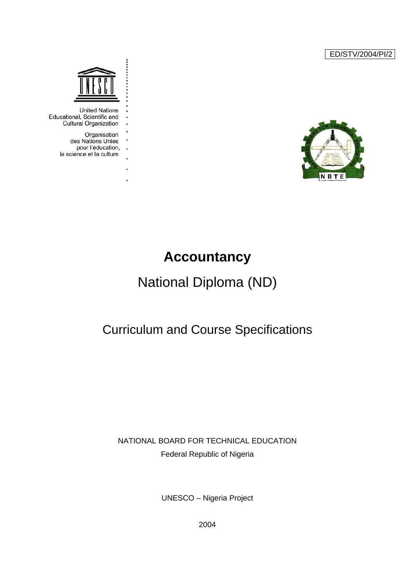ED/STV/2004/PI/2





**United Nations** Educational, Scientific and **Cultural Organization** 

> Organisation des Nations Unies pour l'éducation,  $\ddot{\phantom{a}}$ la science et la culture

> > l,

## **Accountancy**

# National Diploma (ND)

## Curriculum and Course Specifications

### NATIONAL BOARD FOR TECHNICAL EDUCATION Federal Republic of Nigeria

UNESCO – Nigeria Project

2004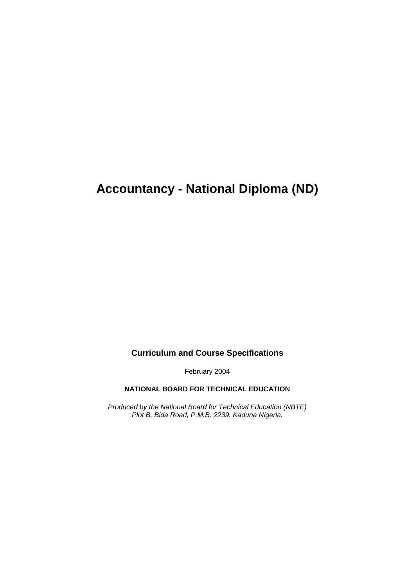### **Accountancy - National Diploma (ND)**

**Curriculum and Course Specifications** 

February 2004

**NATIONAL BOARD FOR TECHNICAL EDUCATION**

*Produced by the National Board for Technical Education (NBTE) Plot B, Bida Road, P.M.B. 2239, Kaduna Nigeria.*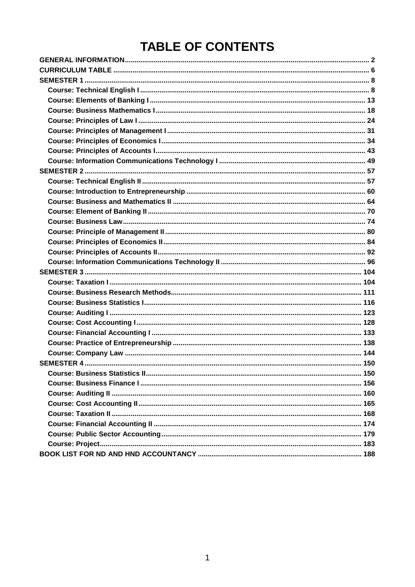# **TABLE OF CONTENTS**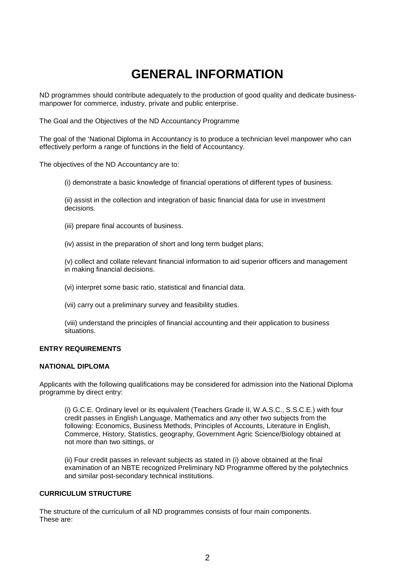## **GENERAL INFORMATION**

<span id="page-3-0"></span>ND programmes should contribute adequately to the production of good quality and dedicate businessmanpower for commerce, industry, private and public enterprise.

The Goal and the Objectives of the ND Accountancy Programme

The goal of the 'National Diploma in Accountancy is to produce a technician level manpower who can effectively perform a range of functions in the field of Accountancy.

The objectives of the ND Accountancy are to:

(i) demonstrate a basic knowledge of financial operations of different types of business.

(ii) assist in the collection and integration of basic financial data for use in investment decisions.

(iii) prepare final accounts of business.

(iv) assist in the preparation of short and long term budget plans;

(v) collect and collate relevant financial information to aid superior officers and management in making financial decisions.

(vi) interpret some basic ratio, statistical and financial data.

(vii) carry out a preliminary survey and feasibility studies.

(viii) understand the principles of financial accounting and their application to business situations.

#### **ENTRY REQUIREMENTS**

#### **NATIONAL DIPLOMA**

Applicants with the following qualifications may be considered for admission into the National Diploma programme by direct entry:

(i) G.C.E. Ordinary level or its equivalent (Teachers Grade II, W.A.S.C., S.S.C.E.) with four credit passes in English Language, Mathematics and any other two subjects from the following: Economics, Business Methods, Principles of Accounts, Literature in English, Commerce, History, Statistics, geography, Government Agric Science/Biology obtained at not more than two sittings, or

(ii) Four credit passes in relevant subjects as stated in (i) above obtained at the final examination of an NBTE recognized Preliminary ND Programme offered by the polytechnics and similar post-secondary technical institutions.

#### **CURRICULUM STRUCTURE**

The structure of the curriculum of all ND programmes consists of four main components. These are: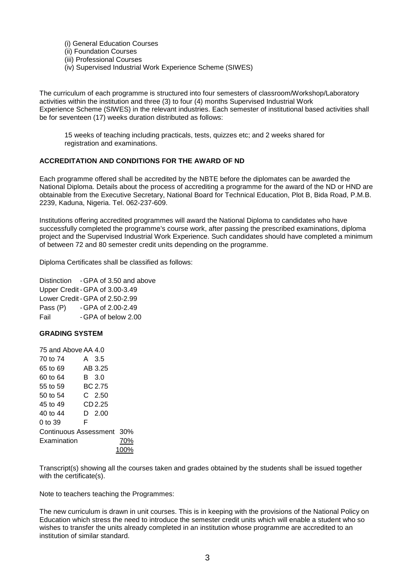(i) General Education Courses

- (ii) Foundation Courses
- (iii) Professional Courses
- (iv) Supervised Industrial Work Experience Scheme (SIWES)

The curriculum of each programme is structured into four semesters of classroom/Workshop/Laboratory activities within the institution and three (3) to four (4) months Supervised Industrial Work Experience Scheme (SIWES) in the relevant industries. Each semester of institutional based activities shall be for seventeen (17) weeks duration distributed as follows:

15 weeks of teaching including practicals, tests, quizzes etc; and 2 weeks shared for registration and examinations.

#### **ACCREDITATION AND CONDITIONS FOR THE AWARD OF ND**

Each programme offered shall be accredited by the NBTE before the diplomates can be awarded the National Diploma. Details about the process of accrediting a programme for the award of the ND or HND are obtainable from the Executive Secretary, National Board for Technical Education, Plot B, Bida Road, P.M.B. 2239, Kaduna, Nigeria. Tel. 062-237-609.

Institutions offering accredited programmes will award the National Diploma to candidates who have successfully completed the programme's course work, after passing the prescribed examinations, diploma project and the Supervised Industrial Work Experience. Such candidates should have completed a minimum of between 72 and 80 semester credit units depending on the programme.

Diploma Certificates shall be classified as follows:

Distinction - GPA of 3.50 and above Upper Credit - GPA of 3.00-3.49 Lower Credit - GPA of 2.50-2.99 Pass (P) - GPA of 2.00-2.49 Fail - GPA of below 2.00

#### **GRADING SYSTEM**

75 and Above AA 4.0 70 to 74 A 3.5 65 to 69 AB 3.25 60 to 64 B 3.0 55 to 59 BC 2.75 50 to 54 C 2.50 45 to 49 CD 2.25 40 to 44 D 2.00 0 to 39 F Continuous Assessment 30% Examination 70% 100%

Transcript(s) showing all the courses taken and grades obtained by the students shall be issued together with the certificate(s).

Note to teachers teaching the Programmes:

The new curriculum is drawn in unit courses. This is in keeping with the provisions of the National Policy on Education which stress the need to introduce the semester credit units which will enable a student who so wishes to transfer the units already completed in an institution whose programme are accredited to an institution of similar standard.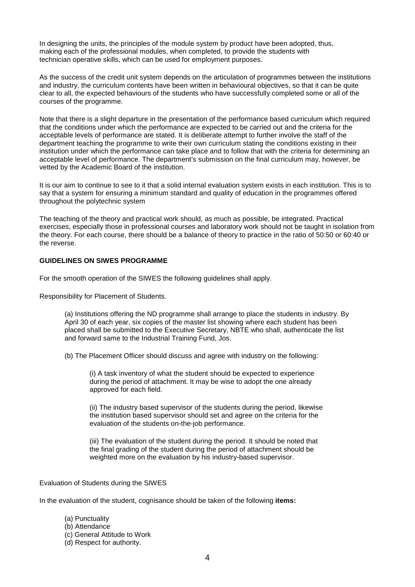In designing the units, the principles of the module system by product have been adopted, thus, making each of the professional modules, when completed, to provide the students with technician operative skills, which can be used for employment purposes.

As the success of the credit unit system depends on the articulation of programmes between the institutions and industry, the curriculum contents have been written in behavioural objectives, so that it can be quite clear to all, the expected behaviours of the students who have successfully completed some or all of the courses of the programme.

Note that there is a slight departure in the presentation of the performance based curriculum which required that the conditions under which the performance are expected to be carried out and the criteria for the acceptable levels of performance are stated. It is deliberate attempt to further involve the staff of the department teaching the programme to write their own curriculum stating the conditions existing in their institution under which the performance can take place and to follow that with the criteria for determining an acceptable level of performance. The department's submission on the final curriculum may, however, be vetted by the Academic Board of the institution.

It is our aim to continue to see to it that a solid internal evaluation system exists in each institution. This is to say that a system for ensuring a minimum standard and quality of education in the programmes offered throughout the polytechnic system

The teaching of the theory and practical work should, as much as possible, be integrated. Practical exercises, especially those in professional courses and laboratory work should not be taught in isolation from the theory. For each course, there should be a balance of theory to practice in the ratio of 50:50 or 60:40 or the reverse.

#### **GUIDELINES ON SIWES PROGRAMME**

For the smooth operation of the SIWES the following guidelines shall apply.

Responsibility for Placement of Students.

(a) Institutions offering the ND programme shall arrange to place the students in industry. By April 30 of each year, six copies of the master list showing where each student has been placed shall be submitted to the Executive Secretary, NBTE who shall, authenticate the list and forward same to the Industrial Training Fund, Jos.

(b) The Placement Officer should discuss and agree with industry on the following:

(i) A task inventory of what the student should be expected to experience during the period of attachment. It may be wise to adopt the one already approved for each field.

(ii) The industry based supervisor of the students during the period, likewise the institution based supervisor should set and agree on the criteria for the evaluation of the students on-the-job performance.

(iii) The evaluation of the student during the period. It should be noted that the final grading of the student during the period of attachment should be weighted more on the evaluation by his industry-based supervisor.

Evaluation of Students during the SIWES

In the evaluation of the student, cognisance should be taken of the following **items:**

- (a) Punctuality
- (b) Attendance
- (c) General Attitude to Work
- (d) Respect for authority.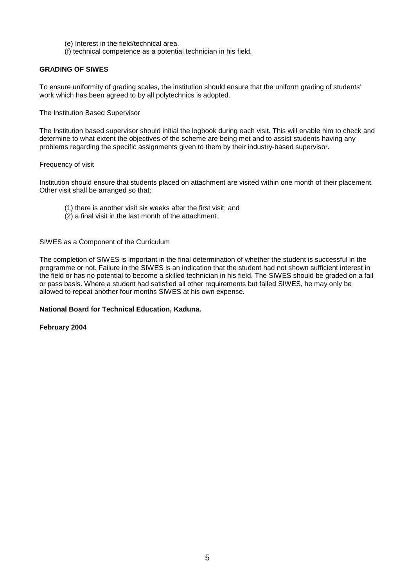- (e) Interest in the field/technical area.
- (f) technical competence as a potential technician in his field.

#### **GRADING OF SIWES**

To ensure uniformity of grading scales, the institution should ensure that the uniform grading of students' work which has been agreed to by all polytechnics is adopted.

The Institution Based Supervisor

The Institution based supervisor should initial the logbook during each visit. This will enable him to check and determine to what extent the objectives of the scheme are being met and to assist students having any problems regarding the specific assignments given to them by their industry-based supervisor.

#### Frequency of visit

Institution should ensure that students placed on attachment are visited within one month of their placement. Other visit shall be arranged so that:

- (1) there is another visit six weeks after the first visit; and
- (2) a final visit in the last month of the attachment.

#### SIWES as a Component of the Curriculum

The completion of SIWES is important in the final determination of whether the student is successful in the programme or not. Failure in the SIWES is an indication that the student had not shown sufficient interest in the field or has no potential to become a skilled technician in his field. The SIWES should be graded on a fail or pass basis. Where a student had satisfied all other requirements but failed SIWES, he may only be allowed to repeat another four months SIWES at his own expense.

#### **National Board for Technical Education, Kaduna.**

#### **February 2004**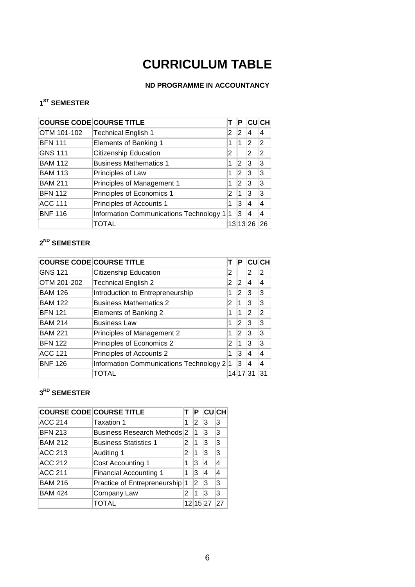# **CURRICULUM TABLE**

### **ND PROGRAMME IN ACCOUNTANCY**

### <span id="page-7-0"></span>**1ST SEMESTER**

|                | <b>COURSE CODE COURSE TITLE</b>         |   | Р        |    | <b>CU</b> CH   |
|----------------|-----------------------------------------|---|----------|----|----------------|
| OTM 101-102    | <b>Technical English 1</b>              | 2 | 2        | 4  | 4              |
| <b>BFN 111</b> | Elements of Banking 1                   | 1 | 1        | 2  | 2              |
| <b>GNS 111</b> | <b>Citizenship Education</b>            | 2 |          | 2  | $\overline{2}$ |
| <b>BAM 112</b> | <b>Business Mathematics 1</b>           | 1 | 2        | 13 | 3              |
| <b>BAM 113</b> | Principles of Law                       | 1 | 2        | 13 | 3              |
| <b>BAM 211</b> | Principles of Management 1              | 1 | 2        | l3 | 3              |
| <b>BFN 112</b> | Principles of Economics 1               | 2 | 1        | 3  | 3              |
| <b>ACC 111</b> | Principles of Accounts 1                | 1 | 3        | 14 | 4              |
| <b>BNF 116</b> | Information Communications Technology 1 | 1 | 3        | 4  | 4              |
|                | TOTAL                                   |   | 13 13 26 |    | 26             |

### **2ND SEMESTER**

| <b>COURSE CODE COURSE TITLE</b> |                                          | т | Р        |    | <b>CUCH</b>    |
|---------------------------------|------------------------------------------|---|----------|----|----------------|
| <b>GNS 121</b>                  | <b>Citizenship Education</b>             | 2 |          | 2  | $\overline{2}$ |
| OTM 201-202                     | <b>Technical English 2</b>               | 2 | 12       | 14 | 4              |
| <b>BAM 126</b>                  | Introduction to Entrepreneurship         | 1 | 2        | 3  | 3              |
| <b>BAM 122</b>                  | <b>Business Mathematics 2</b>            | 2 | 1        | 3  | 3              |
| <b>BFN 121</b>                  | Elements of Banking 2                    | 1 | 1        | 2  | $\overline{2}$ |
| <b>BAM 214</b>                  | <b>Business Law</b>                      | 1 | 2        | 3  | 3              |
| <b>BAM 221</b>                  | Principles of Management 2               | 1 | 2        | 3  | 3              |
| <b>BFN 122</b>                  | Principles of Economics 2                | 2 | 1        | 3  | 3              |
| <b>ACC 121</b>                  | Principles of Accounts 2                 | 1 | 3        | 14 | 4              |
| <b>BNF 126</b>                  | Information Communications Technology 21 |   | 3        | 14 | 4              |
|                                 | TOTAL                                    |   | 14 17 31 |    | 31             |

### **3RD SEMESTER**

|                | <b>COURSE CODE COURSE TITLE</b>           |   | Р        | <b>CU</b> CH |    |
|----------------|-------------------------------------------|---|----------|--------------|----|
| <b>ACC 214</b> | Taxation 1                                | 1 | 2        | 3            | 3  |
| <b>BFN 213</b> | Business Research Methods 2               |   | 11       | 3            | 3  |
| <b>BAM 212</b> | <b>Business Statistics 1</b>              | 2 | 1        | 3            | Ι3 |
| <b>ACC 213</b> | Auditing 1                                | 2 | ∣1       | 3            | 3  |
| <b>ACC 212</b> | <b>Cost Accounting 1</b>                  | 1 | l3       | 4            | 4  |
| <b>ACC 211</b> | <b>Financial Accounting 1</b>             | 1 | 3        | 4            | 4  |
| <b>BAM 216</b> | Practice of Entrepreneurship <sup>1</sup> |   | 2        | 3            | 3  |
| <b>BAM 424</b> | Company Law                               |   | 1        | 3            | 3  |
|                | <b>TOTAL</b>                              |   | 12 15 27 |              | 27 |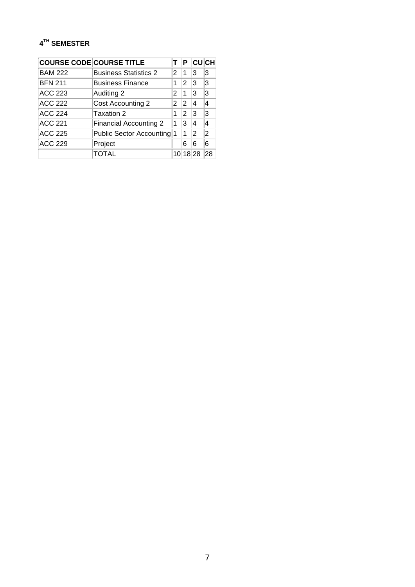### **4TH SEMESTER**

|                | <b>COURSE CODE COURSE TITLE</b> | т  | P | ∣CU∣CH         |                |
|----------------|---------------------------------|----|---|----------------|----------------|
| <b>BAM 222</b> | <b>Business Statistics 2</b>    | 2  | 1 | 3              | 3              |
| <b>BFN 211</b> | <b>Business Finance</b>         | 1  | 2 | 3              | 3              |
| ACC 223        | Auditing 2                      | 2  | 1 | 3              | 3              |
| <b>ACC 222</b> | <b>Cost Accounting 2</b>        | 2  | 2 | $\overline{A}$ | 4              |
| <b>ACC 224</b> | Taxation 2                      | 1  | 2 | 3              | 3              |
| <b>ACC 221</b> | <b>Financial Accounting 2</b>   | 1  | 3 | 4              | $\overline{4}$ |
| <b>ACC 225</b> | Public Sector Accounting 1      |    | 1 | 2              | $\overline{2}$ |
| <b>ACC 229</b> | Project                         |    | 6 | 6              | 6              |
|                | TOTAL                           | 10 |   | 18 28          | 28             |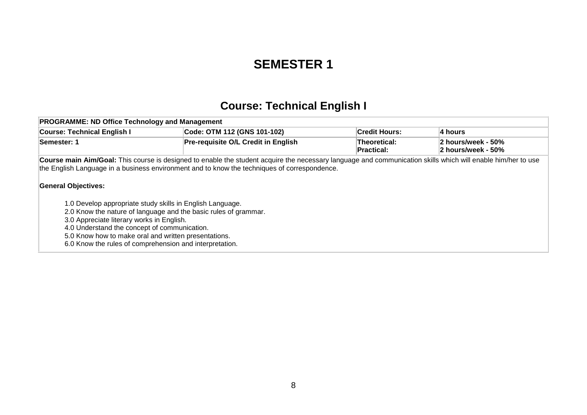### **SEMESTER 1**

# **Course: Technical English I**

<span id="page-9-0"></span>

| <b>PROGRAMME: ND Office Technology and Management</b>                                                                                                                                                                                                                                                                                                                                                                                                                                                                                                                                                                                      |                                     |                                   |                                          |  |  |  |  |
|--------------------------------------------------------------------------------------------------------------------------------------------------------------------------------------------------------------------------------------------------------------------------------------------------------------------------------------------------------------------------------------------------------------------------------------------------------------------------------------------------------------------------------------------------------------------------------------------------------------------------------------------|-------------------------------------|-----------------------------------|------------------------------------------|--|--|--|--|
| <b>Course: Technical English I</b>                                                                                                                                                                                                                                                                                                                                                                                                                                                                                                                                                                                                         | Code: OTM 112 (GNS 101-102)         | <b>Credit Hours:</b>              | 4 hours                                  |  |  |  |  |
| <b>Semester: 1</b>                                                                                                                                                                                                                                                                                                                                                                                                                                                                                                                                                                                                                         | Pre-requisite O/L Credit in English | <b>Theoretical:</b><br>Practical: | 2 hours/week - 50%<br>2 hours/week - 50% |  |  |  |  |
| Course main Aim/Goal: This course is designed to enable the student acquire the necessary language and communication skills which will enable him/her to use<br>the English Language in a business environment and to know the techniques of correspondence.<br><b>General Objectives:</b><br>1.0 Develop appropriate study skills in English Language.<br>2.0 Know the nature of language and the basic rules of grammar.<br>3.0 Appreciate literary works in English.<br>4.0 Understand the concept of communication.<br>5.0 Know how to make oral and written presentations.<br>6.0 Know the rules of comprehension and interpretation. |                                     |                                   |                                          |  |  |  |  |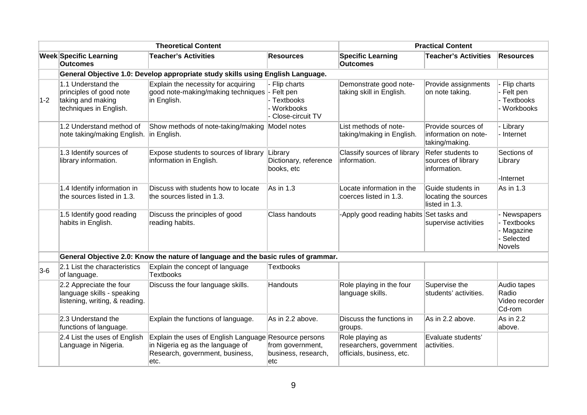| <b>Theoretical Content</b> |                                                                                              |                                                                                                                                      | <b>Practical Content</b>                                      |                                                                         |                                                              |                                                                 |
|----------------------------|----------------------------------------------------------------------------------------------|--------------------------------------------------------------------------------------------------------------------------------------|---------------------------------------------------------------|-------------------------------------------------------------------------|--------------------------------------------------------------|-----------------------------------------------------------------|
|                            | <b>Week Specific Learning</b><br><b>Outcomes</b>                                             | <b>Teacher's Activities</b>                                                                                                          | <b>Resources</b>                                              | <b>Specific Learning</b><br><b>Outcomes</b>                             | <b>Teacher's Activities</b>                                  | <b>Resources</b>                                                |
|                            |                                                                                              | General Objective 1.0: Develop appropriate study skills using English Language.                                                      |                                                               |                                                                         |                                                              |                                                                 |
| $1-2$                      | 1.1 Understand the<br>principles of good note<br>taking and making<br>techniques in English. | Explain the necessity for acquiring<br>good note-making/making techniques - Felt pen<br>in English.                                  | - Flip charts<br>- Textbooks<br>Workbooks<br>Close-circuit TV | Demonstrate good note-<br>taking skill in English.                      | Provide assignments<br>on note taking.                       | Flip charts<br>- Felt pen<br>- Textbooks<br>- Workbooks         |
|                            | 1.2 Understand method of<br>note taking/making English.                                      | Show methods of note-taking/making<br>in English.                                                                                    | Model notes                                                   | List methods of note-<br>taking/making in English.                      | Provide sources of<br>information on note-<br>taking/making. | - Library<br>Internet                                           |
|                            | 1.3 Identify sources of<br>library information.                                              | Expose students to sources of library<br>information in English.                                                                     | Library<br>Dictionary, reference<br>books, etc                | Classify sources of library<br>information.                             | Refer students to<br>sources of library<br>information.      | Sections of<br>Library<br>-Internet                             |
|                            | 1.4 Identify information in<br>the sources listed in 1.3.                                    | Discuss with students how to locate<br>the sources listed in 1.3.                                                                    | As in 1.3                                                     | Locate information in the<br>coerces listed in 1.3.                     | Guide students in<br>locating the sources<br>listed in 1.3.  | As in 1.3                                                       |
|                            | 1.5 Identify good reading<br>habits in English.                                              | Discuss the principles of good<br>reading habits.                                                                                    | <b>Class handouts</b>                                         | -Apply good reading habits Set tasks and                                | supervise activities                                         | - Newspapers<br>- Textbooks<br>- Magazine<br>Selected<br>Novels |
|                            |                                                                                              | General Objective 2.0: Know the nature of language and the basic rules of grammar.                                                   |                                                               |                                                                         |                                                              |                                                                 |
| $3-6$                      | 2.1 List the characteristics<br>of language.                                                 | Explain the concept of language<br><b>Textbooks</b>                                                                                  | <b>Textbooks</b>                                              |                                                                         |                                                              |                                                                 |
|                            | 2.2 Appreciate the four<br>language skills - speaking<br>listening, writing, & reading.      | Discuss the four language skills.                                                                                                    | Handouts                                                      | Role playing in the four<br>language skills.                            | Supervise the<br>students' activities.                       | Audio tapes<br>Radio<br>Video recorder<br>Cd-rom                |
|                            | 2.3 Understand the<br>functions of language.                                                 | Explain the functions of language.                                                                                                   | As in 2.2 above.                                              | Discuss the functions in<br>groups.                                     | As in 2.2 above.                                             | As in 2.2<br>labove.                                            |
|                            | 2.4 List the uses of English<br>Language in Nigeria.                                         | Explain the uses of English Language Resource persons<br>in Nigeria eg as the language of<br>Research, government, business,<br>etc. | from government,<br>business, research,<br>etc                | Role playing as<br>researchers, government<br>officials, business, etc. | Evaluate students'<br>activities.                            |                                                                 |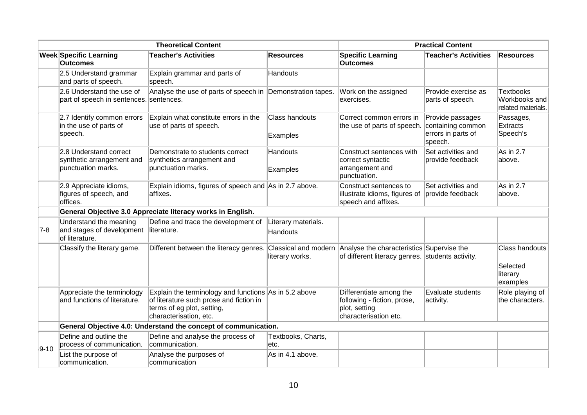| <b>Theoretical Content</b> |                                                                           |                                                                                                                                                          | <b>Practical Content</b>          |                                                                                                                    |                                                                        |                                                         |
|----------------------------|---------------------------------------------------------------------------|----------------------------------------------------------------------------------------------------------------------------------------------------------|-----------------------------------|--------------------------------------------------------------------------------------------------------------------|------------------------------------------------------------------------|---------------------------------------------------------|
|                            | <b>Week Specific Learning</b><br><b>Outcomes</b>                          | <b>Teacher's Activities</b>                                                                                                                              | <b>Resources</b>                  | <b>Specific Learning</b><br><b>Outcomes</b>                                                                        | <b>Teacher's Activities</b>                                            | <b>Resources</b>                                        |
|                            | 2.5 Understand grammar<br>and parts of speech.                            | Explain grammar and parts of<br>speech.                                                                                                                  | Handouts                          |                                                                                                                    |                                                                        |                                                         |
|                            | 2.6 Understand the use of<br>part of speech in sentences. sentences.      | Analyse the use of parts of speech in Demonstration tapes.                                                                                               |                                   | Work on the assigned<br>exercises.                                                                                 | Provide exercise as<br>parts of speech.                                | <b>Textbooks</b><br>Workbooks and<br>related materials. |
|                            | 2.7 Identify common errors<br>in the use of parts of<br>speech.           | Explain what constitute errors in the<br>use of parts of speech.                                                                                         | <b>Class handouts</b><br>Examples | Correct common errors in<br>the use of parts of speech.                                                            | Provide passages<br>containing common<br>errors in parts of<br>speech. | Passages,<br>Extracts<br>Speech's                       |
|                            | 2.8 Understand correct<br>synthetic arrangement and<br>punctuation marks. | Demonstrate to students correct<br>synthetics arrangement and<br>punctuation marks.                                                                      | Handouts<br>Examples              | Construct sentences with<br>correct syntactic<br>arrangement and<br>punctuation.                                   | Set activities and<br>provide feedback                                 | As in 2.7<br>above.                                     |
|                            | 2.9 Appreciate idioms,<br>figures of speech, and<br>offices.              | Explain idioms, figures of speech and As in 2.7 above.<br>affixes.                                                                                       |                                   | Construct sentences to<br>illustrate idioms, figures of<br>speech and affixes.                                     | Set activities and<br>provide feedback                                 | As in 2.7<br>above.                                     |
|                            |                                                                           | General Objective 3.0 Appreciate literacy works in English.                                                                                              |                                   |                                                                                                                    |                                                                        |                                                         |
| $7-8$                      | Understand the meaning<br>and stages of development<br>of literature.     | Define and trace the development of<br>literature.                                                                                                       | Literary materials.<br>Handouts   |                                                                                                                    |                                                                        |                                                         |
|                            | Classify the literary game.                                               | Different between the literacy genres.                                                                                                                   | literary works.                   | Classical and modern Analyse the characteristics Supervise the<br>of different literacy genres. students activity. |                                                                        | Class handouts<br>Selected<br>literary<br>examples      |
|                            | Appreciate the terminology<br>and functions of literature.                | Explain the terminology and functions As in 5.2 above<br>of literature such prose and fiction in<br>terms of eg plot, setting,<br>characterisation, etc. |                                   | Differentiate among the<br>following - fiction, prose,<br>plot, setting<br>characterisation etc.                   | Evaluate students<br>activity.                                         | Role playing of<br>the characters.                      |
|                            |                                                                           | General Objective 4.0: Understand the concept of communication.                                                                                          |                                   |                                                                                                                    |                                                                        |                                                         |
| $9 - 10$                   | Define and outline the<br>process of communication.                       | Define and analyse the process of<br>communication.                                                                                                      | Textbooks, Charts,<br>etc.        |                                                                                                                    |                                                                        |                                                         |
|                            | List the purpose of<br>communication.                                     | Analyse the purposes of<br>communication                                                                                                                 | As in 4.1 above.                  |                                                                                                                    |                                                                        |                                                         |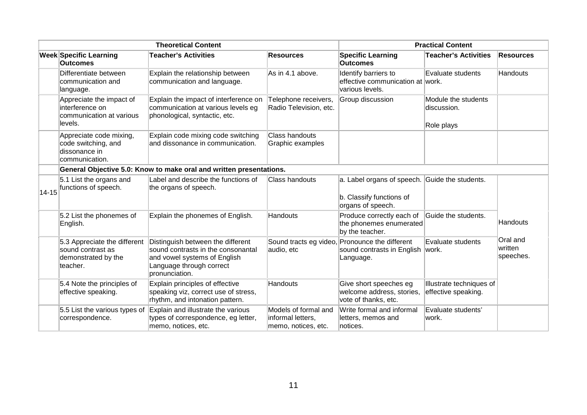| <b>Theoretical Content</b> |                                                                                      |                                                                                                                                                       | <b>Practical Content</b>                                         |                                                                                                 |                                                  |                                  |
|----------------------------|--------------------------------------------------------------------------------------|-------------------------------------------------------------------------------------------------------------------------------------------------------|------------------------------------------------------------------|-------------------------------------------------------------------------------------------------|--------------------------------------------------|----------------------------------|
|                            | <b>Week Specific Learning</b><br><b>Outcomes</b>                                     | <b>Teacher's Activities</b>                                                                                                                           | <b>Resources</b>                                                 | <b>Specific Learning</b><br><b>Outcomes</b>                                                     | <b>Teacher's Activities</b>                      | <b>Resources</b>                 |
|                            | Differentiate between<br>communication and<br>language.                              | Explain the relationship between<br>communication and language.                                                                                       | As in 4.1 above.                                                 | Identify barriers to<br>effective communication at work.<br>various levels.                     | Evaluate students                                | Handouts                         |
|                            | Appreciate the impact of<br>interference on<br>communication at various<br>levels.   | Explain the impact of interference on<br>communication at various levels eg<br>phonological, syntactic, etc.                                          | Telephone receivers,<br>Radio Television, etc.                   | Group discussion                                                                                | Module the students<br>discussion.<br>Role plays |                                  |
|                            | Appreciate code mixing,<br>code switching, and<br>dissonance in<br>communication.    | Explain code mixing code switching<br>and dissonance in communication.                                                                                | <b>Class handouts</b><br>Graphic examples                        |                                                                                                 |                                                  |                                  |
|                            |                                                                                      | General Objective 5.0: Know to make oral and written presentations.                                                                                   |                                                                  |                                                                                                 |                                                  |                                  |
| $14 - 15$                  | 5.1 List the organs and<br>functions of speech.                                      | Label and describe the functions of<br>the organs of speech.                                                                                          | <b>Class handouts</b>                                            | a. Label organs of speech. Guide the students.<br>b. Classify functions of<br>organs of speech. |                                                  |                                  |
|                            | 5.2 List the phonemes of<br>English.                                                 | Explain the phonemes of English.                                                                                                                      | Handouts                                                         | Produce correctly each of<br>the phonemes enumerated<br>by the teacher.                         | Guide the students.                              | Handouts                         |
|                            | 5.3 Appreciate the different<br>sound contrast as<br>demonstrated by the<br>teacher. | Distinguish between the different<br>sound contrasts in the consonantal<br>and vowel systems of English<br>Language through correct<br>pronunciation. | audio, etc                                                       | Sound tracts eg video, Pronounce the different<br>sound contrasts in English<br>Language.       | Evaluate students<br>work.                       | Oral and<br>written<br>speeches. |
|                            | 5.4 Note the principles of<br>effective speaking.                                    | Explain principles of effective<br>speaking viz, correct use of stress,<br>rhythm, and intonation pattern.                                            | Handouts                                                         | Give short speeches eg<br>welcome address, stories,<br>vote of thanks, etc.                     | Illustrate techniques of<br>effective speaking.  |                                  |
|                            | 5.5 List the various types of<br>correspondence.                                     | Explain and illustrate the various<br>types of correspondence, eg letter,<br>memo, notices, etc.                                                      | Models of formal and<br>informal letters,<br>memo, notices, etc. | Write formal and informal<br>letters, memos and<br>notices.                                     | Evaluate students'<br>lwork.                     |                                  |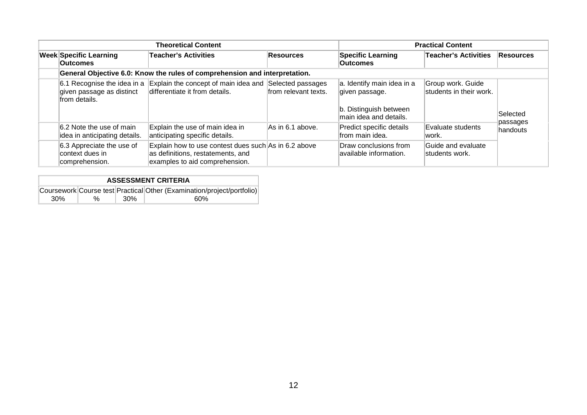| <b>Theoretical Content</b>                                     |                                                                                                                             |                                           | <b>Practical Content</b>                                                                         |                                              |                      |
|----------------------------------------------------------------|-----------------------------------------------------------------------------------------------------------------------------|-------------------------------------------|--------------------------------------------------------------------------------------------------|----------------------------------------------|----------------------|
| <b>Week Specific Learning</b><br><b>Outcomes</b>               | <b>Teacher's Activities</b>                                                                                                 | <b>Resources</b>                          | <b>Specific Learning</b><br><b>Outcomes</b>                                                      | Teacher's Activities                         | Resources            |
|                                                                | General Objective 6.0: Know the rules of comprehension and interpretation.                                                  |                                           |                                                                                                  |                                              |                      |
| given passage as distinct<br>from details.                     | 6.1 Recognise the idea in a Explain the concept of main idea and<br>differentiate it from details.                          | Selected passages<br>from relevant texts. | a. Identify main idea in a<br>given passage.<br>b. Distinguish between<br>main idea and details. | Group work. Guide<br>students in their work. | Selected             |
| 6.2 Note the use of main<br>idea in anticipating details.      | Explain the use of main idea in<br>anticipating specific details.                                                           | As in 6.1 above.                          | Predict specific details<br>lfrom main idea.                                                     | Evaluate students<br>lwork.                  | passages<br>handouts |
| 6.3 Appreciate the use of<br>context dues in<br>comprehension. | Explain how to use contest dues such As in 6.2 above<br>as definitions, restatements, and<br>examples to aid comprehension. |                                           | Draw conclusions from<br>available information.                                                  | Guide and evaluate<br>students work.         |                      |

| <b>ASSESSMENT CRITERIA</b> |      |        |                                                                        |  |  |  |
|----------------------------|------|--------|------------------------------------------------------------------------|--|--|--|
|                            |      |        | Coursework Course test Practical Other (Examination/project/portfolio) |  |  |  |
| 30%                        | $\%$ | $30\%$ | 60%                                                                    |  |  |  |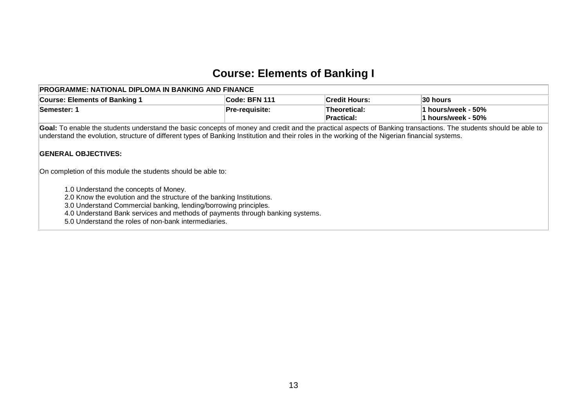### **Course: Elements of Banking I**

| <b>PROGRAMME: NATIONAL DIPLOMA IN BANKING AND FINANCE</b> |                 |                            |                                                               |  |  |
|-----------------------------------------------------------|-----------------|----------------------------|---------------------------------------------------------------|--|--|
| <b>Course: Elements of Banking 1</b>                      | Code: BFN 111   | <b>Credit Hours:</b>       | ∣30 hours                                                     |  |  |
| Semester: 1                                               | ∥Pre-reauisite: | Theoretical:<br>Practical: | <b>∜1 hours/week - 50%</b><br><sup>∥</sup> 1 hours/week - 50% |  |  |

**Goal:** To enable the students understand the basic concepts of money and credit and the practical aspects of Banking transactions. The students should be able to understand the evolution, structure of different types of Banking Institution and their roles in the working of the Nigerian financial systems.

#### **GENERAL OBJECTIVES:**

On completion of this module the students should be able to:

1.0 Understand the concepts of Money.

2.0 Know the evolution and the structure of the banking Institutions.

3.0 Understand Commercial banking, lending/borrowing principles.

4.0 Understand Bank services and methods of payments through banking systems.

<span id="page-14-0"></span>5.0 Understand the roles of non-bank intermediaries.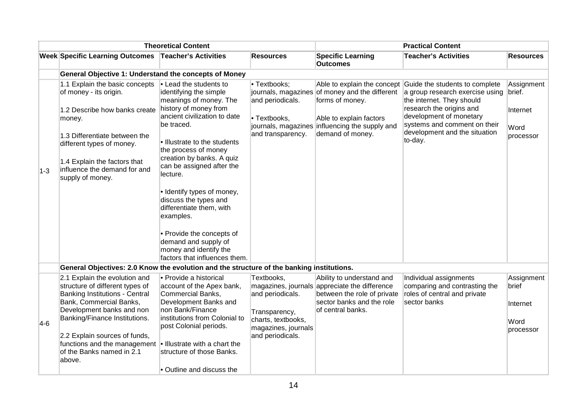|         | <b>Theoretical Content</b>                                                                                                                                                                                                                            |                                                                                                                                                                                                                                                                                                                                                                                                                                                                                                                     |                                                                                              | <b>Practical Content</b>                                                                                                                                                                          |                                                                                                                                                                                                                                   |                                                       |  |
|---------|-------------------------------------------------------------------------------------------------------------------------------------------------------------------------------------------------------------------------------------------------------|---------------------------------------------------------------------------------------------------------------------------------------------------------------------------------------------------------------------------------------------------------------------------------------------------------------------------------------------------------------------------------------------------------------------------------------------------------------------------------------------------------------------|----------------------------------------------------------------------------------------------|---------------------------------------------------------------------------------------------------------------------------------------------------------------------------------------------------|-----------------------------------------------------------------------------------------------------------------------------------------------------------------------------------------------------------------------------------|-------------------------------------------------------|--|
|         | <b>Week Specific Learning Outcomes</b>                                                                                                                                                                                                                | Teacher's Activities                                                                                                                                                                                                                                                                                                                                                                                                                                                                                                | <b>Resources</b>                                                                             | <b>Specific Learning</b><br><b>Outcomes</b>                                                                                                                                                       | <b>Teacher's Activities</b>                                                                                                                                                                                                       | <b>Resources</b>                                      |  |
|         | General Objective 1: Understand the concepts of Money                                                                                                                                                                                                 |                                                                                                                                                                                                                                                                                                                                                                                                                                                                                                                     |                                                                                              |                                                                                                                                                                                                   |                                                                                                                                                                                                                                   |                                                       |  |
| $1-3$   | 1.1 Explain the basic concepts<br>of money - its origin.<br>1.2 Describe how banks create<br>money.<br>1.3 Differentiate between the<br>different types of money.<br>1.4 Explain the factors that<br>influence the demand for and<br>supply of money. | $\blacktriangleright$ Lead the students to<br>identifying the simple<br>meanings of money. The<br>history of money from<br>ancient civilization to date<br>be traced.<br>• Illustrate to the students<br>the process of money<br>creation by banks. A quiz<br>can be assigned after the<br>lecture.<br>· Identify types of money,<br>discuss the types and<br>differentiate them, with<br>examples.<br>• Provide the concepts of<br>demand and supply of<br>money and identify the<br>factors that influences them. | • Textbooks:<br>and periodicals.<br>• Textbooks,<br>and transparency.                        | Able to explain the concept<br>journals, magazines of money and the different<br>forms of money.<br>Able to explain factors<br>journals, magazines influencing the supply and<br>demand of money. | Guide the students to complete<br>a group research exercise using<br>the internet. They should<br>research the origins and<br>development of monetary<br>systems and comment on their<br>development and the situation<br>to-day. | Assignment<br>brief.<br>Internet<br>Word<br>processor |  |
|         | General Objectives: 2.0 Know the evolution and the structure of the banking institutions.                                                                                                                                                             |                                                                                                                                                                                                                                                                                                                                                                                                                                                                                                                     |                                                                                              |                                                                                                                                                                                                   |                                                                                                                                                                                                                                   |                                                       |  |
| $ 4-6 $ | 2.1 Explain the evolution and<br>structure of different types of<br><b>Banking Institutions - Central</b><br>Bank, Commercial Banks,<br>Development banks and non<br>Banking/Finance Institutions.                                                    | • Provide a historical<br>account of the Apex bank,<br>Commercial Banks,<br>Development Banks and<br>non Bank/Finance<br>institutions from Colonial to<br>post Colonial periods.                                                                                                                                                                                                                                                                                                                                    | Textbooks,<br>and periodicals.<br>Transparency,<br>charts, textbooks,<br>magazines, journals | Ability to understand and<br>magazines, journals appreciate the difference<br>between the role of private<br>sector banks and the role<br>of central banks.                                       | Individual assignments<br>comparing and contrasting the<br>roles of central and private<br>sector banks                                                                                                                           | Assignment<br>brief<br>Internet<br>Word<br>processor  |  |
|         | 2.2 Explain sources of funds,<br>functions and the management<br>of the Banks named in 2.1<br>above.                                                                                                                                                  | $\bullet$ Illustrate with a chart the<br>structure of those Banks.<br>$\bullet$ Outline and discuss the                                                                                                                                                                                                                                                                                                                                                                                                             | and periodicals.                                                                             |                                                                                                                                                                                                   |                                                                                                                                                                                                                                   |                                                       |  |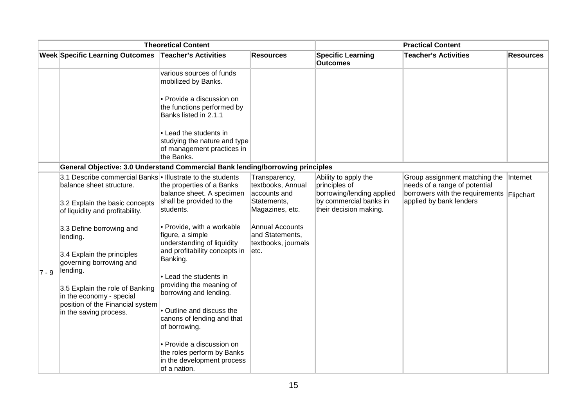|         | <b>Theoretical Content</b>                                                                                  |                                                                                                       |                                                                  | <b>Practical Content</b>                                           |                                                                                                   |                  |  |
|---------|-------------------------------------------------------------------------------------------------------------|-------------------------------------------------------------------------------------------------------|------------------------------------------------------------------|--------------------------------------------------------------------|---------------------------------------------------------------------------------------------------|------------------|--|
|         | <b>Week Specific Learning Outcomes</b>                                                                      | <b>Teacher's Activities</b>                                                                           | <b>Resources</b>                                                 | <b>Specific Learning</b><br><b>Outcomes</b>                        | <b>Teacher's Activities</b>                                                                       | <b>Resources</b> |  |
|         |                                                                                                             | various sources of funds<br>mobilized by Banks.                                                       |                                                                  |                                                                    |                                                                                                   |                  |  |
|         |                                                                                                             | • Provide a discussion on<br>the functions performed by<br>Banks listed in 2.1.1                      |                                                                  |                                                                    |                                                                                                   |                  |  |
|         |                                                                                                             | • Lead the students in<br>studying the nature and type<br>of management practices in<br>the Banks.    |                                                                  |                                                                    |                                                                                                   |                  |  |
|         | General Objective: 3.0 Understand Commercial Bank lending/borrowing principles                              |                                                                                                       |                                                                  |                                                                    |                                                                                                   |                  |  |
|         | 3.1 Describe commercial Banks • Illustrate to the students<br>balance sheet structure.                      | the properties of a Banks<br>balance sheet. A specimen                                                | Transparency,<br>textbooks, Annual<br>accounts and               | Ability to apply the<br>principles of<br>borrowing/lending applied | Group assignment matching the<br>needs of a range of potential<br>borrowers with the requirements | Internet         |  |
|         | 3.2 Explain the basic concepts<br>of liquidity and profitability.                                           | shall be provided to the<br>students.                                                                 | Statements,<br>Magazines, etc.                                   | by commercial banks in<br>their decision making.                   | applied by bank lenders                                                                           | Flipchart        |  |
|         | 3.3 Define borrowing and<br>lending.                                                                        | • Provide, with a workable<br>figure, a simple<br>understanding of liquidity                          | <b>Annual Accounts</b><br>and Statements,<br>textbooks, journals |                                                                    |                                                                                                   |                  |  |
|         | 3.4 Explain the principles<br>governing borrowing and                                                       | and profitability concepts in<br>Banking.                                                             | etc.                                                             |                                                                    |                                                                                                   |                  |  |
| $7 - 9$ | lending.<br>3.5 Explain the role of Banking<br>in the economy - special<br>position of the Financial system | $\bullet$ Lead the students in<br>providing the meaning of<br>borrowing and lending.                  |                                                                  |                                                                    |                                                                                                   |                  |  |
|         | in the saving process.                                                                                      | $\bullet$ Outline and discuss the<br>canons of lending and that<br>of borrowing.                      |                                                                  |                                                                    |                                                                                                   |                  |  |
|         |                                                                                                             | · Provide a discussion on<br>the roles perform by Banks<br>in the development process<br>of a nation. |                                                                  |                                                                    |                                                                                                   |                  |  |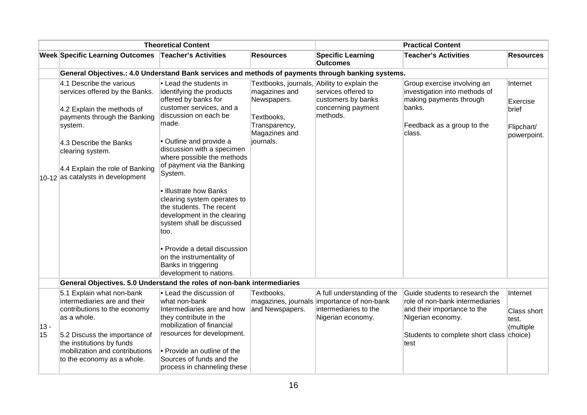|            | <b>Theoretical Content</b>                                                                                                                                                                                                                                |                                                                                                                                                                                                                                                                                                                                                                                                                                                                                                                                                 |                                                                                                                   | <b>Practical Content</b>                                                                                                |                                                                                                                                                                           |                                                            |
|------------|-----------------------------------------------------------------------------------------------------------------------------------------------------------------------------------------------------------------------------------------------------------|-------------------------------------------------------------------------------------------------------------------------------------------------------------------------------------------------------------------------------------------------------------------------------------------------------------------------------------------------------------------------------------------------------------------------------------------------------------------------------------------------------------------------------------------------|-------------------------------------------------------------------------------------------------------------------|-------------------------------------------------------------------------------------------------------------------------|---------------------------------------------------------------------------------------------------------------------------------------------------------------------------|------------------------------------------------------------|
|            | <b>Week Specific Learning Outcomes</b>                                                                                                                                                                                                                    | Teacher's Activities                                                                                                                                                                                                                                                                                                                                                                                                                                                                                                                            | <b>Resources</b>                                                                                                  | <b>Specific Learning</b><br><b>Outcomes</b>                                                                             | <b>Teacher's Activities</b>                                                                                                                                               | <b>Resources</b>                                           |
|            | General Objectives.: 4.0 Understand Bank services and methods of payments through banking systems.                                                                                                                                                        |                                                                                                                                                                                                                                                                                                                                                                                                                                                                                                                                                 |                                                                                                                   |                                                                                                                         |                                                                                                                                                                           |                                                            |
|            | 4.1 Describe the various<br>services offered by the Banks.<br>4.2 Explain the methods of<br>payments through the Banking<br>system.<br>4.3 Describe the Banks<br>clearing system.<br>4.4 Explain the role of Banking<br>10-12 as catalysts in development | Lead the students in<br>identifying the products<br>offered by banks for<br>customer services, and a<br>discussion on each be<br>made.<br>• Outline and provide a<br>discussion with a specimen<br>where possible the methods<br>of payment via the Banking<br>System.<br>· Illustrate how Banks<br>clearing system operates to<br>the students. The recent<br>development in the clearing<br>system shall be discussed<br>too.<br>• Provide a detail discussion<br>on the instrumentality of<br>Banks in triggering<br>development to nations. | Textbooks, journals,<br>magazines and<br>Newspapers.<br>Textbooks,<br>Transparency,<br>Magazines and<br>journals. | Ability to explain the<br>services offered to<br>customers by banks<br>concerning payment<br>methods.                   | Group exercise involving an<br>investigation into methods of<br>making payments through<br>banks.<br>Feedback as a group to the<br>class.                                 | Internet<br>Exercise<br>brief<br>Flipchart/<br>powerpoint. |
|            | General Objectives. 5.0 Understand the roles of non-bank intermediaries                                                                                                                                                                                   |                                                                                                                                                                                                                                                                                                                                                                                                                                                                                                                                                 |                                                                                                                   |                                                                                                                         |                                                                                                                                                                           |                                                            |
| 13 -<br>15 | 5.1 Explain what non-bank<br>intermediaries are and their<br>contributions to the economy<br>as a whole.<br>5.2 Discuss the importance of<br>the institutions by funds<br>mobilization and contributions<br>to the economy as a whole.                    | • Lead the discussion of<br>what non-bank<br>Intermediaries are and how<br>they contribute in the<br>mobilization of financial<br>resources for development.<br>$\bullet$ Provide an outline of the<br>Sources of funds and the<br>process in channeling these                                                                                                                                                                                                                                                                                  | Textbooks,<br>and Newspapers.                                                                                     | A full understanding of the<br>magazines, journals importance of non-bank<br>intermediaries to the<br>Nigerian economy. | Guide students to research the<br>role of non-bank intermediaries<br>and their importance to the<br>Nigerian economy.<br>Students to complete short class choice)<br>test | Internet<br>Class short<br>test.<br>(multiple              |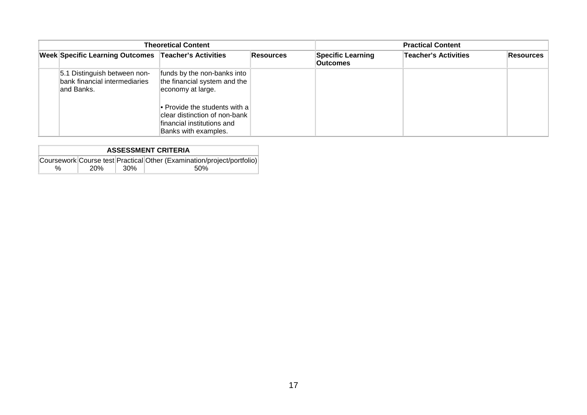|                                                                              | <b>Theoretical Content</b>                                                                                                                                                                                                   | <b>Practical Content</b> |                                             |                      |                  |
|------------------------------------------------------------------------------|------------------------------------------------------------------------------------------------------------------------------------------------------------------------------------------------------------------------------|--------------------------|---------------------------------------------|----------------------|------------------|
| Week Specific Learning Outcomes   Teacher's Activities                       |                                                                                                                                                                                                                              | Resources                | <b>Specific Learning</b><br><b>Outcomes</b> | Teacher's Activities | <b>Resources</b> |
| 5.1 Distinguish between non-<br>bank financial intermediaries<br>land Banks. | funds by the non-banks into<br>the financial system and the<br>economy at large.<br>$\blacktriangleright$ Provide the students with a<br>clear distinction of non-bank<br>financial institutions and<br>Banks with examples. |                          |                                             |                      |                  |

|                                                                        | <b>ASSESSMENT CRITERIA</b> |     |      |  |  |  |  |  |
|------------------------------------------------------------------------|----------------------------|-----|------|--|--|--|--|--|
| Coursework Course test Practical Other (Examination/project/portfolio) |                            |     |      |  |  |  |  |  |
| %                                                                      | <b>20%</b>                 | 30% | .50% |  |  |  |  |  |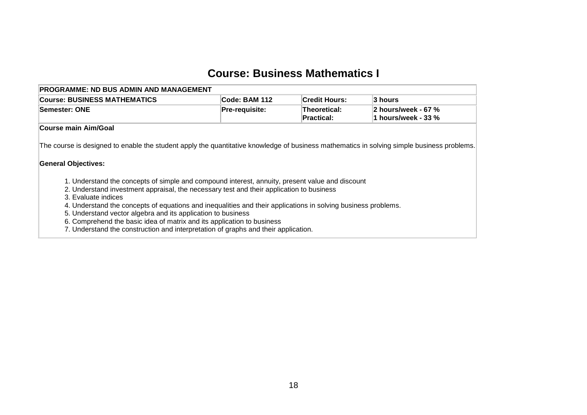### **Course: Business Mathematics I**

<span id="page-19-0"></span>

| <b>PROGRAMME: ND BUS ADMIN AND MANAGEMENT</b>                                                                                                                                                                                                                                                                                                                                                                                                                                                                                                                                                                                                                                                                                                   |                |                                   |                                            |
|-------------------------------------------------------------------------------------------------------------------------------------------------------------------------------------------------------------------------------------------------------------------------------------------------------------------------------------------------------------------------------------------------------------------------------------------------------------------------------------------------------------------------------------------------------------------------------------------------------------------------------------------------------------------------------------------------------------------------------------------------|----------------|-----------------------------------|--------------------------------------------|
| <b>Course: BUSINESS MATHEMATICS</b>                                                                                                                                                                                                                                                                                                                                                                                                                                                                                                                                                                                                                                                                                                             | Code: BAM 112  | <b>Credit Hours:</b>              | 3 hours                                    |
| <b>Semester: ONE</b>                                                                                                                                                                                                                                                                                                                                                                                                                                                                                                                                                                                                                                                                                                                            | Pre-requisite: | Theoretical:<br><b>Practical:</b> | 2 hours/week - 67 %<br>1 hours/week - 33 % |
| Course main Aim/Goal                                                                                                                                                                                                                                                                                                                                                                                                                                                                                                                                                                                                                                                                                                                            |                |                                   |                                            |
| The course is designed to enable the student apply the quantitative knowledge of business mathematics in solving simple business problems.<br><b>General Objectives:</b><br>1. Understand the concepts of simple and compound interest, annuity, present value and discount<br>2. Understand investment appraisal, the necessary test and their application to business<br>3. Evaluate indices<br>4. Understand the concepts of equations and inequalities and their applications in solving business problems.<br>5. Understand vector algebra and its application to business<br>6. Comprehend the basic idea of matrix and its application to business<br>7. Understand the construction and interpretation of graphs and their application. |                |                                   |                                            |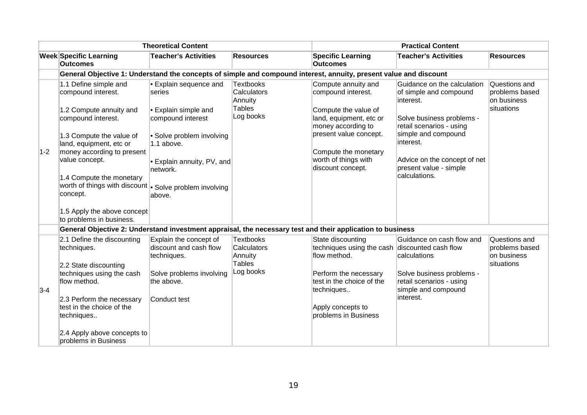|       | <b>Theoretical Content</b>                                                                                                                                                                                                                                                                             |                                                                                                                                                                                                     |                                                                   | <b>Practical Content</b>                                                                                                                                                                                          |                                                                                                                                                                                                                                            |                                                              |  |
|-------|--------------------------------------------------------------------------------------------------------------------------------------------------------------------------------------------------------------------------------------------------------------------------------------------------------|-----------------------------------------------------------------------------------------------------------------------------------------------------------------------------------------------------|-------------------------------------------------------------------|-------------------------------------------------------------------------------------------------------------------------------------------------------------------------------------------------------------------|--------------------------------------------------------------------------------------------------------------------------------------------------------------------------------------------------------------------------------------------|--------------------------------------------------------------|--|
|       | <b>Week Specific Learning</b><br><b>Outcomes</b>                                                                                                                                                                                                                                                       | <b>Teacher's Activities</b>                                                                                                                                                                         | <b>Resources</b>                                                  | <b>Specific Learning</b><br><b>Outcomes</b>                                                                                                                                                                       | <b>Teacher's Activities</b>                                                                                                                                                                                                                | <b>Resources</b>                                             |  |
|       | General Objective 1: Understand the concepts of simple and compound interest, annuity, present value and discount                                                                                                                                                                                      |                                                                                                                                                                                                     |                                                                   |                                                                                                                                                                                                                   |                                                                                                                                                                                                                                            |                                                              |  |
| $1-2$ | 1.1 Define simple and<br>compound interest.<br>1.2 Compute annuity and<br>compound interest.<br>1.3 Compute the value of<br>land, equipment, etc or<br>money according to present<br>value concept.<br>1.4 Compute the monetary<br>worth of things with discount   Solve problem involving<br>concept. | <b>Explain sequence and</b><br>series<br>$\blacktriangleright$ Explain simple and<br>compound interest<br>• Solve problem involving<br>1.1 above.<br>$\bullet$ Explain annuity, PV, and<br>network. | Textbooks<br>Calculators<br>Annuity<br><b>Tables</b><br>Log books | Compute annuity and<br>compound interest.<br>Compute the value of<br>land, equipment, etc or<br>money according to<br>present value concept.<br>Compute the monetary<br>worth of things with<br>discount concept. | Guidance on the calculation<br>of simple and compound<br>interest.<br>Solve business problems -<br>retail scenarios - using<br>simple and compound<br>interest.<br>Advice on the concept of net<br>present value - simple<br>calculations. | Questions and<br>problems based<br>on business<br>situations |  |
|       | 1.5 Apply the above concept<br>to problems in business.                                                                                                                                                                                                                                                | above.                                                                                                                                                                                              |                                                                   |                                                                                                                                                                                                                   |                                                                                                                                                                                                                                            |                                                              |  |
|       | General Objective 2: Understand investment appraisal, the necessary test and their application to business                                                                                                                                                                                             |                                                                                                                                                                                                     |                                                                   |                                                                                                                                                                                                                   |                                                                                                                                                                                                                                            |                                                              |  |
| $3-4$ | 2.1 Define the discounting<br>techniques.<br>2.2 State discounting<br>techniques using the cash<br>flow method.<br>2.3 Perform the necessary<br>test in the choice of the<br>techniques                                                                                                                | Explain the concept of<br>discount and cash flow<br>techniques.<br>Solve problems involving<br>the above.<br>Conduct test                                                                           | Textbooks<br>Calculators<br>Annuity<br><b>Tables</b><br>Log books | State discounting<br>techniques using the cash discounted cash flow<br>flow method.<br>Perform the necessary<br>test in the choice of the<br>techniques<br>Apply concepts to<br>problems in Business              | Guidance on cash flow and<br>calculations<br>Solve business problems -<br>retail scenarios - using<br>simple and compound<br>interest.                                                                                                     | Questions and<br>problems based<br>on business<br>situations |  |
|       | 2.4 Apply above concepts to<br>problems in Business                                                                                                                                                                                                                                                    |                                                                                                                                                                                                     |                                                                   |                                                                                                                                                                                                                   |                                                                                                                                                                                                                                            |                                                              |  |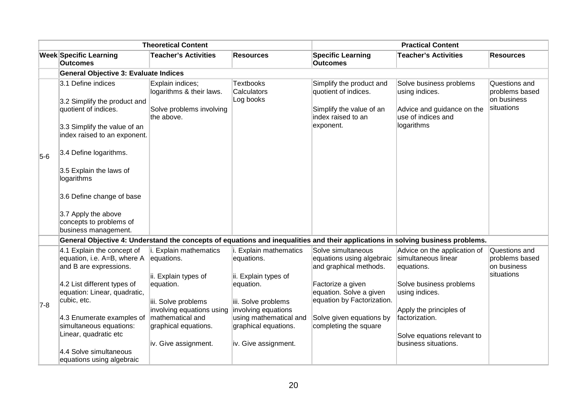|       |                                                                                                                                                                                                                                                                                                                      | <b>Theoretical Content</b>                                                                                                        |                                                                                                                                   | <b>Practical Content</b>                                                                                                        |                                                                                                                                 |                                                              |
|-------|----------------------------------------------------------------------------------------------------------------------------------------------------------------------------------------------------------------------------------------------------------------------------------------------------------------------|-----------------------------------------------------------------------------------------------------------------------------------|-----------------------------------------------------------------------------------------------------------------------------------|---------------------------------------------------------------------------------------------------------------------------------|---------------------------------------------------------------------------------------------------------------------------------|--------------------------------------------------------------|
|       | <b>Week Specific Learning</b><br><b>Outcomes</b>                                                                                                                                                                                                                                                                     | <b>Teacher's Activities</b>                                                                                                       | <b>Resources</b>                                                                                                                  | <b>Specific Learning</b><br><b>Outcomes</b>                                                                                     | <b>Teacher's Activities</b>                                                                                                     | <b>Resources</b>                                             |
|       | <b>General Objective 3: Evaluate Indices</b>                                                                                                                                                                                                                                                                         |                                                                                                                                   |                                                                                                                                   |                                                                                                                                 |                                                                                                                                 |                                                              |
| $5-6$ | 3.1 Define indices<br>3.2 Simplify the product and<br>quotient of indices.<br>3.3 Simplify the value of an<br>index raised to an exponent.<br>3.4 Define logarithms.<br>3.5 Explain the laws of<br>logarithms<br>3.6 Define change of base<br>3.7 Apply the above<br>concepts to problems of<br>business management. | Explain indices;<br>logarithms & their laws.<br>Solve problems involving<br>the above.                                            | Textbooks<br>Calculators<br>Log books                                                                                             | Simplify the product and<br>quotient of indices.<br>Simplify the value of an<br>index raised to an<br>exponent.                 | Solve business problems<br>using indices.<br>Advice and guidance on the<br>use of indices and<br>logarithms                     | Questions and<br>problems based<br>on business<br>situations |
|       |                                                                                                                                                                                                                                                                                                                      |                                                                                                                                   |                                                                                                                                   |                                                                                                                                 | General Objective 4: Understand the concepts of equations and inequalities and their applications in solving business problems. |                                                              |
|       | 4.1 Explain the concept of<br>equation, i.e. A=B, where A<br>and B are expressions.                                                                                                                                                                                                                                  | i. Explain mathematics<br>equations.                                                                                              | i. Explain mathematics<br>equations.                                                                                              | Solve simultaneous<br>equations using algebraic<br>and graphical methods.                                                       | Advice on the application of<br>simultaneous linear<br>equations.                                                               | Questions and<br>problems based<br>on business               |
| 7-8   | 4.2 List different types of<br>equation: Linear, quadratic,<br>cubic, etc.<br>4.3 Enumerate examples of<br>simultaneous equations:                                                                                                                                                                                   | ii. Explain types of<br>equation.<br>iii. Solve problems<br>involving equations using<br>mathematical and<br>graphical equations. | ii. Explain types of<br>equation.<br>iii. Solve problems<br>involving equations<br>using mathematical and<br>graphical equations. | Factorize a given<br>equation. Solve a given<br>equation by Factorization.<br>Solve given equations by<br>completing the square | Solve business problems<br>using indices.<br>Apply the principles of<br>factorization.                                          | situations                                                   |
|       | Linear, quadratic etc<br>4.4 Solve simultaneous<br>equations using algebraic                                                                                                                                                                                                                                         | iv. Give assignment.                                                                                                              | iv. Give assignment.                                                                                                              |                                                                                                                                 | Solve equations relevant to<br>business situations.                                                                             |                                                              |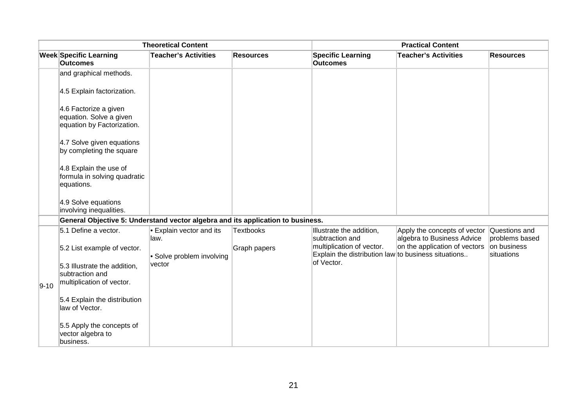|          | <b>Theoretical Content</b>                                                      |                                         |                  | <b>Practical Content</b>                                                         |                                                            |                                 |
|----------|---------------------------------------------------------------------------------|-----------------------------------------|------------------|----------------------------------------------------------------------------------|------------------------------------------------------------|---------------------------------|
|          | <b>Week Specific Learning</b><br><b>Outcomes</b>                                | <b>Teacher's Activities</b>             | <b>Resources</b> | <b>Specific Learning</b><br><b>Outcomes</b>                                      | <b>Teacher's Activities</b>                                | <b>Resources</b>                |
|          | and graphical methods.                                                          |                                         |                  |                                                                                  |                                                            |                                 |
|          | 4.5 Explain factorization.                                                      |                                         |                  |                                                                                  |                                                            |                                 |
|          | 4.6 Factorize a given<br>equation. Solve a given<br>equation by Factorization.  |                                         |                  |                                                                                  |                                                            |                                 |
|          | 4.7 Solve given equations<br>by completing the square                           |                                         |                  |                                                                                  |                                                            |                                 |
|          | 4.8 Explain the use of<br>formula in solving quadratic<br>equations.            |                                         |                  |                                                                                  |                                                            |                                 |
|          | 4.9 Solve equations<br>involving inequalities.                                  |                                         |                  |                                                                                  |                                                            |                                 |
|          | General Objective 5: Understand vector algebra and its application to business. |                                         |                  |                                                                                  |                                                            |                                 |
|          | 5.1 Define a vector.                                                            | <b>• Explain vector and its</b><br>law. | <b>Textbooks</b> | Illustrate the addition,<br>subtraction and                                      | Apply the concepts of vector<br>algebra to Business Advice | Questions and<br>problems based |
|          | 5.2 List example of vector.                                                     | · Solve problem involving               | Graph papers     | multiplication of vector.<br>Explain the distribution law to business situations | on the application of vectors                              | on business<br>situations       |
| $9 - 10$ | 5.3 Illustrate the addition,<br>subtraction and<br>multiplication of vector.    | vector                                  |                  | of Vector.                                                                       |                                                            |                                 |
|          | 5.4 Explain the distribution<br>law of Vector.                                  |                                         |                  |                                                                                  |                                                            |                                 |
|          | 5.5 Apply the concepts of<br>vector algebra to<br>business.                     |                                         |                  |                                                                                  |                                                            |                                 |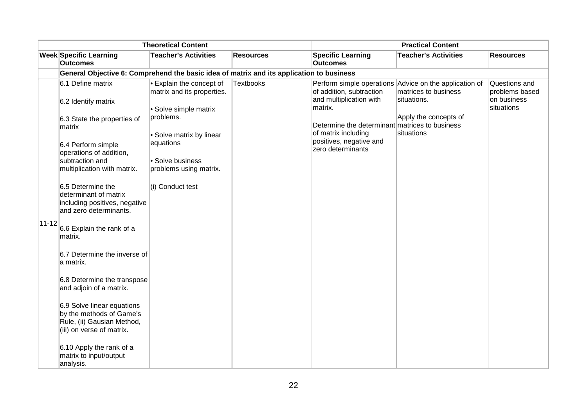|             | <b>Theoretical Content</b>                                                                                                                    |                                                                                 |                  | <b>Practical Content</b>                                                                         |                                                                                               |                                                              |
|-------------|-----------------------------------------------------------------------------------------------------------------------------------------------|---------------------------------------------------------------------------------|------------------|--------------------------------------------------------------------------------------------------|-----------------------------------------------------------------------------------------------|--------------------------------------------------------------|
|             | <b>Week Specific Learning</b><br><b>Outcomes</b>                                                                                              | <b>Teacher's Activities</b>                                                     | <b>Resources</b> | <b>Specific Learning</b><br><b>Outcomes</b>                                                      | <b>Teacher's Activities</b>                                                                   | <b>Resources</b>                                             |
|             | General Objective 6: Comprehend the basic idea of matrix and its application to business                                                      |                                                                                 |                  |                                                                                                  |                                                                                               |                                                              |
|             | 6.1 Define matrix<br>6.2 Identify matrix                                                                                                      | • Explain the concept of<br>matrix and its properties.<br>• Solve simple matrix | <b>Textbooks</b> | of addition, subtraction<br>and multiplication with<br>matrix.                                   | Perform simple operations Advice on the application of<br>matrices to business<br>situations. | Questions and<br>problems based<br>on business<br>situations |
|             | 6.3 State the properties of<br>matrix                                                                                                         | problems.<br>• Solve matrix by linear                                           |                  | Determine the determinant matrices to business<br>of matrix including<br>positives, negative and | Apply the concepts of<br>situations                                                           |                                                              |
|             | 6.4 Perform simple<br>operations of addition,<br>subtraction and<br>multiplication with matrix.                                               | equations<br>• Solve business<br>problems using matrix.                         |                  | zero determinants                                                                                |                                                                                               |                                                              |
| $ 11 - 12 $ | 6.5 Determine the<br>determinant of matrix<br>including positives, negative<br>and zero determinants.<br>6.6 Explain the rank of a<br>matrix. | (i) Conduct test                                                                |                  |                                                                                                  |                                                                                               |                                                              |
|             | 6.7 Determine the inverse of<br>a matrix.                                                                                                     |                                                                                 |                  |                                                                                                  |                                                                                               |                                                              |
|             | 6.8 Determine the transpose<br>and adjoin of a matrix.                                                                                        |                                                                                 |                  |                                                                                                  |                                                                                               |                                                              |
|             | 6.9 Solve linear equations<br>by the methods of Game's<br>Rule, (ii) Gausian Method,<br>(iii) on verse of matrix.                             |                                                                                 |                  |                                                                                                  |                                                                                               |                                                              |
|             | 6.10 Apply the rank of a<br>matrix to input/output<br>analysis.                                                                               |                                                                                 |                  |                                                                                                  |                                                                                               |                                                              |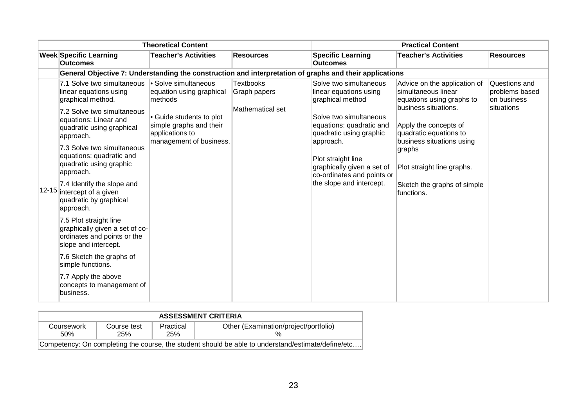|             | <b>Theoretical Content</b>                                                                                                                                                                                                                                                                                                                                                                                                                                                                                                                                                                                     |                                                                                                                                                                  |                                               | <b>Practical Content</b>                                                                                                                                                                                                                                                         |                                                                                                                                                                                                                                                                               |                                                              |
|-------------|----------------------------------------------------------------------------------------------------------------------------------------------------------------------------------------------------------------------------------------------------------------------------------------------------------------------------------------------------------------------------------------------------------------------------------------------------------------------------------------------------------------------------------------------------------------------------------------------------------------|------------------------------------------------------------------------------------------------------------------------------------------------------------------|-----------------------------------------------|----------------------------------------------------------------------------------------------------------------------------------------------------------------------------------------------------------------------------------------------------------------------------------|-------------------------------------------------------------------------------------------------------------------------------------------------------------------------------------------------------------------------------------------------------------------------------|--------------------------------------------------------------|
|             | <b>Week Specific Learning</b><br><b>Outcomes</b>                                                                                                                                                                                                                                                                                                                                                                                                                                                                                                                                                               | <b>Teacher's Activities</b>                                                                                                                                      | <b>Resources</b>                              | <b>Specific Learning</b><br><b>Outcomes</b>                                                                                                                                                                                                                                      | <b>Teacher's Activities</b>                                                                                                                                                                                                                                                   | <b>Resources</b>                                             |
|             | General Objective 7: Understanding the construction and interpretation of graphs and their applications                                                                                                                                                                                                                                                                                                                                                                                                                                                                                                        |                                                                                                                                                                  |                                               |                                                                                                                                                                                                                                                                                  |                                                                                                                                                                                                                                                                               |                                                              |
| $ 12 - 15 $ | 7.1 Solve two simultaneous<br>linear equations using<br>graphical method.<br>7.2 Solve two simultaneous<br>equations: Linear and<br>quadratic using graphical<br>approach.<br>7.3 Solve two simultaneous<br>equations: quadratic and<br>quadratic using graphic<br>approach.<br>7.4 Identify the slope and<br>intercept of a given<br>quadratic by graphical<br>approach.<br>7.5 Plot straight line<br>graphically given a set of co-<br>ordinates and points or the<br>slope and intercept.<br>7.6 Sketch the graphs of<br>simple functions.<br>7.7 Apply the above<br>concepts to management of<br>business. | • Solve simultaneous<br>equation using graphical<br>methods<br>• Guide students to plot<br>simple graphs and their<br>applications to<br>management of business. | Textbooks<br>Graph papers<br>Mathematical set | Solve two simultaneous<br>linear equations using<br>graphical method<br>Solve two simultaneous<br>equations: quadratic and<br>quadratic using graphic<br>approach.<br>Plot straight line<br>graphically given a set of<br>co-ordinates and points or<br>the slope and intercept. | Advice on the application of<br>simultaneous linear<br>equations using graphs to<br>business situations.<br>Apply the concepts of<br>quadratic equations to<br>business situations using<br>graphs<br>Plot straight line graphs.<br>Sketch the graphs of simple<br>functions. | Questions and<br>problems based<br>on business<br>situations |

| <b>ASSESSMENT CRITERIA</b>                                                                         |                    |                  |                                       |  |  |  |
|----------------------------------------------------------------------------------------------------|--------------------|------------------|---------------------------------------|--|--|--|
| Coursework<br>50%                                                                                  | Course test<br>25% | Practical<br>25% | Other (Examination/project/portfolio) |  |  |  |
| Competency: On completing the course, the student should be able to understand/estimate/define/etc |                    |                  |                                       |  |  |  |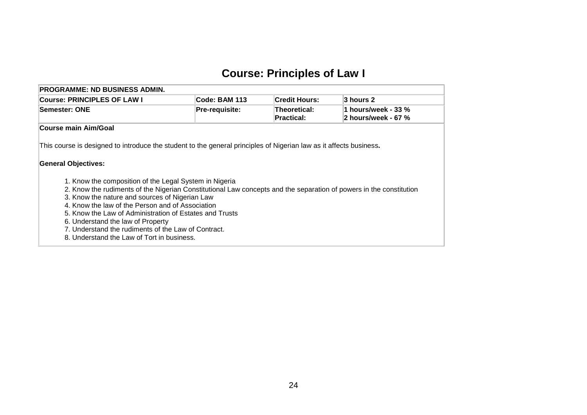## **Course: Principles of Law I**

<span id="page-25-0"></span>

| <b>PROGRAMME: ND BUSINESS ADMIN.</b>                                                                                                                                                                                                                                                                                                                                                                                                                                                                                                                                                                                                        |                |                            |                                              |
|---------------------------------------------------------------------------------------------------------------------------------------------------------------------------------------------------------------------------------------------------------------------------------------------------------------------------------------------------------------------------------------------------------------------------------------------------------------------------------------------------------------------------------------------------------------------------------------------------------------------------------------------|----------------|----------------------------|----------------------------------------------|
| <b>Course: PRINCIPLES OF LAW I</b>                                                                                                                                                                                                                                                                                                                                                                                                                                                                                                                                                                                                          | Code: BAM 113  | <b>Credit Hours:</b>       | $3$ hours 2                                  |
| <b>Semester: ONE</b>                                                                                                                                                                                                                                                                                                                                                                                                                                                                                                                                                                                                                        | Pre-requisite: | Theoretical:<br>Practical: | 1 hours/week - 33 $%$<br>2 hours/week - 67 % |
| Course main Aim/Goal                                                                                                                                                                                                                                                                                                                                                                                                                                                                                                                                                                                                                        |                |                            |                                              |
| This course is designed to introduce the student to the general principles of Nigerian law as it affects business.<br><b>General Objectives:</b><br>1. Know the composition of the Legal System in Nigeria<br>2. Know the rudiments of the Nigerian Constitutional Law concepts and the separation of powers in the constitution<br>3. Know the nature and sources of Nigerian Law<br>4. Know the law of the Person and of Association<br>5. Know the Law of Administration of Estates and Trusts<br>6. Understand the law of Property<br>7. Understand the rudiments of the Law of Contract.<br>8. Understand the Law of Tort in business. |                |                            |                                              |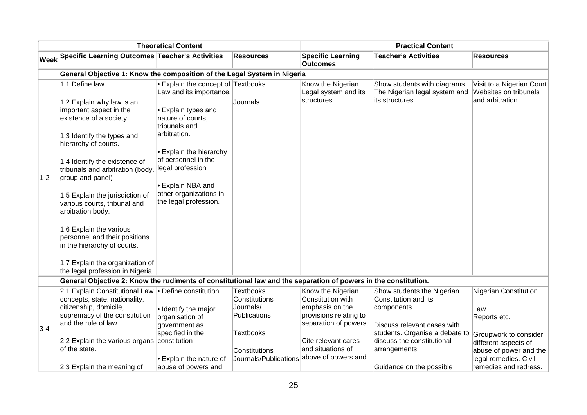|       | <b>Theoretical Content</b>                                                                                                                                                                                                                                                                                                                                                                                                                                                                                  |                                                                                                                                                                                                                                                                                          |                                                                | <b>Practical Content</b>                                                                                     |                                                                                                  |                                                                                                                           |  |
|-------|-------------------------------------------------------------------------------------------------------------------------------------------------------------------------------------------------------------------------------------------------------------------------------------------------------------------------------------------------------------------------------------------------------------------------------------------------------------------------------------------------------------|------------------------------------------------------------------------------------------------------------------------------------------------------------------------------------------------------------------------------------------------------------------------------------------|----------------------------------------------------------------|--------------------------------------------------------------------------------------------------------------|--------------------------------------------------------------------------------------------------|---------------------------------------------------------------------------------------------------------------------------|--|
|       | Week Specific Learning Outcomes Teacher's Activities                                                                                                                                                                                                                                                                                                                                                                                                                                                        |                                                                                                                                                                                                                                                                                          | <b>Resources</b>                                               | <b>Specific Learning</b><br><b>Outcomes</b>                                                                  | <b>Teacher's Activities</b>                                                                      | <b>Resources</b>                                                                                                          |  |
|       | General Objective 1: Know the composition of the Legal System in Nigeria                                                                                                                                                                                                                                                                                                                                                                                                                                    |                                                                                                                                                                                                                                                                                          |                                                                |                                                                                                              |                                                                                                  |                                                                                                                           |  |
| $1-2$ | 1.1 Define law.<br>1.2 Explain why law is an<br>important aspect in the<br>existence of a society.<br>1.3 Identify the types and<br>hierarchy of courts.<br>1.4 Identify the existence of<br>tribunals and arbitration (body,<br>group and panel)<br>1.5 Explain the jurisdiction of<br>various courts, tribunal and<br>arbitration body.<br>1.6 Explain the various<br>personnel and their positions<br>in the hierarchy of courts.<br>1.7 Explain the organization of<br>the legal profession in Nigeria. | • Explain the concept of Textbooks<br>Law and its importance.<br>• Explain types and<br>nature of courts,<br>tribunals and<br>arbitration.<br>• Explain the hierarchy<br>of personnel in the<br>legal profession<br>• Explain NBA and<br>other organizations in<br>the legal profession. | Journals                                                       | Know the Nigerian<br>Legal system and its<br>structures.                                                     | Show students with diagrams.<br>The Nigerian legal system and<br>its structures.                 | Visit to a Nigerian Court<br>Websites on tribunals<br>and arbitration.                                                    |  |
|       | General Objective 2: Know the rudiments of constitutional law and the separation of powers in the constitution.                                                                                                                                                                                                                                                                                                                                                                                             |                                                                                                                                                                                                                                                                                          |                                                                |                                                                                                              |                                                                                                  |                                                                                                                           |  |
|       | 2.1 Explain Constitutional Law • Define constitution<br>concepts, state, nationality,<br>citizenship, domicile,<br>supremacy of the constitution<br>and the rule of law.                                                                                                                                                                                                                                                                                                                                    | · Identify the major<br>organisation of<br>government as                                                                                                                                                                                                                                 | Textbooks<br>Constitutions<br>Journals/<br><b>Publications</b> | Know the Nigerian<br>Constitution with<br>emphasis on the<br>provisions relating to<br>separation of powers. | Show students the Nigerian<br>Constitution and its<br>components.<br>Discuss relevant cases with | Nigerian Constitution.<br>Law<br>Reports etc.                                                                             |  |
| $3-4$ | 2.2 Explain the various organs constitution<br>of the state.                                                                                                                                                                                                                                                                                                                                                                                                                                                | specified in the<br>• Explain the nature of                                                                                                                                                                                                                                              | <b>Textbooks</b><br>Constitutions<br>Journals/Publications     | Cite relevant cares<br>and situations of<br>above of powers and                                              | students. Organise a debate to<br>discuss the constitutional<br>arrangements.                    | Groupwork to consider<br>different aspects of<br>abuse of power and the<br>legal remedies. Civil<br>remedies and redress. |  |
|       | 2.3 Explain the meaning of                                                                                                                                                                                                                                                                                                                                                                                                                                                                                  | abuse of powers and                                                                                                                                                                                                                                                                      |                                                                |                                                                                                              | Guidance on the possible                                                                         |                                                                                                                           |  |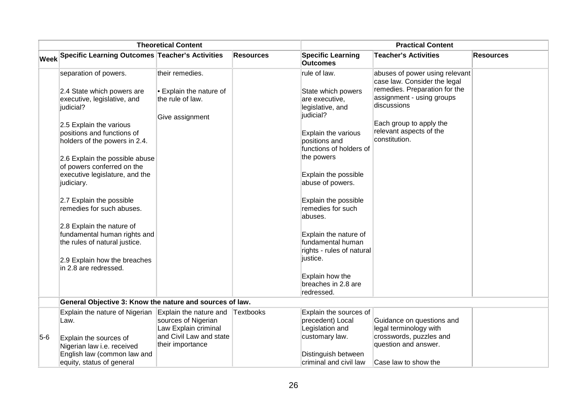|       | <b>Theoretical Content</b>                                                                                       |                                                                       |                  | <b>Practical Content</b>                                                |                                                                           |                  |
|-------|------------------------------------------------------------------------------------------------------------------|-----------------------------------------------------------------------|------------------|-------------------------------------------------------------------------|---------------------------------------------------------------------------|------------------|
|       | Week Specific Learning Outcomes Teacher's Activities                                                             |                                                                       | <b>Resources</b> | <b>Specific Learning</b><br><b>Outcomes</b>                             | <b>Teacher's Activities</b>                                               | <b>Resources</b> |
|       | separation of powers.                                                                                            | their remedies.                                                       |                  | rule of law.                                                            | $ $ abuses of power using relevant $ $<br>case law. Consider the legal    |                  |
|       | 2.4 State which powers are<br>executive, legislative, and<br>judicial?                                           | • Explain the nature of<br>the rule of law.<br>Give assignment        |                  | State which powers<br>are executive,<br>legislative, and<br>iudicial?   | remedies. Preparation for the<br>assignment - using groups<br>discussions |                  |
|       | 2.5 Explain the various<br>positions and functions of<br>holders of the powers in 2.4.                           |                                                                       |                  | Explain the various<br>positions and<br>functions of holders of         | Each group to apply the<br>relevant aspects of the<br>constitution.       |                  |
|       | 2.6 Explain the possible abuse<br>of powers conferred on the<br>executive legislature, and the<br>judiciary.     |                                                                       |                  | the powers<br>Explain the possible<br>abuse of powers.                  |                                                                           |                  |
|       | 2.7 Explain the possible<br>remedies for such abuses.                                                            |                                                                       |                  | Explain the possible<br>remedies for such<br>abuses.                    |                                                                           |                  |
|       | 2.8 Explain the nature of<br>fundamental human rights and<br>the rules of natural justice.                       |                                                                       |                  | Explain the nature of<br>fundamental human<br>rights - rules of natural |                                                                           |                  |
|       | 2.9 Explain how the breaches<br>in 2.8 are redressed.                                                            |                                                                       |                  | justice.                                                                |                                                                           |                  |
|       |                                                                                                                  |                                                                       |                  | Explain how the<br>breaches in 2.8 are<br>redressed.                    |                                                                           |                  |
|       | General Objective 3: Know the nature and sources of law.                                                         |                                                                       |                  |                                                                         |                                                                           |                  |
|       | Explain the nature of Nigerian<br>Law.                                                                           | Explain the nature and<br>sources of Nigerian<br>Law Explain criminal | Textbooks        | Explain the sources of<br>precedent) Local<br>Legislation and           | Guidance on questions and<br>legal terminology with                       |                  |
| $5-6$ | Explain the sources of<br>Nigerian law i.e. received<br>English law (common law and<br>equity, status of general | and Civil Law and state<br>their importance                           |                  | customary law.<br>Distinguish between<br>criminal and civil law         | crosswords, puzzles and<br>question and answer.<br>Case law to show the   |                  |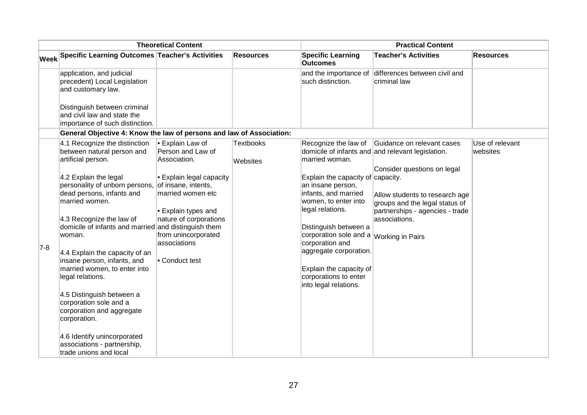|       | <b>Theoretical Content</b>                                                                                                                                                                                                        |                                                                                                                                     |                              | <b>Practical Content</b>                                                                                                                                                                                      |                                                                                                                                                  |                             |
|-------|-----------------------------------------------------------------------------------------------------------------------------------------------------------------------------------------------------------------------------------|-------------------------------------------------------------------------------------------------------------------------------------|------------------------------|---------------------------------------------------------------------------------------------------------------------------------------------------------------------------------------------------------------|--------------------------------------------------------------------------------------------------------------------------------------------------|-----------------------------|
|       | Week Specific Learning Outcomes Teacher's Activities                                                                                                                                                                              |                                                                                                                                     | <b>Resources</b>             | <b>Specific Learning</b><br><b>Outcomes</b>                                                                                                                                                                   | <b>Teacher's Activities</b>                                                                                                                      | <b>Resources</b>            |
|       | application, and judicial<br>precedent) Local Legislation<br>and customary law.<br>Distinguish between criminal<br>and civil law and state the<br>importance of such distinction.                                                 |                                                                                                                                     |                              | such distinction.                                                                                                                                                                                             | and the importance of differences between civil and<br>criminal law                                                                              |                             |
|       | General Objective 4: Know the law of persons and law of Association:                                                                                                                                                              |                                                                                                                                     |                              |                                                                                                                                                                                                               |                                                                                                                                                  |                             |
|       | 4.1 Recognize the distinction<br>between natural person and<br>artificial person.<br>4.2 Explain the legal<br>personality of unborn persons,<br>dead persons, infants and                                                         | • Explain Law of<br>Person and Law of<br>Association.<br>$\cdot$ Explain legal capacity<br>of insane, intents,<br>married women etc | <b>Textbooks</b><br>Websites | Recognize the law of<br>married woman.<br>Explain the capacity of capacity.<br>an insane person,<br>infants, and married                                                                                      | Guidance on relevant cases<br>domicile of infants and and relevant legislation.<br>Consider questions on legal<br>Allow students to research age | Use of relevant<br>websites |
| $7-8$ | married women.<br>4.3 Recognize the law of<br>domicile of infants and married and distinguish them<br>woman.<br>4.4 Explain the capacity of an<br>insane person, infants, and<br>married women, to enter into<br>legal relations. | $\cdot$ Explain types and<br>nature of corporations<br>from unincorporated<br>associations<br>• Conduct test                        |                              | women, to enter into<br>legal relations.<br>Distinguish between a<br>corporation sole and a Working in Pairs<br>corporation and<br>aggregate corporation.<br>Explain the capacity of<br>corporations to enter | groups and the legal status of<br>partnerships - agencies - trade<br>associations.                                                               |                             |
|       | 4.5 Distinguish between a<br>corporation sole and a<br>corporation and aggregate<br>corporation.<br>4.6 Identify unincorporated<br>associations - partnership,<br>trade unions and local                                          |                                                                                                                                     |                              | into legal relations.                                                                                                                                                                                         |                                                                                                                                                  |                             |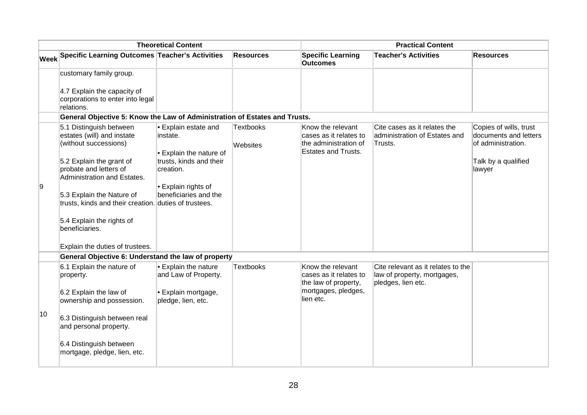| <b>Theoretical Content</b> |                                                                                                                                                                                                                                                                                                          |                                                                                                                                                           |                              | <b>Practical Content</b>                                                                                |                                                                                         |                                                                                                        |  |
|----------------------------|----------------------------------------------------------------------------------------------------------------------------------------------------------------------------------------------------------------------------------------------------------------------------------------------------------|-----------------------------------------------------------------------------------------------------------------------------------------------------------|------------------------------|---------------------------------------------------------------------------------------------------------|-----------------------------------------------------------------------------------------|--------------------------------------------------------------------------------------------------------|--|
|                            | Week Specific Learning Outcomes Teacher's Activities                                                                                                                                                                                                                                                     |                                                                                                                                                           | <b>Resources</b>             | <b>Specific Learning</b><br><b>Outcomes</b>                                                             | <b>Teacher's Activities</b>                                                             | <b>Resources</b>                                                                                       |  |
|                            | customary family group.                                                                                                                                                                                                                                                                                  |                                                                                                                                                           |                              |                                                                                                         |                                                                                         |                                                                                                        |  |
|                            | 4.7 Explain the capacity of<br>corporations to enter into legal<br>relations.                                                                                                                                                                                                                            |                                                                                                                                                           |                              |                                                                                                         |                                                                                         |                                                                                                        |  |
|                            | General Objective 5: Know the Law of Administration of Estates and Trusts.                                                                                                                                                                                                                               |                                                                                                                                                           |                              |                                                                                                         |                                                                                         |                                                                                                        |  |
| 9                          | 5.1 Distinguish between<br>estates (will) and instate<br>(without successions)<br>5.2 Explain the grant of<br>probate and letters of<br>Administration and Estates.<br>5.3 Explain the Nature of<br>trusts, kinds and their creation. duties of trustees.<br>5.4 Explain the rights of<br>beneficiaries. | • Explain estate and<br>instate.<br>$\cdot$ Explain the nature of<br>trusts, kinds and their<br>creation.<br>• Explain rights of<br>beneficiaries and the | <b>Textbooks</b><br>Websites | Know the relevant<br>cases as it relates to<br>the administration of<br><b>Estates and Trusts.</b>      | Cite cases as it relates the<br>ladministration of Estates and<br>Trusts.               | Copies of wills, trust<br>documents and letters<br>of administration.<br>Talk by a qualified<br>lawyer |  |
|                            | Explain the duties of trustees.                                                                                                                                                                                                                                                                          |                                                                                                                                                           |                              |                                                                                                         |                                                                                         |                                                                                                        |  |
| 10                         | General Objective 6: Understand the law of property<br>6.1 Explain the nature of<br>property.<br>6.2 Explain the law of<br>ownership and possession.<br>6.3 Distinguish between real<br>and personal property.<br>6.4 Distinguish between<br>mortgage, pledge, lien, etc.                                | • Explain the nature<br>and Law of Property.<br>• Explain mortgage,<br>pledge, lien, etc.                                                                 | <b>Textbooks</b>             | Know the relevant<br>cases as it relates to<br>the law of property,<br>mortgages, pledges,<br>lien etc. | Cite relevant as it relates to the<br>law of property, mortgages,<br>pledges, lien etc. |                                                                                                        |  |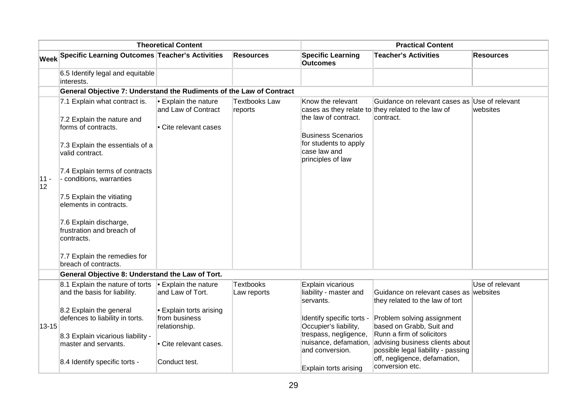|                        | <b>Theoretical Content</b>                                                                                                                                                                                                                                                                                                                                                                 |                                                                      |                                 | <b>Practical Content</b>                                                                                                             |                                                                                                       |                             |
|------------------------|--------------------------------------------------------------------------------------------------------------------------------------------------------------------------------------------------------------------------------------------------------------------------------------------------------------------------------------------------------------------------------------------|----------------------------------------------------------------------|---------------------------------|--------------------------------------------------------------------------------------------------------------------------------------|-------------------------------------------------------------------------------------------------------|-----------------------------|
|                        | Week Specific Learning Outcomes Teacher's Activities                                                                                                                                                                                                                                                                                                                                       |                                                                      | <b>Resources</b>                | <b>Specific Learning</b><br><b>Outcomes</b>                                                                                          | <b>Teacher's Activities</b>                                                                           | <b>Resources</b>            |
|                        | 6.5 Identify legal and equitable<br>interests.                                                                                                                                                                                                                                                                                                                                             |                                                                      |                                 |                                                                                                                                      |                                                                                                       |                             |
|                        | General Objective 7: Understand the Rudiments of the Law of Contract                                                                                                                                                                                                                                                                                                                       |                                                                      |                                 |                                                                                                                                      |                                                                                                       |                             |
| $11 -$<br>$ 12\rangle$ | 7.1 Explain what contract is.<br>7.2 Explain the nature and<br>forms of contracts.<br>7.3 Explain the essentials of a<br>valid contract.<br>7.4 Explain terms of contracts<br>- conditions, warranties<br>7.5 Explain the vitiating<br>elements in contracts.<br>7.6 Explain discharge,<br>frustration and breach of<br>contracts.<br>7.7 Explain the remedies for<br>breach of contracts. | • Explain the nature<br>and Law of Contract<br>• Cite relevant cases | <b>Textbooks Law</b><br>reports | Know the relevant<br>the law of contract.<br><b>Business Scenarios</b><br>for students to apply<br>case law and<br>principles of law | Guidance on relevant cases as<br>cases as they relate to they related to the law of<br>contract.      | Use of relevant<br>websites |
|                        | General Objective 8: Understand the Law of Tort.                                                                                                                                                                                                                                                                                                                                           |                                                                      |                                 |                                                                                                                                      |                                                                                                       |                             |
|                        | 8.1 Explain the nature of torts<br>and the basis for liability.                                                                                                                                                                                                                                                                                                                            | $\cdot$ Explain the nature<br>and Law of Tort.                       | <b>Textbooks</b><br>Law reports | Explain vicarious<br>liability - master and<br>servants.                                                                             | Guidance on relevant cases as websites<br>they related to the law of tort                             | Use of relevant             |
| $ 13 - 15 $            | 8.2 Explain the general<br>defences to liability in torts.                                                                                                                                                                                                                                                                                                                                 | • Explain torts arising<br>from business<br>relationship.            |                                 | Identify specific torts -<br>Occupier's liability,                                                                                   | Problem solving assignment<br>based on Grabb, Suit and<br>Runn a firm of solicitors                   |                             |
|                        | 8.3 Explain vicarious liability -<br>master and servants.                                                                                                                                                                                                                                                                                                                                  | • Cite relevant cases.                                               |                                 | trespass, negligence,<br>nuisance, defamation,<br>and conversion.                                                                    | advising business clients about<br>possible legal liability - passing<br>off, negligence, defamation, |                             |
|                        | 8.4 Identify specific torts -                                                                                                                                                                                                                                                                                                                                                              | Conduct test.                                                        |                                 | Explain torts arising                                                                                                                | conversion etc.                                                                                       |                             |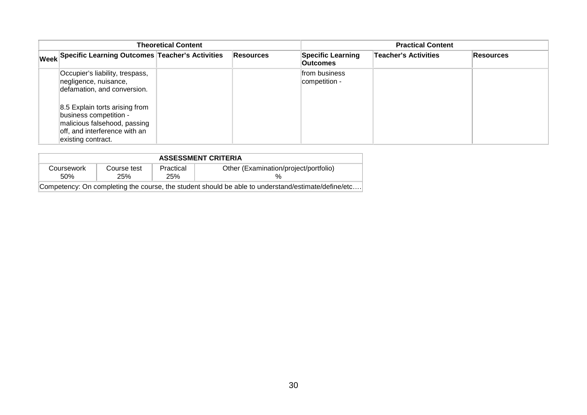|                                                                                                                                                                                                                                            | <b>Theoretical Content</b> |                  | <b>Practical Content</b>                    |                             |                  |
|--------------------------------------------------------------------------------------------------------------------------------------------------------------------------------------------------------------------------------------------|----------------------------|------------------|---------------------------------------------|-----------------------------|------------------|
| Week Specific Learning Outcomes Teacher's Activities                                                                                                                                                                                       |                            | <b>Resources</b> | <b>Specific Learning</b><br><b>Outcomes</b> | <b>Teacher's Activities</b> | <b>Resources</b> |
| Occupier's liability, trespass,<br>negligence, nuisance,<br>defamation, and conversion.<br>8.5 Explain torts arising from<br>business competition -<br>malicious falsehood, passing<br>off, and interference with an<br>existing contract. |                            |                  | from business<br>competition -              |                             |                  |

| <b>ASSESSMENT CRITERIA</b>                                                                         |                    |                  |                                       |  |  |  |
|----------------------------------------------------------------------------------------------------|--------------------|------------------|---------------------------------------|--|--|--|
| Coursework<br>.50%                                                                                 | Course test<br>25% | Practical<br>25% | Other (Examination/project/portfolio) |  |  |  |
| Competency: On completing the course, the student should be able to understand/estimate/define/etc |                    |                  |                                       |  |  |  |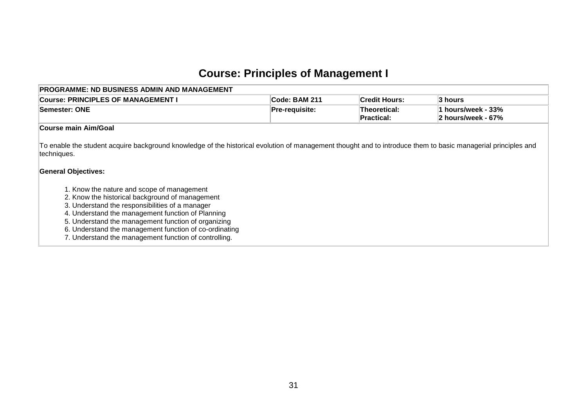## **Course: Principles of Management I**

<span id="page-32-0"></span>

| PROGRAMME: ND BUSINESS ADMIN AND MANAGEMENT                                                                                                                                                                                                                                                                                                                                                                                                                                                                                                                                                   |                |                            |                                          |
|-----------------------------------------------------------------------------------------------------------------------------------------------------------------------------------------------------------------------------------------------------------------------------------------------------------------------------------------------------------------------------------------------------------------------------------------------------------------------------------------------------------------------------------------------------------------------------------------------|----------------|----------------------------|------------------------------------------|
| <b>Course: PRINCIPLES OF MANAGEMENT I</b>                                                                                                                                                                                                                                                                                                                                                                                                                                                                                                                                                     | Code: BAM 211  | <b>Credit Hours:</b>       | 3 hours                                  |
| <b>Semester: ONE</b>                                                                                                                                                                                                                                                                                                                                                                                                                                                                                                                                                                          | Pre-requisite: | Theoretical:<br>Practical: | 1 hours/week - 33%<br>2 hours/week - 67% |
| Course main Aim/Goal                                                                                                                                                                                                                                                                                                                                                                                                                                                                                                                                                                          |                |                            |                                          |
| To enable the student acquire background knowledge of the historical evolution of management thought and to introduce them to basic managerial principles and<br>techniques.<br><b>General Objectives:</b><br>1. Know the nature and scope of management<br>2. Know the historical background of management<br>3. Understand the responsibilities of a manager<br>4. Understand the management function of Planning<br>5. Understand the management function of organizing<br>6. Understand the management function of co-ordinating<br>7. Understand the management function of controlling. |                |                            |                                          |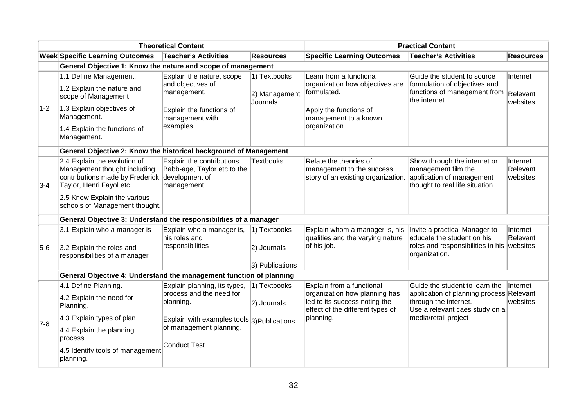|       |                                                                                                                             | <b>Theoretical Content</b>                                                               | <b>Practical Content</b>      |                                                                                                    |                                                                                                                     |                                  |
|-------|-----------------------------------------------------------------------------------------------------------------------------|------------------------------------------------------------------------------------------|-------------------------------|----------------------------------------------------------------------------------------------------|---------------------------------------------------------------------------------------------------------------------|----------------------------------|
|       | <b>Week Specific Learning Outcomes</b>                                                                                      | <b>Teacher's Activities</b>                                                              | <b>Resources</b>              | <b>Specific Learning Outcomes</b>                                                                  | <b>Teacher's Activities</b>                                                                                         | <b>Resources</b>                 |
|       | General Objective 1: Know the nature and scope of management                                                                |                                                                                          |                               |                                                                                                    |                                                                                                                     |                                  |
|       | 1.1 Define Management.<br>1.2 Explain the nature and<br>scope of Management                                                 | Explain the nature, scope<br>and objectives of<br>management.                            | 1) Textbooks<br>2) Management | Learn from a functional<br>organization how objectives are<br>formulated.                          | Guide the student to source<br>formulation of objectives and<br>functions of management from                        | Internet<br>Relevant             |
| $1-2$ | 1.3 Explain objectives of<br>Management.<br>1.4 Explain the functions of<br>Management.                                     | Explain the functions of<br>management with<br>examples                                  | Journals                      | Apply the functions of<br>management to a known<br>organization.                                   | the internet.                                                                                                       | websites                         |
|       | General Objective 2: Know the historical background of Management                                                           |                                                                                          |                               |                                                                                                    |                                                                                                                     |                                  |
| $3-4$ | 2.4 Explain the evolution of<br>Management thought including<br>contributions made by Frederick<br>Taylor, Henri Fayol etc. | Explain the contributions<br>Babb-age, Taylor etc to the<br>development of<br>management | <b>Textbooks</b>              | Relate the theories of<br>management to the success<br>story of an existing organization.          | Show through the internet or<br>management film the<br>application of management<br>thought to real life situation. | Internet<br>Relevant<br>websites |
|       | 2.5 Know Explain the various<br>schools of Management thought.                                                              |                                                                                          |                               |                                                                                                    |                                                                                                                     |                                  |
|       | General Objective 3: Understand the responsibilities of a manager                                                           |                                                                                          |                               |                                                                                                    |                                                                                                                     |                                  |
| $5-6$ | 3.1 Explain who a manager is<br>3.2 Explain the roles and<br>responsibilities of a manager                                  | Explain who a manager is,<br>his roles and<br>responsibilities                           | 1) Textbooks<br>2) Journals   | Explain whom a manager is, his<br>qualities and the varying nature<br>of his job.                  | Invite a practical Manager to<br>educate the student on his<br>roles and responsibilities in his<br>organization.   | Internet<br>Relevant<br>websites |
|       |                                                                                                                             |                                                                                          | 3) Publications               |                                                                                                    |                                                                                                                     |                                  |
|       | General Objective 4: Understand the management function of planning                                                         |                                                                                          |                               |                                                                                                    |                                                                                                                     |                                  |
|       | 4.1 Define Planning.                                                                                                        | Explain planning, its types,                                                             | 1) Textbooks                  | Explain from a functional                                                                          | Guide the student to learn the                                                                                      | Internet                         |
|       | 4.2 Explain the need for<br>Planning.                                                                                       | process and the need for<br>planning.                                                    | 2) Journals                   | organization how planning has<br>led to its success noting the<br>effect of the different types of | application of planning process Relevant<br>through the internet.<br>Use a relevant caes study on a                 | websites                         |
|       | 4.3 Explain types of plan.                                                                                                  | Explain with examples tools 3) Publications                                              |                               | planning.                                                                                          | media/retail project                                                                                                |                                  |
| $7-8$ | 4.4 Explain the planning<br>process.                                                                                        | of management planning.<br>Conduct Test.                                                 |                               |                                                                                                    |                                                                                                                     |                                  |
|       | 4.5 Identify tools of management<br>planning.                                                                               |                                                                                          |                               |                                                                                                    |                                                                                                                     |                                  |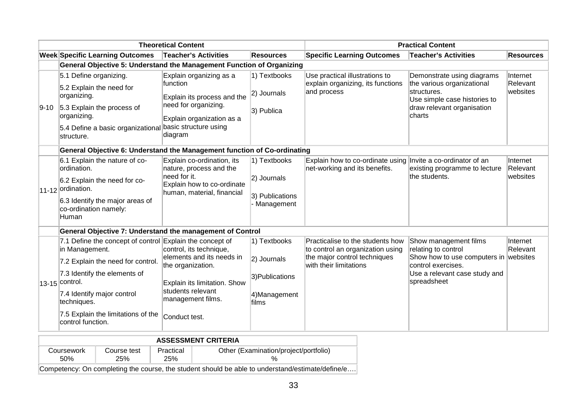|       |                                                                                                                                                                                                                                                                             | <b>Theoretical Content</b>                                                                                                                                           | <b>Practical Content</b>                                                |                                                                                                                                |                                                                                                                                                             |                                  |
|-------|-----------------------------------------------------------------------------------------------------------------------------------------------------------------------------------------------------------------------------------------------------------------------------|----------------------------------------------------------------------------------------------------------------------------------------------------------------------|-------------------------------------------------------------------------|--------------------------------------------------------------------------------------------------------------------------------|-------------------------------------------------------------------------------------------------------------------------------------------------------------|----------------------------------|
|       | <b>Week Specific Learning Outcomes</b>                                                                                                                                                                                                                                      | <b>Teacher's Activities</b>                                                                                                                                          | <b>Resources</b>                                                        | <b>Specific Learning Outcomes</b>                                                                                              | <b>Teacher's Activities</b>                                                                                                                                 | <b>Resources</b>                 |
|       | General Objective 5: Understand the Management Function of Organizing                                                                                                                                                                                                       |                                                                                                                                                                      |                                                                         |                                                                                                                                |                                                                                                                                                             |                                  |
| ∣9-10 | 5.1 Define organizing.<br>5.2 Explain the need for<br>organizing.<br>5.3 Explain the process of<br>organizing.<br>5.4 Define a basic organizational<br>structure.                                                                                                           | Explain organizing as a<br>function<br>Explain its process and the<br>need for organizing.<br>Explain organization as a<br>basic structure using<br>diagram          | 1) Textbooks<br>2) Journals<br>3) Publica                               | Use practical illustrations to<br>explain organizing, its functions<br>and process                                             | Demonstrate using diagrams<br>the various organizational<br>structures.<br>Use simple case histories to<br>draw relevant organisation<br>charts             | Internet<br>Relevant<br>websites |
|       | General Objective 6: Understand the Management function of Co-ordinating                                                                                                                                                                                                    |                                                                                                                                                                      |                                                                         |                                                                                                                                |                                                                                                                                                             |                                  |
|       | 6.1 Explain the nature of co-<br>ordination.<br>6.2 Explain the need for co-<br>11-12 ordination.<br>6.3 Identify the major areas of<br>co-ordination namely:<br>Human                                                                                                      | Explain co-ordination, its<br>nature, process and the<br>need for it.<br>Explain how to co-ordinate<br>human, material, financial                                    | 1) Textbooks<br>2) Journals<br>3) Publications<br>Management            | Explain how to co-ordinate using Invite a co-ordinator of an<br>net-working and its benefits.                                  | existing programme to lecture<br>the students.                                                                                                              | Internet<br>Relevant<br>websites |
|       | General Objective 7: Understand the management of Control                                                                                                                                                                                                                   |                                                                                                                                                                      |                                                                         |                                                                                                                                |                                                                                                                                                             |                                  |
|       | 7.1 Define the concept of control Explain the concept of<br>in Management.<br>7.2 Explain the need for control.<br>7.3 Identify the elements of<br>$13-15$ control.<br>7.4 Identify major control<br>techniques.<br>7.5 Explain the limitations of the<br>control function. | control, its technique,<br>elements and its needs in<br>the organization.<br>Explain its limitation. Show<br>students relevant<br>management films.<br>Conduct test. | 1) Textbooks<br>2) Journals<br>3) Publications<br>4)Management<br>films | Practicalise to the students how<br>to control an organization using<br>the major control techniques<br>with their limitations | Show management films<br>relating to control<br>Show how to use computers in websites<br>control exercises.<br>Use a relevant case study and<br>spreadsheet | Internet<br>Relevant             |

| <b>ASSESSMENT CRITERIA</b>                                                                       |             |           |                                       |  |  |  |  |  |
|--------------------------------------------------------------------------------------------------|-------------|-----------|---------------------------------------|--|--|--|--|--|
| Coursework                                                                                       | Course test | Practical | Other (Examination/project/portfolio) |  |  |  |  |  |
| .50%                                                                                             | 25%         | 25%       |                                       |  |  |  |  |  |
| Competency: On completing the course, the student should be able to understand/estimate/define/e |             |           |                                       |  |  |  |  |  |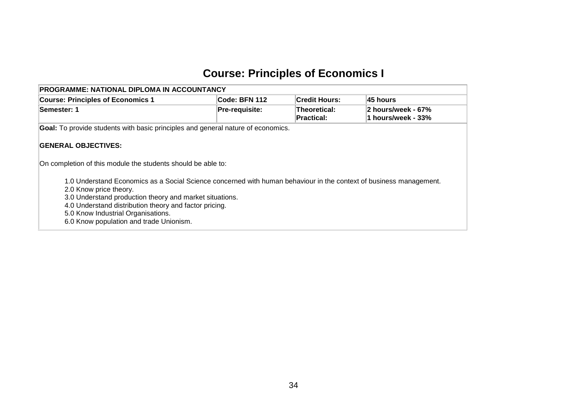# **Course: Principles of Economics I**

<span id="page-35-0"></span>

| PROGRAMME: NATIONAL DIPLOMA IN ACCOUNTANCY                                                                                                                                                                                                                                                              |                |                                   |                                          |
|---------------------------------------------------------------------------------------------------------------------------------------------------------------------------------------------------------------------------------------------------------------------------------------------------------|----------------|-----------------------------------|------------------------------------------|
| <b>Course: Principles of Economics 1</b>                                                                                                                                                                                                                                                                | Code: BFN 112  | <b>Credit Hours:</b>              | 45 hours                                 |
| Semester: 1                                                                                                                                                                                                                                                                                             | Pre-requisite: | Theoretical:<br><b>Practical:</b> | 2 hours/week - 67%<br>1 hours/week - 33% |
| <b>Goal:</b> To provide students with basic principles and general nature of economics.                                                                                                                                                                                                                 |                |                                   |                                          |
| <b>GENERAL OBJECTIVES:</b>                                                                                                                                                                                                                                                                              |                |                                   |                                          |
| On completion of this module the students should be able to:                                                                                                                                                                                                                                            |                |                                   |                                          |
| 1.0 Understand Economics as a Social Science concerned with human behaviour in the context of business management.<br>2.0 Know price theory.<br>3.0 Understand production theory and market situations.<br>4.0 Understand distribution theory and factor pricing.<br>5.0 Know Industrial Organisations. |                |                                   |                                          |
| 6.0 Know population and trade Unionism.                                                                                                                                                                                                                                                                 |                |                                   |                                          |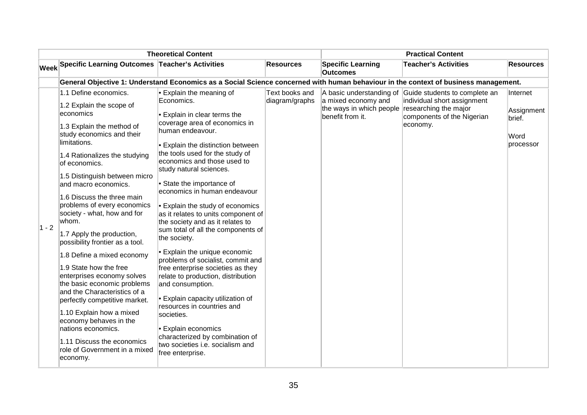| <b>Theoretical Content</b> |                                                                                                                                                                                                                                                                                                                                                                                                                                                                                                                                                                                                                                                                                                                                                                       |                                                                                                                                                                                                                                                                                                                                                                                                                                                                                                                                                                                                                                                                                                                                                                                                                                                                                            | <b>Practical Content</b>         |                                                                                                 |                                                                                                                                 |                                                       |
|----------------------------|-----------------------------------------------------------------------------------------------------------------------------------------------------------------------------------------------------------------------------------------------------------------------------------------------------------------------------------------------------------------------------------------------------------------------------------------------------------------------------------------------------------------------------------------------------------------------------------------------------------------------------------------------------------------------------------------------------------------------------------------------------------------------|--------------------------------------------------------------------------------------------------------------------------------------------------------------------------------------------------------------------------------------------------------------------------------------------------------------------------------------------------------------------------------------------------------------------------------------------------------------------------------------------------------------------------------------------------------------------------------------------------------------------------------------------------------------------------------------------------------------------------------------------------------------------------------------------------------------------------------------------------------------------------------------------|----------------------------------|-------------------------------------------------------------------------------------------------|---------------------------------------------------------------------------------------------------------------------------------|-------------------------------------------------------|
|                            | Week Specific Learning Outcomes Teacher's Activities                                                                                                                                                                                                                                                                                                                                                                                                                                                                                                                                                                                                                                                                                                                  |                                                                                                                                                                                                                                                                                                                                                                                                                                                                                                                                                                                                                                                                                                                                                                                                                                                                                            | <b>Resources</b>                 | <b>Specific Learning</b><br><b>Outcomes</b>                                                     | <b>Teacher's Activities</b>                                                                                                     | <b>Resources</b>                                      |
|                            |                                                                                                                                                                                                                                                                                                                                                                                                                                                                                                                                                                                                                                                                                                                                                                       | General Objective 1: Understand Economics as a Social Science concerned with human behaviour in the context of business management.                                                                                                                                                                                                                                                                                                                                                                                                                                                                                                                                                                                                                                                                                                                                                        |                                  |                                                                                                 |                                                                                                                                 |                                                       |
| $1 - 2$                    | 1.1 Define economics.<br>1.2 Explain the scope of<br>economics<br>1.3 Explain the method of<br>study economics and their<br>limitations.<br>1.4 Rationalizes the studying<br>of economics.<br>1.5 Distinguish between micro<br>and macro economics.<br>1.6 Discuss the three main<br>problems of every economics<br>society - what, how and for<br>whom.<br>1.7 Apply the production,<br>possibility frontier as a tool.<br>1.8 Define a mixed economy<br>1.9 State how the free<br>enterprises economy solves<br>the basic economic problems<br>and the Characteristics of a<br>perfectly competitive market.<br>1.10 Explain how a mixed<br>economy behaves in the<br>nations economics.<br>1.11 Discuss the economics<br>role of Government in a mixed<br>economy. | $\cdot$ Explain the meaning of<br>Economics.<br>• Explain in clear terms the<br>coverage area of economics in<br>human endeavour.<br>• Explain the distinction between<br>the tools used for the study of<br>economics and those used to<br>study natural sciences.<br>State the importance of<br>economics in human endeavour<br><b>Explain the study of economics</b><br>as it relates to units component of<br>the society and as it relates to<br>sum total of all the components of<br>the society.<br><b>Explain the unique economic</b><br>problems of socialist, commit and<br>free enterprise societies as they<br>relate to production, distribution<br>and consumption.<br>• Explain capacity utilization of<br>resources in countries and<br>societies.<br><b>Explain economics</b><br>characterized by combination of<br>two societies i.e. socialism and<br>free enterprise. | Text books and<br>diagram/graphs | A basic understanding of<br>a mixed economy and<br>the ways in which people<br>benefit from it. | Guide students to complete an<br>individual short assignment<br>researching the major<br>components of the Nigerian<br>economy. | Internet<br>Assignment<br>brief.<br>Word<br>processor |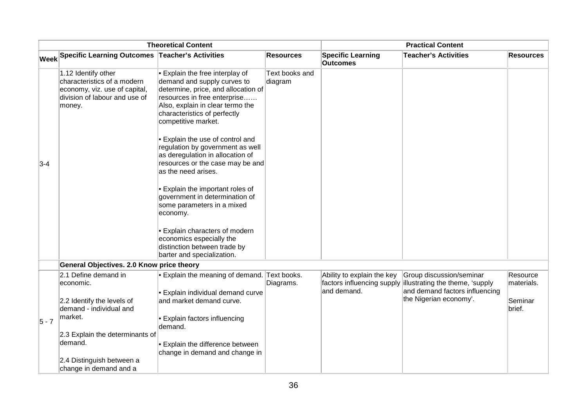|         | <b>Theoretical Content</b>                                                                                                     |                                                                                                                                                                                                                                |                           | <b>Practical Content</b>                    |                                                                                                                          |                        |  |
|---------|--------------------------------------------------------------------------------------------------------------------------------|--------------------------------------------------------------------------------------------------------------------------------------------------------------------------------------------------------------------------------|---------------------------|---------------------------------------------|--------------------------------------------------------------------------------------------------------------------------|------------------------|--|
|         | Week Specific Learning Outcomes Teacher's Activities                                                                           |                                                                                                                                                                                                                                | <b>Resources</b>          | <b>Specific Learning</b><br><b>Outcomes</b> | <b>Teacher's Activities</b>                                                                                              | <b>Resources</b>       |  |
|         | 1.12 Identify other<br>characteristics of a modern<br>economy, viz. use of capital,<br>division of labour and use of<br>money. | Explain the free interplay of<br>demand and supply curves to<br>determine, price, and allocation of<br>resources in free enterprise<br>Also, explain in clear termo the<br>characteristics of perfectly<br>competitive market. | Text books and<br>diagram |                                             |                                                                                                                          |                        |  |
| $3-4$   |                                                                                                                                | • Explain the use of control and<br>regulation by government as well<br>as deregulation in allocation of<br>resources or the case may be and<br>as the need arises.                                                            |                           |                                             |                                                                                                                          |                        |  |
|         |                                                                                                                                | <b>Explain the important roles of</b><br>government in determination of<br>some parameters in a mixed<br>economy.                                                                                                              |                           |                                             |                                                                                                                          |                        |  |
|         |                                                                                                                                | <b>Explain characters of modern</b><br>economics especially the<br>distinction between trade by<br>barter and specialization.                                                                                                  |                           |                                             |                                                                                                                          |                        |  |
|         | General Objectives. 2.0 Know price theory                                                                                      |                                                                                                                                                                                                                                |                           |                                             |                                                                                                                          |                        |  |
|         | 2.1 Define demand in<br>economic.                                                                                              | Explain the meaning of demand. Text books.<br><b>Explain individual demand curve</b>                                                                                                                                           | Diagrams.                 | Ability to explain the key<br>and demand.   | Group discussion/seminar<br>factors influencing supply illustrating the theme, 'supply<br>and demand factors influencing | Resource<br>materials. |  |
|         | 2.2 Identify the levels of<br>demand - individual and                                                                          | and market demand curve.                                                                                                                                                                                                       |                           |                                             | the Nigerian economy'.                                                                                                   | Seminar<br>brief.      |  |
| $5 - 7$ | market.                                                                                                                        | • Explain factors influencing<br>demand.                                                                                                                                                                                       |                           |                                             |                                                                                                                          |                        |  |
|         | 2.3 Explain the determinants of<br>demand.                                                                                     | <b>Explain the difference between</b><br>change in demand and change in                                                                                                                                                        |                           |                                             |                                                                                                                          |                        |  |
|         | 2.4 Distinguish between a<br>change in demand and a                                                                            |                                                                                                                                                                                                                                |                           |                                             |                                                                                                                          |                        |  |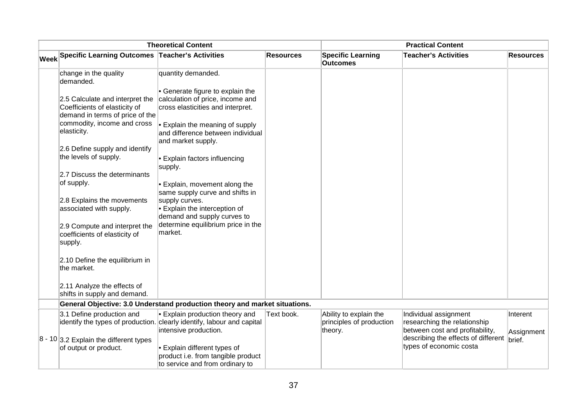| <b>Theoretical Content</b>                                                                          |                                                                                                                                         |                  | <b>Practical Content</b>                                      |                                                                                          |                        |  |
|-----------------------------------------------------------------------------------------------------|-----------------------------------------------------------------------------------------------------------------------------------------|------------------|---------------------------------------------------------------|------------------------------------------------------------------------------------------|------------------------|--|
| Week Specific Learning Outcomes Teacher's Activities                                                |                                                                                                                                         | <b>Resources</b> | <b>Specific Learning</b><br><b>Outcomes</b>                   | <b>Teacher's Activities</b>                                                              | <b>Resources</b>       |  |
| change in the quality<br>demanded.                                                                  | quantity demanded.                                                                                                                      |                  |                                                               |                                                                                          |                        |  |
| 2.5 Calculate and interpret the<br>Coefficients of elasticity of<br>demand in terms of price of the | • Generate figure to explain the<br>calculation of price, income and<br>cross elasticities and interpret.                               |                  |                                                               |                                                                                          |                        |  |
| commodity, income and cross<br>elasticity.                                                          | <b>Explain the meaning of supply</b><br>and difference between individual<br>and market supply.                                         |                  |                                                               |                                                                                          |                        |  |
| 2.6 Define supply and identify<br>the levels of supply.                                             |                                                                                                                                         |                  |                                                               |                                                                                          |                        |  |
|                                                                                                     | <b>Explain factors influencing</b><br>supply.                                                                                           |                  |                                                               |                                                                                          |                        |  |
| 2.7 Discuss the determinants<br>of supply.                                                          | $\bullet$ Explain, movement along the<br>same supply curve and shifts in                                                                |                  |                                                               |                                                                                          |                        |  |
| 2.8 Explains the movements<br>associated with supply.                                               | supply curves.<br><b>Explain the interception of</b><br>demand and supply curves to                                                     |                  |                                                               |                                                                                          |                        |  |
| 2.9 Compute and interpret the<br>coefficients of elasticity of<br>supply.                           | determine equilibrium price in the<br>market.                                                                                           |                  |                                                               |                                                                                          |                        |  |
| 2.10 Define the equilibrium in<br>the market.                                                       |                                                                                                                                         |                  |                                                               |                                                                                          |                        |  |
| 2.11 Analyze the effects of<br>shifts in supply and demand.                                         |                                                                                                                                         |                  |                                                               |                                                                                          |                        |  |
| General Objective: 3.0 Understand production theory and market situations.                          |                                                                                                                                         |                  |                                                               |                                                                                          |                        |  |
| 3.1 Define production and                                                                           | <b>Explain production theory and</b><br>identify the types of production. clearly identify, labour and capital<br>intensive production. | Text book.       | Ability to explain the<br>principles of production<br>theory. | Individual assignment<br>researching the relationship<br>between cost and profitability, | Interent<br>Assignment |  |
| $ 8 - 10 $ 3.2 Explain the different types<br>of output or product.                                 | • Explain different types of<br>product i.e. from tangible product<br>to service and from ordinary to                                   |                  |                                                               | describing the effects of different brief.<br>types of economic costa                    |                        |  |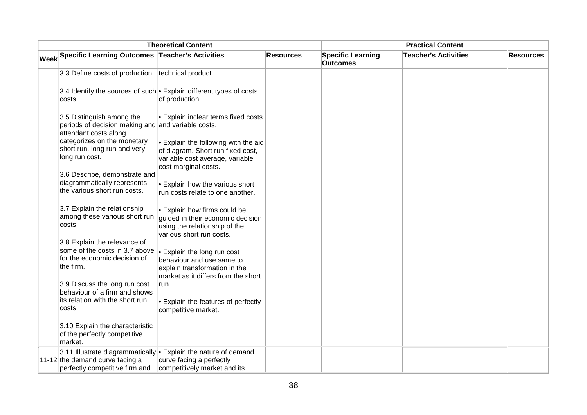| <b>Theoretical Content</b>                                                                                  |                                                                                                                                                      |                  | <b>Practical Content</b>                    |                             |                  |  |
|-------------------------------------------------------------------------------------------------------------|------------------------------------------------------------------------------------------------------------------------------------------------------|------------------|---------------------------------------------|-----------------------------|------------------|--|
| Week Specific Learning Outcomes Teacher's Activities                                                        |                                                                                                                                                      | <b>Resources</b> | <b>Specific Learning</b><br><b>Outcomes</b> | <b>Teacher's Activities</b> | <b>Resources</b> |  |
| 3.3 Define costs of production. technical product.                                                          |                                                                                                                                                      |                  |                                             |                             |                  |  |
| costs.                                                                                                      | 3.4 Identify the sources of such • Explain different types of costs<br>of production.                                                                |                  |                                             |                             |                  |  |
| 3.5 Distinguish among the<br>periods of decision making and and variable costs.<br>attendant costs along    | • Explain inclear terms fixed costs                                                                                                                  |                  |                                             |                             |                  |  |
| categorizes on the monetary<br>short run, long run and very<br>long run cost.                               | • Explain the following with the aid<br>of diagram. Short run fixed cost,<br>variable cost average, variable<br>cost marginal costs.                 |                  |                                             |                             |                  |  |
| 3.6 Describe, demonstrate and<br>diagrammatically represents<br>the various short run costs.                | <b>Explain how the various short</b><br>run costs relate to one another.                                                                             |                  |                                             |                             |                  |  |
| 3.7 Explain the relationship<br>among these various short run<br>costs.                                     | <b>Explain how firms could be</b><br>quided in their economic decision<br>using the relationship of the<br>various short run costs.                  |                  |                                             |                             |                  |  |
| 3.8 Explain the relevance of<br>some of the costs in 3.7 above<br>for the economic decision of<br>the firm. | $\blacktriangleright$ Explain the long run cost<br>behaviour and use same to<br>explain transformation in the<br>market as it differs from the short |                  |                                             |                             |                  |  |
| 3.9 Discuss the long run cost<br>behaviour of a firm and shows<br>its relation with the short run           | run.                                                                                                                                                 |                  |                                             |                             |                  |  |
| costs.                                                                                                      | • Explain the features of perfectly<br>competitive market.                                                                                           |                  |                                             |                             |                  |  |
| 3.10 Explain the characteristic<br>of the perfectly competitive<br>market.                                  |                                                                                                                                                      |                  |                                             |                             |                  |  |
| 11-12 the demand curve facing a<br>perfectly competitive firm and                                           | 3.11 Illustrate diagrammatically • Explain the nature of demand<br>curve facing a perfectly<br>competitively market and its                          |                  |                                             |                             |                  |  |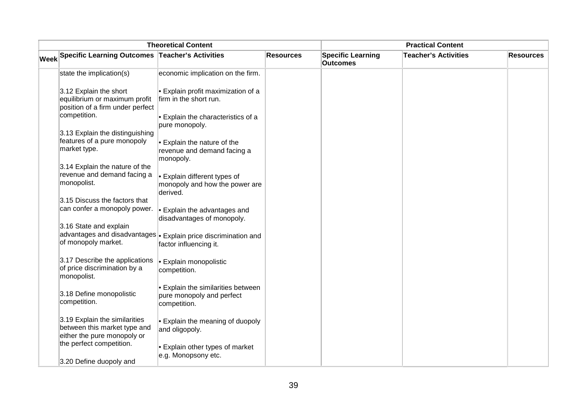| <b>Theoretical Content</b> |                                                                                                             |                                                                                                    | <b>Practical Content</b> |                                             |                             |                  |
|----------------------------|-------------------------------------------------------------------------------------------------------------|----------------------------------------------------------------------------------------------------|--------------------------|---------------------------------------------|-----------------------------|------------------|
|                            | Week Specific Learning Outcomes Teacher's Activities                                                        |                                                                                                    | <b>Resources</b>         | <b>Specific Learning</b><br><b>Outcomes</b> | <b>Teacher's Activities</b> | <b>Resources</b> |
|                            | state the implication(s)                                                                                    | economic implication on the firm.                                                                  |                          |                                             |                             |                  |
|                            | 3.12 Explain the short<br>equilibrium or maximum profit<br>position of a firm under perfect<br>competition. | • Explain profit maximization of a<br>firm in the short run.<br>• Explain the characteristics of a |                          |                                             |                             |                  |
|                            | 3.13 Explain the distinguishing                                                                             | pure monopoly.                                                                                     |                          |                                             |                             |                  |
|                            | features of a pure monopoly<br>market type.                                                                 | • Explain the nature of the<br>revenue and demand facing a<br>monopoly.                            |                          |                                             |                             |                  |
|                            | 3.14 Explain the nature of the<br>revenue and demand facing a<br>monopolist.                                | • Explain different types of<br>monopoly and how the power are<br>derived.                         |                          |                                             |                             |                  |
|                            | 3.15 Discuss the factors that<br>can confer a monopoly power.                                               | Explain the advantages and<br>disadvantages of monopoly.                                           |                          |                                             |                             |                  |
|                            | 3.16 State and explain<br>of monopoly market.                                                               | advantages and disadvantages <b>.</b> Explain price discrimination and<br>factor influencing it.   |                          |                                             |                             |                  |
|                            | 3.17 Describe the applications<br>of price discrimination by a<br>monopolist.                               | <b>Explain monopolistic</b><br>competition.                                                        |                          |                                             |                             |                  |
|                            | 3.18 Define monopolistic<br>competition.                                                                    | <b>Explain the similarities between</b><br>pure monopoly and perfect<br>competition.               |                          |                                             |                             |                  |
|                            | 3.19 Explain the similarities<br>between this market type and<br>either the pure monopoly or                | • Explain the meaning of duopoly<br>and oligopoly.                                                 |                          |                                             |                             |                  |
|                            | the perfect competition.<br>3.20 Define duopoly and                                                         | <b>Explain other types of market</b><br>e.g. Monopsony etc.                                        |                          |                                             |                             |                  |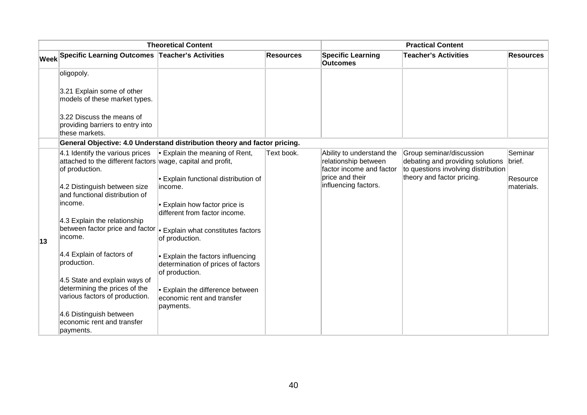|    |                                                                                                                  | <b>Theoretical Content</b>                                                                |                  |                                                                               | <b>Practical Content</b>                                                                            |                        |  |
|----|------------------------------------------------------------------------------------------------------------------|-------------------------------------------------------------------------------------------|------------------|-------------------------------------------------------------------------------|-----------------------------------------------------------------------------------------------------|------------------------|--|
|    | Week Specific Learning Outcomes Teacher's Activities                                                             |                                                                                           | <b>Resources</b> | <b>Specific Learning</b><br><b>Outcomes</b>                                   | <b>Teacher's Activities</b>                                                                         | <b>Resources</b>       |  |
|    | oligopoly.                                                                                                       |                                                                                           |                  |                                                                               |                                                                                                     |                        |  |
|    | 3.21 Explain some of other<br>models of these market types.                                                      |                                                                                           |                  |                                                                               |                                                                                                     |                        |  |
|    | 3.22 Discuss the means of<br>providing barriers to entry into<br>these markets.                                  |                                                                                           |                  |                                                                               |                                                                                                     |                        |  |
|    |                                                                                                                  | General Objective: 4.0 Understand distribution theory and factor pricing.                 |                  |                                                                               |                                                                                                     |                        |  |
|    | 4.1 Identify the various prices<br>attached to the different factors wage, capital and profit,<br>of production. | $\bullet$ Explain the meaning of Rent,                                                    | Text book.       | Ability to understand the<br>relationship between<br>factor income and factor | Group seminar/discussion<br>debating and providing solutions<br>to questions involving distribution | Seminar<br>brief.      |  |
|    | 4.2 Distinguish between size<br>and functional distribution of<br>income.                                        | • Explain functional distribution of<br>income.<br>• Explain how factor price is          |                  | price and their<br>influencing factors.                                       | theory and factor pricing.                                                                          | Resource<br>materials. |  |
|    |                                                                                                                  | different from factor income.                                                             |                  |                                                                               |                                                                                                     |                        |  |
| 13 | 4.3 Explain the relationship<br>between factor price and factor  .<br>income.                                    | Explain what constitutes factors<br>of production.                                        |                  |                                                                               |                                                                                                     |                        |  |
|    | 4.4 Explain of factors of<br>production.                                                                         | • Explain the factors influencing<br>determination of prices of factors<br>of production. |                  |                                                                               |                                                                                                     |                        |  |
|    | 4.5 State and explain ways of                                                                                    |                                                                                           |                  |                                                                               |                                                                                                     |                        |  |
|    | determining the prices of the<br>various factors of production.                                                  | <b>• Explain the difference between</b><br>economic rent and transfer<br>payments.        |                  |                                                                               |                                                                                                     |                        |  |
|    | 4.6 Distinguish between<br>economic rent and transfer<br>payments.                                               |                                                                                           |                  |                                                                               |                                                                                                     |                        |  |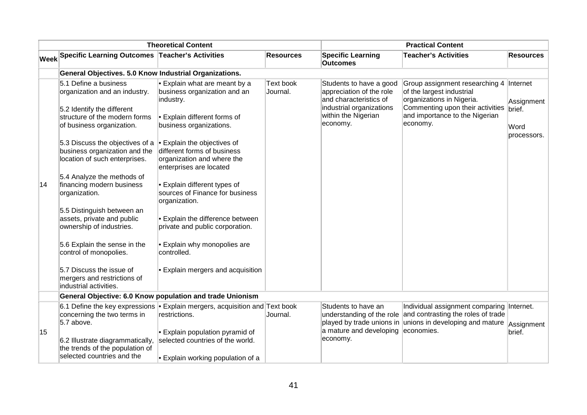|    |                                                                                                   | <b>Theoretical Content</b>                                                                                        |                       | <b>Practical Content</b>                                                      |                                                                                                                    |                     |
|----|---------------------------------------------------------------------------------------------------|-------------------------------------------------------------------------------------------------------------------|-----------------------|-------------------------------------------------------------------------------|--------------------------------------------------------------------------------------------------------------------|---------------------|
|    | Week Specific Learning Outcomes Teacher's Activities                                              |                                                                                                                   | <b>Resources</b>      | <b>Specific Learning</b><br><b>Outcomes</b>                                   | <b>Teacher's Activities</b>                                                                                        | <b>Resources</b>    |
|    | General Objectives. 5.0 Know Industrial Organizations.                                            |                                                                                                                   |                       |                                                                               |                                                                                                                    |                     |
|    | 5.1 Define a business<br>organization and an industry.                                            | <b>Explain what are meant by a</b><br>business organization and an<br>industry.                                   | Text book<br>Journal. | Students to have a good<br>appreciation of the role<br>and characteristics of | Group assignment researching 4   Internet<br>of the largest industrial<br>organizations in Nigeria.                | Assignment          |
|    | 5.2 Identify the different<br>structure of the modern forms                                       | · Explain different forms of                                                                                      |                       | industrial organizations<br>within the Nigerian                               | Commenting upon their activities<br>and importance to the Nigerian                                                 | brief.              |
|    | of business organization.                                                                         | business organizations.                                                                                           |                       | economy.                                                                      | economy.                                                                                                           | Word<br>processors. |
|    | 5.3 Discuss the objectives of a<br>business organization and the<br>location of such enterprises. | Explain the objectives of<br>different forms of business<br>organization and where the<br>enterprises are located |                       |                                                                               |                                                                                                                    |                     |
| 14 | 5.4 Analyze the methods of<br>financing modern business<br>organization.                          | • Explain different types of<br>sources of Finance for business<br>organization.                                  |                       |                                                                               |                                                                                                                    |                     |
|    | 5.5 Distinguish between an<br>assets, private and public<br>ownership of industries.              | <b>• Explain the difference between</b><br>private and public corporation.                                        |                       |                                                                               |                                                                                                                    |                     |
|    | 5.6 Explain the sense in the<br>control of monopolies.                                            | • Explain why monopolies are<br>controlled.                                                                       |                       |                                                                               |                                                                                                                    |                     |
|    | 5.7 Discuss the issue of<br>mergers and restrictions of<br>industrial activities.                 | • Explain mergers and acquisition                                                                                 |                       |                                                                               |                                                                                                                    |                     |
|    |                                                                                                   | General Objective: 6.0 Know population and trade Unionism                                                         |                       |                                                                               |                                                                                                                    |                     |
|    | concerning the two terms in<br>$5.7$ above.                                                       | 6.1 Define the key expressions • Explain mergers, acquisition and Text book<br>restrictions.                      | Journal.              | Students to have an<br>understanding of the role<br>played by trade unions in | Individual assignment comparing Internet.<br>and contrasting the roles of trade<br>unions in developing and mature | Assignment          |
| 15 | 6.2 Illustrate diagrammatically,<br>the trends of the population of<br>selected countries and the | • Explain population pyramid of<br>selected countries of the world.<br>• Explain working population of a          |                       | a mature and developing<br>economy.                                           | economies.                                                                                                         | brief.              |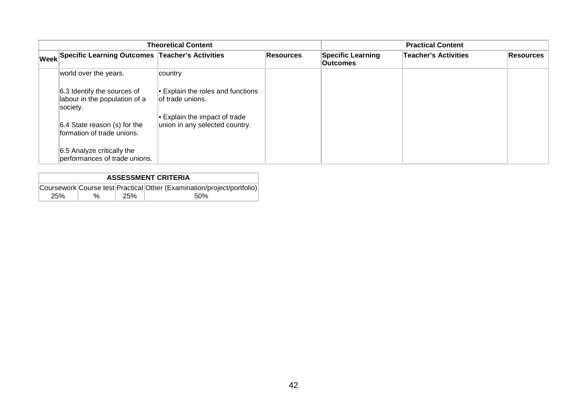|                                                      | <b>Theoretical Content</b>      | <b>Practical Content</b> |                                             |                             |           |
|------------------------------------------------------|---------------------------------|--------------------------|---------------------------------------------|-----------------------------|-----------|
| Week Specific Learning Outcomes Teacher's Activities |                                 | <b>Resources</b>         | <b>Specific Learning</b><br><b>Outcomes</b> | <b>Teacher's Activities</b> | Resources |
| world over the years.                                | country                         |                          |                                             |                             |           |
| 6.3 Identify the sources of                          | Explain the roles and functions |                          |                                             |                             |           |
| labour in the population of a<br>society.            | lof trade unions.               |                          |                                             |                             |           |
|                                                      | Explain the impact of trade     |                          |                                             |                             |           |
| 6.4 State reason (s) for the                         | union in any selected country.  |                          |                                             |                             |           |
| formation of trade unions.                           |                                 |                          |                                             |                             |           |
| 6.5 Analyze critically the                           |                                 |                          |                                             |                             |           |
| performances of trade unions.                        |                                 |                          |                                             |                             |           |

| <b>ASSESSMENT CRITERIA</b> |                                                                        |  |  |  |  |  |  |
|----------------------------|------------------------------------------------------------------------|--|--|--|--|--|--|
|                            | Coursework Course test Practical Other (Examination/project/portfolio) |  |  |  |  |  |  |
| 25%<br>.50%<br>25%<br>$\%$ |                                                                        |  |  |  |  |  |  |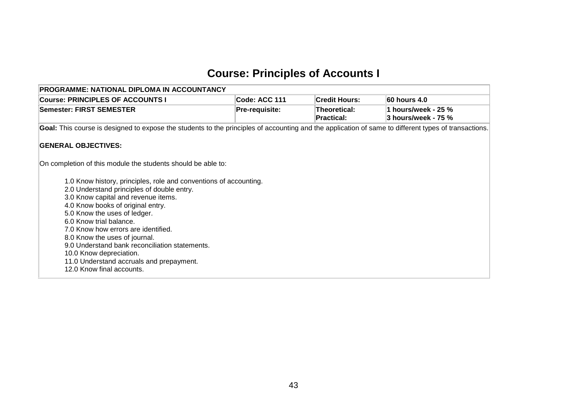# **Course: Principles of Accounts I**

| PROGRAMME: NATIONAL DIPLOMA IN ACCOUNTANCY                                                                                                                                                                                                                                                                                                                                                                                                                                           |                |                            |                     |
|--------------------------------------------------------------------------------------------------------------------------------------------------------------------------------------------------------------------------------------------------------------------------------------------------------------------------------------------------------------------------------------------------------------------------------------------------------------------------------------|----------------|----------------------------|---------------------|
| <b>Course: PRINCIPLES OF ACCOUNTS I</b>                                                                                                                                                                                                                                                                                                                                                                                                                                              | Code: ACC 111  | <b>Credit Hours:</b>       | 60 hours 4.0        |
| <b>Semester: FIRST SEMESTER</b>                                                                                                                                                                                                                                                                                                                                                                                                                                                      | Pre-requisite: | Theoretical:<br>Practical: | 3 hours/week - 75 % |
| Goal: This course is designed to expose the students to the principles of accounting and the application of same to different types of transactions.                                                                                                                                                                                                                                                                                                                                 |                |                            |                     |
| <b>GENERAL OBJECTIVES:</b>                                                                                                                                                                                                                                                                                                                                                                                                                                                           |                |                            |                     |
| On completion of this module the students should be able to:                                                                                                                                                                                                                                                                                                                                                                                                                         |                |                            |                     |
| 1.0 Know history, principles, role and conventions of accounting.<br>2.0 Understand principles of double entry.<br>3.0 Know capital and revenue items.<br>4.0 Know books of original entry.<br>5.0 Know the uses of ledger.<br>6.0 Know trial balance.<br>7.0 Know how errors are identified.<br>8.0 Know the uses of journal.<br>9.0 Understand bank reconciliation statements.<br>10.0 Know depreciation.<br>11.0 Understand accruals and prepayment.<br>12.0 Know final accounts. |                |                            |                     |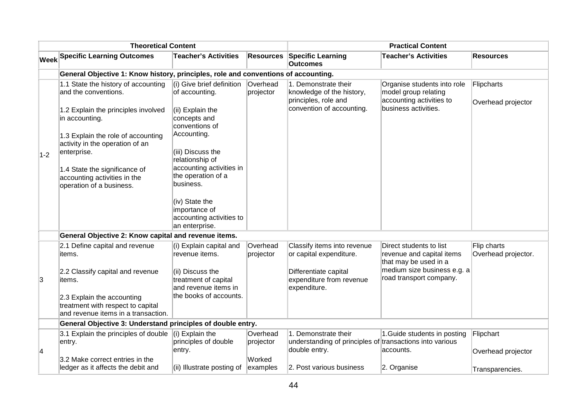|       | <b>Theoretical Content</b>                                                                             |                                                                               |                       | <b>Practical Content</b>                                                                               |                                                                                                         |                                    |  |  |
|-------|--------------------------------------------------------------------------------------------------------|-------------------------------------------------------------------------------|-----------------------|--------------------------------------------------------------------------------------------------------|---------------------------------------------------------------------------------------------------------|------------------------------------|--|--|
|       | <b>Week Specific Learning Outcomes</b>                                                                 | <b>Teacher's Activities</b>                                                   | <b>Resources</b>      | <b>Specific Learning</b><br><b>Outcomes</b>                                                            | <b>Teacher's Activities</b>                                                                             | <b>Resources</b>                   |  |  |
|       | General Objective 1: Know history, principles, role and conventions of accounting.                     |                                                                               |                       |                                                                                                        |                                                                                                         |                                    |  |  |
|       | 1.1 State the history of accounting<br>and the conventions.<br>1.2 Explain the principles involved     | (i) Give brief definition<br>of accounting.<br>(ii) Explain the               | Overhead<br>projector | 1. Demonstrate their<br>knowledge of the history,<br>principles, role and<br>convention of accounting. | Organise students into role<br>model group relating<br>accounting activities to<br>business activities. | Flipcharts<br>Overhead projector   |  |  |
|       | in accounting.                                                                                         | concepts and<br>conventions of                                                |                       |                                                                                                        |                                                                                                         |                                    |  |  |
|       | 1.3 Explain the role of accounting<br>activity in the operation of an                                  | Accounting.                                                                   |                       |                                                                                                        |                                                                                                         |                                    |  |  |
| $1-2$ | enterprise.                                                                                            | (iii) Discuss the<br>relationship of                                          |                       |                                                                                                        |                                                                                                         |                                    |  |  |
|       | 1.4 State the significance of<br>accounting activities in the<br>operation of a business.              | accounting activities in<br>the operation of a<br>business.                   |                       |                                                                                                        |                                                                                                         |                                    |  |  |
|       |                                                                                                        | (iv) State the<br>importance of<br>accounting activities to<br>an enterprise. |                       |                                                                                                        |                                                                                                         |                                    |  |  |
|       | General Objective 2: Know capital and revenue items.                                                   |                                                                               |                       |                                                                                                        |                                                                                                         |                                    |  |  |
|       | 2.1 Define capital and revenue<br>items.                                                               | (i) Explain capital and<br>revenue items.                                     | Overhead<br>projector | Classify items into revenue<br>or capital expenditure.                                                 | Direct students to list<br>revenue and capital items<br>that may be used in a                           | Flip charts<br>Overhead projector. |  |  |
| 3     | 2.2 Classify capital and revenue<br>items.                                                             | (ii) Discuss the<br>treatment of capital<br>and revenue items in              |                       | Differentiate capital<br>expenditure from revenue<br>expenditure.                                      | medium size business e.g. a<br>road transport company.                                                  |                                    |  |  |
|       | 2.3 Explain the accounting<br>treatment with respect to capital<br>and revenue items in a transaction. | the books of accounts.                                                        |                       |                                                                                                        |                                                                                                         |                                    |  |  |
|       | General Objective 3: Understand principles of double entry.                                            |                                                                               |                       |                                                                                                        |                                                                                                         |                                    |  |  |
| 4     | 3.1 Explain the principles of double<br>entry.                                                         | $(i)$ Explain the<br>principles of double<br>entry.                           | Overhead<br>projector | 1. Demonstrate their<br>understanding of principles of transactions into various<br>double entry.      | 1. Guide students in posting<br>accounts.                                                               | Flipchart<br>Overhead projector    |  |  |
|       | 3.2 Make correct entries in the<br>ledger as it affects the debit and                                  | (ii) Illustrate posting of                                                    | Worked<br>examples    | 2. Post various business                                                                               | 2. Organise                                                                                             | Transparencies.                    |  |  |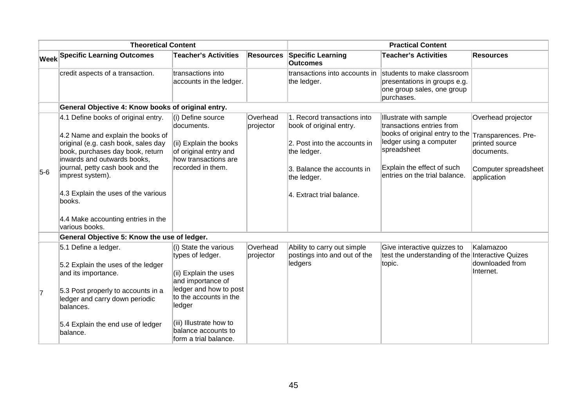|                | <b>Theoretical Content</b>                                                                                                                                                                                                                                                                                                                          |                                                                                                                                                       |                       | <b>Practical Content</b>                                                                                                                                                        |                                                                                                                                                                                                |                                                                                                                  |  |
|----------------|-----------------------------------------------------------------------------------------------------------------------------------------------------------------------------------------------------------------------------------------------------------------------------------------------------------------------------------------------------|-------------------------------------------------------------------------------------------------------------------------------------------------------|-----------------------|---------------------------------------------------------------------------------------------------------------------------------------------------------------------------------|------------------------------------------------------------------------------------------------------------------------------------------------------------------------------------------------|------------------------------------------------------------------------------------------------------------------|--|
|                | <b>Week Specific Learning Outcomes</b>                                                                                                                                                                                                                                                                                                              | <b>Teacher's Activities</b>                                                                                                                           | <b>Resources</b>      | <b>Specific Learning</b><br><b>Outcomes</b>                                                                                                                                     | <b>Teacher's Activities</b>                                                                                                                                                                    | <b>Resources</b>                                                                                                 |  |
|                | credit aspects of a transaction.                                                                                                                                                                                                                                                                                                                    | transactions into<br>accounts in the ledger.                                                                                                          |                       | transactions into accounts in<br>the ledger.                                                                                                                                    | students to make classroom<br>presentations in groups e.g.<br>one group sales, one group<br>purchases.                                                                                         |                                                                                                                  |  |
|                | General Objective 4: Know books of original entry.                                                                                                                                                                                                                                                                                                  |                                                                                                                                                       |                       |                                                                                                                                                                                 |                                                                                                                                                                                                |                                                                                                                  |  |
| $5-6$          | 4.1 Define books of original entry.<br>4.2 Name and explain the books of<br>original (e.g. cash book, sales day<br>book, purchases day book, return<br>inwards and outwards books.<br>journal, petty cash book and the<br>imprest system).<br>4.3 Explain the uses of the various<br>books.<br>4.4 Make accounting entries in the<br>various books. | (i) Define source<br>documents.<br>(ii) Explain the books<br>of original entry and<br>how transactions are<br>recorded in them.                       | Overhead<br>projector | 1. Record transactions into<br>book of original entry.<br>2. Post into the accounts in<br>the ledger.<br>3. Balance the accounts in<br>the ledger.<br>4. Extract trial balance. | Illustrate with sample<br>transactions entries from<br>books of original entry to the<br>ledger using a computer<br>spreadsheet<br>Explain the effect of such<br>entries on the trial balance. | Overhead projector<br>Transparences. Pre-<br>printed source<br>documents.<br>Computer spreadsheet<br>application |  |
|                | General Objective 5: Know the use of ledger.                                                                                                                                                                                                                                                                                                        |                                                                                                                                                       |                       |                                                                                                                                                                                 |                                                                                                                                                                                                |                                                                                                                  |  |
| $\overline{7}$ | 5.1 Define a ledger.<br>5.2 Explain the uses of the ledger<br>and its importance.<br>5.3 Post properly to accounts in a<br>ledger and carry down periodic<br>balances.                                                                                                                                                                              | (i) State the various<br>types of ledger.<br>(ii) Explain the uses<br>and importance of<br>ledger and how to post<br>to the accounts in the<br>ledger | Overhead<br>projector | Ability to carry out simple<br>postings into and out of the<br>ledgers                                                                                                          | Give interactive quizzes to<br>test the understanding of the<br>topic.                                                                                                                         | Kalamazoo<br>Interactive Quizes<br>downloaded from<br>Internet.                                                  |  |
|                | 5.4 Explain the end use of ledger<br>balance.                                                                                                                                                                                                                                                                                                       | (iii) Illustrate how to<br>balance accounts to<br>form a trial balance.                                                                               |                       |                                                                                                                                                                                 |                                                                                                                                                                                                |                                                                                                                  |  |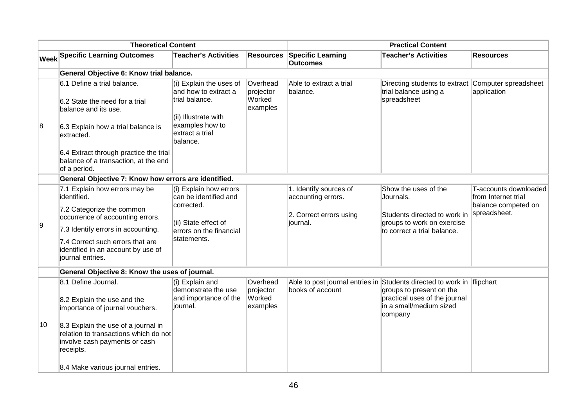|    | <b>Theoretical Content</b>                                                                                                                                      |                                                                                                                                             |                                             | <b>Practical Content</b>                                                                   |                                                                                                 |                                              |
|----|-----------------------------------------------------------------------------------------------------------------------------------------------------------------|---------------------------------------------------------------------------------------------------------------------------------------------|---------------------------------------------|--------------------------------------------------------------------------------------------|-------------------------------------------------------------------------------------------------|----------------------------------------------|
|    | Week Specific Learning Outcomes                                                                                                                                 | <b>Teacher's Activities</b>                                                                                                                 | <b>Resources</b>                            | <b>Specific Learning</b><br><b>Outcomes</b>                                                | <b>Teacher's Activities</b>                                                                     | <b>Resources</b>                             |
|    | General Objective 6: Know trial balance.                                                                                                                        |                                                                                                                                             |                                             |                                                                                            |                                                                                                 |                                              |
| 8  | 6.1 Define a trial balance.<br>6.2 State the need for a trial<br>balance and its use.<br>6.3 Explain how a trial balance is<br>extracted.                       | (i) Explain the uses of<br>and how to extract a<br>trial balance.<br>(ii) Illustrate with<br>examples how to<br>extract a trial<br>balance. | Overhead<br>projector<br>Worked<br>examples | Able to extract a trial<br>balance.                                                        | Directing students to extract<br>trial balance using a<br>spreadsheet                           | Computer spreadsheet<br>application          |
|    | 6.4 Extract through practice the trial<br>balance of a transaction, at the end<br>of a period.                                                                  |                                                                                                                                             |                                             |                                                                                            |                                                                                                 |                                              |
|    | General Objective 7: Know how errors are identified.                                                                                                            |                                                                                                                                             |                                             |                                                                                            |                                                                                                 |                                              |
|    | 7.1 Explain how errors may be<br>identified.                                                                                                                    | (i) Explain how errors<br>can be identified and                                                                                             |                                             | 1. Identify sources of<br>accounting errors.                                               | Show the uses of the<br>Journals.                                                               | T-accounts downloaded<br>from Internet trial |
| 9  | 7.2 Categorize the common<br>occurrence of accounting errors.                                                                                                   | corrected.<br>(ii) State effect of                                                                                                          |                                             | 2. Correct errors using<br>journal.                                                        | Students directed to work in<br>groups to work on exercise                                      | balance competed on<br>spreadsheet.          |
|    | 7.3 Identify errors in accounting.<br>7.4 Correct such errors that are<br>identified in an account by use of<br>journal entries.                                | errors on the financial<br>statements.                                                                                                      |                                             |                                                                                            | to correct a trial balance.                                                                     |                                              |
|    | General Objective 8: Know the uses of journal.                                                                                                                  |                                                                                                                                             |                                             |                                                                                            |                                                                                                 |                                              |
|    | 8.1 Define Journal.<br>8.2 Explain the use and the<br>importance of journal vouchers.                                                                           | (i) Explain and<br>demonstrate the use<br>and importance of the<br>liournal.                                                                | Overhead<br>projector<br>Worked<br>examples | Able to post journal entries in Students directed to work in flipchart<br>books of account | groups to present on the<br>practical uses of the journal<br>in a small/medium sized<br>company |                                              |
| 10 | 8.3 Explain the use of a journal in<br>relation to transactions which do not<br>involve cash payments or cash<br>receipts.<br>8.4 Make various journal entries. |                                                                                                                                             |                                             |                                                                                            |                                                                                                 |                                              |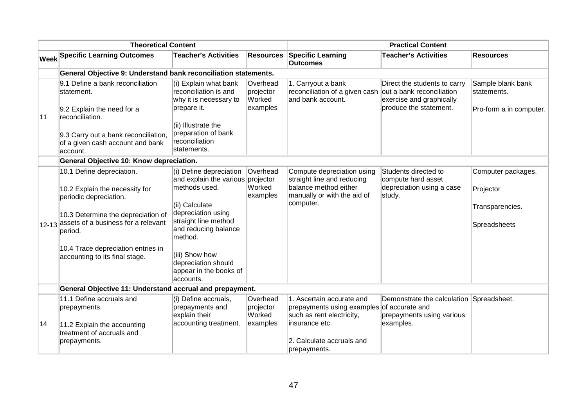|    | <b>Theoretical Content</b>                                                                                                                                                                                                                                    |                                                                                                                                                                                          |                                             | <b>Practical Content</b>                                                                                                      |                                                                                    |                                                                    |  |
|----|---------------------------------------------------------------------------------------------------------------------------------------------------------------------------------------------------------------------------------------------------------------|------------------------------------------------------------------------------------------------------------------------------------------------------------------------------------------|---------------------------------------------|-------------------------------------------------------------------------------------------------------------------------------|------------------------------------------------------------------------------------|--------------------------------------------------------------------|--|
|    | <b>Week Specific Learning Outcomes</b>                                                                                                                                                                                                                        | <b>Teacher's Activities</b>                                                                                                                                                              | <b>Resources</b>                            | <b>Specific Learning</b><br><b>Outcomes</b>                                                                                   | <b>Teacher's Activities</b>                                                        | <b>Resources</b>                                                   |  |
|    | General Objective 9: Understand bank reconciliation statements.                                                                                                                                                                                               |                                                                                                                                                                                          |                                             |                                                                                                                               |                                                                                    |                                                                    |  |
| 11 | 9.1 Define a bank reconciliation<br>statement.<br>9.2 Explain the need for a<br>reconciliation.                                                                                                                                                               | (i) Explain what bank<br>reconciliation is and<br>why it is necessary to<br>prepare it.                                                                                                  | Overhead<br>projector<br>Worked<br>examples | 1. Carryout a bank<br>reconciliation of a given cash out a bank reconciliation<br>and bank account.                           | Direct the students to carry<br>exercise and graphically<br>produce the statement. | Sample blank bank<br>statements.<br>Pro-form a in computer.        |  |
|    | 9.3 Carry out a bank reconciliation,<br>of a given cash account and bank<br>account.                                                                                                                                                                          | (ii) Illustrate the<br>preparation of bank<br>reconciliation<br>statements.                                                                                                              |                                             |                                                                                                                               |                                                                                    |                                                                    |  |
|    | General Objective 10: Know depreciation.                                                                                                                                                                                                                      |                                                                                                                                                                                          |                                             |                                                                                                                               |                                                                                    |                                                                    |  |
|    | 10.1 Define depreciation.<br>10.2 Explain the necessity for<br>periodic depreciation.<br>10.3 Determine the depreciation of<br>$12-13$ assets of a business for a relevant<br>period.<br>10.4 Trace depreciation entries in<br>accounting to its final stage. | (i) Define depreciation<br>and explain the various<br>methods used.<br>(ii) Calculate<br>depreciation using<br>straight line method<br>and reducing balance<br>method.<br>(iii) Show how | Overhead<br>projector<br>Worked<br>examples | Compute depreciation using<br>straight line and reducing<br>balance method either<br>manually or with the aid of<br>computer. | Students directed to<br>compute hard asset<br>depreciation using a case<br>study.  | Computer packages.<br>Projector<br>Transparencies.<br>Spreadsheets |  |
|    |                                                                                                                                                                                                                                                               | depreciation should<br>appear in the books of<br>accounts.                                                                                                                               |                                             |                                                                                                                               |                                                                                    |                                                                    |  |
|    | General Objective 11: Understand accrual and prepayment.                                                                                                                                                                                                      |                                                                                                                                                                                          |                                             |                                                                                                                               |                                                                                    |                                                                    |  |
|    | 11.1 Define accruals and<br>prepayments.                                                                                                                                                                                                                      | (i) Define accruals,<br>prepayments and<br>explain their                                                                                                                                 | Overhead<br>projector<br>Worked             | 1. Ascertain accurate and<br>prepayments using examples of accurate and<br>such as rent electricity,                          | Demonstrate the calculation Spreadsheet.<br>prepayments using various              |                                                                    |  |
| 14 | 11.2 Explain the accounting<br>treatment of accruals and<br>prepayments.                                                                                                                                                                                      | accounting treatment.                                                                                                                                                                    | examples                                    | insurance etc.<br>2. Calculate accruals and<br>prepayments.                                                                   | examples.                                                                          |                                                                    |  |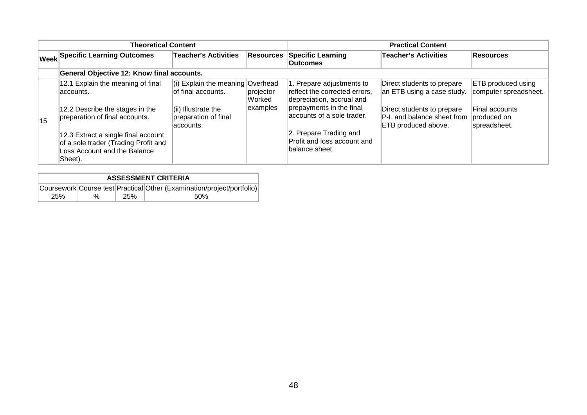|    | <b>Theoretical Content</b>                                                                                                                                                                                                                     |                                                                                                                             |                                 | <b>Practical Content</b>                                                                                                                                                                                                     |                                                                                                                                                    |                                                                                                     |
|----|------------------------------------------------------------------------------------------------------------------------------------------------------------------------------------------------------------------------------------------------|-----------------------------------------------------------------------------------------------------------------------------|---------------------------------|------------------------------------------------------------------------------------------------------------------------------------------------------------------------------------------------------------------------------|----------------------------------------------------------------------------------------------------------------------------------------------------|-----------------------------------------------------------------------------------------------------|
|    | <b>Week Specific Learning Outcomes</b>                                                                                                                                                                                                         | <b>Teacher's Activities</b>                                                                                                 | <b>Resources</b>                | <b>Specific Learning</b><br><b>Outcomes</b>                                                                                                                                                                                  | <b>Teacher's Activities</b>                                                                                                                        | <b>Resources</b>                                                                                    |
|    | General Objective 12: Know final accounts.                                                                                                                                                                                                     |                                                                                                                             |                                 |                                                                                                                                                                                                                              |                                                                                                                                                    |                                                                                                     |
| 15 | 12.1 Explain the meaning of final<br>laccounts.<br>12.2 Describe the stages in the<br>preparation of final accounts.<br>12.3 Extract a single final account<br>of a sole trader (Trading Profit and<br>Loss Account and the Balance<br>Sheet). | (i) Explain the meaning Overhead<br>of final accounts.<br>$\vert$ (ii) Illustrate the<br>preparation of final<br>laccounts. | projector<br>Worked<br>examples | 1. Prepare adjustments to<br>reflect the corrected errors,<br>depreciation, accrual and<br>prepayments in the final<br>accounts of a sole trader.<br>2. Prepare Trading and<br>Profit and loss account and<br>balance sheet. | Direct students to prepare<br>an ETB using a case study.<br>Direct students to prepare<br>P-L and balance sheet from<br><b>ETB</b> produced above. | <b>ETB produced using</b><br>computer spreadsheet.<br>Final accounts<br>produced on<br>spreadsheet. |

| <b>ASSESSMENT CRITERIA</b>                                             |      |     |      |  |  |  |  |
|------------------------------------------------------------------------|------|-----|------|--|--|--|--|
| Coursework Course test Practical Other (Examination/project/portfolio) |      |     |      |  |  |  |  |
| 25%                                                                    | $\%$ | 25% | .50% |  |  |  |  |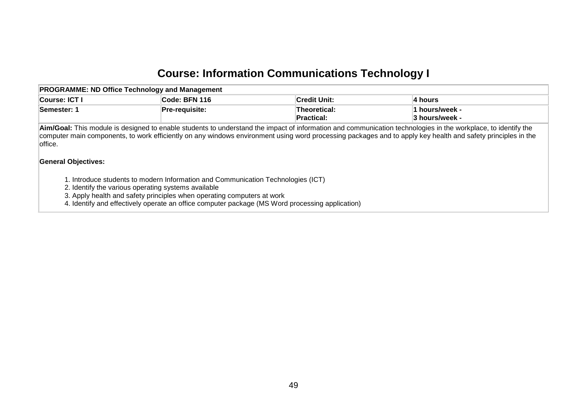#### **Course: Information Communications Technology I**

| <b>PROGRAMME: ND Office Technology and Management</b>       |                 |                            |                                   |  |  |
|-------------------------------------------------------------|-----------------|----------------------------|-----------------------------------|--|--|
| Course: ICT I<br>∣Credit Unit:<br>lCode: BFN 116<br>4 hours |                 |                            |                                   |  |  |
| Semester: 1                                                 | ∣Pre-requisite: | Theoretical:<br>Practical: | ˈ1 hours/week -<br>3 hours/week - |  |  |

**Aim/Goal:** This module is designed to enable students to understand the impact of information and communication technologies in the workplace, to identify the computer main components, to work efficiently on any windows environment using word processing packages and to apply key health and safety principles in the office.

#### **General Objectives:**

1. Introduce students to modern Information and Communication Technologies (ICT)

2. Identify the various operating systems available

3. Apply health and safety principles when operating computers at work

4. Identify and effectively operate an office computer package (MS Word processing application)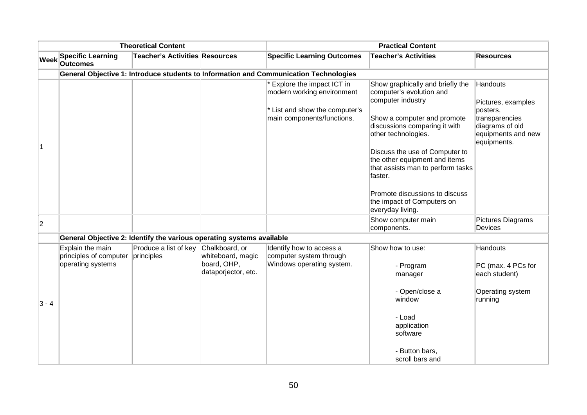|                |                                                                       | <b>Theoretical Content</b>            |                                                                           |                                                                                                                       | <b>Practical Content</b>                                                                                                                                                                                                                                                                                                                                                        |                                                                                                                      |
|----------------|-----------------------------------------------------------------------|---------------------------------------|---------------------------------------------------------------------------|-----------------------------------------------------------------------------------------------------------------------|---------------------------------------------------------------------------------------------------------------------------------------------------------------------------------------------------------------------------------------------------------------------------------------------------------------------------------------------------------------------------------|----------------------------------------------------------------------------------------------------------------------|
| <b>Week</b>    | <b>Specific Learning</b><br><b>Outcomes</b>                           | <b>Teacher's Activities Resources</b> |                                                                           | <b>Specific Learning Outcomes</b>                                                                                     | <b>Teacher's Activities</b>                                                                                                                                                                                                                                                                                                                                                     | <b>Resources</b>                                                                                                     |
|                |                                                                       |                                       |                                                                           | General Objective 1: Introduce students to Information and Communication Technologies                                 |                                                                                                                                                                                                                                                                                                                                                                                 |                                                                                                                      |
|                |                                                                       |                                       |                                                                           | Explore the impact ICT in<br>modern working environment<br>List and show the computer's<br>main components/functions. | Show graphically and briefly the<br>computer's evolution and<br>computer industry<br>Show a computer and promote<br>discussions comparing it with<br>other technologies.<br>Discuss the use of Computer to<br>the other equipment and items<br>that assists man to perform tasks<br>faster.<br>Promote discussions to discuss<br>the impact of Computers on<br>everyday living. | Handouts<br>Pictures, examples<br>posters,<br>transparencies<br>diagrams of old<br>equipments and new<br>equipments. |
| $\overline{2}$ |                                                                       |                                       |                                                                           |                                                                                                                       | Show computer main<br>components.                                                                                                                                                                                                                                                                                                                                               | <b>Pictures Diagrams</b><br><b>Devices</b>                                                                           |
|                | General Objective 2: Identify the various operating systems available |                                       |                                                                           |                                                                                                                       |                                                                                                                                                                                                                                                                                                                                                                                 |                                                                                                                      |
| $ 3 - 4 $      | Explain the main<br>principles of computer<br>operating systems       | Produce a list of key<br>principles   | Chalkboard, or<br>whiteboard, magic<br>board, OHP,<br>dataporjector, etc. | Identify how to access a<br>computer system through<br>Windows operating system.                                      | Show how to use:<br>- Program<br>manager<br>- Open/close a<br>window<br>- Load<br>application<br>software<br>- Button bars,<br>scroll bars and                                                                                                                                                                                                                                  | Handouts<br>PC (max. 4 PCs for<br>each student)<br>Operating system<br>running                                       |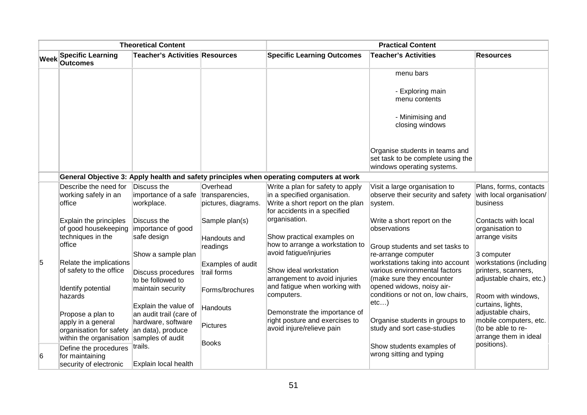|             | <b>Theoretical Content</b>                                                                                                                                      |                                                                                              |                                                                                | <b>Practical Content</b>                                                                                                             |                                                                                                                                                                            |                                                                                                                          |  |
|-------------|-----------------------------------------------------------------------------------------------------------------------------------------------------------------|----------------------------------------------------------------------------------------------|--------------------------------------------------------------------------------|--------------------------------------------------------------------------------------------------------------------------------------|----------------------------------------------------------------------------------------------------------------------------------------------------------------------------|--------------------------------------------------------------------------------------------------------------------------|--|
| <b>Week</b> | <b>Specific Learning</b><br><b>Outcomes</b>                                                                                                                     | <b>Teacher's Activities Resources</b>                                                        |                                                                                | <b>Specific Learning Outcomes</b>                                                                                                    | <b>Teacher's Activities</b>                                                                                                                                                | <b>Resources</b>                                                                                                         |  |
|             |                                                                                                                                                                 |                                                                                              |                                                                                |                                                                                                                                      | menu bars                                                                                                                                                                  |                                                                                                                          |  |
|             |                                                                                                                                                                 |                                                                                              |                                                                                |                                                                                                                                      | - Exploring main<br>menu contents                                                                                                                                          |                                                                                                                          |  |
|             |                                                                                                                                                                 |                                                                                              |                                                                                |                                                                                                                                      | - Minimising and<br>closing windows                                                                                                                                        |                                                                                                                          |  |
|             |                                                                                                                                                                 |                                                                                              |                                                                                |                                                                                                                                      | Organise students in teams and<br>set task to be complete using the<br>windows operating systems.                                                                          |                                                                                                                          |  |
|             |                                                                                                                                                                 |                                                                                              |                                                                                | General Objective 3: Apply health and safety principles when operating computers at work                                             |                                                                                                                                                                            |                                                                                                                          |  |
|             | Describe the need for<br>working safely in an<br>office                                                                                                         | Discuss the<br>importance of a safe transparencies,<br>workplace.                            | Overhead<br>pictures, diagrams.                                                | Write a plan for safety to apply<br>in a specified organisation.<br>Write a short report on the plan<br>for accidents in a specified | Visit a large organisation to<br>observe their security and safety<br>system.                                                                                              | Plans, forms, contacts<br>with local organisation/<br>business                                                           |  |
| 5           | Explain the principles<br>of good housekeeping<br>techniques in the<br>office<br>Relate the implications<br>of safety to the office                             | Discuss the<br>importance of good<br>safe design<br>Show a sample plan<br>Discuss procedures | Sample plan(s)<br>Handouts and<br>readings<br>Examples of audit<br>trail forms | organisation.<br>Show practical examples on<br>how to arrange a workstation to<br>avoid fatigue/injuries<br>Show ideal workstation   | Write a short report on the<br>observations<br>Group students and set tasks to<br>re-arrange computer<br>workstations taking into account<br>various environmental factors | Contacts with local<br>organisation to<br>arrange visits<br>3 computer<br>workstations (including<br>printers, scanners, |  |
|             | Identify potential<br>hazards<br>Propose a plan to                                                                                                              | to be followed to<br>maintain security<br>Explain the value of<br>an audit trail (care of    | Forms/brochures<br>Handouts                                                    | arrangement to avoid injuries<br>and fatigue when working with<br>computers.<br>Demonstrate the importance of                        | (make sure they encounter<br>opened widows, noisy air-<br>conditions or not on, low chairs,<br>etc)                                                                        | adjustable chairs, etc.)<br>Room with windows,<br>curtains, lights,<br>adjustable chairs,                                |  |
| 6           | apply in a general<br>organisation for safety<br>within the organisation samples of audit<br>Define the procedures<br>for maintaining<br>security of electronic | hardware, software<br>an data), produce<br>trails.<br>Explain local health                   | Pictures<br>Books                                                              | right posture and exercises to<br>avoid injure/relieve pain                                                                          | Organise students in groups to<br>study and sort case-studies<br>Show students examples of<br>wrong sitting and typing                                                     | mobile computers, etc.<br>(to be able to re-<br>arrange them in ideal<br>positions).                                     |  |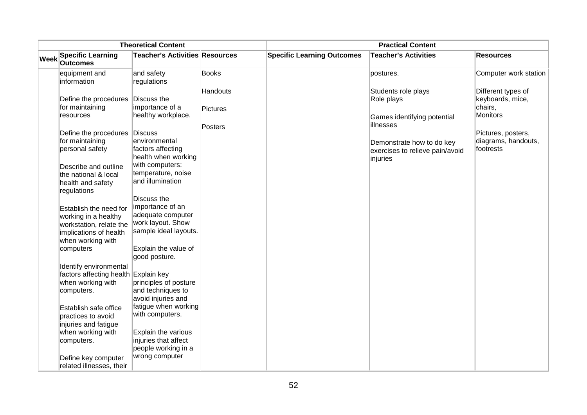|             | <b>Theoretical Content</b>                                                                                                            |                                                                                                                                             |                             | <b>Practical Content</b>          |                                                                               |                                                               |  |
|-------------|---------------------------------------------------------------------------------------------------------------------------------------|---------------------------------------------------------------------------------------------------------------------------------------------|-----------------------------|-----------------------------------|-------------------------------------------------------------------------------|---------------------------------------------------------------|--|
| <b>Week</b> | Specific Learning<br><b>Outcomes</b>                                                                                                  | <b>Teacher's Activities Resources</b>                                                                                                       |                             | <b>Specific Learning Outcomes</b> | <b>Teacher's Activities</b>                                                   | <b>Resources</b>                                              |  |
|             | equipment and<br>information                                                                                                          | and safety<br>regulations                                                                                                                   | <b>Books</b>                |                                   | postures.                                                                     | Computer work station                                         |  |
|             | Define the procedures<br>for maintaining<br>resources                                                                                 | Discuss the<br>importance of a<br>healthy workplace.                                                                                        | <b>Handouts</b><br>Pictures |                                   | Students role plays<br>Role plays<br>Games identifying potential<br>illnesses | Different types of<br>keyboards, mice,<br>chairs,<br>Monitors |  |
|             | Define the procedures<br>for maintaining<br>personal safety                                                                           | Discuss<br>environmental<br>factors affecting<br>health when working                                                                        | Posters                     |                                   | Demonstrate how to do key<br>exercises to relieve pain/avoid<br>injuries      | Pictures, posters,<br>diagrams, handouts,<br>footrests        |  |
|             | Describe and outline<br>the national & local<br>health and safety<br>regulations                                                      | with computers:<br>temperature, noise<br>and illumination                                                                                   |                             |                                   |                                                                               |                                                               |  |
|             | Establish the need for<br>working in a healthy<br>workstation, relate the<br>implications of health<br>when working with<br>computers | Discuss the<br>importance of an<br>adequate computer<br>work layout. Show<br>sample ideal layouts.<br>Explain the value of<br>good posture. |                             |                                   |                                                                               |                                                               |  |
|             | Identify environmental<br>factors affecting health Explain key<br>when working with<br>computers.                                     | principles of posture<br>and techniques to<br>avoid injuries and                                                                            |                             |                                   |                                                                               |                                                               |  |
|             | Establish safe office<br>practices to avoid<br>injuries and fatigue<br>when working with<br>computers.                                | fatigue when working<br>with computers.<br>Explain the various<br>injuries that affect<br>people working in a                               |                             |                                   |                                                                               |                                                               |  |
|             | Define key computer<br>related illnesses, their                                                                                       | wrong computer                                                                                                                              |                             |                                   |                                                                               |                                                               |  |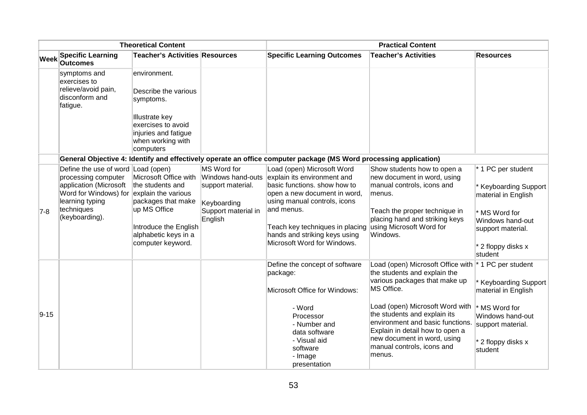|          | <b>Theoretical Content</b>                                                                                                                                                          |                                                                                                                                                       |                                                                                                        | <b>Practical Content</b>                                                                                                                                                                                                                                                   |                                                                                                                                                                                                                                                                                                                                                     |                                                                                                                                                                    |  |
|----------|-------------------------------------------------------------------------------------------------------------------------------------------------------------------------------------|-------------------------------------------------------------------------------------------------------------------------------------------------------|--------------------------------------------------------------------------------------------------------|----------------------------------------------------------------------------------------------------------------------------------------------------------------------------------------------------------------------------------------------------------------------------|-----------------------------------------------------------------------------------------------------------------------------------------------------------------------------------------------------------------------------------------------------------------------------------------------------------------------------------------------------|--------------------------------------------------------------------------------------------------------------------------------------------------------------------|--|
|          | <b>Week Specific Learning</b><br><b>Outcomes</b>                                                                                                                                    | Teacher's Activities Resources                                                                                                                        |                                                                                                        | <b>Specific Learning Outcomes</b>                                                                                                                                                                                                                                          | <b>Teacher's Activities</b>                                                                                                                                                                                                                                                                                                                         | <b>Resources</b>                                                                                                                                                   |  |
|          | symptoms and<br>exercises to<br>relieve/avoid pain,<br>disconform and<br>fatigue.                                                                                                   | lenvironment.<br>Describe the various<br>symptoms.<br>Illustrate key<br>exercises to avoid<br>injuries and fatigue<br>when working with<br>computers  |                                                                                                        |                                                                                                                                                                                                                                                                            |                                                                                                                                                                                                                                                                                                                                                     |                                                                                                                                                                    |  |
|          |                                                                                                                                                                                     |                                                                                                                                                       |                                                                                                        | General Objective 4: Identify and effectively operate an office computer package (MS Word processing application)                                                                                                                                                          |                                                                                                                                                                                                                                                                                                                                                     |                                                                                                                                                                    |  |
| $7-8$    | Define the use of word Load (open)<br>processing computer<br>application (Microsoft<br>Word for Windows) for explain the various<br>learning typing<br>techniques<br>(keyboarding). | Microsoft Office with<br>the students and<br>packages that make<br>up MS Office<br>Introduce the English<br>alphabetic keys in a<br>computer keyword. | MS Word for<br>Windows hand-outs<br>support material.<br>Keyboarding<br>Support material in<br>English | Load (open) Microsoft Word<br>explain its environment and<br>basic functions. show how to<br>open a new document in word,<br>using manual controls, icons<br>and menus.<br>Teach key techniques in placing<br>hands and striking keys using<br>Microsoft Word for Windows. | Show students how to open a<br>new document in word, using<br>manual controls, icons and<br>menus.<br>Teach the proper technique in<br>placing hand and striking keys<br>using Microsoft Word for<br>Windows.                                                                                                                                       | * 1 PC per student<br><b>Keyboarding Support</b><br>material in English<br>* MS Word for<br>Windows hand-out<br>support material.<br>* 2 floppy disks x<br>student |  |
| $9 - 15$ |                                                                                                                                                                                     |                                                                                                                                                       |                                                                                                        | Define the concept of software<br>package:<br>Microsoft Office for Windows:<br>- Word<br>Processor<br>- Number and<br>data software<br>- Visual aid<br>software<br>- Image<br>presentation                                                                                 | Load (open) Microsoft Office with<br>the students and explain the<br>various packages that make up<br>MS Office.<br>Load (open) Microsoft Word with<br>the students and explain its<br>environment and basic functions. Support material.<br>Explain in detail how to open a<br>new document in word, using<br>manual controls, icons and<br>menus. | * 1 PC per student<br><b>Keyboarding Support</b><br>material in English<br>* MS Word for<br>Windows hand-out<br>2 floppy disks x<br>student                        |  |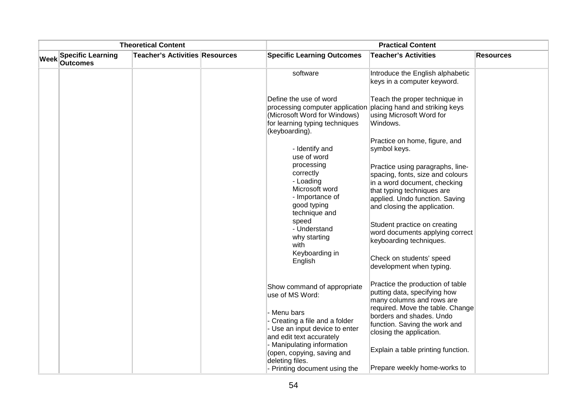| <b>Theoretical Content</b> |                                             |                                       | <b>Practical Content</b>                                                                                                                                                                                                                                                |                                                                                                                                                                                                                                                                                                                                                                                                             |                  |  |
|----------------------------|---------------------------------------------|---------------------------------------|-------------------------------------------------------------------------------------------------------------------------------------------------------------------------------------------------------------------------------------------------------------------------|-------------------------------------------------------------------------------------------------------------------------------------------------------------------------------------------------------------------------------------------------------------------------------------------------------------------------------------------------------------------------------------------------------------|------------------|--|
| <b>Week</b>                | <b>Specific Learning</b><br><b>Outcomes</b> | <b>Teacher's Activities Resources</b> | <b>Specific Learning Outcomes</b>                                                                                                                                                                                                                                       | <b>Teacher's Activities</b>                                                                                                                                                                                                                                                                                                                                                                                 | <b>Resources</b> |  |
|                            |                                             |                                       | software                                                                                                                                                                                                                                                                | Introduce the English alphabetic<br>keys in a computer keyword.                                                                                                                                                                                                                                                                                                                                             |                  |  |
|                            |                                             |                                       | Define the use of word<br>processing computer application<br>(Microsoft Word for Windows)<br>for learning typing techniques<br>(keyboarding).                                                                                                                           | Teach the proper technique in<br>placing hand and striking keys<br>using Microsoft Word for<br>Windows.                                                                                                                                                                                                                                                                                                     |                  |  |
|                            |                                             |                                       | - Identify and<br>use of word<br>processing<br>correctly<br>- Loading<br>Microsoft word<br>- Importance of<br>good typing<br>technique and<br>speed<br>- Understand<br>why starting<br>with<br>Keyboarding in<br>English                                                | Practice on home, figure, and<br>symbol keys.<br>Practice using paragraphs, line-<br>spacing, fonts, size and colours<br>in a word document, checking<br>that typing techniques are<br>applied. Undo function. Saving<br>and closing the application.<br>Student practice on creating<br>word documents applying correct<br>keyboarding techniques.<br>Check on students' speed<br>development when typing. |                  |  |
|                            |                                             |                                       | Show command of appropriate<br>use of MS Word:<br>Menu bars<br>Creating a file and a folder<br>Use an input device to enter<br>and edit text accurately<br>- Manipulating information<br>(open, copying, saving and<br>deleting files.<br>- Printing document using the | Practice the production of table<br>putting data, specifying how<br>many columns and rows are<br>required. Move the table. Change<br>borders and shades. Undo<br>function. Saving the work and<br>closing the application.<br>Explain a table printing function.<br>Prepare weekly home-works to                                                                                                            |                  |  |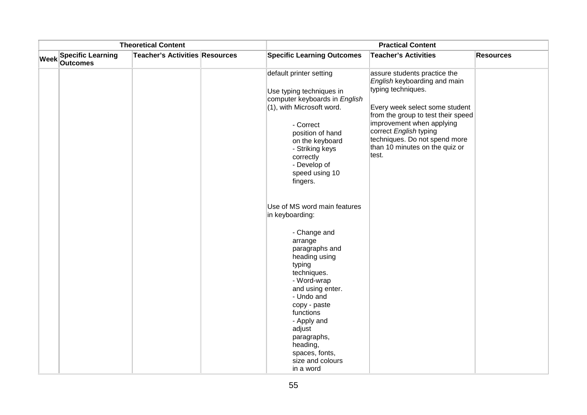|             | <b>Theoretical Content</b>                  |                                |  | <b>Practical Content</b>                                                                                                                                                                                                                                                                                                    |                                                                                                                                                                                                                                                                                               |                  |  |
|-------------|---------------------------------------------|--------------------------------|--|-----------------------------------------------------------------------------------------------------------------------------------------------------------------------------------------------------------------------------------------------------------------------------------------------------------------------------|-----------------------------------------------------------------------------------------------------------------------------------------------------------------------------------------------------------------------------------------------------------------------------------------------|------------------|--|
| <b>Week</b> | <b>Specific Learning</b><br><b>Outcomes</b> | Teacher's Activities Resources |  | <b>Specific Learning Outcomes</b>                                                                                                                                                                                                                                                                                           | <b>Teacher's Activities</b>                                                                                                                                                                                                                                                                   | <b>Resources</b> |  |
|             |                                             |                                |  | default printer setting<br>Use typing techniques in<br>computer keyboards in English<br>(1), with Microsoft word.<br>- Correct<br>position of hand<br>on the keyboard<br>- Striking keys<br>correctly<br>- Develop of<br>speed using 10<br>fingers.                                                                         | assure students practice the<br>English keyboarding and main<br>typing techniques.<br>Every week select some student<br>from the group to test their speed<br>improvement when applying<br>correct English typing<br>techniques. Do not spend more<br>than 10 minutes on the quiz or<br>test. |                  |  |
|             |                                             |                                |  | Use of MS word main features<br>in keyboarding:<br>- Change and<br>arrange<br>paragraphs and<br>heading using<br>typing<br>techniques.<br>- Word-wrap<br>and using enter.<br>- Undo and<br>copy - paste<br>functions<br>- Apply and<br>adjust<br>paragraphs,<br>heading,<br>spaces, fonts,<br>size and colours<br>in a word |                                                                                                                                                                                                                                                                                               |                  |  |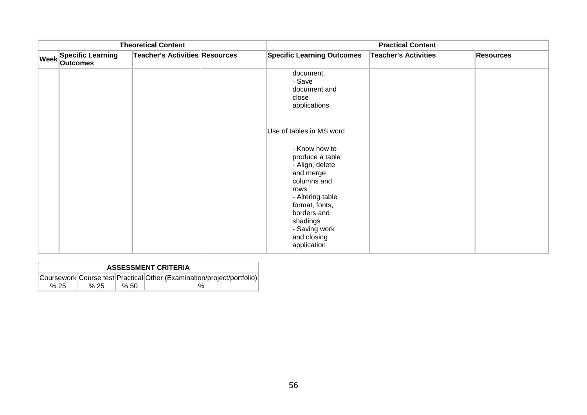| <b>Theoretical Content</b> |                                           |                                       | <b>Practical Content</b>                                                                                                                                                                                |                             |                  |  |
|----------------------------|-------------------------------------------|---------------------------------------|---------------------------------------------------------------------------------------------------------------------------------------------------------------------------------------------------------|-----------------------------|------------------|--|
|                            | Week Specific Learning<br><b>Outcomes</b> | <b>Teacher's Activities Resources</b> | <b>Specific Learning Outcomes</b>                                                                                                                                                                       | <b>Teacher's Activities</b> | <b>Resources</b> |  |
|                            |                                           |                                       | document.<br>- Save<br>document and<br>close<br>applications<br>Use of tables in MS word<br>- Know how to<br>produce a table<br>- Align, delete<br>and merge<br>columns and<br>rows<br>- Altering table |                             |                  |  |
|                            |                                           |                                       | format, fonts,<br>borders and<br>shadings<br>- Saving work<br>and closing<br>application                                                                                                                |                             |                  |  |

| <b>ASSESSMENT CRITERIA</b> |      |     |                                                                        |  |  |  |
|----------------------------|------|-----|------------------------------------------------------------------------|--|--|--|
|                            |      |     | Coursework Course test Practical Other (Examination/project/portfolio) |  |  |  |
| %25                        | % 25 | %50 |                                                                        |  |  |  |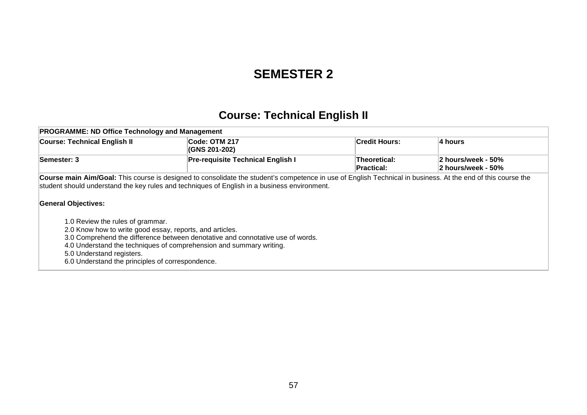#### **SEMESTER 2**

# **Course: Technical English II**

| <b>PROGRAMME: ND Office Technology and Management</b>                                                                                                                                                       |                                                                                                                                                                                                                                                                                                                                                                                                                       |                                          |                                          |
|-------------------------------------------------------------------------------------------------------------------------------------------------------------------------------------------------------------|-----------------------------------------------------------------------------------------------------------------------------------------------------------------------------------------------------------------------------------------------------------------------------------------------------------------------------------------------------------------------------------------------------------------------|------------------------------------------|------------------------------------------|
| <b>Course: Technical English II</b>                                                                                                                                                                         | Code: OTM 217<br>(GNS 201-202)                                                                                                                                                                                                                                                                                                                                                                                        | <b>Credit Hours:</b>                     | ∣4 hours                                 |
| Semester: 3                                                                                                                                                                                                 | <b>Pre-requisite Technical English I</b>                                                                                                                                                                                                                                                                                                                                                                              | <b>Theoretical:</b><br><b>Practical:</b> | 2 hours/week - 50%<br>2 hours/week - 50% |
| <b>General Objectives:</b><br>1.0 Review the rules of grammar.<br>2.0 Know how to write good essay, reports, and articles.<br>5.0 Understand registers.<br>6.0 Understand the principles of correspondence. | Course main Aim/Goal: This course is designed to consolidate the student's competence in use of English Technical in business. At the end of this course the<br>student should understand the key rules and techniques of English in a business environment.<br>3.0 Comprehend the difference between denotative and connotative use of words.<br>4.0 Understand the techniques of comprehension and summary writing. |                                          |                                          |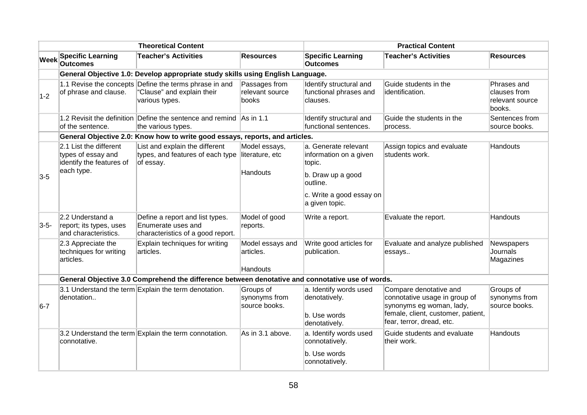|             |                                                                          | <b>Theoretical Content</b>                                                                             |                                             | <b>Practical Content</b>                                                   |                                                                                                                                                        |                                                          |  |
|-------------|--------------------------------------------------------------------------|--------------------------------------------------------------------------------------------------------|---------------------------------------------|----------------------------------------------------------------------------|--------------------------------------------------------------------------------------------------------------------------------------------------------|----------------------------------------------------------|--|
| <b>Week</b> | <b>Specific Learning</b><br><b>Outcomes</b>                              | <b>Teacher's Activities</b>                                                                            | <b>Resources</b>                            | <b>Specific Learning</b><br><b>Outcomes</b>                                | <b>Teacher's Activities</b>                                                                                                                            | <b>Resources</b>                                         |  |
|             |                                                                          | General Objective 1.0: Develop appropriate study skills using English Language.                        |                                             |                                                                            |                                                                                                                                                        |                                                          |  |
| $1-2$       | of phrase and clause.                                                    | 1.1 Revise the concepts Define the terms phrase in and<br>"Clause" and explain their<br>various types. | Passages from<br>relevant source<br>books   | Identify structural and<br>functional phrases and<br>clauses.              | Guide students in the<br>identification.                                                                                                               | Phrases and<br>clauses from<br>relevant source<br>books. |  |
|             | of the sentence.                                                         | 1.2 Revisit the definition Define the sentence and remind As in 1.1<br>the various types.              |                                             | Identify structural and<br>functional sentences.                           | Guide the students in the<br>process.                                                                                                                  | Sentences from<br>source books.                          |  |
|             |                                                                          | General Objective 2.0: Know how to write good essays, reports, and articles.                           |                                             |                                                                            |                                                                                                                                                        |                                                          |  |
|             | 2.1 List the different<br>types of essay and<br>identify the features of | List and explain the different<br>types, and features of each type<br>of essay.                        | Model essays,<br>literature, etc            | a. Generate relevant<br>information on a given<br>topic.                   | Assign topics and evaluate<br>students work.                                                                                                           | <b>Handouts</b>                                          |  |
| $3-5$       | each type.                                                               |                                                                                                        | Handouts                                    | b. Draw up a good<br>outline.                                              |                                                                                                                                                        |                                                          |  |
|             |                                                                          |                                                                                                        |                                             | c. Write a good essay on<br>a given topic.                                 |                                                                                                                                                        |                                                          |  |
| $3-5-$      | 2.2 Understand a<br>report; its types, uses<br>and characteristics.      | Define a report and list types.<br>Enumerate uses and<br>characteristics of a good report.             | Model of good<br>reports.                   | Write a report.                                                            | Evaluate the report.                                                                                                                                   | Handouts                                                 |  |
|             | 2.3 Appreciate the<br>techniques for writing<br>articles.                | Explain techniques for writing<br>articles.                                                            | Model essays and<br>articles.<br>Handouts   | Write good articles for<br>publication.                                    | Evaluate and analyze published<br>essays                                                                                                               | Newspapers<br>Journals<br>Magazines                      |  |
|             |                                                                          | General Objective 3.0 Comprehend the difference between denotative and connotative use of words.       |                                             |                                                                            |                                                                                                                                                        |                                                          |  |
| $6 - 7$     | denotation                                                               | 3.1 Understand the term Explain the term denotation.                                                   | Groups of<br>synonyms from<br>source books. | a. Identify words used<br>denotatively.<br>b. Use words<br>denotatively.   | Compare denotative and<br>connotative usage in group of<br>synonyms eg woman, lady,<br>female, client, customer, patient,<br>fear, terror, dread, etc. | Groups of<br>synonyms from<br>source books.              |  |
|             | connotative.                                                             | 3.2 Understand the term Explain the term connotation.                                                  | As in 3.1 above.                            | a. Identify words used<br>connotatively.<br>b. Use words<br>connotatively. | Guide students and evaluate<br>their work.                                                                                                             | Handouts                                                 |  |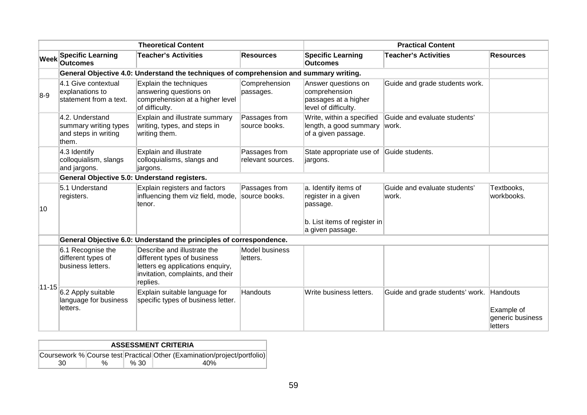|           |                                                                           | <b>Theoretical Content</b>                                                                                                                      |                                    |                                                                                                             | <b>Practical Content</b>               |                                                               |
|-----------|---------------------------------------------------------------------------|-------------------------------------------------------------------------------------------------------------------------------------------------|------------------------------------|-------------------------------------------------------------------------------------------------------------|----------------------------------------|---------------------------------------------------------------|
| Week      | <b>Specific Learning</b><br><b>Outcomes</b>                               | <b>Teacher's Activities</b>                                                                                                                     | <b>Resources</b>                   | <b>Specific Learning</b><br><b>Outcomes</b>                                                                 | <b>Teacher's Activities</b>            | <b>Resources</b>                                              |
|           |                                                                           | General Objective 4.0: Understand the techniques of comprehension and summary writing.                                                          |                                    |                                                                                                             |                                        |                                                               |
| $8-9$     | 4.1 Give contextual<br>explanations to<br>statement from a text.          | Explain the techniques<br>answering questions on<br>comprehension at a higher level<br>of difficulty.                                           | Comprehension<br>passages.         | Answer questions on<br>comprehension<br>passages at a higher<br>level of difficulty.                        | Guide and grade students work.         |                                                               |
|           | 4.2. Understand<br>summary writing types<br>and steps in writing<br>them. | Explain and illustrate summary<br>writing, types, and steps in<br>writing them.                                                                 | Passages from<br>source books.     | Write, within a specified<br>length, a good summary<br>of a given passage.                                  | Guide and evaluate students'<br>lwork. |                                                               |
|           | 4.3 Identify<br>colloquialism, slangs<br>and jargons.                     | <b>Explain and illustrate</b><br>colloquialisms, slangs and<br>jargons.                                                                         | Passages from<br>relevant sources. | State appropriate use of<br>jargons.                                                                        | Guide students.                        |                                                               |
|           | General Objective 5.0: Understand registers.                              |                                                                                                                                                 |                                    |                                                                                                             |                                        |                                                               |
| 10        | 5.1 Understand<br>registers.                                              | Explain registers and factors<br>influencing them viz field, mode,<br>tenor.                                                                    | Passages from<br>source books.     | a. Identify items of<br>register in a given<br>passage.<br>b. List items of register in<br>a given passage. | Guide and evaluate students'<br>work.  | Textbooks,<br>workbooks.                                      |
|           |                                                                           | General Objective 6.0: Understand the principles of correspondence.                                                                             |                                    |                                                                                                             |                                        |                                                               |
|           | 6.1 Recognise the<br>different types of<br>business letters.              | Describe and illustrate the<br>different types of business<br>letters eg applications enquiry,<br>invitation, complaints, and their<br>replies. | Model business<br>letters.         |                                                                                                             |                                        |                                                               |
| $11 - 15$ | 6.2 Apply suitable<br>language for business<br>letters.                   | Explain suitable language for<br>specific types of business letter.                                                                             | Handouts                           | Write business letters.                                                                                     | Guide and grade students' work.        | <b>Handouts</b><br>Example of<br>generic business<br>lletters |

|    |   |      | <b>ASSESSMENT CRITERIA</b>                                               |
|----|---|------|--------------------------------------------------------------------------|
|    |   |      | Coursework % Course test Practical Other (Examination/project/portfolio) |
| 30 | % | % 30 | 40%                                                                      |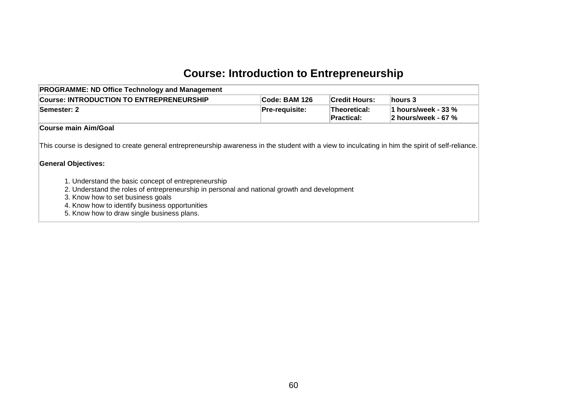# **Course: Introduction to Entrepreneurship**

| <b>PROGRAMME: ND Office Technology and Management</b>                                                                                                                                                                                                                                   |                       |                            |                                            |  |  |  |
|-----------------------------------------------------------------------------------------------------------------------------------------------------------------------------------------------------------------------------------------------------------------------------------------|-----------------------|----------------------------|--------------------------------------------|--|--|--|
| Course: INTRODUCTION TO ENTREPRENEURSHIP                                                                                                                                                                                                                                                | Code: BAM 126         | <b>Credit Hours:</b>       | hours 3                                    |  |  |  |
| Semester: 2                                                                                                                                                                                                                                                                             | <b>Pre-requisite:</b> | Theoretical:<br>Practical: | 1 hours/week - 33 %<br>2 hours/week - 67 % |  |  |  |
| Course main Aim/Goal                                                                                                                                                                                                                                                                    |                       |                            |                                            |  |  |  |
| This course is designed to create general entrepreneurship awareness in the student with a view to inculcating in him the spirit of self-reliance.<br><b>General Objectives:</b>                                                                                                        |                       |                            |                                            |  |  |  |
| 1. Understand the basic concept of entrepreneurship<br>2. Understand the roles of entrepreneurship in personal and national growth and development<br>3. Know how to set business goals<br>4. Know how to identify business opportunities<br>5. Know how to draw single business plans. |                       |                            |                                            |  |  |  |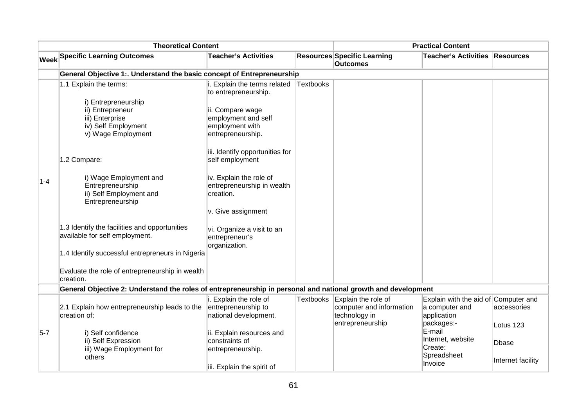| <b>Week Specific Learning Outcomes</b><br><b>Resources Specific Learning</b><br><b>Teacher's Activities</b><br><b>Teacher's Activities</b><br>Outcomes<br>General Objective 1:. Understand the basic concept of Entrepreneurship<br>i. Explain the terms related<br>1.1 Explain the terms:<br><b>Textbooks</b><br>to entrepreneurship.<br>i) Entrepreneurship<br>ii) Entrepreneur<br>ii. Compare wage<br>employment and self<br>iii) Enterprise<br>iv) Self Employment<br>employment with<br>v) Wage Employment<br>entrepreneurship.<br>iii. Identify opportunities for<br>1.2 Compare:<br>self employment<br>i) Wage Employment and<br>iv. Explain the role of<br>$1 - 4$<br>Entrepreneurship<br>entrepreneurship in wealth<br>ii) Self Employment and<br>creation.<br>Entrepreneurship<br>v. Give assignment<br>1.3 Identify the facilities and opportunities<br>vi. Organize a visit to an<br>available for self employment.<br>entrepreneur's<br>organization.<br>1.4 Identify successful entrepreneurs in Nigeria<br>Evaluate the role of entrepreneurship in wealth<br>creation.<br>General Objective 2: Understand the roles of entrepreneurship in personal and national growth and development<br>i. Explain the role of<br>Explain the role of<br>Textbooks<br>Explain with the aid of Computer and<br>entrepreneurship to<br>2.1 Explain how entrepreneurship leads to the<br>computer and information<br>a computer and<br>creation of:<br>national development.<br>technology in<br>application |  | <b>Theoretical Content</b> |  |                  | <b>Practical Content</b> |                            |
|--------------------------------------------------------------------------------------------------------------------------------------------------------------------------------------------------------------------------------------------------------------------------------------------------------------------------------------------------------------------------------------------------------------------------------------------------------------------------------------------------------------------------------------------------------------------------------------------------------------------------------------------------------------------------------------------------------------------------------------------------------------------------------------------------------------------------------------------------------------------------------------------------------------------------------------------------------------------------------------------------------------------------------------------------------------------------------------------------------------------------------------------------------------------------------------------------------------------------------------------------------------------------------------------------------------------------------------------------------------------------------------------------------------------------------------------------------------------------------------------------------------|--|----------------------------|--|------------------|--------------------------|----------------------------|
|                                                                                                                                                                                                                                                                                                                                                                                                                                                                                                                                                                                                                                                                                                                                                                                                                                                                                                                                                                                                                                                                                                                                                                                                                                                                                                                                                                                                                                                                                                              |  |                            |  |                  |                          | Resources                  |
|                                                                                                                                                                                                                                                                                                                                                                                                                                                                                                                                                                                                                                                                                                                                                                                                                                                                                                                                                                                                                                                                                                                                                                                                                                                                                                                                                                                                                                                                                                              |  |                            |  |                  |                          |                            |
|                                                                                                                                                                                                                                                                                                                                                                                                                                                                                                                                                                                                                                                                                                                                                                                                                                                                                                                                                                                                                                                                                                                                                                                                                                                                                                                                                                                                                                                                                                              |  |                            |  |                  |                          |                            |
|                                                                                                                                                                                                                                                                                                                                                                                                                                                                                                                                                                                                                                                                                                                                                                                                                                                                                                                                                                                                                                                                                                                                                                                                                                                                                                                                                                                                                                                                                                              |  |                            |  |                  |                          |                            |
|                                                                                                                                                                                                                                                                                                                                                                                                                                                                                                                                                                                                                                                                                                                                                                                                                                                                                                                                                                                                                                                                                                                                                                                                                                                                                                                                                                                                                                                                                                              |  |                            |  | entrepreneurship | packages:-               | accessories<br>Lotus 123   |
| E-mail<br>i) Self confidence<br>ii. Explain resources and<br>5-7<br>Internet, website<br>ii) Self Expression<br>constraints of<br>Create:<br>iii) Wage Employment for<br>entrepreneurship.<br>Spreadsheet<br>others<br>Invoice<br>iii. Explain the spirit of                                                                                                                                                                                                                                                                                                                                                                                                                                                                                                                                                                                                                                                                                                                                                                                                                                                                                                                                                                                                                                                                                                                                                                                                                                                 |  |                            |  |                  |                          | Dbase<br>Internet facility |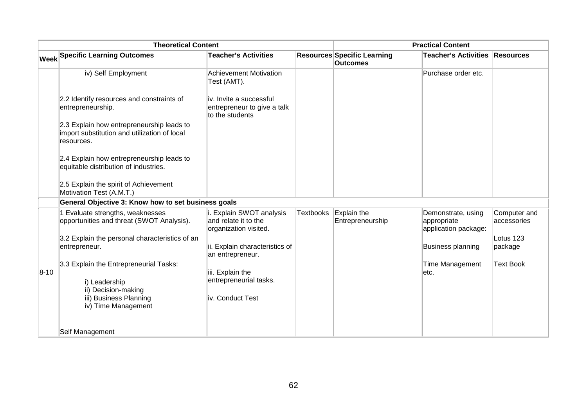|          | <b>Theoretical Content</b>                                                                                                      |                                                                           |           |                                                       | <b>Practical Content</b>                                  |                             |
|----------|---------------------------------------------------------------------------------------------------------------------------------|---------------------------------------------------------------------------|-----------|-------------------------------------------------------|-----------------------------------------------------------|-----------------------------|
|          | <b>Week Specific Learning Outcomes</b>                                                                                          | <b>Teacher's Activities</b>                                               |           | <b>Resources Specific Learning</b><br><b>Outcomes</b> | <b>Teacher's Activities</b>                               | <b>Resources</b>            |
|          | iv) Self Employment                                                                                                             | <b>Achievement Motivation</b><br>Test (AMT).                              |           |                                                       | Purchase order etc.                                       |                             |
|          | 2.2 Identify resources and constraints of<br>entrepreneurship.                                                                  | iv. Invite a successful<br>entrepreneur to give a talk<br>to the students |           |                                                       |                                                           |                             |
|          | 2.3 Explain how entrepreneurship leads to<br>import substitution and utilization of local<br>resources.                         |                                                                           |           |                                                       |                                                           |                             |
|          | 2.4 Explain how entrepreneurship leads to<br>equitable distribution of industries.                                              |                                                                           |           |                                                       |                                                           |                             |
|          | 2.5 Explain the spirit of Achievement<br>Motivation Test (A.M.T.)                                                               |                                                                           |           |                                                       |                                                           |                             |
|          | General Objective 3: Know how to set business goals                                                                             |                                                                           |           |                                                       |                                                           |                             |
|          | 1 Evaluate strengths, weaknesses<br>opportunities and threat (SWOT Analysis).                                                   | i. Explain SWOT analysis<br>and relate it to the<br>organization visited. | Textbooks | Explain the<br>Entrepreneurship                       | Demonstrate, using<br>appropriate<br>application package: | Computer and<br>accessories |
|          | 3.2 Explain the personal characteristics of an<br>entrepreneur.                                                                 | ii. Explain characteristics of<br>an entrepreneur.                        |           |                                                       | <b>Business planning</b>                                  | Lotus 123<br>package        |
| $8 - 10$ | 3.3 Explain the Entrepreneurial Tasks:<br>i) Leadership<br>ii) Decision-making<br>iii) Business Planning<br>iv) Time Management | iii. Explain the<br>entrepreneurial tasks.<br>iv. Conduct Test            |           |                                                       | Time Management<br>etc.                                   | <b>Text Book</b>            |
|          | Self Management                                                                                                                 |                                                                           |           |                                                       |                                                           |                             |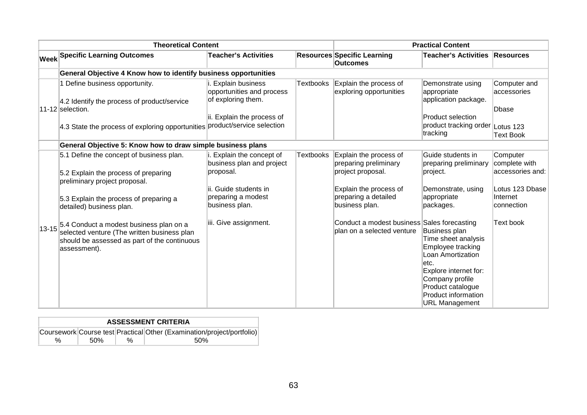|       | <b>Theoretical Content</b>                                                                                                                             |                                                                        |                  |                                                                           | <b>Practical Content</b>                                                                                                                                                                                       |                                               |
|-------|--------------------------------------------------------------------------------------------------------------------------------------------------------|------------------------------------------------------------------------|------------------|---------------------------------------------------------------------------|----------------------------------------------------------------------------------------------------------------------------------------------------------------------------------------------------------------|-----------------------------------------------|
|       | <b>Week Specific Learning Outcomes</b>                                                                                                                 | <b>Teacher's Activities</b>                                            |                  | <b>Resources Specific Learning</b><br><b>Outcomes</b>                     | Teacher's Activities Resources                                                                                                                                                                                 |                                               |
|       | General Objective 4 Know how to identify business opportunities                                                                                        |                                                                        |                  |                                                                           |                                                                                                                                                                                                                |                                               |
|       | 1 Define business opportunity.<br>4.2 Identify the process of product/service                                                                          | i. Explain business<br>opportunities and process<br>of exploring them. | <b>Textbooks</b> | Explain the process of<br>exploring opportunities                         | Demonstrate using<br>appropriate<br>application package.                                                                                                                                                       | Computer and<br>accessories                   |
|       | 11-12 selection.<br>4.3 State the process of exploring opportunities                                                                                   | ii. Explain the process of<br>product/service selection                |                  |                                                                           | Product selection<br>product tracking order<br>tracking                                                                                                                                                        | <b>Dbase</b><br>Lotus 123<br><b>Text Book</b> |
|       | General Objective 5: Know how to draw simple business plans                                                                                            |                                                                        |                  |                                                                           |                                                                                                                                                                                                                |                                               |
|       | 5.1 Define the concept of business plan.<br>5.2 Explain the process of preparing<br>preliminary project proposal.                                      | Explain the concept of<br>business plan and project<br>proposal.       | <b>Textbooks</b> | Explain the process of<br>preparing preliminary<br>project proposal.      | Guide students in<br>preparing preliminary<br>project.                                                                                                                                                         | Computer<br>complete with<br>accessories and: |
|       | 5.3 Explain the process of preparing a<br>detailed) business plan.                                                                                     | ii. Guide students in<br>preparing a modest<br>business plan.          |                  | Explain the process of<br>preparing a detailed<br>business plan.          | Demonstrate, using<br>appropriate<br>packages.                                                                                                                                                                 | Lotus 123 Dbase<br>Internet<br>connection     |
| 13-15 | 5.4 Conduct a modest business plan on a<br>selected venture (The written business plan<br>should be assessed as part of the continuous<br>assessment). | iii. Give assignment.                                                  |                  | Conduct a modest business Sales forecasting<br>plan on a selected venture | Business plan<br>Time sheet analysis<br>Employee tracking<br>Loan Amortization<br>etc.<br>Explore internet for:<br>Company profile<br>Product catalogue<br><b>Product information</b><br><b>URL Management</b> | Text book                                     |

| <b>ASSESSMENT CRITERIA</b> |      |      |                                                                        |  |  |
|----------------------------|------|------|------------------------------------------------------------------------|--|--|
|                            |      |      | Coursework Course test Practical Other (Examination/project/portfolio) |  |  |
| %                          | .50% | $\%$ | .50%                                                                   |  |  |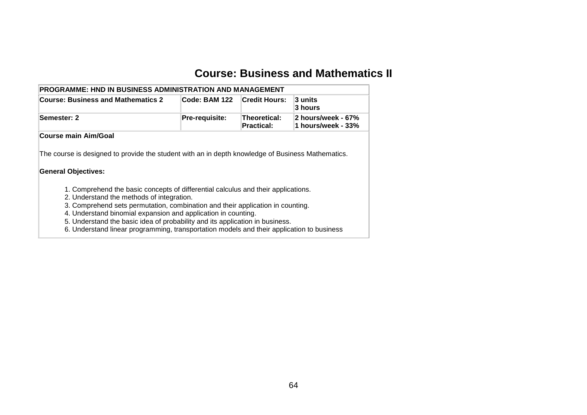#### **Course: Business and Mathematics II**

| <b>PROGRAMME: HND IN BUSINESS ADMINISTRATION AND MANAGEMENT</b>                                                                                                                                                                                                                                                                                                                                                                                                                                                                                                                                   |                |                                   |                                          |  |  |  |
|---------------------------------------------------------------------------------------------------------------------------------------------------------------------------------------------------------------------------------------------------------------------------------------------------------------------------------------------------------------------------------------------------------------------------------------------------------------------------------------------------------------------------------------------------------------------------------------------------|----------------|-----------------------------------|------------------------------------------|--|--|--|
| <b>Course: Business and Mathematics 2</b>                                                                                                                                                                                                                                                                                                                                                                                                                                                                                                                                                         | Code: BAM 122  | <b>Credit Hours:</b>              | 3 units<br>3 hours                       |  |  |  |
| Semester: 2                                                                                                                                                                                                                                                                                                                                                                                                                                                                                                                                                                                       | Pre-requisite: | Theoretical:<br><b>Practical:</b> | 2 hours/week - 67%<br>1 hours/week - 33% |  |  |  |
| Course main Aim/Goal                                                                                                                                                                                                                                                                                                                                                                                                                                                                                                                                                                              |                |                                   |                                          |  |  |  |
| The course is designed to provide the student with an in depth knowledge of Business Mathematics.<br><b>General Objectives:</b><br>1. Comprehend the basic concepts of differential calculus and their applications.<br>2. Understand the methods of integration.<br>3. Comprehend sets permutation, combination and their application in counting.<br>4. Understand binomial expansion and application in counting.<br>5. Understand the basic idea of probability and its application in business.<br>6. Understand linear programming, transportation models and their application to business |                |                                   |                                          |  |  |  |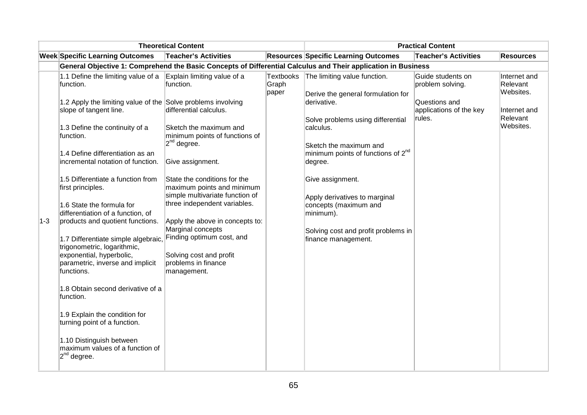|         |                                                                                                    | <b>Theoretical Content</b>                                                                    | <b>Practical Content</b>    |                                                                                                               |                                                    |                                       |
|---------|----------------------------------------------------------------------------------------------------|-----------------------------------------------------------------------------------------------|-----------------------------|---------------------------------------------------------------------------------------------------------------|----------------------------------------------------|---------------------------------------|
|         | <b>Week Specific Learning Outcomes</b>                                                             | <b>Teacher's Activities</b>                                                                   |                             | <b>Resources Specific Learning Outcomes</b>                                                                   | <b>Teacher's Activities</b>                        | <b>Resources</b>                      |
|         |                                                                                                    |                                                                                               |                             | General Objective 1: Comprehend the Basic Concepts of Differential Calculus and Their application in Business |                                                    |                                       |
|         | 1.1 Define the limiting value of a<br>function.                                                    | Explain limiting value of a<br>function.                                                      | Textbooks<br>Graph<br>paper | The limiting value function.<br>Derive the general formulation for                                            | Guide students on<br>problem solving.              | Internet and<br>Relevant<br>Websites. |
|         | 1.2 Apply the limiting value of the Solve problems involving<br>slope of tangent line.             | differential calculus.                                                                        |                             | derivative.<br>Solve problems using differential                                                              | Questions and<br>applications of the key<br>rules. | Internet and<br>Relevant              |
|         | 1.3 Define the continuity of a<br>function.                                                        | Sketch the maximum and<br>minimum points of functions of<br>$2nd$ degree.                     |                             | calculus.<br>Sketch the maximum and                                                                           |                                                    | Websites.                             |
|         | 1.4 Define differentiation as an<br>incremental notation of function.                              | Give assignment.                                                                              |                             | minimum points of functions of 2 <sup>nd</sup><br>degree.                                                     |                                                    |                                       |
|         | 1.5 Differentiate a function from<br>first principles.                                             | State the conditions for the<br>maximum points and minimum<br>simple multivariate function of |                             | Give assignment.<br>Apply derivatives to marginal                                                             |                                                    |                                       |
| $1 - 3$ | 1.6 State the formula for<br>differentiation of a function, of<br>products and quotient functions. | three independent variables.<br>Apply the above in concepts to:                               |                             | concepts (maximum and<br>minimum).                                                                            |                                                    |                                       |
|         | 1.7 Differentiate simple algebraic<br>trigonometric, logarithmic,                                  | Marginal concepts<br>Finding optimum cost, and                                                |                             | Solving cost and profit problems in<br>finance management.                                                    |                                                    |                                       |
|         | exponential, hyperbolic,<br>parametric, inverse and implicit<br>functions.                         | Solving cost and profit<br>problems in finance<br>management.                                 |                             |                                                                                                               |                                                    |                                       |
|         | 1.8 Obtain second derivative of a<br>function.                                                     |                                                                                               |                             |                                                                                                               |                                                    |                                       |
|         | 1.9 Explain the condition for<br>turning point of a function.                                      |                                                                                               |                             |                                                                                                               |                                                    |                                       |
|         | 1.10 Distinguish between<br>maximum values of a function of<br>$ 2^{nd}$ degree.                   |                                                                                               |                             |                                                                                                               |                                                    |                                       |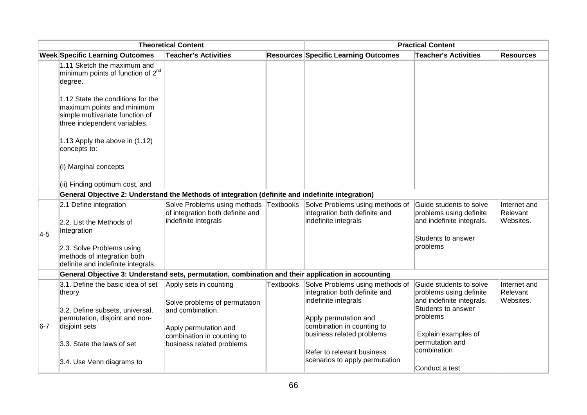| <b>Theoretical Content</b> |                                                                                                                                    |                                                                                          | <b>Practical Content</b> |                                                                                          |                                                                                 |                                       |  |
|----------------------------|------------------------------------------------------------------------------------------------------------------------------------|------------------------------------------------------------------------------------------|--------------------------|------------------------------------------------------------------------------------------|---------------------------------------------------------------------------------|---------------------------------------|--|
|                            | <b>Week Specific Learning Outcomes</b>                                                                                             | <b>Teacher's Activities</b>                                                              |                          | <b>Resources Specific Learning Outcomes</b>                                              | <b>Teacher's Activities</b>                                                     | <b>Resources</b>                      |  |
|                            | 1.11 Sketch the maximum and<br>minimum points of function of 2 <sup>nd</sup><br>degree.                                            |                                                                                          |                          |                                                                                          |                                                                                 |                                       |  |
|                            | 1.12 State the conditions for the<br>maximum points and minimum<br>simple multivariate function of<br>three independent variables. |                                                                                          |                          |                                                                                          |                                                                                 |                                       |  |
|                            | 1.13 Apply the above in (1.12)<br>concepts to:                                                                                     |                                                                                          |                          |                                                                                          |                                                                                 |                                       |  |
|                            | (i) Marginal concepts                                                                                                              |                                                                                          |                          |                                                                                          |                                                                                 |                                       |  |
|                            | (ii) Finding optimum cost, and                                                                                                     |                                                                                          |                          |                                                                                          |                                                                                 |                                       |  |
|                            | General Objective 2: Understand the Methods of integration (definite and indefinite integration)                                   |                                                                                          |                          |                                                                                          |                                                                                 |                                       |  |
| $4-5$                      | 2.1 Define integration<br>2.2. List the Methods of<br>Integration                                                                  | Solve Problems using methods<br>of integration both definite and<br>indefinite integrals | Textbooks                | Solve Problems using methods of<br>integration both definite and<br>indefinite integrals | Guide students to solve<br>problems using definite<br>and indefinite integrals. | Internet and<br>Relevant<br>Websites. |  |
|                            | 2.3. Solve Problems using<br>methods of integration both<br>definite and indefinite integrals                                      |                                                                                          |                          |                                                                                          | Students to answer<br>problems                                                  |                                       |  |
|                            | General Objective 3: Understand sets, permutation, combination and their application in accounting                                 |                                                                                          |                          |                                                                                          |                                                                                 |                                       |  |
|                            | 3.1. Define the basic idea of set<br>theory                                                                                        | Apply sets in counting<br>Solve problems of permutation                                  | <b>Textbooks</b>         | Solve Problems using methods of<br>integration both definite and<br>indefinite integrals | Guide students to solve<br>problems using definite<br>and indefinite integrals. | Internet and<br>Relevant<br>Websites. |  |
| $6-7$                      | 3.2. Define subsets, universal,<br>permutation, disjoint and non-                                                                  | and combination.                                                                         |                          | Apply permutation and<br>combination in counting to                                      | Students to answer<br>problems                                                  |                                       |  |
|                            | disjoint sets<br>3.3. State the laws of set                                                                                        | Apply permutation and<br>combination in counting to<br>business related problems         |                          | business related problems                                                                | Explain examples of<br>permutation and                                          |                                       |  |
|                            | 3.4. Use Venn diagrams to                                                                                                          |                                                                                          |                          | Refer to relevant business<br>scenarios to apply permutation                             | combination<br>Conduct a test                                                   |                                       |  |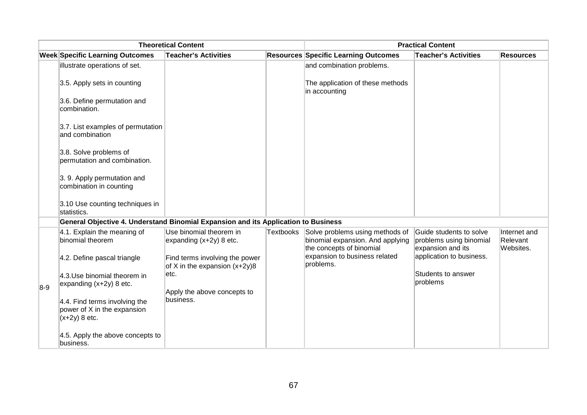| <b>Theoretical Content</b> |                                                                                    |                                                                                                                                                                              | <b>Practical Content</b> |                                                                                                                                               |                                                                         |                                       |
|----------------------------|------------------------------------------------------------------------------------|------------------------------------------------------------------------------------------------------------------------------------------------------------------------------|--------------------------|-----------------------------------------------------------------------------------------------------------------------------------------------|-------------------------------------------------------------------------|---------------------------------------|
|                            | <b>Week Specific Learning Outcomes</b>                                             | Teacher's Activities                                                                                                                                                         |                          | <b>Resources Specific Learning Outcomes</b>                                                                                                   | <b>Teacher's Activities</b>                                             | <b>Resources</b>                      |
|                            | illustrate operations of set.                                                      |                                                                                                                                                                              |                          | and combination problems.                                                                                                                     |                                                                         |                                       |
|                            | 3.5. Apply sets in counting                                                        |                                                                                                                                                                              |                          | The application of these methods<br>in accounting                                                                                             |                                                                         |                                       |
|                            | 3.6. Define permutation and<br>combination.                                        |                                                                                                                                                                              |                          |                                                                                                                                               |                                                                         |                                       |
|                            | 3.7. List examples of permutation<br>and combination                               |                                                                                                                                                                              |                          |                                                                                                                                               |                                                                         |                                       |
|                            | 3.8. Solve problems of<br>permutation and combination.                             |                                                                                                                                                                              |                          |                                                                                                                                               |                                                                         |                                       |
|                            | 3. 9. Apply permutation and<br>combination in counting                             |                                                                                                                                                                              |                          |                                                                                                                                               |                                                                         |                                       |
|                            | 3.10 Use counting techniques in<br>statistics.                                     |                                                                                                                                                                              |                          |                                                                                                                                               |                                                                         |                                       |
|                            | General Objective 4. Understand Binomial Expansion and its Application to Business |                                                                                                                                                                              |                          |                                                                                                                                               |                                                                         |                                       |
|                            | 4.1. Explain the meaning of<br>binomial theorem                                    | Use binomial theorem in<br>expanding (x+2y) 8 etc.<br>Find terms involving the power<br>of X in the expansion $(x+2y)8$<br>letc.<br>Apply the above concepts to<br>business. | Textbooks                | Solve problems using methods of<br>binomial expansion. And applying<br>the concepts of binomial<br>expansion to business related<br>problems. | Guide students to solve<br>problems using binomial<br>expansion and its | Internet and<br>Relevant<br>Websites. |
|                            | 4.2. Define pascal triangle                                                        |                                                                                                                                                                              |                          |                                                                                                                                               | application to business.                                                |                                       |
| $8-9$                      | 4.3. Use binomial theorem in<br>expanding (x+2y) 8 etc.                            |                                                                                                                                                                              |                          |                                                                                                                                               | Students to answer<br>problems                                          |                                       |
|                            | $4.4$ . Find terms involving the<br>power of X in the expansion<br>$(x+2y)$ 8 etc. |                                                                                                                                                                              |                          |                                                                                                                                               |                                                                         |                                       |
|                            | 4.5. Apply the above concepts to<br>business.                                      |                                                                                                                                                                              |                          |                                                                                                                                               |                                                                         |                                       |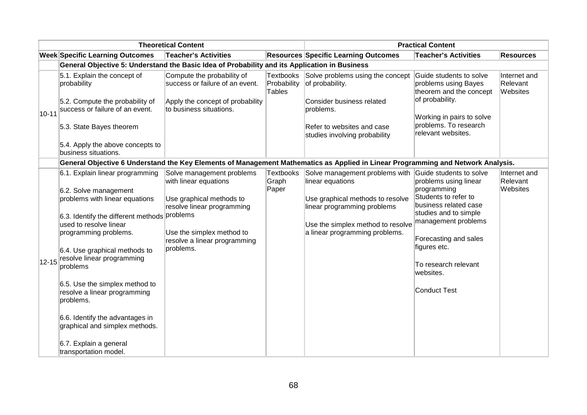| <b>Theoretical Content</b> |                                                                                                                                                                                                                                                                                                                                                                                                                                  |                                                                                                                                                                                        | <b>Practical Content</b>                         |                                                                                                                                                                                                                      |                                                                                                                                                                                                                                            |                                      |
|----------------------------|----------------------------------------------------------------------------------------------------------------------------------------------------------------------------------------------------------------------------------------------------------------------------------------------------------------------------------------------------------------------------------------------------------------------------------|----------------------------------------------------------------------------------------------------------------------------------------------------------------------------------------|--------------------------------------------------|----------------------------------------------------------------------------------------------------------------------------------------------------------------------------------------------------------------------|--------------------------------------------------------------------------------------------------------------------------------------------------------------------------------------------------------------------------------------------|--------------------------------------|
|                            | <b>Week Specific Learning Outcomes</b>                                                                                                                                                                                                                                                                                                                                                                                           | <b>Teacher's Activities</b>                                                                                                                                                            |                                                  | <b>Resources Specific Learning Outcomes</b>                                                                                                                                                                          | <b>Teacher's Activities</b>                                                                                                                                                                                                                | <b>Resources</b>                     |
|                            | General Objective 5: Understand the Basic Idea of Probability and its Application in Business                                                                                                                                                                                                                                                                                                                                    |                                                                                                                                                                                        |                                                  |                                                                                                                                                                                                                      |                                                                                                                                                                                                                                            |                                      |
| $10 - 11$                  | 5.1. Explain the concept of<br>probability<br>5.2. Compute the probability of<br>success or failure of an event.                                                                                                                                                                                                                                                                                                                 | Compute the probability of<br>success or failure of an event.<br>Apply the concept of probability<br>to business situations.                                                           | <b>Textbooks</b><br>Probability<br><b>Tables</b> | Solve problems using the concept<br>of probability.<br>Consider business related<br>problems.                                                                                                                        | Guide students to solve<br>problems using Bayes<br>theorem and the concept<br>of probability.                                                                                                                                              | Internet and<br>Relevant<br>Websites |
|                            | 5.3. State Bayes theorem                                                                                                                                                                                                                                                                                                                                                                                                         |                                                                                                                                                                                        |                                                  | Refer to websites and case<br>studies involving probability                                                                                                                                                          | Working in pairs to solve<br>problems. To research<br>relevant websites.                                                                                                                                                                   |                                      |
|                            | 5.4. Apply the above concepts to<br>business situations.                                                                                                                                                                                                                                                                                                                                                                         |                                                                                                                                                                                        |                                                  |                                                                                                                                                                                                                      |                                                                                                                                                                                                                                            |                                      |
|                            |                                                                                                                                                                                                                                                                                                                                                                                                                                  |                                                                                                                                                                                        |                                                  | General Objective 6 Understand the Key Elements of Management Mathematics as Applied in Linear Programming and Network Analysis.                                                                                     |                                                                                                                                                                                                                                            |                                      |
| $12 - 15$                  | 6.1. Explain linear programming<br>6.2. Solve management<br>problems with linear equations<br>$ 6.3$ . Identify the different methods problems<br>used to resolve linear<br>programming problems.<br>6.4. Use graphical methods to<br>resolve linear programming<br>problems<br>6.5. Use the simplex method to<br>resolve a linear programming<br>problems.<br>6.6. Identify the advantages in<br>graphical and simplex methods. | Solve management problems<br>with linear equations<br>Use graphical methods to<br>resolve linear programming<br>Use the simplex method to<br>resolve a linear programming<br>problems. | <b>Textbooks</b><br>Graph<br>Paper               | Solve management problems with Guide students to solve<br>linear equations<br>Use graphical methods to resolve<br>linear programming problems<br>Use the simplex method to resolve<br>a linear programming problems. | problems using linear<br>programming<br>Students to refer to<br>business related case<br>studies and to simple<br>management problems<br>Forecasting and sales<br>figures etc.<br>To research relevant<br>websites.<br><b>Conduct Test</b> | Internet and<br>Relevant<br>Websites |
|                            | 6.7. Explain a general<br>transportation model.                                                                                                                                                                                                                                                                                                                                                                                  |                                                                                                                                                                                        |                                                  |                                                                                                                                                                                                                      |                                                                                                                                                                                                                                            |                                      |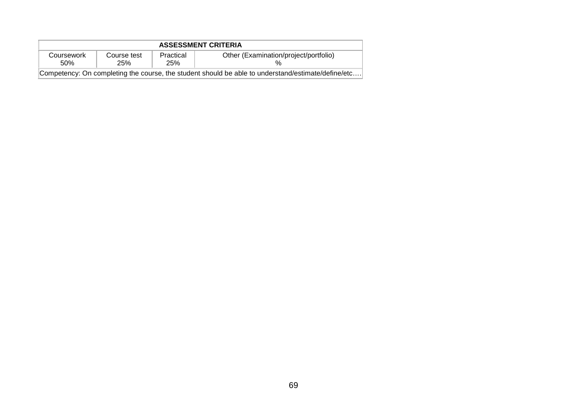| <b>ASSESSMENT CRITERIA</b>                                                                         |                    |                         |                                       |  |  |
|----------------------------------------------------------------------------------------------------|--------------------|-------------------------|---------------------------------------|--|--|
| Coursework<br>50%                                                                                  | Course test<br>25% | Practical<br><b>25%</b> | Other (Examination/project/portfolio) |  |  |
| Competency: On completing the course, the student should be able to understand/estimate/define/etc |                    |                         |                                       |  |  |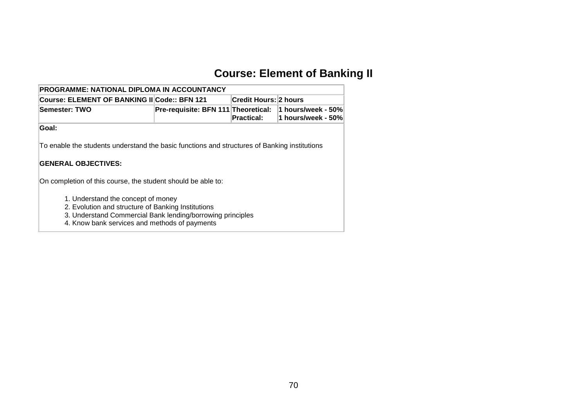# **Course: Element of Banking II**

| PROGRAMME: NATIONAL DIPLOMA IN ACCOUNTANCY                                                                                                                                                              |                                     |                              |                                          |  |  |  |  |
|---------------------------------------------------------------------------------------------------------------------------------------------------------------------------------------------------------|-------------------------------------|------------------------------|------------------------------------------|--|--|--|--|
| Course: ELEMENT OF BANKING II Code:: BFN 121                                                                                                                                                            |                                     | <b>Credit Hours: 2 hours</b> |                                          |  |  |  |  |
| <b>Semester: TWO</b>                                                                                                                                                                                    | Pre-requisite: BFN 111 Theoretical: | Practical:                   | 1 hours/week - 50%<br>1 hours/week - 50% |  |  |  |  |
| Goal:                                                                                                                                                                                                   |                                     |                              |                                          |  |  |  |  |
| To enable the students understand the basic functions and structures of Banking institutions<br><b>GENERAL OBJECTIVES:</b>                                                                              |                                     |                              |                                          |  |  |  |  |
| On completion of this course, the student should be able to:                                                                                                                                            |                                     |                              |                                          |  |  |  |  |
| 1. Understand the concept of money<br>2. Evolution and structure of Banking Institutions<br>3. Understand Commercial Bank lending/borrowing principles<br>4. Know bank services and methods of payments |                                     |                              |                                          |  |  |  |  |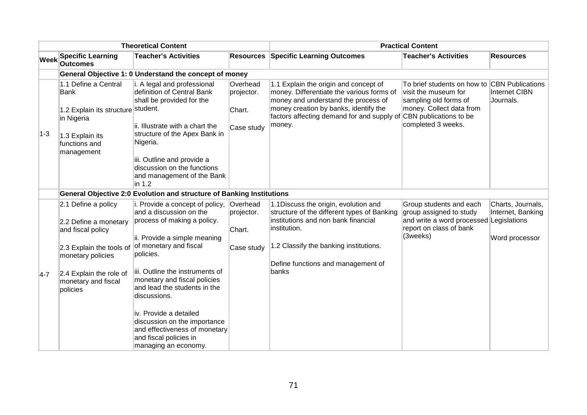|             | <b>Theoretical Content</b>                                                                                                         |                                                                                                                                                                                                                                                                             | <b>Practical Content</b>                       |                                                                                                                                                                                                                            |                                                                                                                                                          |                                                              |  |
|-------------|------------------------------------------------------------------------------------------------------------------------------------|-----------------------------------------------------------------------------------------------------------------------------------------------------------------------------------------------------------------------------------------------------------------------------|------------------------------------------------|----------------------------------------------------------------------------------------------------------------------------------------------------------------------------------------------------------------------------|----------------------------------------------------------------------------------------------------------------------------------------------------------|--------------------------------------------------------------|--|
| <b>Week</b> | <b>Specific Learning</b><br><b>Outcomes</b>                                                                                        | <b>Teacher's Activities</b>                                                                                                                                                                                                                                                 |                                                | <b>Resources Specific Learning Outcomes</b>                                                                                                                                                                                | <b>Teacher's Activities</b>                                                                                                                              | <b>Resources</b>                                             |  |
|             |                                                                                                                                    | General Objective 1: 0 Understand the concept of money                                                                                                                                                                                                                      |                                                |                                                                                                                                                                                                                            |                                                                                                                                                          |                                                              |  |
| $ 1-3 $     | 1.1 Define a Central<br>Bank<br>1.2 Explain its structure student.<br>in Nigeria<br>1.3 Explain its<br>functions and<br>management | i. A legal and professional<br>definition of Central Bank<br>shall be provided for the<br>ii. Illustrate with a chart the<br>structure of the Apex Bank in<br>Nigeria.<br>iii. Outline and provide a<br>discussion on the functions<br>and management of the Bank<br>in 1.2 | Overhead<br>projector.<br>Chart.<br>Case study | 1.1 Explain the origin and concept of<br>money. Differentiate the various forms of<br>money and understand the process of<br>money creation by banks, identify the<br>factors affecting demand for and supply of<br>money. | To brief students on how to<br>visit the museum for<br>sampling old forms of<br>money. Collect data from<br>CBN publications to be<br>completed 3 weeks. | <b>CBN Publications</b><br><b>Internet CIBN</b><br>Journals. |  |
|             |                                                                                                                                    | General Objective 2:0 Evolution and structure of Banking Institutions                                                                                                                                                                                                       |                                                |                                                                                                                                                                                                                            |                                                                                                                                                          |                                                              |  |
|             | 2.1 Define a policy<br>2.2 Define a monetary<br>and fiscal policy<br>2.3 Explain the tools of                                      | i. Provide a concept of policy,<br>and a discussion on the<br>process of making a policy.<br>ii. Provide a simple meaning<br>of monetary and fiscal                                                                                                                         | Overhead<br>projector.<br>Chart.<br>Case study | 1.1Discuss the origin, evolution and<br>structure of the different types of Banking<br>institutions and non bank financial<br>institution.<br>1.2 Classify the banking institutions.                                       | Group students and each<br>group assigned to study<br>and write a word processed Legislations<br>report on class of bank<br>(3weeks)                     | Charts, Journals,<br>Internet, Banking<br>Word processor     |  |
|             | monetary policies                                                                                                                  | policies.                                                                                                                                                                                                                                                                   |                                                |                                                                                                                                                                                                                            |                                                                                                                                                          |                                                              |  |
| $4-7$       | 2.4 Explain the role of<br>monetary and fiscal<br>policies                                                                         | iii. Outline the instruments of<br>monetary and fiscal policies<br>and lead the students in the<br>discussions.<br>iv. Provide a detailed                                                                                                                                   |                                                | Define functions and management of<br>banks                                                                                                                                                                                |                                                                                                                                                          |                                                              |  |
|             |                                                                                                                                    | discussion on the importance<br>and effectiveness of monetary<br>and fiscal policies in<br>managing an economy.                                                                                                                                                             |                                                |                                                                                                                                                                                                                            |                                                                                                                                                          |                                                              |  |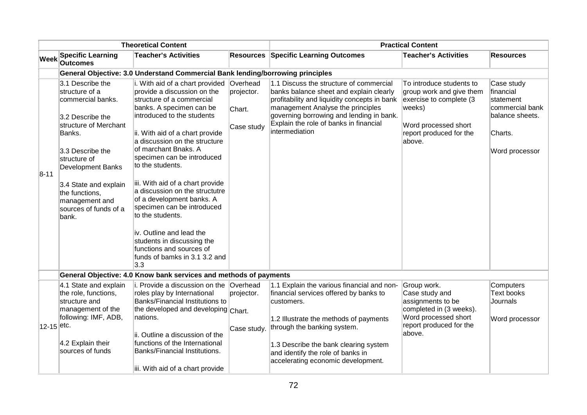| <b>Theoretical Content</b> |                                                                                                                                                                                                                                                                               | <b>Practical Content</b>                                                                                                                                                                                                                                                                                                                                                                                                                                                                                                                                                                        |                                    |                                                                                                                                                                                                                                                                                 |                                                                                                                                                        |                                                                                                         |
|----------------------------|-------------------------------------------------------------------------------------------------------------------------------------------------------------------------------------------------------------------------------------------------------------------------------|-------------------------------------------------------------------------------------------------------------------------------------------------------------------------------------------------------------------------------------------------------------------------------------------------------------------------------------------------------------------------------------------------------------------------------------------------------------------------------------------------------------------------------------------------------------------------------------------------|------------------------------------|---------------------------------------------------------------------------------------------------------------------------------------------------------------------------------------------------------------------------------------------------------------------------------|--------------------------------------------------------------------------------------------------------------------------------------------------------|---------------------------------------------------------------------------------------------------------|
| <b>Week</b>                | <b>Specific Learning</b><br><b>Outcomes</b>                                                                                                                                                                                                                                   | <b>Teacher's Activities</b>                                                                                                                                                                                                                                                                                                                                                                                                                                                                                                                                                                     | <b>Resources</b>                   | <b>Specific Learning Outcomes</b>                                                                                                                                                                                                                                               | <b>Teacher's Activities</b>                                                                                                                            | <b>Resources</b>                                                                                        |
|                            |                                                                                                                                                                                                                                                                               | General Objective: 3.0 Understand Commercial Bank lending/borrowing principles                                                                                                                                                                                                                                                                                                                                                                                                                                                                                                                  |                                    |                                                                                                                                                                                                                                                                                 |                                                                                                                                                        |                                                                                                         |
| $8 - 11$                   | 3.1 Describe the<br>structure of a<br>commercial banks.<br>3.2 Describe the<br>structure of Merchant<br>Banks.<br>3.3 Describe the<br>structure of<br><b>Development Banks</b><br>3.4 State and explain<br>the functions,<br>management and<br>sources of funds of a<br>bank. | i. With aid of a chart provided Overhead<br>provide a discussion on the<br>structure of a commercial<br>banks. A specimen can be<br>introduced to the students<br>ii. With aid of a chart provide<br>a discussion on the structure<br>of marchant Bnaks. A<br>specimen can be introduced<br>to the students.<br>iii. With aid of a chart provide<br>a discussion on the structutre<br>of a development banks. A<br>specimen can be introduced<br>to the students.<br>iv. Outline and lead the<br>students in discussing the<br>functions and sources of<br>funds of bamks in 3.1 3.2 and<br>3.3 | projector.<br>Chart.<br>Case study | 1.1 Discuss the structure of commercial<br>banks balance sheet and explain clearly<br>profitability and liquidity concepts in bank<br>management Analyse the principles<br>governing borrowing and lending in bank.<br>Explain the role of banks in financial<br>intermediation | To introduce students to<br>group work and give them<br>exercise to complete (3<br>weeks)<br>Word processed short<br>report produced for the<br>above. | Case study<br>financial<br>statement<br>commercial bank<br>balance sheets.<br>Charts.<br>Word processor |
|                            |                                                                                                                                                                                                                                                                               | General Objective: 4.0 Know bank services and methods of payments                                                                                                                                                                                                                                                                                                                                                                                                                                                                                                                               |                                    |                                                                                                                                                                                                                                                                                 |                                                                                                                                                        |                                                                                                         |
|                            | 4.1 State and explain<br>the role, functions,<br>structure and<br>management of the<br>following: IMF, ADB,                                                                                                                                                                   | i. Provide a discussion on the Overhead<br>roles play by International<br>Banks/Financial Institutions to<br>the developed and developing Chart.<br>nations.                                                                                                                                                                                                                                                                                                                                                                                                                                    | projector.                         | 1.1 Explain the various financial and non-<br>financial services offered by banks to<br>customers.<br>1.2 Illustrate the methods of payments                                                                                                                                    | Group work.<br>Case study and<br>assignments to be<br>completed in (3 weeks).<br>Word processed short<br>report produced for the                       | Computers<br><b>Text books</b><br>Journals<br>Word processor                                            |
| $12 - 15$ etc.             | 4.2 Explain their<br>sources of funds                                                                                                                                                                                                                                         | ii. Outline a discussion of the<br>functions of the International<br>Banks/Financial Institutions.<br>iii. With aid of a chart provide                                                                                                                                                                                                                                                                                                                                                                                                                                                          | Case study.                        | through the banking system.<br>1.3 Describe the bank clearing system<br>and identify the role of banks in<br>accelerating economic development.                                                                                                                                 | above.                                                                                                                                                 |                                                                                                         |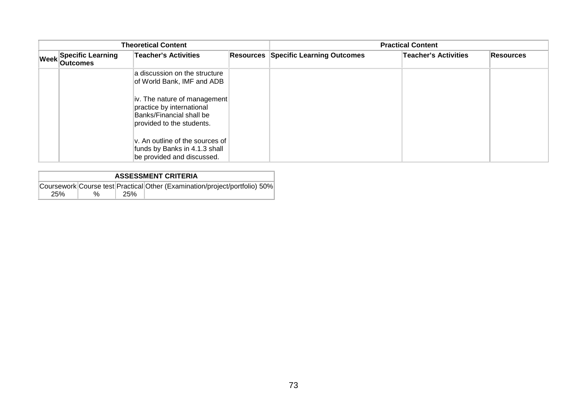| <b>Theoretical Content</b>                                                                                         |                                                                                 |                                                                                                |                                             | <b>Practical Content</b>    |           |  |  |
|--------------------------------------------------------------------------------------------------------------------|---------------------------------------------------------------------------------|------------------------------------------------------------------------------------------------|---------------------------------------------|-----------------------------|-----------|--|--|
|                                                                                                                    | <b>Teacher's Activities</b><br><b>Week Specific Learning</b><br><b>Outcomes</b> |                                                                                                | <b>Resources Specific Learning Outcomes</b> | <b>Teacher's Activities</b> | Resources |  |  |
|                                                                                                                    |                                                                                 | a discussion on the structure<br>of World Bank, IMF and ADB                                    |                                             |                             |           |  |  |
| iv. The nature of management<br>practice by international<br>Banks/Financial shall be<br>provided to the students. |                                                                                 |                                                                                                |                                             |                             |           |  |  |
|                                                                                                                    |                                                                                 | v. An outline of the sources of<br>funds by Banks in 4.1.3 shall<br>be provided and discussed. |                                             |                             |           |  |  |

| <b>ASSESSMENT CRITERIA</b> |      |     |                                                                            |  |  |  |  |
|----------------------------|------|-----|----------------------------------------------------------------------------|--|--|--|--|
|                            |      |     | Coursework Course test Practical Other (Examination/project/portfolio) 50% |  |  |  |  |
| 25%                        | $\%$ | 25% |                                                                            |  |  |  |  |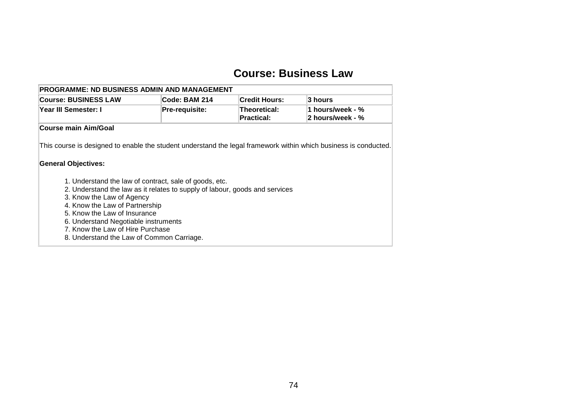#### **Course: Business Law**

| PROGRAMME: ND BUSINESS ADMIN AND MANAGEMENT |                                                                                                                                       |                                   |                                      |
|---------------------------------------------|---------------------------------------------------------------------------------------------------------------------------------------|-----------------------------------|--------------------------------------|
| <b>Course: BUSINESS LAW</b>                 | Code: BAM 214                                                                                                                         | <b>Credit Hours:</b>              | 3 hours                              |
| Year III Semester: I                        | Pre-requisite:                                                                                                                        | Theoretical:<br><b>Practical:</b> | 1 hours/week - %<br>2 hours/week - % |
| Course main Aim/Goal                        |                                                                                                                                       |                                   |                                      |
| <b>General Objectives:</b>                  |                                                                                                                                       |                                   |                                      |
|                                             | 1. Understand the law of contract, sale of goods, etc.<br>2. Understand the law as it relates to supply of labour, goods and services |                                   |                                      |
| 3. Know the Law of Agency                   |                                                                                                                                       |                                   |                                      |
| 4. Know the Law of Partnership              |                                                                                                                                       |                                   |                                      |

5. Know the Law of Insurance

- 6. Understand Negotiable instruments
- 
- 7. Know the Law of Hire Purchase 8. Understand the Law of Common Carriage.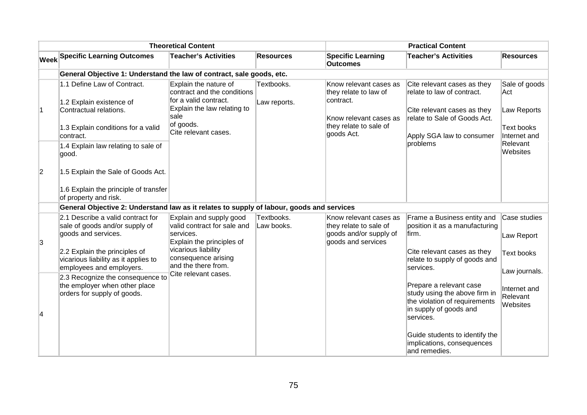| <b>Theoretical Content</b> |                                                                                                                                                      |                                                                                                                                                           |                            | <b>Practical Content</b>                                                                                                       |                                                                                                                                                                                                               |                                                                               |  |
|----------------------------|------------------------------------------------------------------------------------------------------------------------------------------------------|-----------------------------------------------------------------------------------------------------------------------------------------------------------|----------------------------|--------------------------------------------------------------------------------------------------------------------------------|---------------------------------------------------------------------------------------------------------------------------------------------------------------------------------------------------------------|-------------------------------------------------------------------------------|--|
|                            | <b>Week Specific Learning Outcomes</b>                                                                                                               | <b>Teacher's Activities</b>                                                                                                                               | <b>Resources</b>           | <b>Specific Learning</b><br><b>Outcomes</b>                                                                                    | <b>Teacher's Activities</b>                                                                                                                                                                                   | <b>Resources</b>                                                              |  |
|                            | General Objective 1: Understand the law of contract, sale goods, etc.                                                                                |                                                                                                                                                           |                            |                                                                                                                                |                                                                                                                                                                                                               |                                                                               |  |
| 1                          | 1.1 Define Law of Contract.<br>1.2 Explain existence of<br>Contractual relations.<br>1.3 Explain conditions for a valid<br>contract.                 | Explain the nature of<br>contract and the conditions<br>for a valid contract.<br>Explain the law relating to<br>sale<br>of goods.<br>Cite relevant cases. | Textbooks.<br>Law reports. | Know relevant cases as<br>they relate to law of<br>contract.<br>Know relevant cases as<br>they relate to sale of<br>goods Act. | Cite relevant cases as they<br>relate to law of contract.<br>Cite relevant cases as they<br>relate to Sale of Goods Act.<br>Apply SGA law to consumer<br>problems                                             | Sale of goods<br>Act<br>Law Reports<br>Text books<br>Internet and<br>Relevant |  |
| $\overline{2}$             | 1.4 Explain law relating to sale of<br>good.<br>1.5 Explain the Sale of Goods Act.<br>1.6 Explain the principle of transfer<br>of property and risk. |                                                                                                                                                           |                            |                                                                                                                                |                                                                                                                                                                                                               | Websites                                                                      |  |
|                            | General Objective 2: Understand law as it relates to supply of labour, goods and services                                                            |                                                                                                                                                           |                            |                                                                                                                                |                                                                                                                                                                                                               |                                                                               |  |
| 3                          | 2.1 Describe a valid contract for<br>sale of goods and/or supply of<br>goods and services.                                                           | Explain and supply good<br>valid contract for sale and<br>services.<br>Explain the principles of                                                          | Textbooks.<br>Law books.   | Know relevant cases as<br>they relate to sale of<br>goods and/or supply of<br>goods and services                               | Frame a Business entity and<br>position it as a manufacturing<br>firm.                                                                                                                                        | Case studies<br>Law Report                                                    |  |
|                            | 2.2 Explain the principles of<br>vicarious liability as it applies to<br>employees and employers.                                                    | vicarious liability<br>consequence arising<br>and the there from.                                                                                         |                            |                                                                                                                                | Cite relevant cases as they<br>relate to supply of goods and                                                                                                                                                  | <b>Text books</b>                                                             |  |
| $\overline{4}$             | 2.3 Recognize the consequence to<br>the employer when other place<br>orders for supply of goods.                                                     | Cite relevant cases.                                                                                                                                      |                            |                                                                                                                                | services.<br>Prepare a relevant case<br>study using the above firm in<br>the violation of requirements<br>in supply of goods and<br>services.<br>Guide students to identify the<br>implications, consequences | Law journals.<br>Internet and<br>Relevant<br>Websites                         |  |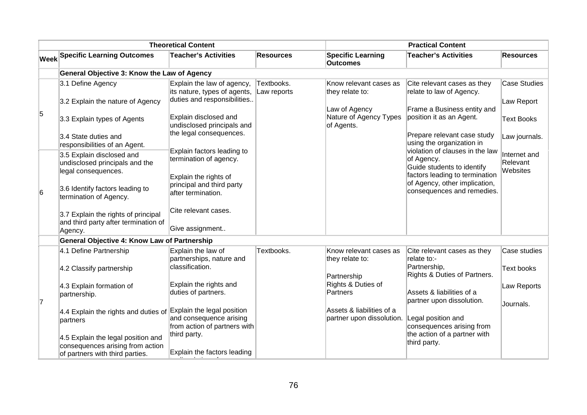|    |                                                                                                           | <b>Theoretical Content</b>                                               |                           | <b>Practical Content</b>                    |                                                                                               |                                      |
|----|-----------------------------------------------------------------------------------------------------------|--------------------------------------------------------------------------|---------------------------|---------------------------------------------|-----------------------------------------------------------------------------------------------|--------------------------------------|
|    | <b>Week Specific Learning Outcomes</b>                                                                    | <b>Teacher's Activities</b>                                              | <b>Resources</b>          | <b>Specific Learning</b><br><b>Outcomes</b> | <b>Teacher's Activities</b>                                                                   | <b>Resources</b>                     |
|    | General Objective 3: Know the Law of Agency                                                               |                                                                          |                           |                                             |                                                                                               |                                      |
|    | 3.1 Define Agency                                                                                         | Explain the law of agency,<br>its nature, types of agents,               | Textbooks.<br>Law reports | Know relevant cases as<br>they relate to:   | Cite relevant cases as they<br>relate to law of Agency.                                       | Case Studies                         |
|    | 3.2 Explain the nature of Agency                                                                          | duties and responsibilities                                              |                           | Law of Agency                               | Frame a Business entity and                                                                   | Law Report                           |
| 5  | 3.3 Explain types of Agents                                                                               | Explain disclosed and<br>undisclosed principals and                      |                           | Nature of Agency Types<br>of Agents.        | position it as an Agent.                                                                      | <b>Text Books</b>                    |
|    | 3.4 State duties and<br>responsibilities of an Agent.                                                     | the legal consequences.                                                  |                           |                                             | Prepare relevant case study<br>using the organization in                                      | Law journals.                        |
| 6  | 3.5 Explain disclosed and<br>undisclosed principals and the<br>legal consequences.                        | Explain factors leading to<br>termination of agency.                     |                           |                                             | violation of clauses in the law<br>of Agency.<br>Guide students to identify                   | Internet and<br>Relevant<br>Websites |
|    | 3.6 Identify factors leading to<br>termination of Agency.                                                 | Explain the rights of<br>principal and third party<br>after termination. |                           |                                             | factors leading to termination<br>of Agency, other implication,<br>consequences and remedies. |                                      |
|    | 3.7 Explain the rights of principal<br>and third party after termination of<br>Agency.                    | Cite relevant cases.<br>Give assignment                                  |                           |                                             |                                                                                               |                                      |
|    | General Objective 4: Know Law of Partnership                                                              |                                                                          |                           |                                             |                                                                                               |                                      |
|    | 4.1 Define Partnership                                                                                    | Explain the law of                                                       | Textbooks.                | Know relevant cases as                      | Cite relevant cases as they                                                                   | Case studies                         |
|    | 4.2 Classify partnership                                                                                  | partnerships, nature and<br>classification.                              |                           | they relate to:<br>Partnership              | relate to:-<br>Partnership,<br>Rights & Duties of Partners.                                   | Text books                           |
|    | 4.3 Explain formation of<br>partnership.                                                                  | Explain the rights and<br>duties of partners.                            |                           | Rights & Duties of<br><b>Partners</b>       | Assets & liabilities of a                                                                     | Law Reports                          |
| 17 | 4.4 Explain the rights and duties of                                                                      | Explain the legal position                                               |                           | Assets & liabilities of a                   | partner upon dissolution.                                                                     | Journals.                            |
|    | partners                                                                                                  | and consequence arising<br>from action of partners with                  |                           | partner upon dissolution.                   | Legal position and<br>consequences arising from                                               |                                      |
|    | 4.5 Explain the legal position and<br>consequences arising from action<br>of partners with third parties. | third party.<br>Explain the factors leading                              |                           |                                             | the action of a partner with<br>third party.                                                  |                                      |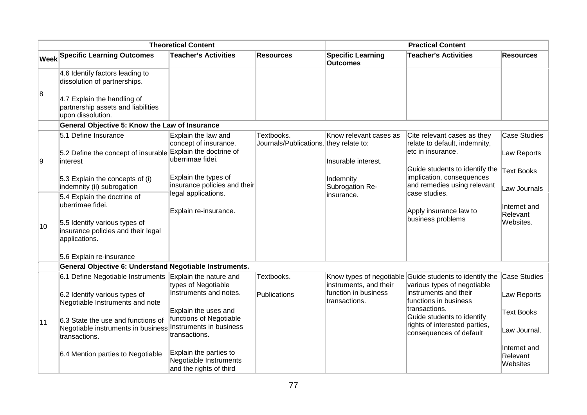| <b>Theoretical Content</b> |                                                                                                                                                                     |                                                                                             |                                                      | <b>Practical Content</b>                                        |                                                                                                                                          |                                       |
|----------------------------|---------------------------------------------------------------------------------------------------------------------------------------------------------------------|---------------------------------------------------------------------------------------------|------------------------------------------------------|-----------------------------------------------------------------|------------------------------------------------------------------------------------------------------------------------------------------|---------------------------------------|
|                            | <b>Week Specific Learning Outcomes</b>                                                                                                                              | <b>Teacher's Activities</b>                                                                 | <b>Resources</b>                                     | <b>Specific Learning</b><br><b>Outcomes</b>                     | <b>Teacher's Activities</b>                                                                                                              | Resources                             |
|                            | 4.6 Identify factors leading to<br>dissolution of partnerships.                                                                                                     |                                                                                             |                                                      |                                                                 |                                                                                                                                          |                                       |
| 8                          | 4.7 Explain the handling of<br>partnership assets and liabilities<br>upon dissolution.                                                                              |                                                                                             |                                                      |                                                                 |                                                                                                                                          |                                       |
|                            | General Objective 5: Know the Law of Insurance                                                                                                                      |                                                                                             |                                                      |                                                                 |                                                                                                                                          |                                       |
|                            | 5.1 Define Insurance<br>5.2 Define the concept of insurable                                                                                                         | Explain the law and<br>concept of insurance.<br>Explain the doctrine of<br>uberrimae fidei. | Textbooks.<br>Journals/Publications. they relate to: | Know relevant cases as                                          | Cite relevant cases as they<br>relate to default, indemnity,<br>etc in insurance.                                                        | <b>Case Studies</b><br>Law Reports    |
| 9                          | interest<br>5.3 Explain the concepts of (i)<br>indemnity (ii) subrogation                                                                                           | Explain the types of<br>insurance policies and their                                        |                                                      | Insurable interest.<br>Indemnity<br>Subrogation Re-             | Guide students to identify the<br>implication, consequences<br>and remedies using relevant                                               | <b>Text Books</b><br>Law Journals     |
| 10                         | 5.4 Explain the doctrine of<br>uberrimae fidei.<br>5.5 Identify various types of<br>insurance policies and their legal<br>applications.<br>5.6 Explain re-insurance | legal applications.<br>Explain re-insurance.                                                |                                                      | insurance.                                                      | case studies.<br>Apply insurance law to<br>business problems                                                                             | Internet and<br>Relevant<br>Websites. |
|                            | General Objective 6: Understand Negotiable Instruments.                                                                                                             |                                                                                             |                                                      |                                                                 |                                                                                                                                          |                                       |
|                            | 6.1 Define Negotiable Instruments<br>6.2 Identify various types of<br>Negotiable Instruments and note                                                               | Explain the nature and<br>types of Negotiable<br>Instruments and notes.                     | Textbooks.<br><b>Publications</b>                    | instruments, and their<br>function in business<br>transactions. | Know types of negotiable Guide students to identify the<br>various types of negotiable<br>instruments and their<br>functions in business | <b>Case Studies</b><br>Law Reports    |
| 11                         | 6.3 State the use and functions of<br>Negotiable instruments in business<br>transactions.                                                                           | Explain the uses and<br>functions of Negotiable<br>Instruments in business<br>transactions. |                                                      |                                                                 | transactions.<br>Guide students to identify<br>rights of interested parties,<br>consequences of default                                  | <b>Text Books</b><br>Law Journal.     |
|                            | 6.4 Mention parties to Negotiable                                                                                                                                   | Explain the parties to<br>Negotiable Instruments<br>and the rights of third                 |                                                      |                                                                 |                                                                                                                                          | Internet and<br>Relevant<br>Websites  |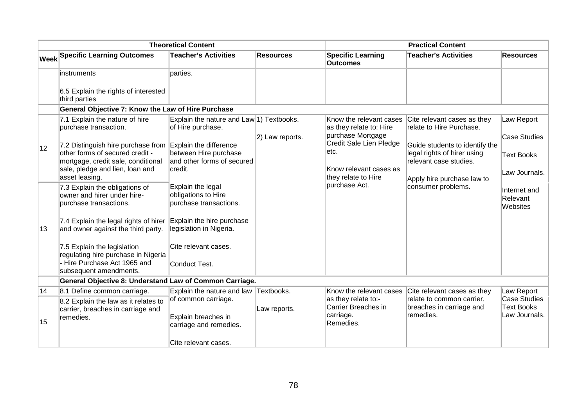| <b>Theoretical Content</b> |                                                                                                  |                                                                    |                  | <b>Practical Content</b>                                                |                                                               |                                      |
|----------------------------|--------------------------------------------------------------------------------------------------|--------------------------------------------------------------------|------------------|-------------------------------------------------------------------------|---------------------------------------------------------------|--------------------------------------|
|                            | <b>Week Specific Learning Outcomes</b>                                                           | <b>Teacher's Activities</b>                                        | <b>Resources</b> | <b>Specific Learning</b><br><b>Outcomes</b>                             | <b>Teacher's Activities</b>                                   | <b>Resources</b>                     |
|                            | instruments                                                                                      | parties.                                                           |                  |                                                                         |                                                               |                                      |
|                            | 6.5 Explain the rights of interested<br>third parties                                            |                                                                    |                  |                                                                         |                                                               |                                      |
|                            | General Objective 7: Know the Law of Hire Purchase                                               |                                                                    |                  |                                                                         |                                                               |                                      |
|                            | 7.1 Explain the nature of hire<br>purchase transaction.                                          | Explain the nature and $Law(1)$ Textbooks.<br>of Hire purchase.    |                  | Know the relevant cases<br>as they relate to: Hire<br>purchase Mortgage | Cite relevant cases as they<br>relate to Hire Purchase.       | Law Report                           |
| $ 12\rangle$               | 7.2 Distinguish hire purchase from Explain the difference<br>other forms of secured credit -     | between Hire purchase                                              | 2) Law reports.  | Credit Sale Lien Pledge<br>etc.                                         | Guide students to identify the<br>legal rights of hirer using | <b>Case Studies</b>                  |
|                            | mortgage, credit sale, conditional                                                               | and other forms of secured                                         |                  |                                                                         | relevant case studies.                                        | <b>Text Books</b>                    |
|                            | sale, pledge and lien, loan and<br>asset leasing.                                                | credit.                                                            |                  | Know relevant cases as<br>they relate to Hire                           | Apply hire purchase law to                                    | Law Journals.                        |
|                            | 7.3 Explain the obligations of<br>owner and hirer under hire-<br>purchase transactions.          | Explain the legal<br>obligations to Hire<br>purchase transactions. |                  | purchase Act.                                                           | consumer problems.                                            | Internet and<br>Relevant<br>Websites |
| 13                         | 7.4 Explain the legal rights of hirer<br>and owner against the third party.                      | Explain the hire purchase<br>legislation in Nigeria.               |                  |                                                                         |                                                               |                                      |
|                            | 7.5 Explain the legislation<br>regulating hire purchase in Nigeria<br>Hire Purchase Act 1965 and | Cite relevant cases.<br>Conduct Test.                              |                  |                                                                         |                                                               |                                      |
|                            | subsequent amendments.                                                                           |                                                                    |                  |                                                                         |                                                               |                                      |
|                            | General Objective 8: Understand Law of Common Carriage.                                          |                                                                    |                  |                                                                         |                                                               |                                      |
| 14                         | 8.1 Define common carriage.                                                                      | Explain the nature and law Textbooks.                              |                  | Know the relevant cases                                                 | Cite relevant cases as they<br>relate to common carrier,      | Law Report<br>Case Studies           |
|                            | 8.2 Explain the law as it relates to<br>carrier, breaches in carriage and                        | of common carriage.                                                | Law reports.     | as they relate to:-<br>Carrier Breaches in                              | breaches in carriage and                                      | <b>Text Books</b>                    |
| 15                         | remedies.                                                                                        | Explain breaches in<br>carriage and remedies.                      |                  | carriage.<br>Remedies.                                                  | remedies.                                                     | Law Journals.                        |
|                            |                                                                                                  | Cite relevant cases.                                               |                  |                                                                         |                                                               |                                      |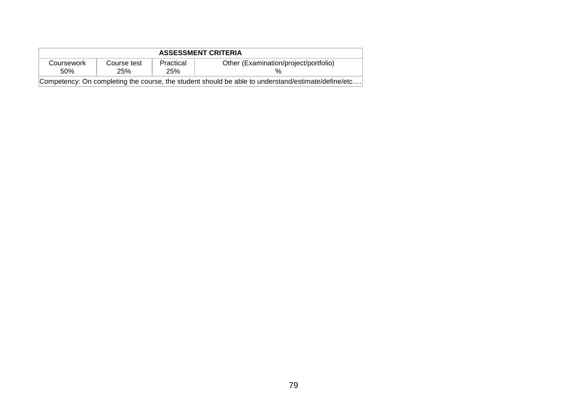| <b>ASSESSMENT CRITERIA</b> |                                                                                                    |                  |                                       |  |  |  |  |  |
|----------------------------|----------------------------------------------------------------------------------------------------|------------------|---------------------------------------|--|--|--|--|--|
| Coursework<br>50%          | Course test<br>25%                                                                                 | Practical<br>25% | Other (Examination/project/portfolio) |  |  |  |  |  |
|                            | Competency: On completing the course, the student should be able to understand/estimate/define/etc |                  |                                       |  |  |  |  |  |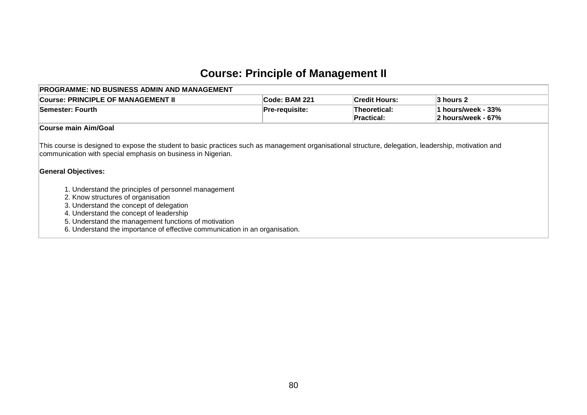# **Course: Principle of Management II**

| PROGRAMME: ND BUSINESS ADMIN AND MANAGEMENT                                                                                                                                                                                                                                                                             |                |                            |                                        |  |  |  |
|-------------------------------------------------------------------------------------------------------------------------------------------------------------------------------------------------------------------------------------------------------------------------------------------------------------------------|----------------|----------------------------|----------------------------------------|--|--|--|
| <b>Course: PRINCIPLE OF MANAGEMENT II</b>                                                                                                                                                                                                                                                                               | Code: BAM 221  | <b>Credit Hours:</b>       | 3 hours 2                              |  |  |  |
| <b>Semester: Fourth</b>                                                                                                                                                                                                                                                                                                 | Pre-requisite: | Theoretical:<br>Practical: | hours/week - 33%<br>2 hours/week - 67% |  |  |  |
| Course main Aim/Goal                                                                                                                                                                                                                                                                                                    |                |                            |                                        |  |  |  |
| This course is designed to expose the student to basic practices such as management organisational structure, delegation, leadership, motivation and<br>communication with special emphasis on business in Nigerian.<br><b>General Objectives:</b>                                                                      |                |                            |                                        |  |  |  |
| 1. Understand the principles of personnel management<br>2. Know structures of organisation<br>3. Understand the concept of delegation<br>4. Understand the concept of leadership<br>5. Understand the management functions of motivation<br>6. Understand the importance of effective communication in an organisation. |                |                            |                                        |  |  |  |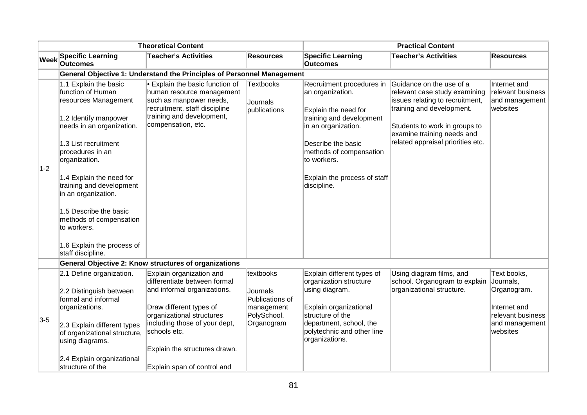| <b>Theoretical Content</b> |                                                                                                                                                                                                                                                                                                                                                                                             |                                                                                                                                                                                                                                   |                                                                                     | <b>Practical Content</b>                                                                                                                                                                                                                |                                                                                                                                                                                                                               |                                                                                                            |  |
|----------------------------|---------------------------------------------------------------------------------------------------------------------------------------------------------------------------------------------------------------------------------------------------------------------------------------------------------------------------------------------------------------------------------------------|-----------------------------------------------------------------------------------------------------------------------------------------------------------------------------------------------------------------------------------|-------------------------------------------------------------------------------------|-----------------------------------------------------------------------------------------------------------------------------------------------------------------------------------------------------------------------------------------|-------------------------------------------------------------------------------------------------------------------------------------------------------------------------------------------------------------------------------|------------------------------------------------------------------------------------------------------------|--|
| Week                       | <b>Specific Learning</b><br><b>Outcomes</b>                                                                                                                                                                                                                                                                                                                                                 | <b>Teacher's Activities</b>                                                                                                                                                                                                       | <b>Resources</b>                                                                    | <b>Specific Learning</b><br><b>Outcomes</b>                                                                                                                                                                                             | <b>Teacher's Activities</b>                                                                                                                                                                                                   | <b>Resources</b>                                                                                           |  |
|                            |                                                                                                                                                                                                                                                                                                                                                                                             | General Objective 1: Understand the Principles of Personnel Management                                                                                                                                                            |                                                                                     |                                                                                                                                                                                                                                         |                                                                                                                                                                                                                               |                                                                                                            |  |
| $1-2$                      | 1.1 Explain the basic<br>function of Human<br>resources Management<br>1.2 Identify manpower<br>needs in an organization.<br>1.3 List recruitment<br>procedures in an<br>organization.<br>1.4 Explain the need for<br>training and development<br>in an organization.<br>1.5 Describe the basic<br>methods of compensation<br>to workers.<br>1.6 Explain the process of<br>staff discipline. | • Explain the basic function of<br>human resource management<br>such as manpower needs,<br>recruitment, staff discipline<br>training and development,<br>compensation, etc.                                                       | <b>Textbooks</b><br>Journals<br>publications                                        | Recruitment procedures in<br>an organization.<br>Explain the need for<br>training and development<br>in an organization.<br>Describe the basic<br>methods of compensation<br>to workers.<br>Explain the process of staff<br>discipline. | Guidance on the use of a<br>relevant case study examining<br>issues relating to recruitment,<br>training and development.<br>Students to work in groups to<br>examine training needs and<br>related appraisal priorities etc. | Internet and<br>relevant business<br>and management<br>websites                                            |  |
|                            |                                                                                                                                                                                                                                                                                                                                                                                             | General Objective 2: Know structures of organizations                                                                                                                                                                             |                                                                                     |                                                                                                                                                                                                                                         |                                                                                                                                                                                                                               |                                                                                                            |  |
| $3-5$                      | 2.1 Define organization.<br>2.2 Distinguish between<br>formal and informal<br>organizations.<br>2.3 Explain different types<br>of organizational structure,<br>using diagrams.                                                                                                                                                                                                              | Explain organization and<br>differentiate between formal<br>and informal organizations.<br>Draw different types of<br>organizational structures<br>including those of your dept,<br>schools etc.<br>Explain the structures drawn. | textbooks<br>Journals<br>Publications of<br>management<br>PolySchool.<br>Organogram | Explain different types of<br>organization structure<br>using diagram.<br>Explain organizational<br>structure of the<br>department, school, the<br>polytechnic and other line<br>organizations.                                         | Using diagram films, and<br>school. Organogram to explain<br>organizational structure.                                                                                                                                        | Text books,<br>Journals,<br>Organogram.<br>Internet and<br>relevant business<br>and management<br>websites |  |
|                            | 2.4 Explain organizational<br>structure of the                                                                                                                                                                                                                                                                                                                                              | Explain span of control and                                                                                                                                                                                                       |                                                                                     |                                                                                                                                                                                                                                         |                                                                                                                                                                                                                               |                                                                                                            |  |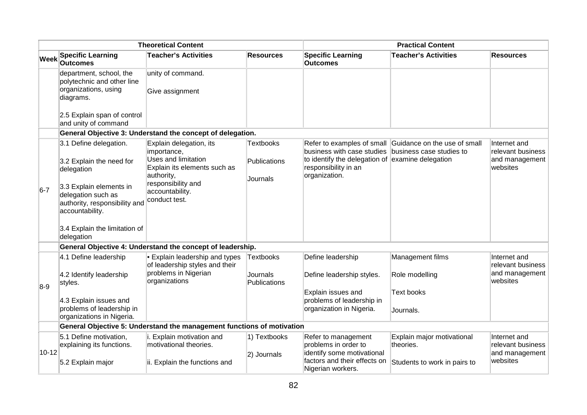|           | <b>Theoretical Content</b>                                                                        |                                                                        |                          | <b>Practical Content</b>                                                        |                                                                                     |                                   |  |
|-----------|---------------------------------------------------------------------------------------------------|------------------------------------------------------------------------|--------------------------|---------------------------------------------------------------------------------|-------------------------------------------------------------------------------------|-----------------------------------|--|
| Week      | <b>Specific Learning</b><br><b>Outcomes</b>                                                       | <b>Teacher's Activities</b>                                            | <b>Resources</b>         | <b>Specific Learning</b><br>Outcomes                                            | <b>Teacher's Activities</b>                                                         | <b>Resources</b>                  |  |
|           | department, school, the<br>polytechnic and other line                                             | unity of command.                                                      |                          |                                                                                 |                                                                                     |                                   |  |
|           | organizations, using<br>diagrams.                                                                 | Give assignment                                                        |                          |                                                                                 |                                                                                     |                                   |  |
|           | 2.5 Explain span of control<br>and unity of command                                               |                                                                        |                          |                                                                                 |                                                                                     |                                   |  |
|           |                                                                                                   | General Objective 3: Understand the concept of delegation.             |                          |                                                                                 |                                                                                     |                                   |  |
|           | 3.1 Define delegation.                                                                            | Explain delegation, its<br>importance,                                 | <b>Textbooks</b>         | business with case studies                                                      | Refer to examples of small Guidance on the use of small<br>business case studies to | Internet and<br>relevant business |  |
|           | 3.2 Explain the need for<br>delegation                                                            | Uses and limitation<br>Explain its elements such as                    | Publications             | to identify the delegation of examine delegation<br>responsibility in an        |                                                                                     | and management<br>websites        |  |
| $6-7$     | 3.3 Explain elements in<br>delegation such as<br>authority, responsibility and<br>accountability. | authority,<br>responsibility and<br>accountability.<br>conduct test.   | Journals                 | organization.                                                                   |                                                                                     |                                   |  |
|           | 3.4 Explain the limitation of<br>delegation                                                       |                                                                        |                          |                                                                                 |                                                                                     |                                   |  |
|           |                                                                                                   | General Objective 4: Understand the concept of leadership.             |                          |                                                                                 |                                                                                     |                                   |  |
|           | 4.1 Define leadership                                                                             | $\cdot$ Explain leadership and types<br>of leadership styles and their | Textbooks                | Define leadership                                                               | Management films                                                                    | Internet and<br>relevant business |  |
| $8-9$     | 4.2 Identify leadership<br>styles.                                                                | problems in Nigerian<br>organizations                                  | Journals<br>Publications | Define leadership styles.                                                       | Role modelling                                                                      | and management<br>websites        |  |
|           | 4.3 Explain issues and<br>problems of leadership in<br>organizations in Nigeria.                  |                                                                        |                          | Explain issues and<br>problems of leadership in<br>organization in Nigeria.     | <b>Text books</b><br>Journals.                                                      |                                   |  |
|           |                                                                                                   | General Objective 5: Understand the management functions of motivation |                          |                                                                                 |                                                                                     |                                   |  |
|           | 5.1 Define motivation,<br>explaining its functions.                                               | i. Explain motivation and<br>motivational theories.                    | 1) Textbooks             | Refer to management<br>problems in order to                                     | Explain major motivational<br>theories.                                             | Internet and<br>relevant business |  |
| $10 - 12$ | 5.2 Explain major                                                                                 | ii. Explain the functions and                                          | 2) Journals              | identify some motivational<br>factors and their effects on<br>Nigerian workers. | Students to work in pairs to                                                        | and management<br>websites        |  |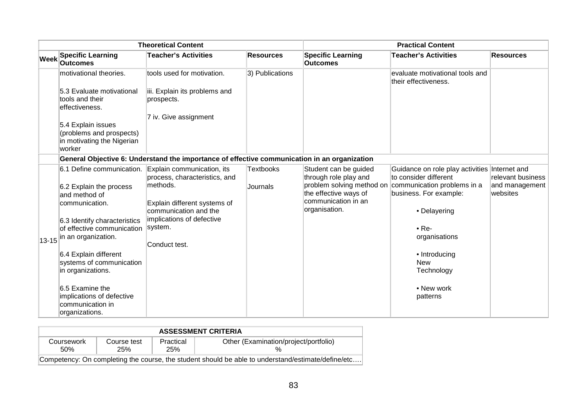| <b>Theoretical Content</b>                                                                                                                                                                                                                                                                                         |                                                                                                                                                                                                                     |                              | <b>Practical Content</b>                                                                                                                     |                                                                                                                                                                                                                                                          |                                                 |
|--------------------------------------------------------------------------------------------------------------------------------------------------------------------------------------------------------------------------------------------------------------------------------------------------------------------|---------------------------------------------------------------------------------------------------------------------------------------------------------------------------------------------------------------------|------------------------------|----------------------------------------------------------------------------------------------------------------------------------------------|----------------------------------------------------------------------------------------------------------------------------------------------------------------------------------------------------------------------------------------------------------|-------------------------------------------------|
| <b>Week Specific Learning</b><br><b>Outcomes</b>                                                                                                                                                                                                                                                                   | <b>Teacher's Activities</b>                                                                                                                                                                                         | <b>Resources</b>             | <b>Specific Learning</b><br><b>Outcomes</b>                                                                                                  | <b>Teacher's Activities</b>                                                                                                                                                                                                                              | <b>Resources</b>                                |
| motivational theories.<br>5.3 Evaluate motivational<br>tools and their<br>effectiveness.<br>5.4 Explain issues<br>(problems and prospects)<br>in motivating the Nigerian                                                                                                                                           | tools used for motivation.<br>iii. Explain its problems and<br>prospects.<br>7 iv. Give assignment                                                                                                                  | 3) Publications              |                                                                                                                                              | evaluate motivational tools and<br>their effectiveness.                                                                                                                                                                                                  |                                                 |
| worker                                                                                                                                                                                                                                                                                                             | General Objective 6: Understand the importance of effective communication in an organization                                                                                                                        |                              |                                                                                                                                              |                                                                                                                                                                                                                                                          |                                                 |
|                                                                                                                                                                                                                                                                                                                    |                                                                                                                                                                                                                     |                              |                                                                                                                                              |                                                                                                                                                                                                                                                          |                                                 |
| 6.2 Explain the process<br>and method of<br>communication.<br>6.3 Identify characteristics<br>of effective communication<br>$ 13-15 $ <sup>in an organization.</sup><br>6.4 Explain different<br>systems of communication<br>in organizations.<br>6.5 Examine the<br>implications of defective<br>communication in | 6.1 Define communication. Explain communication, its<br>process, characteristics, and<br>methods.<br>Explain different systems of<br>communication and the<br>implications of defective<br>system.<br>Conduct test. | <b>Textbooks</b><br>Journals | Student can be guided<br>through role play and<br>problem solving method on<br>the effective ways of<br>communication in an<br>organisation. | Guidance on role play activities Internet and<br>to consider different<br>communication problems in a<br>business. For example:<br>• Delayering<br>$\bullet$ Re-<br>organisations<br>• Introducing<br><b>New</b><br>Technology<br>• New work<br>patterns | relevant business<br>and management<br>websites |

| <b>ASSESSMENT CRITERIA</b> |                                                                                                    |  |  |  |  |  |  |
|----------------------------|----------------------------------------------------------------------------------------------------|--|--|--|--|--|--|
| Coursework<br>.50%         | Other (Examination/project/portfolio)<br>Practical<br>Course test<br>25%<br>25%                    |  |  |  |  |  |  |
|                            | Competency: On completing the course, the student should be able to understand/estimate/define/etc |  |  |  |  |  |  |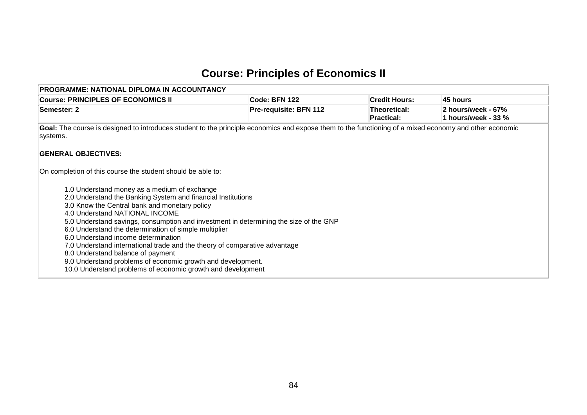# **Course: Principles of Economics II**

| PROGRAMME: NATIONAL DIPLOMA IN ACCOUNTANCY                                                                                                                                                                                                                                                                                                                                                                                                                                                                                                                                                                                                                                                               |                               |                            |                                           |
|----------------------------------------------------------------------------------------------------------------------------------------------------------------------------------------------------------------------------------------------------------------------------------------------------------------------------------------------------------------------------------------------------------------------------------------------------------------------------------------------------------------------------------------------------------------------------------------------------------------------------------------------------------------------------------------------------------|-------------------------------|----------------------------|-------------------------------------------|
| <b>Course: PRINCIPLES OF ECONOMICS II</b>                                                                                                                                                                                                                                                                                                                                                                                                                                                                                                                                                                                                                                                                | Code: BFN 122                 | <b>Credit Hours:</b>       | 45 hours                                  |
| Semester: 2                                                                                                                                                                                                                                                                                                                                                                                                                                                                                                                                                                                                                                                                                              | <b>Pre-requisite: BFN 112</b> | Theoretical:<br>Practical: | 2 hours/week - 67%<br>1 hours/week - 33 % |
| Goal: The course is designed to introduces student to the principle economics and expose them to the functioning of a mixed economy and other economic<br>systems.<br><b>GENERAL OBJECTIVES:</b>                                                                                                                                                                                                                                                                                                                                                                                                                                                                                                         |                               |                            |                                           |
| On completion of this course the student should be able to:<br>1.0 Understand money as a medium of exchange<br>2.0 Understand the Banking System and financial Institutions<br>3.0 Know the Central bank and monetary policy<br>4.0 Understand NATIONAL INCOME<br>5.0 Understand savings, consumption and investment in determining the size of the GNP<br>6.0 Understand the determination of simple multiplier<br>6.0 Understand income determination<br>7.0 Understand international trade and the theory of comparative advantage<br>8.0 Understand balance of payment<br>9.0 Understand problems of economic growth and development.<br>10.0 Understand problems of economic growth and development |                               |                            |                                           |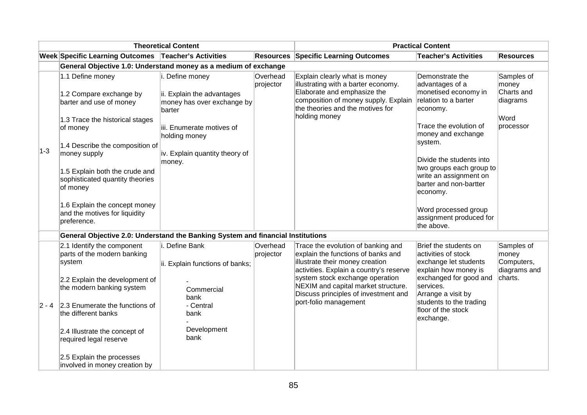|         | <b>Theoretical Content</b>                                                                                                                                                                                                                                                   |                                                                                                                                      | <b>Practical Content</b> |                                                                                                                                                                                                                                                                                                   |                                                                                                                                                                                                                          |                                                                    |
|---------|------------------------------------------------------------------------------------------------------------------------------------------------------------------------------------------------------------------------------------------------------------------------------|--------------------------------------------------------------------------------------------------------------------------------------|--------------------------|---------------------------------------------------------------------------------------------------------------------------------------------------------------------------------------------------------------------------------------------------------------------------------------------------|--------------------------------------------------------------------------------------------------------------------------------------------------------------------------------------------------------------------------|--------------------------------------------------------------------|
|         | Week Specific Learning Outcomes Teacher's Activities                                                                                                                                                                                                                         |                                                                                                                                      | <b>Resources</b>         | <b>Specific Learning Outcomes</b>                                                                                                                                                                                                                                                                 | <b>Teacher's Activities</b>                                                                                                                                                                                              | <b>Resources</b>                                                   |
|         | General Objective 1.0: Understand money as a medium of exchange                                                                                                                                                                                                              |                                                                                                                                      |                          |                                                                                                                                                                                                                                                                                                   |                                                                                                                                                                                                                          |                                                                    |
|         | 1.1 Define money<br>1.2 Compare exchange by<br>barter and use of money<br>1.3 Trace the historical stages<br>of money<br>1.4 Describe the composition of                                                                                                                     | i. Define money<br>ii. Explain the advantages<br>money has over exchange by<br>barter<br>liii. Enumerate motives of<br>holding money | Overhead<br>projector    | Explain clearly what is money<br>illustrating with a barter economy.<br>Elaborate and emphasize the<br>composition of money supply. Explain<br>the theories and the motives for<br>holding money                                                                                                  | Demonstrate the<br>advantages of a<br>monetised economy in<br>relation to a barter<br>economy.<br>Trace the evolution of<br>money and exchange<br>system.                                                                | Samples of<br>money<br>Charts and<br>diagrams<br>Word<br>processor |
| $ 1-3 $ | money supply<br>1.5 Explain both the crude and<br>sophisticated quantity theories<br>of money<br>1.6 Explain the concept money<br>and the motives for liquidity<br>preference.                                                                                               | iv. Explain quantity theory of<br>money.                                                                                             |                          |                                                                                                                                                                                                                                                                                                   | Divide the students into<br>two groups each group to<br>write an assignment on<br>barter and non-bartter<br>economy.<br>Word processed group<br>assignment produced for<br>the above.                                    |                                                                    |
|         | General Objective 2.0: Understand the Banking System and financial Institutions                                                                                                                                                                                              |                                                                                                                                      |                          |                                                                                                                                                                                                                                                                                                   |                                                                                                                                                                                                                          |                                                                    |
|         | 2.1 Identify the component<br>parts of the modern banking<br>system<br>2.2 Explain the development of<br>the modern banking system<br>$\vert$ 2 - 4 $\vert$ 2.3 Enumerate the functions of<br>the different banks<br>2.4 Illustrate the concept of<br>required legal reserve | i. Define Bank<br>ii. Explain functions of banks;<br>Commercial<br>bank<br>- Central<br>bank<br>Development<br>bank                  | Overhead<br>projector    | Trace the evolution of banking and<br>explain the functions of banks and<br>illustrate their money creation<br>activities. Explain a country's reserve<br>system stock exchange operation<br>NEXIM and capital market structure.<br>Discuss principles of investment and<br>port-folio management | Brief the students on<br>activities of stock<br>exchange let students<br>explain how money is<br>exchanged for good and<br>services.<br>Arrange a visit by<br>students to the trading<br>floor of the stock<br>exchange. | Samples of<br>money<br>Computers,<br>diagrams and<br>charts.       |
|         | 2.5 Explain the processes<br>involved in money creation by                                                                                                                                                                                                                   |                                                                                                                                      |                          |                                                                                                                                                                                                                                                                                                   |                                                                                                                                                                                                                          |                                                                    |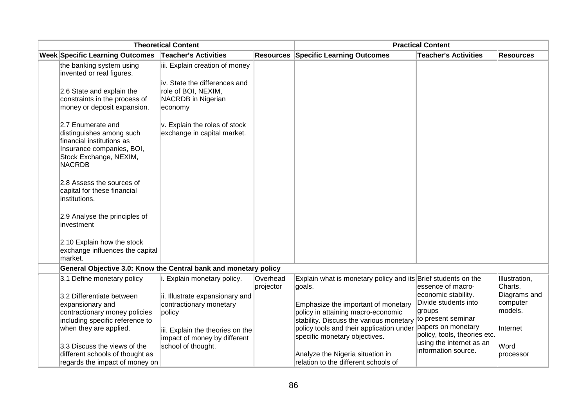| <b>Theoretical Content</b>                                                                                                                                                                                                                                                                                                                      |                                                                                                                                                                |                       | <b>Practical Content</b>                                                                                                                                                                                                                                                      |                                                                                                                                                                                      |                                                                      |
|-------------------------------------------------------------------------------------------------------------------------------------------------------------------------------------------------------------------------------------------------------------------------------------------------------------------------------------------------|----------------------------------------------------------------------------------------------------------------------------------------------------------------|-----------------------|-------------------------------------------------------------------------------------------------------------------------------------------------------------------------------------------------------------------------------------------------------------------------------|--------------------------------------------------------------------------------------------------------------------------------------------------------------------------------------|----------------------------------------------------------------------|
| <b>Week Specific Learning Outcomes</b>                                                                                                                                                                                                                                                                                                          | <b>Teacher's Activities</b>                                                                                                                                    |                       | <b>Resources Specific Learning Outcomes</b>                                                                                                                                                                                                                                   | <b>Teacher's Activities</b>                                                                                                                                                          | <b>Resources</b>                                                     |
| the banking system using<br>invented or real figures.<br>2.6 State and explain the<br>constraints in the process of<br>money or deposit expansion.                                                                                                                                                                                              | iii. Explain creation of money<br>iv. State the differences and<br>role of BOI, NEXIM,<br>NACRDB in Nigerian<br>economy                                        |                       |                                                                                                                                                                                                                                                                               |                                                                                                                                                                                      |                                                                      |
| 2.7 Enumerate and<br>distinguishes among such<br>financial institutions as<br>Insurance companies, BOI,<br>Stock Exchange, NEXIM,<br><b>NACRDB</b><br>2.8 Assess the sources of<br>capital for these financial<br>institutions.<br>2.9 Analyse the principles of<br>investment<br>2.10 Explain how the stock<br>exchange influences the capital | v. Explain the roles of stock<br>exchange in capital market.                                                                                                   |                       |                                                                                                                                                                                                                                                                               |                                                                                                                                                                                      |                                                                      |
| market.                                                                                                                                                                                                                                                                                                                                         |                                                                                                                                                                |                       |                                                                                                                                                                                                                                                                               |                                                                                                                                                                                      |                                                                      |
| General Objective 3.0: Know the Central bank and monetary policy                                                                                                                                                                                                                                                                                |                                                                                                                                                                |                       |                                                                                                                                                                                                                                                                               |                                                                                                                                                                                      |                                                                      |
| 3.1 Define monetary policy                                                                                                                                                                                                                                                                                                                      | i. Explain monetary policy.                                                                                                                                    | Overhead<br>projector | Explain what is monetary policy and its Brief students on the<br>goals.                                                                                                                                                                                                       | essence of macro-                                                                                                                                                                    | Illustration,<br>Charts,                                             |
| 3.2 Differentiate between<br>expansionary and<br>contractionary money policies<br>including specific reference to<br>when they are applied.<br>3.3 Discuss the views of the<br>different schools of thought as<br>regards the impact of money on                                                                                                | ii. Illustrate expansionary and<br>contractionary monetary<br>policy<br>iii. Explain the theories on the<br>impact of money by different<br>school of thought. |                       | Emphasize the important of monetary<br>policy in attaining macro-economic<br>stability. Discuss the various monetary<br>policy tools and their application under<br>specific monetary objectives.<br>Analyze the Nigeria situation in<br>relation to the different schools of | economic stability.<br>Divide students into<br>groups<br>to present seminar<br>papers on monetary<br>policy, tools, theories etc.<br>using the internet as an<br>information source. | Diagrams and<br>computer<br>models.<br>Internet<br>Word<br>processor |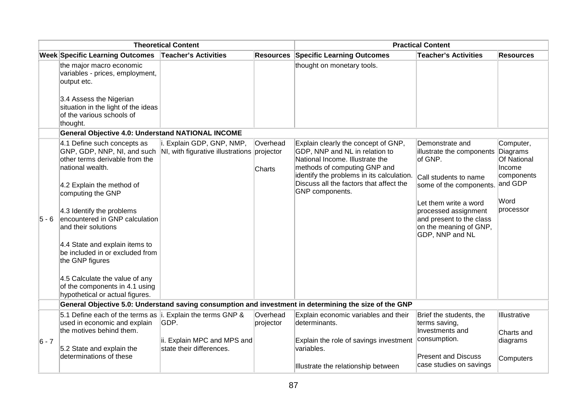|         |                                                                                                                                                                                                                                                                                                                                        | <b>Theoretical Content</b>                              |                       | <b>Practical Content</b>                                                                                                                                                                                                                            |                                                                                                                                                                                                                                       |                                                                                              |
|---------|----------------------------------------------------------------------------------------------------------------------------------------------------------------------------------------------------------------------------------------------------------------------------------------------------------------------------------------|---------------------------------------------------------|-----------------------|-----------------------------------------------------------------------------------------------------------------------------------------------------------------------------------------------------------------------------------------------------|---------------------------------------------------------------------------------------------------------------------------------------------------------------------------------------------------------------------------------------|----------------------------------------------------------------------------------------------|
|         | <b>Week Specific Learning Outcomes</b>                                                                                                                                                                                                                                                                                                 | Teacher's Activities                                    | <b>Resources</b>      | <b>Specific Learning Outcomes</b>                                                                                                                                                                                                                   | <b>Teacher's Activities</b>                                                                                                                                                                                                           | <b>Resources</b>                                                                             |
|         | the major macro economic<br>variables - prices, employment,<br>output etc.<br>3.4 Assess the Nigerian                                                                                                                                                                                                                                  |                                                         |                       | thought on monetary tools.                                                                                                                                                                                                                          |                                                                                                                                                                                                                                       |                                                                                              |
|         | situation in the light of the ideas<br>of the various schools of<br>thought.                                                                                                                                                                                                                                                           |                                                         |                       |                                                                                                                                                                                                                                                     |                                                                                                                                                                                                                                       |                                                                                              |
|         | <b>General Objective 4.0: Understand NATIONAL INCOME</b>                                                                                                                                                                                                                                                                               |                                                         |                       |                                                                                                                                                                                                                                                     |                                                                                                                                                                                                                                       |                                                                                              |
| $5 - 6$ | 4.1 Define such concepts as<br>GNP, GDP, NNP, NI, and such NI, with figurative illustrations projector<br>other terms derivable from the<br>national wealth.<br>4.2 Explain the method of<br>computing the GNP<br>4.3 Identify the problems<br>encountered in GNP calculation<br>and their solutions<br>4.4 State and explain items to | i. Explain GDP, GNP, NMP,                               | Overhead<br>Charts    | Explain clearly the concept of GNP,<br>GDP, NNP and NL in relation to<br>National Income. Illustrate the<br>methods of computing GNP and<br>identify the problems in its calculation.<br>Discuss all the factors that affect the<br>GNP components. | Demonstrate and<br>illustrate the components<br>of GNP.<br>Call students to name<br>some of the components.<br>Let them write a word<br>processed assignment<br>and present to the class<br>on the meaning of GNP,<br>GDP, NNP and NL | Computer,<br>Diagrams<br>Of National<br>Income<br>components<br>and GDP<br>Word<br>processor |
|         | be included in or excluded from<br>the GNP figures<br>4.5 Calculate the value of any<br>of the components in 4.1 using<br>hypothetical or actual figures.                                                                                                                                                                              |                                                         |                       |                                                                                                                                                                                                                                                     |                                                                                                                                                                                                                                       |                                                                                              |
|         |                                                                                                                                                                                                                                                                                                                                        |                                                         |                       | General Objective 5.0: Understand saving consumption and investment in determining the size of the GNP                                                                                                                                              |                                                                                                                                                                                                                                       |                                                                                              |
|         | 5.1 Define each of the terms as $\parallel$ . Explain the terms GNP &<br>used in economic and explain<br>the motives behind them.                                                                                                                                                                                                      | GDP.                                                    | Overhead<br>projector | Explain economic variables and their<br>determinants.                                                                                                                                                                                               | Brief the students, the<br>terms saving,<br>Investments and                                                                                                                                                                           | Illustrative<br>Charts and                                                                   |
| $6 - 7$ | 5.2 State and explain the<br>determinations of these                                                                                                                                                                                                                                                                                   | ii. Explain MPC and MPS and<br>state their differences. |                       | Explain the role of savings investment<br>variables.                                                                                                                                                                                                | consumption.<br><b>Present and Discuss</b>                                                                                                                                                                                            | diagrams                                                                                     |
|         |                                                                                                                                                                                                                                                                                                                                        |                                                         |                       | Illustrate the relationship between                                                                                                                                                                                                                 | case studies on savings                                                                                                                                                                                                               | Computers                                                                                    |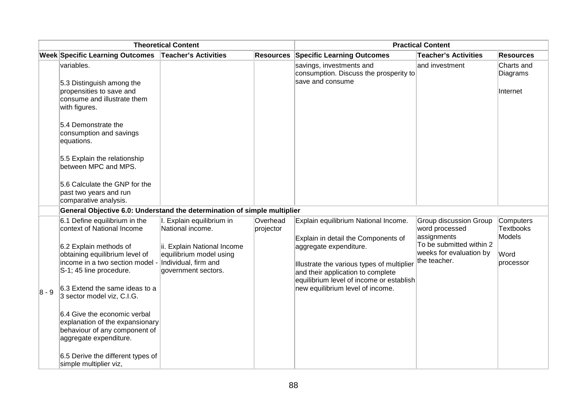|           |                                                                                                                                                                                                                                                       | <b>Theoretical Content</b>                                                                                                                             |                       |                                                                                                                                                                                                                                                                          | <b>Practical Content</b>                                                                                                       |                                                                     |
|-----------|-------------------------------------------------------------------------------------------------------------------------------------------------------------------------------------------------------------------------------------------------------|--------------------------------------------------------------------------------------------------------------------------------------------------------|-----------------------|--------------------------------------------------------------------------------------------------------------------------------------------------------------------------------------------------------------------------------------------------------------------------|--------------------------------------------------------------------------------------------------------------------------------|---------------------------------------------------------------------|
|           | <b>Week Specific Learning Outcomes</b>                                                                                                                                                                                                                | <b>Teacher's Activities</b>                                                                                                                            | <b>Resources</b>      | <b>Specific Learning Outcomes</b>                                                                                                                                                                                                                                        | <b>Teacher's Activities</b>                                                                                                    | <b>Resources</b>                                                    |
|           | variables.<br>5.3 Distinguish among the<br>propensities to save and<br>consume and illustrate them<br>with figures.                                                                                                                                   |                                                                                                                                                        |                       | savings, investments and<br>consumption. Discuss the prosperity to<br>save and consume                                                                                                                                                                                   | and investment                                                                                                                 | Charts and<br>Diagrams<br>Internet                                  |
|           | 5.4 Demonstrate the<br>consumption and savings<br>equations.                                                                                                                                                                                          |                                                                                                                                                        |                       |                                                                                                                                                                                                                                                                          |                                                                                                                                |                                                                     |
|           | 5.5 Explain the relationship<br>between MPC and MPS.                                                                                                                                                                                                  |                                                                                                                                                        |                       |                                                                                                                                                                                                                                                                          |                                                                                                                                |                                                                     |
|           | 5.6 Calculate the GNP for the<br>past two years and run<br>comparative analysis.                                                                                                                                                                      |                                                                                                                                                        |                       |                                                                                                                                                                                                                                                                          |                                                                                                                                |                                                                     |
|           | General Objective 6.0: Understand the determination of simple multiplier                                                                                                                                                                              |                                                                                                                                                        |                       |                                                                                                                                                                                                                                                                          |                                                                                                                                |                                                                     |
| $ 8 - 9 $ | 6.1 Define equilibrium in the<br>context of National Income<br>6.2 Explain methods of<br>obtaining equilibrium level of<br>income in a two section model -<br>S-1; 45 line procedure.<br>6.3 Extend the same ideas to a<br>3 sector model viz, C.I.G. | I. Explain equilibrium in<br>National income.<br>ii. Explain National Income<br>equilibrium model using<br>Individual, firm and<br>government sectors. | Overhead<br>projector | Explain equilibrium National Income.<br>Explain in detail the Components of<br>aggregate expenditure.<br>Illustrate the various types of multiplier<br>and their application to complete<br>equilibrium level of income or establish<br>new equilibrium level of income. | Group discussion Group<br>word processed<br>assignments<br>To be submitted within 2<br>weeks for evaluation by<br>the teacher. | Computers<br><b>Textbooks</b><br><b>Models</b><br>Word<br>processor |
|           | 6.4 Give the economic verbal<br>explanation of the expansionary<br>behaviour of any component of<br>aggregate expenditure.<br>6.5 Derive the different types of<br>simple multiplier viz,                                                             |                                                                                                                                                        |                       |                                                                                                                                                                                                                                                                          |                                                                                                                                |                                                                     |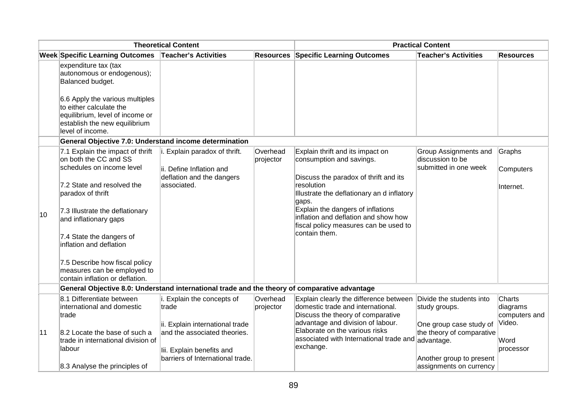|    |                                                                                                                                                    | <b>Theoretical Content</b>                                                                   |                       | <b>Practical Content</b>                                                                                                            |                                                                    |                                     |
|----|----------------------------------------------------------------------------------------------------------------------------------------------------|----------------------------------------------------------------------------------------------|-----------------------|-------------------------------------------------------------------------------------------------------------------------------------|--------------------------------------------------------------------|-------------------------------------|
|    | <b>Week Specific Learning Outcomes</b>                                                                                                             | Teacher's Activities                                                                         |                       | <b>Resources Specific Learning Outcomes</b>                                                                                         | <b>Teacher's Activities</b>                                        | <b>Resources</b>                    |
|    | expenditure tax (tax<br>autonomous or endogenous);<br>Balanced budget.                                                                             |                                                                                              |                       |                                                                                                                                     |                                                                    |                                     |
|    | 6.6 Apply the various multiples<br>to either calculate the<br>equilibrium, level of income or<br>establish the new equilibrium<br>level of income. |                                                                                              |                       |                                                                                                                                     |                                                                    |                                     |
|    | General Objective 7.0: Understand income determination                                                                                             |                                                                                              |                       |                                                                                                                                     |                                                                    |                                     |
|    | 7.1 Explain the impact of thrift<br>on both the CC and SS<br>schedules on income level                                                             | i. Explain paradox of thrift.<br>ii. Define Inflation and<br>deflation and the dangers       | Overhead<br>projector | Explain thrift and its impact on<br>consumption and savings.<br>Discuss the paradox of thrift and its                               | Group Assignments and<br>discussion to be<br>submitted in one week | Graphs<br>Computers                 |
|    | 7.2 State and resolved the<br>paradox of thrift                                                                                                    | associated.                                                                                  |                       | resolution<br>Illustrate the deflationary an d inflatory<br>gaps.                                                                   |                                                                    | Internet.                           |
| 10 | 7.3 Illustrate the deflationary<br>and inflationary gaps                                                                                           |                                                                                              |                       | Explain the dangers of inflations<br>inflation and deflation and show how<br>fiscal policy measures can be used to<br>contain them. |                                                                    |                                     |
|    | 7.4 State the dangers of<br>inflation and deflation                                                                                                |                                                                                              |                       |                                                                                                                                     |                                                                    |                                     |
|    | 7.5 Describe how fiscal policy<br>measures can be employed to<br>contain inflation or deflation.                                                   |                                                                                              |                       |                                                                                                                                     |                                                                    |                                     |
|    | General Objective 8.0: Understand international trade and the theory of comparative advantage                                                      |                                                                                              |                       |                                                                                                                                     |                                                                    |                                     |
|    | 8.1 Differentiate between<br>international and domestic<br>trade                                                                                   | i. Explain the concepts of<br>trade                                                          | Overhead<br>projector | Explain clearly the difference between<br>domestic trade and international.<br>Discuss the theory of comparative                    | Divide the students into<br>study groups.                          | Charts<br>diagrams<br>computers and |
| 11 | 8.2 Locate the base of such a<br>trade in international division of<br>labour                                                                      | ii. Explain international trade<br>and the associated theories.<br>lii. Explain benefits and |                       | advantage and division of labour.<br>Elaborate on the various risks<br>associated with International trade and<br>exchange.         | One group case study of<br>the theory of comparative<br>advantage. | Video.<br>Word<br>processor         |
|    | 8.3 Analyse the principles of                                                                                                                      | barriers of International trade.                                                             |                       |                                                                                                                                     | Another group to present<br>assignments on currency                |                                     |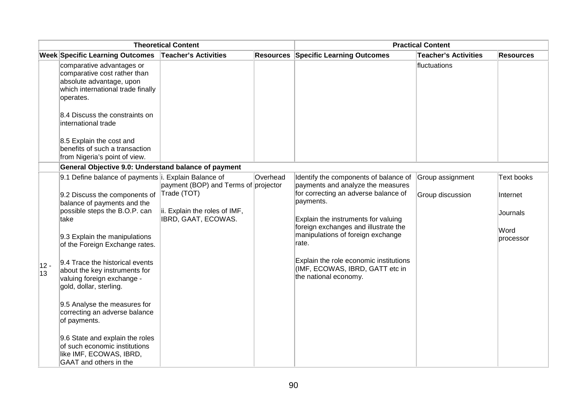|               | <b>Theoretical Content</b>                                                                                                              |                                                      | <b>Practical Content</b> |                                                                                                    |                             |                   |
|---------------|-----------------------------------------------------------------------------------------------------------------------------------------|------------------------------------------------------|--------------------------|----------------------------------------------------------------------------------------------------|-----------------------------|-------------------|
|               | <b>Week Specific Learning Outcomes</b>                                                                                                  | <b>Teacher's Activities</b>                          |                          | <b>Resources Specific Learning Outcomes</b>                                                        | <b>Teacher's Activities</b> | <b>Resources</b>  |
|               | comparative advantages or<br>comparative cost rather than<br>absolute advantage, upon<br>which international trade finally<br>operates. |                                                      |                          |                                                                                                    | fluctuations                |                   |
|               | 8.4 Discuss the constraints on<br>international trade                                                                                   |                                                      |                          |                                                                                                    |                             |                   |
|               | 8.5 Explain the cost and<br>benefits of such a transaction<br>from Nigeria's point of view.                                             |                                                      |                          |                                                                                                    |                             |                   |
|               | General Objective 9.0: Understand balance of payment                                                                                    |                                                      |                          |                                                                                                    |                             |                   |
|               | 9.1 Define balance of payments i. Explain Balance of                                                                                    | payment (BOP) and Terms of projector                 | Overhead                 | Identify the components of balance of<br>payments and analyze the measures                         | Group assignment            | <b>Text books</b> |
|               | 9.2 Discuss the components of<br>balance of payments and the                                                                            | Trade (TOT)                                          |                          | for correcting an adverse balance of<br>payments.                                                  | Group discussion            | Internet          |
|               | possible steps the B.O.P. can<br>take                                                                                                   | ii. Explain the roles of IMF,<br>IBRD, GAAT, ECOWAS. |                          | Explain the instruments for valuing                                                                |                             | Journals          |
|               | 9.3 Explain the manipulations<br>of the Foreign Exchange rates.                                                                         |                                                      |                          | foreign exchanges and illustrate the<br>manipulations of foreign exchange<br>rate.                 |                             | Word<br>processor |
| $ 12 -$<br>13 | 9.4 Trace the historical events<br>about the key instruments for<br>valuing foreign exchange -<br>gold, dollar, sterling.               |                                                      |                          | Explain the role economic institutions<br>(IMF, ECOWAS, IBRD, GATT etc in<br>the national economy. |                             |                   |
|               | 9.5 Analyse the measures for<br>correcting an adverse balance<br>of payments.                                                           |                                                      |                          |                                                                                                    |                             |                   |
|               | 9.6 State and explain the roles<br>of such economic institutions<br>like IMF, ECOWAS, IBRD,<br><b>GAAT</b> and others in the            |                                                      |                          |                                                                                                    |                             |                   |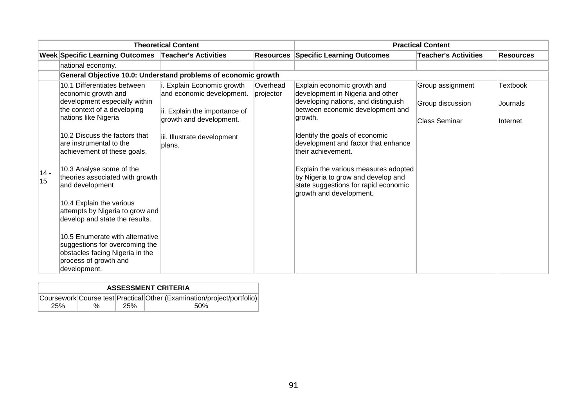|               | <b>Theoretical Content</b>                                                                                                                                                                                                                                                                                                                                                                                                                                                                                                        |                                                                                                                                                              |                       | <b>Practical Content</b>                                                                                                                                                                                                                                                                                                                                                                              |                                                       |                                          |
|---------------|-----------------------------------------------------------------------------------------------------------------------------------------------------------------------------------------------------------------------------------------------------------------------------------------------------------------------------------------------------------------------------------------------------------------------------------------------------------------------------------------------------------------------------------|--------------------------------------------------------------------------------------------------------------------------------------------------------------|-----------------------|-------------------------------------------------------------------------------------------------------------------------------------------------------------------------------------------------------------------------------------------------------------------------------------------------------------------------------------------------------------------------------------------------------|-------------------------------------------------------|------------------------------------------|
|               | <b>Week Specific Learning Outcomes</b>                                                                                                                                                                                                                                                                                                                                                                                                                                                                                            | Teacher's Activities                                                                                                                                         |                       | <b>Resources Specific Learning Outcomes</b>                                                                                                                                                                                                                                                                                                                                                           | <b>Teacher's Activities</b>                           | <b>Resources</b>                         |
|               | national economy.                                                                                                                                                                                                                                                                                                                                                                                                                                                                                                                 |                                                                                                                                                              |                       |                                                                                                                                                                                                                                                                                                                                                                                                       |                                                       |                                          |
|               | General Objective 10.0: Understand problems of economic growth                                                                                                                                                                                                                                                                                                                                                                                                                                                                    |                                                                                                                                                              |                       |                                                                                                                                                                                                                                                                                                                                                                                                       |                                                       |                                          |
| $ 14 -$<br>15 | 10.1 Differentiates between<br>economic growth and<br>development especially within<br>the context of a developing<br>nations like Nigeria<br>10.2 Discuss the factors that<br>lare instrumental to the<br>achievement of these goals.<br>10.3 Analyse some of the<br>theories associated with growth<br>and development<br>10.4 Explain the various<br>attempts by Nigeria to grow and<br>develop and state the results.<br>10.5 Enumerate with alternative<br>suggestions for overcoming the<br>obstacles facing Nigeria in the | i. Explain Economic growth<br>and economic development.<br>ii. Explain the importance of<br>growth and development.<br>iii. Illustrate development<br>plans. | Overhead<br>projector | Explain economic growth and<br>development in Nigeria and other<br>developing nations, and distinguish<br>between economic development and<br>growth.<br>Identify the goals of economic<br>development and factor that enhance<br>their achievement.<br>Explain the various measures adopted<br>by Nigeria to grow and develop and<br>state suggestions for rapid economic<br>growth and development. | Group assignment<br>Group discussion<br>Class Seminar | <b>Textbook</b><br>Journals<br>lInternet |

| <b>ASSESSMENT CRITERIA</b> |   |     |                                                                        |  |  |
|----------------------------|---|-----|------------------------------------------------------------------------|--|--|
|                            |   |     | Coursework Course test Practical Other (Examination/project/portfolio) |  |  |
| 25%                        | ℅ | 25% | .50%                                                                   |  |  |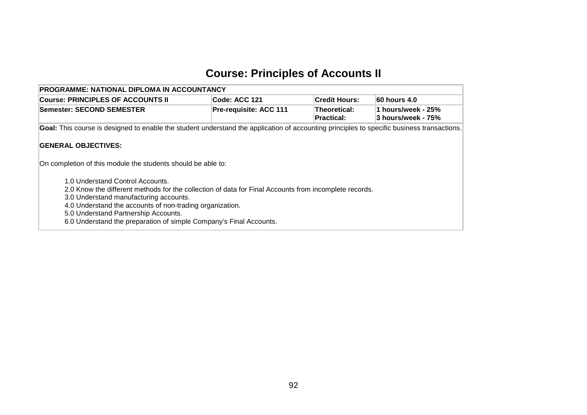# **Course: Principles of Accounts II**

| PROGRAMME: NATIONAL DIPLOMA IN ACCOUNTANCY                                                                                                                                                                                                                                                                                                                    |                        |                                          |                                          |
|---------------------------------------------------------------------------------------------------------------------------------------------------------------------------------------------------------------------------------------------------------------------------------------------------------------------------------------------------------------|------------------------|------------------------------------------|------------------------------------------|
| <b>Course: PRINCIPLES OF ACCOUNTS II</b>                                                                                                                                                                                                                                                                                                                      | Code: ACC 121          | <b>Credit Hours:</b>                     | 60 hours 4.0                             |
| Semester: SECOND SEMESTER                                                                                                                                                                                                                                                                                                                                     | Pre-requisite: ACC 111 | <b>Theoretical:</b><br><b>Practical:</b> | 1 hours/week - 25%<br>3 hours/week - 75% |
| Goal: This course is designed to enable the student understand the application of accounting principles to specific business transactions.                                                                                                                                                                                                                    |                        |                                          |                                          |
| <b>GENERAL OBJECTIVES:</b>                                                                                                                                                                                                                                                                                                                                    |                        |                                          |                                          |
| On completion of this module the students should be able to:                                                                                                                                                                                                                                                                                                  |                        |                                          |                                          |
| 1.0 Understand Control Accounts.<br>2.0 Know the different methods for the collection of data for Final Accounts from incomplete records.<br>3.0 Understand manufacturing accounts.<br>4.0 Understand the accounts of non-trading organization.<br>5.0 Understand Partnership Accounts.<br>6.0 Understand the preparation of simple Company's Final Accounts. |                        |                                          |                                          |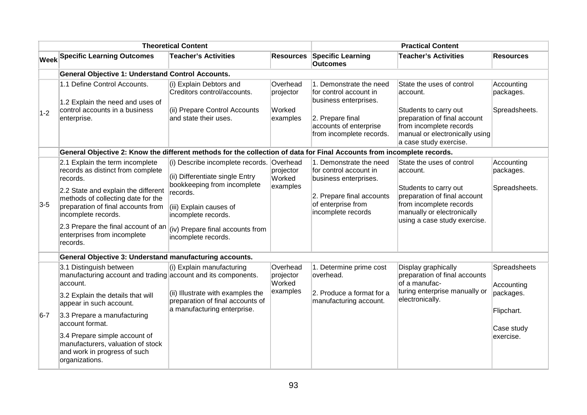|       |                                                                                                                                                                                                                                                                                                                                                | <b>Theoretical Content</b>                                                                                                                                                                                                  |                                             | <b>Practical Content</b>                                                                                                                             |                                                                                                                                                                                         |                                                                                  |  |
|-------|------------------------------------------------------------------------------------------------------------------------------------------------------------------------------------------------------------------------------------------------------------------------------------------------------------------------------------------------|-----------------------------------------------------------------------------------------------------------------------------------------------------------------------------------------------------------------------------|---------------------------------------------|------------------------------------------------------------------------------------------------------------------------------------------------------|-----------------------------------------------------------------------------------------------------------------------------------------------------------------------------------------|----------------------------------------------------------------------------------|--|
|       | <b>Week Specific Learning Outcomes</b>                                                                                                                                                                                                                                                                                                         | <b>Teacher's Activities</b>                                                                                                                                                                                                 | <b>Resources</b>                            | Specific Learning<br><b>Outcomes</b>                                                                                                                 | <b>Teacher's Activities</b>                                                                                                                                                             | <b>Resources</b>                                                                 |  |
|       | <b>General Objective 1: Understand Control Accounts.</b>                                                                                                                                                                                                                                                                                       |                                                                                                                                                                                                                             |                                             |                                                                                                                                                      |                                                                                                                                                                                         |                                                                                  |  |
| $1-2$ | 1.1 Define Control Accounts.<br>1.2 Explain the need and uses of<br>control accounts in a business<br>enterprise.                                                                                                                                                                                                                              | (i) Explain Debtors and<br>Creditors control/accounts.<br>(ii) Prepare Control Accounts<br>and state their uses.                                                                                                            | Overhead<br>projector<br>Worked<br>examples | 1. Demonstrate the need<br>for control account in<br>business enterprises.<br>2. Prepare final<br>accounts of enterprise<br>from incomplete records. | State the uses of control<br>account.<br>Students to carry out<br>preparation of final account<br>from incomplete records<br>manual or electronically using<br>a case study exercise.   | Accounting<br>packages.<br>Spreadsheets.                                         |  |
|       | General Objective 2: Know the different methods for the collection of data for Final Accounts from incomplete records.                                                                                                                                                                                                                         |                                                                                                                                                                                                                             |                                             |                                                                                                                                                      |                                                                                                                                                                                         |                                                                                  |  |
| $3-5$ | 2.1 Explain the term incomplete<br>records as distinct from complete<br>records.<br>2.2 State and explain the different<br>methods of collecting date for the<br>preparation of final accounts from<br>incomplete records.<br>2.3 Prepare the final account of an<br>enterprises from incomplete<br>records.                                   | (i) Describe incomplete records.<br>(ii) Differentiate single Entry<br>bookkeeping from incomplete<br>records.<br>(iii) Explain causes of<br>incomplete records.<br>(iv) Prepare final accounts from<br>incomplete records. | Overhead<br>projector<br>Worked<br>examples | 1. Demonstrate the need<br>for control account in<br>business enterprises.<br>2. Prepare final accounts<br>of enterprise from<br>incomplete records  | State the uses of control<br>account.<br>Students to carry out<br>preparation of final account<br>from incomplete records<br>manually or electronically<br>using a case study exercise. | Accounting<br>packages.<br>Spreadsheets.                                         |  |
|       | General Objective 3: Understand manufacturing accounts.                                                                                                                                                                                                                                                                                        |                                                                                                                                                                                                                             |                                             |                                                                                                                                                      |                                                                                                                                                                                         |                                                                                  |  |
| $6-7$ | 3.1 Distinguish between<br>manufacturing account and trading account and its components.<br>account.<br>3.2 Explain the details that will<br>appear in such account.<br>3.3 Prepare a manufacturing<br>account format.<br>3.4 Prepare simple account of<br>manufacturers, valuation of stock<br>and work in progress of such<br>organizations. | (i) Explain manufacturing<br>(ii) Illustrate with examples the<br>preparation of final accounts of<br>a manufacturing enterprise.                                                                                           | Overhead<br>projector<br>Worked<br>examples | 1. Determine prime cost<br>overhead.<br>2. Produce a format for a<br>manufacturing account.                                                          | Display graphically<br>preparation of final accounts<br>of a manufac-<br>turing enterprise manually or<br>electronically.                                                               | Spreadsheets<br>Accounting<br>packages.<br>Flipchart.<br>Case study<br>exercise. |  |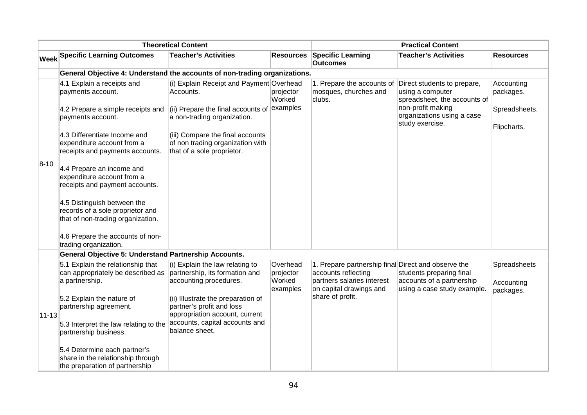|           | <b>Theoretical Content</b>                                                                           |                                                                                                    |                                 | <b>Practical Content</b>                                                                                 |                                                                                 |                              |  |
|-----------|------------------------------------------------------------------------------------------------------|----------------------------------------------------------------------------------------------------|---------------------------------|----------------------------------------------------------------------------------------------------------|---------------------------------------------------------------------------------|------------------------------|--|
|           | <b>Week Specific Learning Outcomes</b>                                                               | <b>Teacher's Activities</b>                                                                        | <b>Resources</b>                | Specific Learning<br><b>Outcomes</b>                                                                     | <b>Teacher's Activities</b>                                                     | <b>Resources</b>             |  |
|           | General Objective 4: Understand the accounts of non-trading organizations.                           |                                                                                                    |                                 |                                                                                                          |                                                                                 |                              |  |
|           | 4.1 Explain a receipts and<br>payments account.                                                      | (i) Explain Receipt and Payment Overhead<br>Accounts.                                              | projector<br>Worked             | 1. Prepare the accounts of<br>mosques, churches and<br>clubs.                                            | Direct students to prepare,<br>using a computer<br>spreadsheet, the accounts of | Accounting<br>packages.      |  |
|           | 4.2 Prepare a simple receipts and<br>payments account.                                               | (ii) Prepare the final accounts of<br>a non-trading organization.                                  | examples                        |                                                                                                          | non-profit making<br>organizations using a case<br>study exercise.              | Spreadsheets.<br>Flipcharts. |  |
| $8-10$    | 4.3 Differentiate Income and<br>expenditure account from a<br>receipts and payments accounts.        | (iii) Compare the final accounts<br>of non trading organization with<br>that of a sole proprietor. |                                 |                                                                                                          |                                                                                 |                              |  |
|           | 4.4 Prepare an income and<br>expenditure account from a<br>receipts and payment accounts.            |                                                                                                    |                                 |                                                                                                          |                                                                                 |                              |  |
|           | 4.5 Distinguish between the<br>records of a sole proprietor and<br>that of non-trading organization. |                                                                                                    |                                 |                                                                                                          |                                                                                 |                              |  |
|           | 4.6 Prepare the accounts of non-<br>trading organization.                                            |                                                                                                    |                                 |                                                                                                          |                                                                                 |                              |  |
|           | <b>General Objective 5: Understand Partnership Accounts.</b>                                         |                                                                                                    |                                 |                                                                                                          |                                                                                 |                              |  |
|           | 5.1 Explain the relationship that<br>can appropriately be described as<br>a partnership.             | (i) Explain the law relating to<br>partnership, its formation and<br>accounting procedures.        | Overhead<br>projector<br>Worked | 1. Prepare partnership final Direct and observe the<br>accounts reflecting<br>partners salaries interest | students preparing final<br>accounts of a partnership                           | Spreadsheets<br>Accounting   |  |
| $11 - 13$ | 5.2 Explain the nature of<br>partnership agreement.                                                  | (ii) Illustrate the preparation of<br>partner's profit and loss<br>appropriation account, current  | examples                        | on capital drawings and<br>share of profit.                                                              | using a case study example.                                                     | packages.                    |  |
|           | 5.3 Interpret the law relating to the<br>partnership business.                                       | accounts, capital accounts and<br>balance sheet.                                                   |                                 |                                                                                                          |                                                                                 |                              |  |
|           | 5.4 Determine each partner's<br>share in the relationship through<br>the preparation of partnership  |                                                                                                    |                                 |                                                                                                          |                                                                                 |                              |  |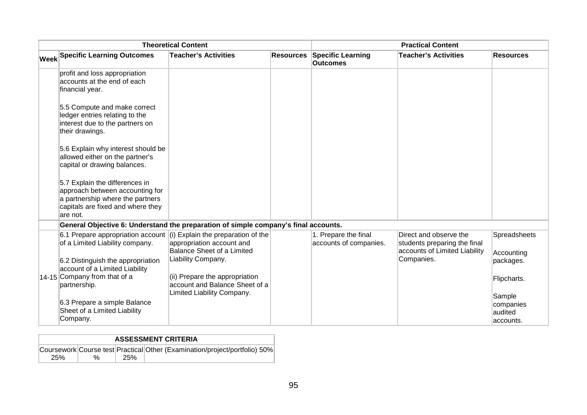| <b>Theoretical Content</b>                                                                                                                                                                                                             |                                                                                                                                                          |                  | <b>Practical Content</b>                       |                                                                                                       |                                                        |
|----------------------------------------------------------------------------------------------------------------------------------------------------------------------------------------------------------------------------------------|----------------------------------------------------------------------------------------------------------------------------------------------------------|------------------|------------------------------------------------|-------------------------------------------------------------------------------------------------------|--------------------------------------------------------|
| <b>Week Specific Learning Outcomes</b>                                                                                                                                                                                                 | <b>Teacher's Activities</b>                                                                                                                              | <b>Resources</b> | <b>Specific Learning</b><br><b>Outcomes</b>    | <b>Teacher's Activities</b>                                                                           | <b>Resources</b>                                       |
| profit and loss appropriation<br>accounts at the end of each<br>financial year.                                                                                                                                                        |                                                                                                                                                          |                  |                                                |                                                                                                       |                                                        |
| 5.5 Compute and make correct<br>ledger entries relating to the<br>interest due to the partners on<br>their drawings.                                                                                                                   |                                                                                                                                                          |                  |                                                |                                                                                                       |                                                        |
| 5.6 Explain why interest should be<br>allowed either on the partner's<br>capital or drawing balances.                                                                                                                                  |                                                                                                                                                          |                  |                                                |                                                                                                       |                                                        |
| 5.7 Explain the differences in<br>approach between accounting for<br>a partnership where the partners<br>capitals are fixed and where they<br>lare not.                                                                                |                                                                                                                                                          |                  |                                                |                                                                                                       |                                                        |
| General Objective 6: Understand the preparation of simple company's final accounts.                                                                                                                                                    |                                                                                                                                                          |                  |                                                |                                                                                                       |                                                        |
| 6.1 Prepare appropriation account $\vert$ (i) Explain the preparation of the<br>of a Limited Liability company.<br>6.2 Distinguish the appropriation<br>account of a Limited Liability<br>14-15 Company from that of a<br>partnership. | appropriation account and<br><b>Balance Sheet of a Limited</b><br>Liability Company.<br>(ii) Prepare the appropriation<br>account and Balance Sheet of a |                  | 1. Prepare the final<br>accounts of companies. | Direct and observe the<br>students preparing the final<br>accounts of Limited Liability<br>Companies. | Spreadsheets<br>Accounting<br>packages.<br>Flipcharts. |
| 6.3 Prepare a simple Balance<br>Sheet of a Limited Liability<br>Company.                                                                                                                                                               | Limited Liability Company.                                                                                                                               |                  |                                                |                                                                                                       | Sample<br>companies<br>laudited<br>laccounts.          |

|     |   |     | <b>ASSESSMENT CRITERIA</b>                                                     |
|-----|---|-----|--------------------------------------------------------------------------------|
|     |   |     | Coursework Course test   Practical   Other (Examination/project/portfolio) 50% |
| 25% | % | 25% |                                                                                |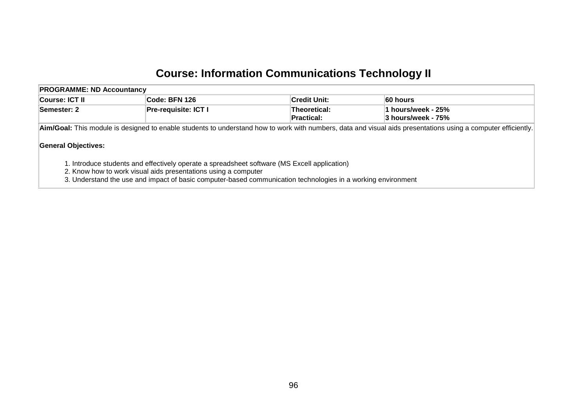# **Course: Information Communications Technology II**

| <b>PROGRAMME: ND Accountancy</b>                                                                                                                                                                                                                                               |                                                                                                                                                               |                                   |                                          |  |  |  |  |
|--------------------------------------------------------------------------------------------------------------------------------------------------------------------------------------------------------------------------------------------------------------------------------|---------------------------------------------------------------------------------------------------------------------------------------------------------------|-----------------------------------|------------------------------------------|--|--|--|--|
| ∣Course: ICT II                                                                                                                                                                                                                                                                | Code: BFN 126                                                                                                                                                 | <b>Credit Unit:</b>               | 60 hours                                 |  |  |  |  |
| Semester: 2                                                                                                                                                                                                                                                                    | <b>Pre-requisite: ICT I</b>                                                                                                                                   | Theoretical:<br><b>Practical:</b> | 1 hours/week - 25%<br>3 hours/week - 75% |  |  |  |  |
| <b>General Objectives:</b>                                                                                                                                                                                                                                                     | Aim/Goal: This module is designed to enable students to understand how to work with numbers, data and visual aids presentations using a computer efficiently. |                                   |                                          |  |  |  |  |
| 1. Introduce students and effectively operate a spreadsheet software (MS Excell application)<br>2. Know how to work visual aids presentations using a computer<br>3. Understand the use and impact of basic computer-based communication technologies in a working environment |                                                                                                                                                               |                                   |                                          |  |  |  |  |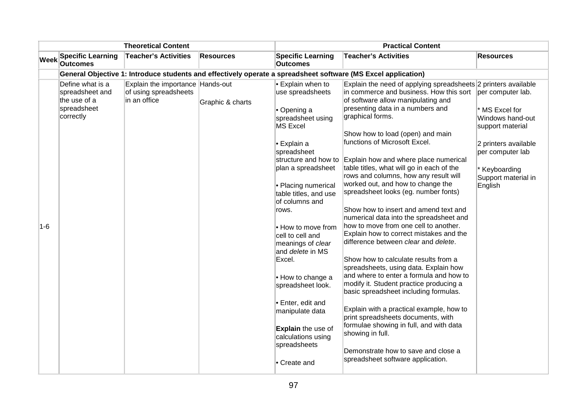|       |                                                                                 | <b>Theoretical Content</b>                                                |                  |                                                                                                                                                                                                                                                                                                                                                                                                                                                                                                                                         | <b>Practical Content</b>                                                                                                                                                                                                                                                                                                                                                                                                                                                                                                                                                                                                                                                                                                                                                                                                                                                                                                                                                                                                                                                                                                                              |                                                                                                                                                                            |
|-------|---------------------------------------------------------------------------------|---------------------------------------------------------------------------|------------------|-----------------------------------------------------------------------------------------------------------------------------------------------------------------------------------------------------------------------------------------------------------------------------------------------------------------------------------------------------------------------------------------------------------------------------------------------------------------------------------------------------------------------------------------|-------------------------------------------------------------------------------------------------------------------------------------------------------------------------------------------------------------------------------------------------------------------------------------------------------------------------------------------------------------------------------------------------------------------------------------------------------------------------------------------------------------------------------------------------------------------------------------------------------------------------------------------------------------------------------------------------------------------------------------------------------------------------------------------------------------------------------------------------------------------------------------------------------------------------------------------------------------------------------------------------------------------------------------------------------------------------------------------------------------------------------------------------------|----------------------------------------------------------------------------------------------------------------------------------------------------------------------------|
| Week  | Specific Learning<br><b>Outcomes</b>                                            | <b>Teacher's Activities</b>                                               | <b>Resources</b> | <b>Specific Learning</b><br><b>Outcomes</b>                                                                                                                                                                                                                                                                                                                                                                                                                                                                                             | <b>Teacher's Activities</b>                                                                                                                                                                                                                                                                                                                                                                                                                                                                                                                                                                                                                                                                                                                                                                                                                                                                                                                                                                                                                                                                                                                           | Resources                                                                                                                                                                  |
|       |                                                                                 |                                                                           |                  |                                                                                                                                                                                                                                                                                                                                                                                                                                                                                                                                         | General Objective 1: Introduce students and effectively operate a spreadsheet software (MS Excel application)                                                                                                                                                                                                                                                                                                                                                                                                                                                                                                                                                                                                                                                                                                                                                                                                                                                                                                                                                                                                                                         |                                                                                                                                                                            |
| $1-6$ | Define what is a<br>spreadsheet and<br>the use of a<br>spreadsheet<br>correctly | Explain the importance Hands-out<br>of using spreadsheets<br>in an office | Graphic & charts | $\cdot$ Explain when to<br>use spreadsheets<br>$\bullet$ Opening a<br>spreadsheet using<br>MS Excel<br>• Explain a<br>spreadsheet<br>structure and how to<br>plan a spreadsheet<br>• Placing numerical<br>table titles, and use<br>of columns and<br>rows.<br>• How to move from<br>cell to cell and<br>meanings of clear<br>and <i>delete</i> in MS<br>Excel.<br>$\cdot$ How to change a<br>spreadsheet look.<br>Enter, edit and<br>manipulate data<br><b>Explain</b> the use of<br>calculations using<br>spreadsheets<br>• Create and | Explain the need of applying spreadsheets 2 printers available<br>in commerce and business. How this sort<br>of software allow manipulating and<br>presenting data in a numbers and<br>graphical forms.<br>Show how to load (open) and main<br>functions of Microsoft Excel.<br>Explain how and where place numerical<br>table titles, what will go in each of the<br>rows and columns, how any result will<br>worked out, and how to change the<br>spreadsheet looks (eg. number fonts)<br>Show how to insert and amend text and<br>numerical data into the spreadsheet and<br>how to move from one cell to another.<br>Explain how to correct mistakes and the<br>difference between clear and delete.<br>Show how to calculate results from a<br>spreadsheets, using data. Explain how<br>and where to enter a formula and how to<br>modify it. Student practice producing a<br>basic spreadsheet including formulas.<br>Explain with a practical example, how to<br>print spreadsheets documents, with<br>formulae showing in full, and with data<br>showing in full.<br>Demonstrate how to save and close a<br>spreadsheet software application. | per computer lab.<br>* MS Excel for<br>Windows hand-out<br>support material<br>2 printers available<br>per computer lab<br>* Keyboarding<br>Support material in<br>English |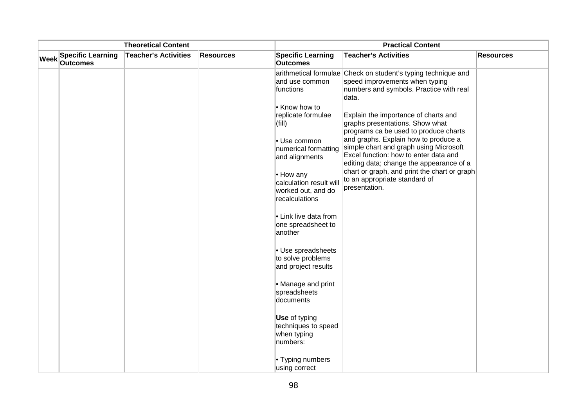|      |                                             | <b>Theoretical Content</b>  |           |                                                                              | <b>Practical Content</b>                                                                                                                                            |                  |
|------|---------------------------------------------|-----------------------------|-----------|------------------------------------------------------------------------------|---------------------------------------------------------------------------------------------------------------------------------------------------------------------|------------------|
| Week | <b>Specific Learning</b><br><b>Outcomes</b> | <b>Teacher's Activities</b> | Resources | <b>Specific Learning</b><br><b>Outcomes</b>                                  | <b>Teacher's Activities</b>                                                                                                                                         | <b>Resources</b> |
|      |                                             |                             |           | and use common<br>functions                                                  | arithmetical formulae Check on student's typing technique and<br>speed improvements when typing<br>numbers and symbols. Practice with real<br>data.                 |                  |
|      |                                             |                             |           | • Know how to<br>replicate formulae<br>(fill)                                | Explain the importance of charts and<br>graphs presentations. Show what<br>programs ca be used to produce charts                                                    |                  |
|      |                                             |                             |           | • Use common<br>numerical formatting<br>and alignments                       | and graphs. Explain how to produce a<br>simple chart and graph using Microsoft<br>Excel function: how to enter data and<br>editing data; change the appearance of a |                  |
|      |                                             |                             |           | • How any<br>calculation result will<br>worked out, and do<br>recalculations | chart or graph, and print the chart or graph<br>to an appropriate standard of<br>presentation.                                                                      |                  |
|      |                                             |                             |           | • Link live data from<br>one spreadsheet to<br>another                       |                                                                                                                                                                     |                  |
|      |                                             |                             |           | • Use spreadsheets<br>to solve problems<br>and project results               |                                                                                                                                                                     |                  |
|      |                                             |                             |           | • Manage and print<br>spreadsheets<br>documents                              |                                                                                                                                                                     |                  |
|      |                                             |                             |           | Use of typing<br>techniques to speed<br>when typing<br>numbers:              |                                                                                                                                                                     |                  |
|      |                                             |                             |           | • Typing numbers<br>using correct                                            |                                                                                                                                                                     |                  |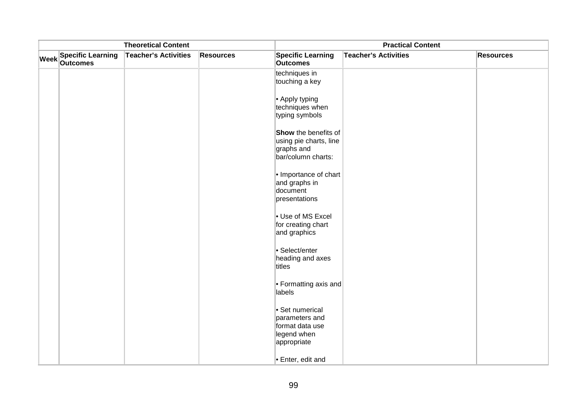| <b>Theoretical Content</b> |                               |                             |                  | <b>Practical Content</b>                                                           |                             |                  |  |
|----------------------------|-------------------------------|-----------------------------|------------------|------------------------------------------------------------------------------------|-----------------------------|------------------|--|
| <b>Week</b>                | Specific Learning<br>Outcomes | <b>Teacher's Activities</b> | <b>Resources</b> | <b>Specific Learning</b><br><b>Outcomes</b>                                        | <b>Teacher's Activities</b> | <b>Resources</b> |  |
|                            |                               |                             |                  | techniques in<br>touching a key                                                    |                             |                  |  |
|                            |                               |                             |                  | • Apply typing<br>techniques when<br>typing symbols                                |                             |                  |  |
|                            |                               |                             |                  | Show the benefits of<br>using pie charts, line<br>graphs and<br>bar/column charts: |                             |                  |  |
|                            |                               |                             |                  | • Importance of chart<br>and graphs in<br>document<br>presentations                |                             |                  |  |
|                            |                               |                             |                  | • Use of MS Excel<br>for creating chart<br>and graphics                            |                             |                  |  |
|                            |                               |                             |                  | · Select/enter<br>heading and axes<br>titles                                       |                             |                  |  |
|                            |                               |                             |                  | $\bullet$ Formatting axis and<br>labels                                            |                             |                  |  |
|                            |                               |                             |                  | Set numerical<br>parameters and<br>format data use<br>legend when<br>appropriate   |                             |                  |  |
|                            |                               |                             |                  | Enter, edit and                                                                    |                             |                  |  |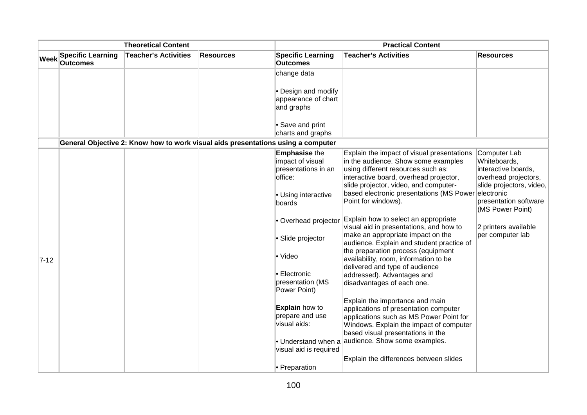|          | <b>Theoretical Content</b>                  |                             |                                                                                  | <b>Practical Content</b>                                                                                  |                                                                                                                                                                                                                                                                                          |                                                                                                                                                      |  |
|----------|---------------------------------------------|-----------------------------|----------------------------------------------------------------------------------|-----------------------------------------------------------------------------------------------------------|------------------------------------------------------------------------------------------------------------------------------------------------------------------------------------------------------------------------------------------------------------------------------------------|------------------------------------------------------------------------------------------------------------------------------------------------------|--|
| Week     | <b>Specific Learning</b><br><b>Outcomes</b> | <b>Teacher's Activities</b> | <b>Resources</b>                                                                 | <b>Specific Learning</b><br><b>Outcomes</b>                                                               | <b>Teacher's Activities</b>                                                                                                                                                                                                                                                              | <b>Resources</b>                                                                                                                                     |  |
|          |                                             |                             |                                                                                  | change data                                                                                               |                                                                                                                                                                                                                                                                                          |                                                                                                                                                      |  |
|          |                                             |                             |                                                                                  | • Design and modify<br>appearance of chart<br>and graphs                                                  |                                                                                                                                                                                                                                                                                          |                                                                                                                                                      |  |
|          |                                             |                             |                                                                                  | Save and print<br>charts and graphs                                                                       |                                                                                                                                                                                                                                                                                          |                                                                                                                                                      |  |
|          |                                             |                             | General Objective 2: Know how to work visual aids presentations using a computer |                                                                                                           |                                                                                                                                                                                                                                                                                          |                                                                                                                                                      |  |
|          |                                             |                             |                                                                                  | <b>Emphasise the</b><br>impact of visual<br>presentations in an<br>office:<br>Using interactive<br>boards | Explain the impact of visual presentations<br>in the audience. Show some examples<br>using different resources such as:<br>interactive board, overhead projector,<br>slide projector, video, and computer-<br>based electronic presentations (MS Power electronic<br>Point for windows). | Computer Lab<br>Whiteboards,<br>interactive boards,<br>overhead projectors,<br>slide projectors, video,<br>presentation software<br>(MS Power Point) |  |
|          |                                             |                             |                                                                                  | • Overhead projector                                                                                      | Explain how to select an appropriate<br>visual aid in presentations, and how to                                                                                                                                                                                                          | 2 printers available                                                                                                                                 |  |
|          |                                             |                             |                                                                                  | • Slide projector                                                                                         | make an appropriate impact on the<br>audience. Explain and student practice of                                                                                                                                                                                                           | per computer lab                                                                                                                                     |  |
| $7 - 12$ |                                             |                             |                                                                                  | • Video                                                                                                   | the preparation process (equipment<br>availability, room, information to be<br>delivered and type of audience                                                                                                                                                                            |                                                                                                                                                      |  |
|          |                                             |                             |                                                                                  | • Electronic<br>presentation (MS<br>Power Point)                                                          | addressed). Advantages and<br>disadvantages of each one.                                                                                                                                                                                                                                 |                                                                                                                                                      |  |
|          |                                             |                             |                                                                                  | <b>Explain</b> how to<br>prepare and use<br>visual aids:<br>visual aid is required                        | Explain the importance and main<br>applications of presentation computer<br>applications such as MS Power Point for<br>Windows. Explain the impact of computer<br>based visual presentations in the<br>$\bullet$ Understand when a audience. Show some examples.                         |                                                                                                                                                      |  |
|          |                                             |                             |                                                                                  | • Preparation                                                                                             | Explain the differences between slides                                                                                                                                                                                                                                                   |                                                                                                                                                      |  |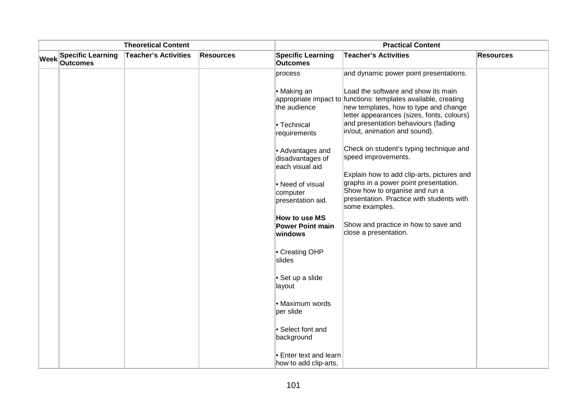| <b>Theoretical Content</b> |                                             |                             |                  | <b>Practical Content</b>                                |                                                                                                                                                                                                                                     |                  |  |
|----------------------------|---------------------------------------------|-----------------------------|------------------|---------------------------------------------------------|-------------------------------------------------------------------------------------------------------------------------------------------------------------------------------------------------------------------------------------|------------------|--|
| <b>Week</b>                | <b>Specific Learning</b><br><b>Outcomes</b> | <b>Teacher's Activities</b> | <b>Resources</b> | <b>Specific Learning</b><br><b>Outcomes</b>             | <b>Teacher's Activities</b>                                                                                                                                                                                                         | <b>Resources</b> |  |
|                            |                                             |                             |                  | process                                                 | and dynamic power point presentations.                                                                                                                                                                                              |                  |  |
|                            |                                             |                             |                  | • Making an<br>the audience<br>• Technical              | Load the software and show its main<br>appropriate impact to functions: templates available, creating<br>new templates, how to type and change<br>letter appearances (sizes, fonts, colours)<br>and presentation behaviours (fading |                  |  |
|                            |                                             |                             |                  | requirements                                            | in/out, animation and sound).                                                                                                                                                                                                       |                  |  |
|                            |                                             |                             |                  | • Advantages and<br>disadvantages of<br>each visual aid | Check on student's typing technique and<br>speed improvements.                                                                                                                                                                      |                  |  |
|                            |                                             |                             |                  | • Need of visual<br>computer<br>presentation aid.       | Explain how to add clip-arts, pictures and<br>graphs in a power point presentation.<br>Show how to organise and run a<br>presentation. Practice with students with<br>some examples.                                                |                  |  |
|                            |                                             |                             |                  | How to use MS<br><b>Power Point main</b><br>windows     | Show and practice in how to save and<br>close a presentation.                                                                                                                                                                       |                  |  |
|                            |                                             |                             |                  | • Creating OHP<br>slides                                |                                                                                                                                                                                                                                     |                  |  |
|                            |                                             |                             |                  | • Set up a slide<br>layout                              |                                                                                                                                                                                                                                     |                  |  |
|                            |                                             |                             |                  | • Maximum words<br>per slide                            |                                                                                                                                                                                                                                     |                  |  |
|                            |                                             |                             |                  | • Select font and<br>background                         |                                                                                                                                                                                                                                     |                  |  |
|                            |                                             |                             |                  | • Enter text and learn<br>how to add clip-arts,         |                                                                                                                                                                                                                                     |                  |  |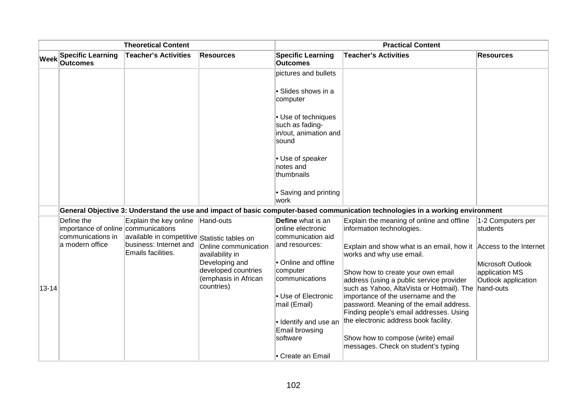|           | <b>Theoretical Content</b>                                             |                                                                        |                                                                             | <b>Practical Content</b>                                                                                                                         |                                                                                                                                                                                                                                                                                                                                      |                                                                         |  |
|-----------|------------------------------------------------------------------------|------------------------------------------------------------------------|-----------------------------------------------------------------------------|--------------------------------------------------------------------------------------------------------------------------------------------------|--------------------------------------------------------------------------------------------------------------------------------------------------------------------------------------------------------------------------------------------------------------------------------------------------------------------------------------|-------------------------------------------------------------------------|--|
| Week      | <b>Specific Learning</b><br>Outcomes                                   | <b>Teacher's Activities</b>                                            | <b>Resources</b>                                                            | <b>Specific Learning</b><br><b>Outcomes</b>                                                                                                      | <b>Teacher's Activities</b>                                                                                                                                                                                                                                                                                                          | <b>Resources</b>                                                        |  |
|           |                                                                        |                                                                        |                                                                             | pictures and bullets                                                                                                                             |                                                                                                                                                                                                                                                                                                                                      |                                                                         |  |
|           |                                                                        |                                                                        |                                                                             | · Slides shows in a<br>computer                                                                                                                  |                                                                                                                                                                                                                                                                                                                                      |                                                                         |  |
|           |                                                                        |                                                                        |                                                                             | • Use of techniques<br>such as fading-<br>in/out, animation and<br>sound                                                                         |                                                                                                                                                                                                                                                                                                                                      |                                                                         |  |
|           |                                                                        |                                                                        |                                                                             | • Use of speaker<br>notes and<br>Ithumbnails                                                                                                     |                                                                                                                                                                                                                                                                                                                                      |                                                                         |  |
|           |                                                                        |                                                                        |                                                                             | • Saving and printing<br>lwork                                                                                                                   |                                                                                                                                                                                                                                                                                                                                      |                                                                         |  |
|           |                                                                        |                                                                        |                                                                             |                                                                                                                                                  | General Objective 3: Understand the use and impact of basic computer-based communication technologies in a working environment                                                                                                                                                                                                       |                                                                         |  |
|           | Define the<br>importance of online communications<br>communications in | Explain the key online<br>available in competitive Statistic tables on | Hand-outs                                                                   | Define what is an<br>online electronic<br>communication aid                                                                                      | Explain the meaning of online and offline<br>information technologies.                                                                                                                                                                                                                                                               | 1-2 Computers per<br>students                                           |  |
|           | a modern office                                                        | business: Internet and<br>Emails facilities.                           | Online communication<br>availability in                                     | and resources:                                                                                                                                   | Explain and show what is an email, how it Access to the Internet<br>works and why use email.                                                                                                                                                                                                                                         |                                                                         |  |
| $13 - 14$ |                                                                        |                                                                        | Developing and<br>developed countries<br>(emphasis in African<br>countries) | • Online and offline<br>computer<br>communications<br>• Use of Electronic<br>mail (Email)<br>· Identify and use an<br>Email browsing<br>software | Show how to create your own email<br>address (using a public service provider<br>such as Yahoo, AltaVista or Hotmail). The<br>importance of the username and the<br>password. Meaning of the email address.<br>Finding people's email addresses. Using<br>the electronic address book facility.<br>Show how to compose (write) email | Microsoft Outlook<br>application MS<br>Outlook application<br>hand-outs |  |
|           |                                                                        |                                                                        |                                                                             | l• Create an Email                                                                                                                               | messages. Check on student's typing                                                                                                                                                                                                                                                                                                  |                                                                         |  |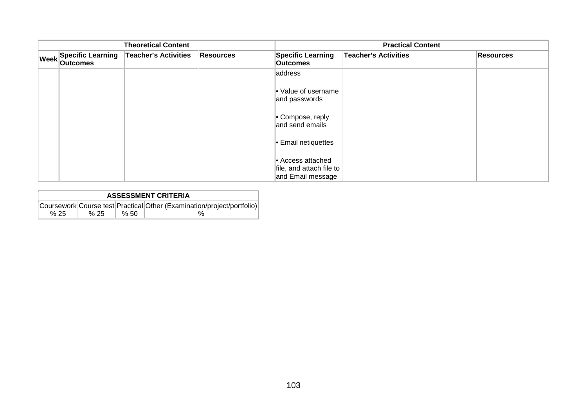| <b>Theoretical Content</b> |                                            |                             |                  |                                                                    | <b>Practical Content</b> |                  |  |  |
|----------------------------|--------------------------------------------|-----------------------------|------------------|--------------------------------------------------------------------|--------------------------|------------------|--|--|
|                            | <b>Week Specific Learning</b><br>∣Outcomes | <b>Teacher's Activities</b> | <b>Resources</b> | <b>Specific Learning</b><br><b>Outcomes</b>                        | Teacher's Activities     | <b>Resources</b> |  |  |
|                            |                                            |                             |                  | address                                                            |                          |                  |  |  |
|                            |                                            |                             |                  | • Value of username<br>and passwords                               |                          |                  |  |  |
|                            |                                            |                             |                  | • Compose, reply<br>and send emails                                |                          |                  |  |  |
|                            |                                            |                             |                  | <b>E</b> Email netiquettes                                         |                          |                  |  |  |
|                            |                                            |                             |                  | • Access attached<br>file, and attach file to<br>and Email message |                          |                  |  |  |

| <b>ASSESSMENT CRITERIA</b> |      |     |                                                                        |  |  |  |  |
|----------------------------|------|-----|------------------------------------------------------------------------|--|--|--|--|
|                            |      |     | Coursework Course test Practical Other (Examination/project/portfolio) |  |  |  |  |
| %25                        | % 25 | %50 |                                                                        |  |  |  |  |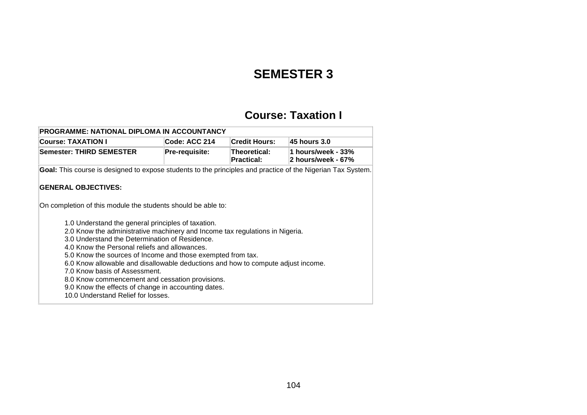#### **SEMESTER 3**

#### **Course: Taxation I**

| <b>PROGRAMME: NATIONAL DIPLOMA IN ACCOUNTANCY</b>                                                                                                                                                                                                                                                                                                                                                                                                                                                                                                                                                                                                                                          |                |                                   |                                          |  |  |  |  |
|--------------------------------------------------------------------------------------------------------------------------------------------------------------------------------------------------------------------------------------------------------------------------------------------------------------------------------------------------------------------------------------------------------------------------------------------------------------------------------------------------------------------------------------------------------------------------------------------------------------------------------------------------------------------------------------------|----------------|-----------------------------------|------------------------------------------|--|--|--|--|
| ∣Course: TAXATION I                                                                                                                                                                                                                                                                                                                                                                                                                                                                                                                                                                                                                                                                        | Code: ACC 214  | <b>Credit Hours:</b>              | 45 hours 3.0                             |  |  |  |  |
| Semester: THIRD SEMESTER                                                                                                                                                                                                                                                                                                                                                                                                                                                                                                                                                                                                                                                                   | Pre-requisite: | Theoretical:<br><b>Practical:</b> | 1 hours/week - 33%<br>2 hours/week - 67% |  |  |  |  |
|                                                                                                                                                                                                                                                                                                                                                                                                                                                                                                                                                                                                                                                                                            |                |                                   |                                          |  |  |  |  |
| Goal: This course is designed to expose students to the principles and practice of the Nigerian Tax System.<br><b>IGENERAL OBJECTIVES:</b><br>On completion of this module the students should be able to:<br>1.0 Understand the general principles of taxation.<br>2.0 Know the administrative machinery and Income tax regulations in Nigeria.<br>3.0 Understand the Determination of Residence.<br>4.0 Know the Personal reliefs and allowances.<br>5.0 Know the sources of Income and those exempted from tax.<br>6.0 Know allowable and disallowable deductions and how to compute adjust income.<br>7.0 Know basis of Assessment.<br>8.0 Know commencement and cessation provisions. |                |                                   |                                          |  |  |  |  |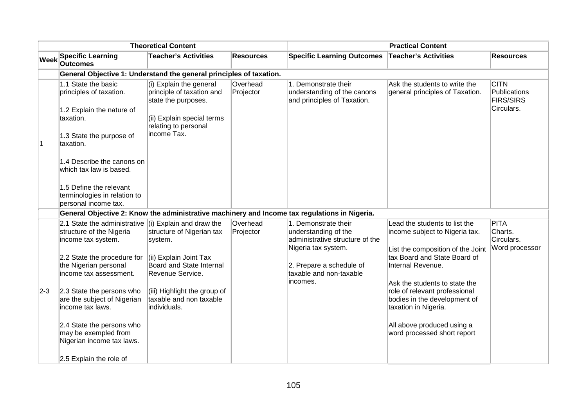| <b>Theoretical Content</b> |                                                                                                                                                                 |                                                                                                                                                  | <b>Practical Content</b> |                                                                                                                                                                           |                                                                                                      |                                                               |  |  |
|----------------------------|-----------------------------------------------------------------------------------------------------------------------------------------------------------------|--------------------------------------------------------------------------------------------------------------------------------------------------|--------------------------|---------------------------------------------------------------------------------------------------------------------------------------------------------------------------|------------------------------------------------------------------------------------------------------|---------------------------------------------------------------|--|--|
| <b>Week</b>                | <b>Specific Learning</b><br><b>Outcomes</b>                                                                                                                     | <b>Teacher's Activities</b>                                                                                                                      | <b>Resources</b>         | <b>Specific Learning Outcomes</b>                                                                                                                                         | <b>Teacher's Activities</b>                                                                          | <b>Resources</b>                                              |  |  |
|                            | General Objective 1: Understand the general principles of taxation.                                                                                             |                                                                                                                                                  |                          |                                                                                                                                                                           |                                                                                                      |                                                               |  |  |
| ∣1                         | 1.1 State the basic<br>principles of taxation.<br>1.2 Explain the nature of<br>taxation.<br>1.3 State the purpose of<br>taxation.<br>1.4 Describe the canons on | (i) Explain the general<br>principle of taxation and<br>state the purposes.<br>(ii) Explain special terms<br>relating to personal<br>income Tax. | Overhead<br>Projector    | 1. Demonstrate their<br>understanding of the canons<br>and principles of Taxation.                                                                                        | Ask the students to write the<br>general principles of Taxation.                                     | <b>CITN</b><br>Publications<br><b>FIRS/SIRS</b><br>Circulars. |  |  |
|                            | which tax law is based.<br>1.5 Define the relevant<br>terminologies in relation to<br>personal income tax.                                                      |                                                                                                                                                  |                          |                                                                                                                                                                           |                                                                                                      |                                                               |  |  |
|                            | General Objective 2: Know the administrative machinery and Income tax regulations in Nigeria.                                                                   |                                                                                                                                                  |                          |                                                                                                                                                                           |                                                                                                      |                                                               |  |  |
| $2-3$                      | 2.1 State the administrative $\ $ (i) Explain and draw the<br>structure of the Nigeria<br>income tax system.                                                    | structure of Nigerian tax<br>system.                                                                                                             | Overhead<br>Projector    | 1. Demonstrate their<br>understanding of the<br>administrative structure of the<br>Nigeria tax system.<br>2. Prepare a schedule of<br>taxable and non-taxable<br>incomes. | Lead the students to list the<br>income subject to Nigeria tax.<br>List the composition of the Joint | <b>PITA</b><br>Charts.<br>Circulars.<br>Word processor        |  |  |
|                            | 2.2 State the procedure for<br>the Nigerian personal<br>income tax assessment.                                                                                  | (ii) Explain Joint Tax<br>Board and State Internal<br>Revenue Service.                                                                           |                          |                                                                                                                                                                           | tax Board and State Board of<br>Internal Revenue.<br>Ask the students to state the                   |                                                               |  |  |
|                            | 2.3 State the persons who<br>are the subject of Nigerian<br>lincome tax laws.                                                                                   | (iii) Highlight the group of<br>taxable and non taxable<br>individuals.                                                                          |                          |                                                                                                                                                                           | role of relevant professional<br>bodies in the development of<br>taxation in Nigeria.                |                                                               |  |  |
|                            | 2.4 State the persons who<br>may be exempled from<br>Nigerian income tax laws.                                                                                  |                                                                                                                                                  |                          |                                                                                                                                                                           | All above produced using a<br>word processed short report                                            |                                                               |  |  |
|                            | 2.5 Explain the role of                                                                                                                                         |                                                                                                                                                  |                          |                                                                                                                                                                           |                                                                                                      |                                                               |  |  |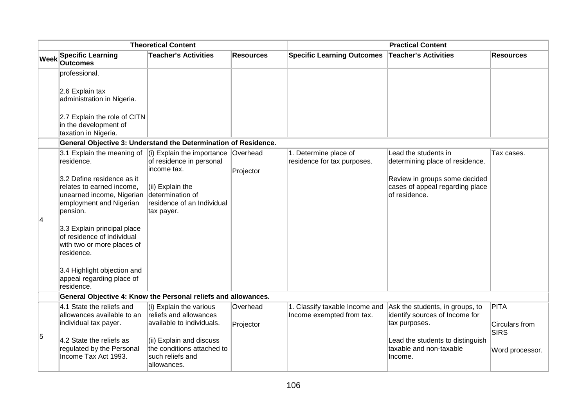| <b>Theoretical Content</b> |                                                                                                                                                                                                                                                                                                                                                            |                                                                                                                                                                            |                       | <b>Practical Content</b>                                    |                                                                                                                                              |                                              |  |  |  |
|----------------------------|------------------------------------------------------------------------------------------------------------------------------------------------------------------------------------------------------------------------------------------------------------------------------------------------------------------------------------------------------------|----------------------------------------------------------------------------------------------------------------------------------------------------------------------------|-----------------------|-------------------------------------------------------------|----------------------------------------------------------------------------------------------------------------------------------------------|----------------------------------------------|--|--|--|
| <b>Week</b>                | <b>Specific Learning</b><br><b>Outcomes</b>                                                                                                                                                                                                                                                                                                                | <b>Teacher's Activities</b>                                                                                                                                                | <b>Resources</b>      | <b>Specific Learning Outcomes</b>                           | <b>Teacher's Activities</b>                                                                                                                  | <b>Resources</b>                             |  |  |  |
|                            | professional.                                                                                                                                                                                                                                                                                                                                              |                                                                                                                                                                            |                       |                                                             |                                                                                                                                              |                                              |  |  |  |
|                            | 2.6 Explain tax<br>administration in Nigeria.                                                                                                                                                                                                                                                                                                              |                                                                                                                                                                            |                       |                                                             |                                                                                                                                              |                                              |  |  |  |
|                            | 2.7 Explain the role of CITN<br>in the development of<br>taxation in Nigeria.                                                                                                                                                                                                                                                                              |                                                                                                                                                                            |                       |                                                             |                                                                                                                                              |                                              |  |  |  |
|                            | General Objective 3: Understand the Determination of Residence.                                                                                                                                                                                                                                                                                            |                                                                                                                                                                            |                       |                                                             |                                                                                                                                              |                                              |  |  |  |
| 4                          | 3.1 Explain the meaning of<br>residence.<br>3.2 Define residence as it<br>relates to earned income,<br>unearned income, Nigerian<br>employment and Nigerian<br>pension.<br>3.3 Explain principal place<br>of residence of individual<br>with two or more places of<br>residence.<br>3.4 Highlight objection and<br>appeal regarding place of<br>residence. | $\left  \right $ (i) Explain the importance<br>of residence in personal<br>income tax.<br>(ii) Explain the<br>determination of<br>residence of an Individual<br>tax payer. | Overhead<br>Projector | 1. Determine place of<br>residence for tax purposes.        | Lead the students in<br>determining place of residence.<br>Review in groups some decided<br>cases of appeal regarding place<br>of residence. | Tax cases.                                   |  |  |  |
|                            | General Objective 4: Know the Personal reliefs and allowances.                                                                                                                                                                                                                                                                                             |                                                                                                                                                                            |                       |                                                             |                                                                                                                                              |                                              |  |  |  |
|                            | 4.1 State the reliefs and<br>allowances available to an<br>individual tax payer.                                                                                                                                                                                                                                                                           | (i) Explain the various<br>reliefs and allowances<br>available to individuals.                                                                                             | Overhead<br>Projector | 1. Classify taxable Income and<br>Income exempted from tax. | Ask the students, in groups, to<br>identify sources of Income for<br>tax purposes.                                                           | <b>PITA</b><br>Circulars from<br><b>SIRS</b> |  |  |  |
| 5                          | 4.2 State the reliefs as<br>regulated by the Personal<br>Income Tax Act 1993.                                                                                                                                                                                                                                                                              | (ii) Explain and discuss<br>the conditions attached to<br>such reliefs and<br>allowances.                                                                                  |                       |                                                             | Lead the students to distinguish<br>taxable and non-taxable<br>Income.                                                                       | Word processor.                              |  |  |  |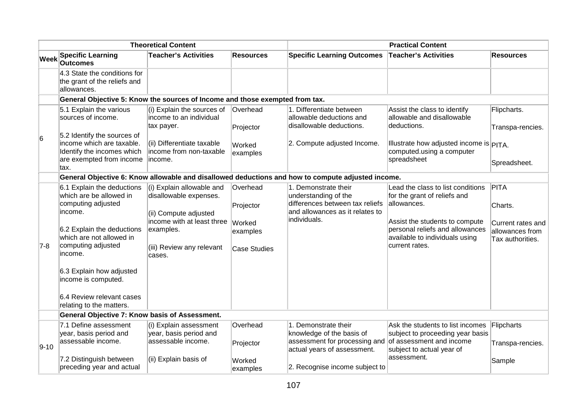| <b>Theoretical Content</b> |                                                                                                                                                                                                                                                                                               |                                                                                                                                                                |                                                                    |                                                                                                                                            | <b>Practical Content</b>                                                                                                                                                                                  |                                                                             |
|----------------------------|-----------------------------------------------------------------------------------------------------------------------------------------------------------------------------------------------------------------------------------------------------------------------------------------------|----------------------------------------------------------------------------------------------------------------------------------------------------------------|--------------------------------------------------------------------|--------------------------------------------------------------------------------------------------------------------------------------------|-----------------------------------------------------------------------------------------------------------------------------------------------------------------------------------------------------------|-----------------------------------------------------------------------------|
| Week                       | <b>Specific Learning</b><br><b>Outcomes</b>                                                                                                                                                                                                                                                   | <b>Teacher's Activities</b>                                                                                                                                    | <b>Resources</b>                                                   | <b>Specific Learning Outcomes</b>                                                                                                          | Teacher's Activities                                                                                                                                                                                      | <b>Resources</b>                                                            |
|                            | 4.3 State the conditions for<br>the grant of the reliefs and<br>allowances.                                                                                                                                                                                                                   |                                                                                                                                                                |                                                                    |                                                                                                                                            |                                                                                                                                                                                                           |                                                                             |
|                            | General Objective 5: Know the sources of Income and those exempted from tax.                                                                                                                                                                                                                  |                                                                                                                                                                |                                                                    |                                                                                                                                            |                                                                                                                                                                                                           |                                                                             |
|                            | 5.1 Explain the various<br>sources of income.                                                                                                                                                                                                                                                 | (i) Explain the sources of<br>income to an individual<br>tax payer.                                                                                            | Overhead<br>Projector                                              | 1. Differentiate between<br>allowable deductions and<br>disallowable deductions.                                                           | Assist the class to identify<br>allowable and disallowable<br>deductions.                                                                                                                                 | Flipcharts.<br>Transpa-rencies.                                             |
| 6                          | 5.2 Identify the sources of<br>income which are taxable.<br>Identify the incomes which<br>are exempted from income<br>tax.                                                                                                                                                                    | (ii) Differentiate taxable<br>income from non-taxable<br>income.                                                                                               | Worked<br>examples                                                 | 2. Compute adjusted Income.                                                                                                                | Illustrate how adjusted income is PITA.<br>computed.using a computer<br>spreadsheet                                                                                                                       | Spreadsheet.                                                                |
|                            |                                                                                                                                                                                                                                                                                               |                                                                                                                                                                |                                                                    | General Objective 6: Know allowable and disallowed deductions and how to compute adjusted income.                                          |                                                                                                                                                                                                           |                                                                             |
| $7-8$                      | 6.1 Explain the deductions<br>which are be allowed in<br>computing adjusted<br>income.<br>6.2 Explain the deductions<br>which are not allowed in<br>computing adjusted<br>income.<br>6.3 Explain how adjusted<br>income is computed.<br>6.4 Review relevant cases<br>relating to the matters. | (i) Explain allowable and<br>disallowable expenses.<br>(ii) Compute adjusted<br>income with at least three<br>examples.<br>(iii) Review any relevant<br>cases. | Overhead<br>Projector<br>Worked<br>examples<br><b>Case Studies</b> | 1. Demonstrate their<br>understanding of the<br>differences between tax reliefs<br>and allowances as it relates to<br>individuals.         | Lead the class to list conditions<br>for the grant of reliefs and<br>allowances.<br>Assist the students to compute<br>personal reliefs and allowances<br>available to individuals using<br>current rates. | PITA<br>Charts.<br>Current rates and<br>allowances from<br>Tax authorities. |
|                            | General Objective 7: Know basis of Assessment.                                                                                                                                                                                                                                                |                                                                                                                                                                |                                                                    |                                                                                                                                            |                                                                                                                                                                                                           |                                                                             |
| $9 - 10$                   | 7.1 Define assessment<br>year, basis period and<br>assessable income.                                                                                                                                                                                                                         | (i) Explain assessment<br>year, basis period and<br>assessable income.                                                                                         | Overhead<br>Projector                                              | 1. Demonstrate their<br>knowledge of the basis of<br>assessment for processing and of assessment and income<br>actual years of assessment. | Ask the students to list incomes<br>subject to proceeding year basis<br>subject to actual year of                                                                                                         | Flipcharts<br>Transpa-rencies.                                              |
|                            | 7.2 Distinguish between<br>preceding year and actual                                                                                                                                                                                                                                          | (ii) Explain basis of                                                                                                                                          | Worked<br>examples                                                 | 2. Recognise income subject to                                                                                                             | assessment.                                                                                                                                                                                               | Sample                                                                      |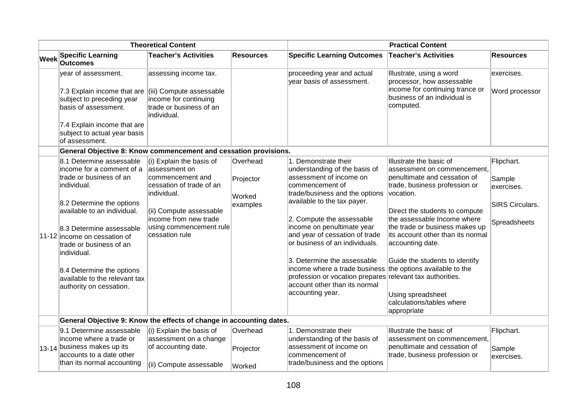| <b>Theoretical Content</b> |                                                                                                                                                                                                                                                                                                                                                            |                                                                                                                                                                                                           |                                             |                                                                                                                                                                                                                                                                                                                                                                                                                                                                                       | <b>Practical Content</b>                                                                                                                                                                                                                                                                                                                                                                                                            |                                                                              |
|----------------------------|------------------------------------------------------------------------------------------------------------------------------------------------------------------------------------------------------------------------------------------------------------------------------------------------------------------------------------------------------------|-----------------------------------------------------------------------------------------------------------------------------------------------------------------------------------------------------------|---------------------------------------------|---------------------------------------------------------------------------------------------------------------------------------------------------------------------------------------------------------------------------------------------------------------------------------------------------------------------------------------------------------------------------------------------------------------------------------------------------------------------------------------|-------------------------------------------------------------------------------------------------------------------------------------------------------------------------------------------------------------------------------------------------------------------------------------------------------------------------------------------------------------------------------------------------------------------------------------|------------------------------------------------------------------------------|
|                            | Week Specific Learning<br><b>Outcomes</b>                                                                                                                                                                                                                                                                                                                  | <b>Teacher's Activities</b>                                                                                                                                                                               | <b>Resources</b>                            | <b>Specific Learning Outcomes</b>                                                                                                                                                                                                                                                                                                                                                                                                                                                     | <b>Teacher's Activities</b>                                                                                                                                                                                                                                                                                                                                                                                                         | <b>Resources</b>                                                             |
|                            | vear of assessment.<br>7.3 Explain income that are<br>subject to preceding year<br>basis of assessment.<br>7.4 Explain income that are<br>subject to actual year basis<br>of assessment.                                                                                                                                                                   | assessing income tax.<br>(iii) Compute assessable<br>income for continuing<br>trade or business of an<br>individual.                                                                                      |                                             | proceeding year and actual<br>vear basis of assessment.                                                                                                                                                                                                                                                                                                                                                                                                                               | Illustrate, using a word<br>processor, how assessable<br>income for continuing trance or<br>business of an individual is<br>computed.                                                                                                                                                                                                                                                                                               | exercises.<br>Word processor                                                 |
|                            | General Objective 8: Know commencement and cessation provisions.                                                                                                                                                                                                                                                                                           |                                                                                                                                                                                                           |                                             |                                                                                                                                                                                                                                                                                                                                                                                                                                                                                       |                                                                                                                                                                                                                                                                                                                                                                                                                                     |                                                                              |
|                            | 8.1 Determine assessable<br>income for a comment of a<br>trade or business of an<br>individual.<br>8.2 Determine the options<br>available to an individual.<br>8.3 Determine assessable<br>11-12 income on cessation of<br>trade or business of an<br>individual.<br>8.4 Determine the options<br>available to the relevant tax<br>authority on cessation. | (i) Explain the basis of<br>assessment on<br>commencement and<br>cessation of trade of an<br>individual.<br>(ii) Compute assessable<br>income from new trade<br>using commencement rule<br>cessation rule | Overhead<br>Projector<br>Worked<br>examples | 1. Demonstrate their<br>understanding of the basis of<br>assessment of income on<br>commencement of<br>trade/business and the options<br>available to the tax payer.<br>2. Compute the assessable<br>income on penultimate year<br>and year of cessation of trade<br>or business of an individuals.<br>3. Determine the assessable<br>income where a trade business<br>profession or vocation prepares relevant tax authorities.<br>account other than its normal<br>accounting year. | Illustrate the basic of<br>assessment on commencement,<br>penultimate and cessation of<br>trade, business profession or<br>vocation.<br>Direct the students to compute<br>the assessable Income where<br>the trade or business makes up<br>its account other than its normal<br>accounting date.<br>Guide the students to identify<br>the options available to the<br>Using spreadsheet<br>calculations/tables where<br>appropriate | Flipchart.<br>Sample<br>exercises.<br><b>SIRS Circulars.</b><br>Spreadsheets |
|                            | General Objective 9: Know the effects of change in accounting dates.                                                                                                                                                                                                                                                                                       |                                                                                                                                                                                                           |                                             |                                                                                                                                                                                                                                                                                                                                                                                                                                                                                       |                                                                                                                                                                                                                                                                                                                                                                                                                                     |                                                                              |
|                            | 9.1 Determine assessable<br>income where a trade or<br>13-14 business makes up its<br>accounts to a date other<br>than its normal accounting                                                                                                                                                                                                               | (i) Explain the basis of<br>assessment on a change<br>of accounting date.<br>(ii) Compute assessable                                                                                                      | Overhead<br>Projector<br>Worked             | 1. Demonstrate their<br>understanding of the basis of<br>assessment of income on<br>commencement of<br>trade/business and the options                                                                                                                                                                                                                                                                                                                                                 | Illustrate the basic of<br>assessment on commencement,<br>penultimate and cessation of<br>trade, business profession or                                                                                                                                                                                                                                                                                                             | Flipchart.<br>Sample<br>exercises.                                           |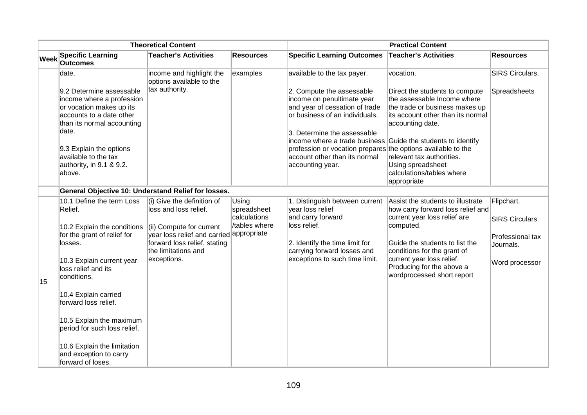| <b>Theoretical Content</b> |                                                                                                                                                                                                                                                                                                                                                       |                                                                                                                                                                                       | <b>Practical Content</b>                                             |                                                                                                                                                                                                                                                                                                                                                 |                                                                                                                                                                                                                                                                                                       |                                                                                  |
|----------------------------|-------------------------------------------------------------------------------------------------------------------------------------------------------------------------------------------------------------------------------------------------------------------------------------------------------------------------------------------------------|---------------------------------------------------------------------------------------------------------------------------------------------------------------------------------------|----------------------------------------------------------------------|-------------------------------------------------------------------------------------------------------------------------------------------------------------------------------------------------------------------------------------------------------------------------------------------------------------------------------------------------|-------------------------------------------------------------------------------------------------------------------------------------------------------------------------------------------------------------------------------------------------------------------------------------------------------|----------------------------------------------------------------------------------|
|                            | <b>Week Specific Learning</b><br><b>Outcomes</b>                                                                                                                                                                                                                                                                                                      | <b>Teacher's Activities</b>                                                                                                                                                           | <b>Resources</b>                                                     | <b>Specific Learning Outcomes</b>                                                                                                                                                                                                                                                                                                               | <b>Teacher's Activities</b>                                                                                                                                                                                                                                                                           | <b>Resources</b>                                                                 |
|                            | date.<br>9.2 Determine assessable<br>income where a profession<br>or vocation makes up its<br>accounts to a date other<br>than its normal accounting<br>date.<br>9.3 Explain the options<br>available to the tax<br>authority, in $9.1$ & $9.2$ .<br>above.                                                                                           | income and highlight the<br>options available to the<br>tax authority.                                                                                                                | examples                                                             | available to the tax payer.<br>2. Compute the assessable<br>income on penultimate year<br>and year of cessation of trade<br>or business of an individuals.<br>3. Determine the assessable<br>income where a trade business<br>profession or vocation prepares the options available to the<br>account other than its normal<br>accounting year. | vocation.<br>Direct the students to compute<br>the assessable Income where<br>the trade or business makes up<br>its account other than its normal<br>accounting date.<br>Guide the students to identify<br>relevant tax authorities.<br>Using spreadsheet<br>calculations/tables where<br>appropriate | SIRS Circulars.<br>Spreadsheets                                                  |
|                            | General Objective 10: Understand Relief for losses.                                                                                                                                                                                                                                                                                                   |                                                                                                                                                                                       |                                                                      |                                                                                                                                                                                                                                                                                                                                                 |                                                                                                                                                                                                                                                                                                       |                                                                                  |
| 15                         | 10.1 Define the term Loss<br>Relief.<br>10.2 Explain the conditions<br>for the grant of relief for<br>losses.<br>10.3 Explain current year<br>loss relief and its<br>conditions.<br>10.4 Explain carried<br>forward loss relief.<br>10.5 Explain the maximum<br>period for such loss relief.<br>10.6 Explain the limitation<br>and exception to carry | (i) Give the definition of<br>loss and loss relief.<br>(ii) Compute for current<br>year loss relief and carried<br>forward loss relief, stating<br>the limitations and<br>exceptions. | Using<br>spreadsheet<br>calculations<br>/tables where<br>appropriate | 1. Distinguish between current<br>year loss relief<br>and carry forward<br>loss relief.<br>2. Identify the time limit for<br>carrying forward losses and<br>exceptions to such time limit.                                                                                                                                                      | Assist the students to illustrate<br>how carry forward loss relief and<br>current year loss relief are<br>computed.<br>Guide the students to list the<br>conditions for the grant of<br>current year loss relief.<br>Producing for the above a<br>wordprocessed short report                          | Flipchart.<br>SIRS Circulars.<br>Professional tax<br>Journals.<br>Word processor |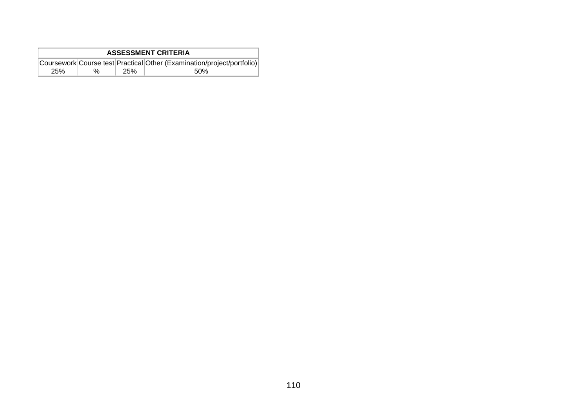| <b>ASSESSMENT CRITERIA</b> |   |     |                                                                        |  |  |  |  |
|----------------------------|---|-----|------------------------------------------------------------------------|--|--|--|--|
|                            |   |     | Coursework Course test Practical Other (Examination/project/portfolio) |  |  |  |  |
| 25%                        | ℅ | 25% | .50%                                                                   |  |  |  |  |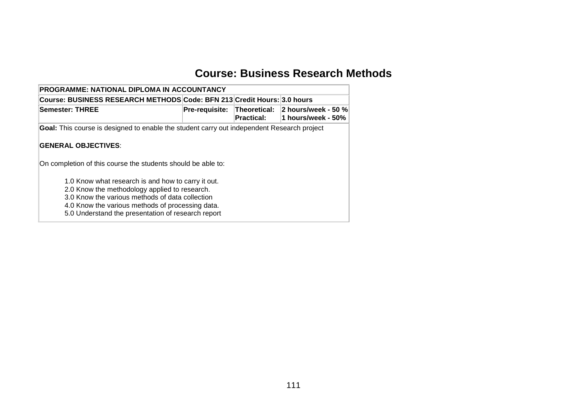### **Course: Business Research Methods**

| <b>PROGRAMME: NATIONAL DIPLOMA IN ACCOUNTANCY</b>                                                      |                |                                                  |                                             |  |  |  |
|--------------------------------------------------------------------------------------------------------|----------------|--------------------------------------------------|---------------------------------------------|--|--|--|
| Course: BUSINESS RESEARCH METHODS Code: BFN 213 Credit Hours: 3.0 hours                                |                |                                                  |                                             |  |  |  |
| <b>Semester: THREE</b>                                                                                 | Pre-requisite: | $\blacksquare$ Theoretical:<br><b>Practical:</b> | 2 hours/week - 50 $%$<br>1 hours/week - 50% |  |  |  |
| <b>Goal:</b> This course is designed to enable the student carry out independent Research project      |                |                                                  |                                             |  |  |  |
| <b>GENERAL OBJECTIVES:</b>                                                                             |                |                                                  |                                             |  |  |  |
| On completion of this course the students should be able to:                                           |                |                                                  |                                             |  |  |  |
| 1.0 Know what research is and how to carry it out.                                                     |                |                                                  |                                             |  |  |  |
| 2.0 Know the methodology applied to research.                                                          |                |                                                  |                                             |  |  |  |
| 3.0 Know the various methods of data collection                                                        |                |                                                  |                                             |  |  |  |
| 4.0 Know the various methods of processing data.<br>5.0 Understand the presentation of research report |                |                                                  |                                             |  |  |  |
|                                                                                                        |                |                                                  |                                             |  |  |  |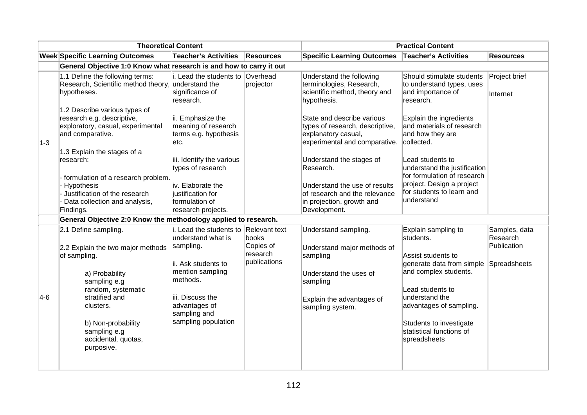| <b>Theoretical Content</b> |                                                                                                                                                                                                                                                                                                     |                                                                                                                                                                                                                |                                                | <b>Practical Content</b>                                                                                                                                                                                                                                                      |                                                                                                                                                                                                                                                                   |                                          |  |
|----------------------------|-----------------------------------------------------------------------------------------------------------------------------------------------------------------------------------------------------------------------------------------------------------------------------------------------------|----------------------------------------------------------------------------------------------------------------------------------------------------------------------------------------------------------------|------------------------------------------------|-------------------------------------------------------------------------------------------------------------------------------------------------------------------------------------------------------------------------------------------------------------------------------|-------------------------------------------------------------------------------------------------------------------------------------------------------------------------------------------------------------------------------------------------------------------|------------------------------------------|--|
|                            | <b>Week Specific Learning Outcomes</b>                                                                                                                                                                                                                                                              | <b>Teacher's Activities</b>                                                                                                                                                                                    | <b>Resources</b>                               | <b>Specific Learning Outcomes</b>                                                                                                                                                                                                                                             | <b>Teacher's Activities</b>                                                                                                                                                                                                                                       | <b>Resources</b>                         |  |
|                            | General Objective 1:0 Know what research is and how to carry it out                                                                                                                                                                                                                                 |                                                                                                                                                                                                                |                                                |                                                                                                                                                                                                                                                                               |                                                                                                                                                                                                                                                                   |                                          |  |
|                            | 1.1 Define the following terms:<br>Research, Scientific method theory, understand the<br>hypotheses.                                                                                                                                                                                                | i. Lead the students to<br>significance of<br>research.                                                                                                                                                        | Overhead<br>projector                          | Understand the following<br>terminologies, Research,<br>scientific method, theory and<br>hypothesis.                                                                                                                                                                          | Should stimulate students<br>to understand types, uses<br>and importance of<br>research.                                                                                                                                                                          | Project brief<br>Internet                |  |
| $1 - 3$                    | 1.2 Describe various types of<br>research e.g. descriptive,<br>exploratory, casual, experimental<br>and comparative.<br>1.3 Explain the stages of a<br>research:<br>formulation of a research problem.<br>Hypothesis<br>Justification of the research<br>Data collection and analysis,<br>Findings. | ii. Emphasize the<br>meaning of research<br>terms e.g. hypothesis<br>letc.<br>iii. Identify the various<br>types of research<br>iv. Elaborate the<br>justification for<br>formulation of<br>research projects. |                                                | State and describe various<br>types of research, descriptive,<br>explanatory casual,<br>experimental and comparative.<br>Understand the stages of<br>Research.<br>Understand the use of results<br>of research and the relevance<br>in projection, growth and<br>Development. | Explain the ingredients<br>and materials of research<br>and how they are<br>collected.<br>Lead students to<br>understand the justification<br>for formulation of research<br>project. Design a project<br>for students to learn and<br>understand                 |                                          |  |
|                            | General Objective 2:0 Know the methodology applied to research.                                                                                                                                                                                                                                     |                                                                                                                                                                                                                |                                                |                                                                                                                                                                                                                                                                               |                                                                                                                                                                                                                                                                   |                                          |  |
| 4-6                        | 2.1 Define sampling.<br>2.2 Explain the two major methods<br>of sampling.<br>a) Probability<br>sampling e.g<br>random, systematic<br>stratified and<br>clusters.<br>b) Non-probability<br>sampling e.g<br>accidental, quotas,<br>purposive.                                                         | i. Lead the students to Relevant text<br>understand what is<br>sampling.<br>ii. Ask students to<br>mention sampling<br>methods.<br>iii. Discuss the<br>advantages of<br>sampling and<br>sampling population    | books<br>Copies of<br>research<br>publications | Understand sampling.<br>Understand major methods of<br>sampling<br>Understand the uses of<br>sampling<br>Explain the advantages of<br>sampling system.                                                                                                                        | Explain sampling to<br>students.<br>Assist students to<br>generate data from simple Spreadsheets<br>and complex students.<br>Lead students to<br>understand the<br>advantages of sampling.<br>Students to investigate<br>statistical functions of<br>spreadsheets | Samples, data<br>Research<br>Publication |  |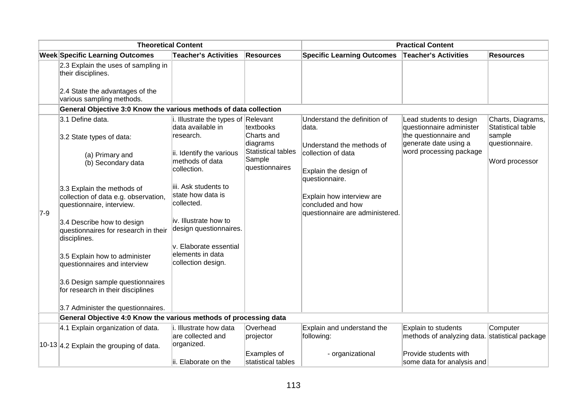| <b>Theoretical Content</b> |                                                                                                 |                                                                        | <b>Practical Content</b>                                          |                                                                                            |                                                                              |                                                  |
|----------------------------|-------------------------------------------------------------------------------------------------|------------------------------------------------------------------------|-------------------------------------------------------------------|--------------------------------------------------------------------------------------------|------------------------------------------------------------------------------|--------------------------------------------------|
|                            | <b>Week Specific Learning Outcomes</b>                                                          | <b>Teacher's Activities</b>                                            | <b>Resources</b>                                                  | <b>Specific Learning Outcomes</b>                                                          | <b>Teacher's Activities</b>                                                  | <b>Resources</b>                                 |
|                            | 2.3 Explain the uses of sampling in<br>their disciplines.                                       |                                                                        |                                                                   |                                                                                            |                                                                              |                                                  |
|                            | 2.4 State the advantages of the<br>various sampling methods.                                    |                                                                        |                                                                   |                                                                                            |                                                                              |                                                  |
|                            | General Objective 3:0 Know the various methods of data collection                               |                                                                        |                                                                   |                                                                                            |                                                                              |                                                  |
|                            | 3.1 Define data.<br>3.2 State types of data:                                                    | i. Illustrate the types of Relevant<br>ldata available in<br>research. | textbooks<br>Charts and                                           | Understand the definition of<br>data.                                                      | Lead students to design<br>questionnaire administer<br>the questionnaire and | Charts, Diagrams,<br>Statistical table<br>sample |
|                            | (a) Primary and<br>(b) Secondary data                                                           | ii. Identify the various<br>methods of data<br>collection.             | diagrams<br><b>Statistical tables</b><br>Sample<br>questionnaires | Understand the methods of<br>collection of data<br>Explain the design of<br>questionnaire. | generate date using a<br>word processing package                             | questionnaire.<br>Word processor                 |
| $7-9$                      | 3.3 Explain the methods of<br>collection of data e.g. observation,<br>questionnaire, interview. | liii. Ask students to<br>state how data is<br>collected.               |                                                                   | Explain how interview are<br>concluded and how<br>questionnaire are administered.          |                                                                              |                                                  |
|                            | 3.4 Describe how to design<br>questionnaires for research in their<br>disciplines.              | iv. Illustrate how to<br>design questionnaires.                        |                                                                   |                                                                                            |                                                                              |                                                  |
|                            | 3.5 Explain how to administer<br>questionnaires and interview                                   | v. Elaborate essential<br>elements in data<br>collection design.       |                                                                   |                                                                                            |                                                                              |                                                  |
|                            | 3.6 Design sample questionnaires<br>for research in their disciplines                           |                                                                        |                                                                   |                                                                                            |                                                                              |                                                  |
|                            | 3.7 Administer the questionnaires.                                                              |                                                                        |                                                                   |                                                                                            |                                                                              |                                                  |
|                            | General Objective 4:0 Know the various methods of processing data                               |                                                                        |                                                                   |                                                                                            |                                                                              |                                                  |
|                            | 4.1 Explain organization of data.<br>10-13 4.2 Explain the grouping of data.                    | i. Illustrate how data<br>are collected and<br>organized.              | Overhead<br>projector                                             | Explain and understand the<br>following:                                                   | Explain to students<br>methods of analyzing data. statistical package        | Computer                                         |
|                            |                                                                                                 | ii. Elaborate on the                                                   | Examples of<br>statistical tables                                 | - organizational                                                                           | Provide students with<br>some data for analysis and                          |                                                  |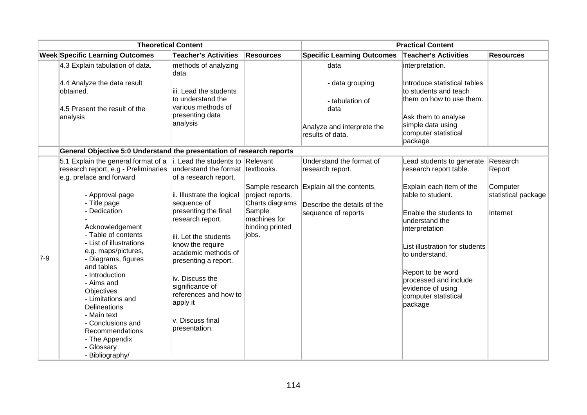| <b>Theoretical Content</b> |                                                                                                                                                                                                                                                                                                                                                                                      |                                                                                                                                                                                                                                                                                                    | <b>Practical Content</b>                                                                                     |                                                                                  |                                                                                                                                                                                                                                                                       |                                             |
|----------------------------|--------------------------------------------------------------------------------------------------------------------------------------------------------------------------------------------------------------------------------------------------------------------------------------------------------------------------------------------------------------------------------------|----------------------------------------------------------------------------------------------------------------------------------------------------------------------------------------------------------------------------------------------------------------------------------------------------|--------------------------------------------------------------------------------------------------------------|----------------------------------------------------------------------------------|-----------------------------------------------------------------------------------------------------------------------------------------------------------------------------------------------------------------------------------------------------------------------|---------------------------------------------|
|                            | <b>Week Specific Learning Outcomes</b>                                                                                                                                                                                                                                                                                                                                               | <b>Teacher's Activities</b>                                                                                                                                                                                                                                                                        | <b>Resources</b>                                                                                             | <b>Specific Learning Outcomes</b>                                                | <b>Teacher's Activities</b>                                                                                                                                                                                                                                           | <b>Resources</b>                            |
|                            | 4.3 Explain tabulation of data.<br>4.4 Analyze the data result<br>obtained.<br>4.5 Present the result of the<br>analysis                                                                                                                                                                                                                                                             | methods of analyzing<br>data.<br>iii. Lead the students<br>to understand the<br>various methods of<br>presenting data<br>analysis                                                                                                                                                                  |                                                                                                              | data<br>- data grouping<br>- tabulation of<br>data<br>Analyze and interprete the | interpretation.<br>Introduce statistical tables<br>to students and teach<br>them on how to use them.<br>Ask them to analyse<br>simple data using                                                                                                                      |                                             |
|                            |                                                                                                                                                                                                                                                                                                                                                                                      |                                                                                                                                                                                                                                                                                                    |                                                                                                              | results of data.                                                                 | computer statistical<br>package                                                                                                                                                                                                                                       |                                             |
|                            | General Objective 5:0 Understand the presentation of research reports                                                                                                                                                                                                                                                                                                                |                                                                                                                                                                                                                                                                                                    |                                                                                                              |                                                                                  |                                                                                                                                                                                                                                                                       |                                             |
|                            | 5.1 Explain the general format of a $\ $ i. Lead the students to Relevant<br>research report, e.g - Preliminaries<br>e.g. preface and forward                                                                                                                                                                                                                                        | understand the format<br>of a research report.                                                                                                                                                                                                                                                     | textbooks.                                                                                                   | Understand the format of<br>research report.                                     | Lead students to generate<br>research report table.                                                                                                                                                                                                                   | Research<br>Report                          |
| $7-9$                      | - Approval page<br>- Title page<br>- Dedication<br>Acknowledgement<br>- Table of contents<br>- List of illustrations<br>e.g. maps/pictures,<br>- Diagrams, figures<br>and tables<br>- Introduction<br>- Aims and<br><b>Objectives</b><br>- Limitations and<br>Delineations<br>- Main text<br>- Conclusions and<br>Recommendations<br>- The Appendix<br>- Glossary<br>- Bibliography/ | ii. Illustrate the logical<br>sequence of<br>presenting the final<br>research report.<br>iii. Let the students<br>know the require<br>academic methods of<br>presenting a report.<br>liv. Discuss the<br>significance of<br>references and how to<br>apply it<br>v. Discuss final<br>presentation. | Sample research<br>project reports.<br>Charts diagrams<br>Sample<br>machines for<br>binding printed<br>jobs. | Explain all the contents.<br>Describe the details of the<br>sequence of reports  | Explain each item of the<br>table to student.<br>Enable the students to<br>understand the<br>interpretation<br>List illustration for students<br>to understand.<br>Report to be word<br>processed and include<br>evidence of using<br>computer statistical<br>package | Computer<br>statistical package<br>Internet |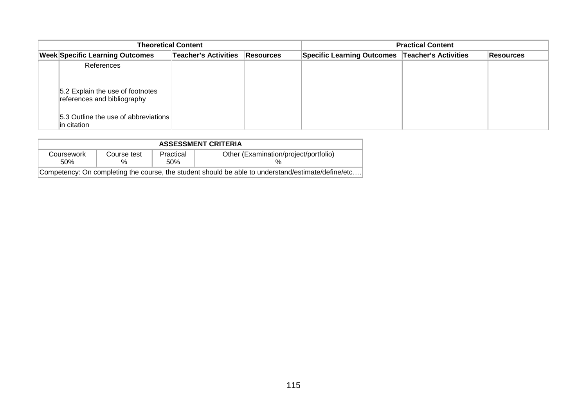|                                                                                           |                                                                               | <b>Theoretical Content</b> | <b>Practical Content</b>          |                             |                  |  |
|-------------------------------------------------------------------------------------------|-------------------------------------------------------------------------------|----------------------------|-----------------------------------|-----------------------------|------------------|--|
| <b>Teacher's Activities</b><br><b>Week Specific Learning Outcomes</b><br><b>Resources</b> |                                                                               |                            | <b>Specific Learning Outcomes</b> | <b>Teacher's Activities</b> | <b>Resources</b> |  |
|                                                                                           | References<br>5.2 Explain the use of footnotes<br>references and bibliography |                            |                                   |                             |                  |  |
|                                                                                           | 5.3 Outline the use of abbreviations<br>lin citation                          |                            |                                   |                             |                  |  |

| <b>ASSESSMENT CRITERIA</b> |                  |                  |                                                                                                    |  |  |  |  |
|----------------------------|------------------|------------------|----------------------------------------------------------------------------------------------------|--|--|--|--|
| Coursework<br>50%          | Course test<br>% | Practical<br>50% | Other (Examination/project/portfolio)                                                              |  |  |  |  |
|                            |                  |                  | Competency: On completing the course, the student should be able to understand/estimate/define/etc |  |  |  |  |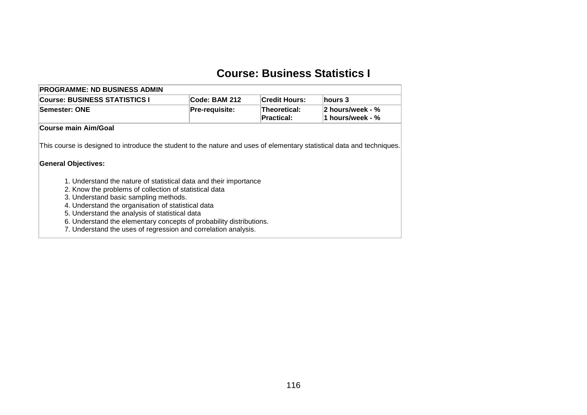### **Course: Business Statistics I**

| <b>PROGRAMME: ND BUSINESS ADMIN</b>                                                                                    |                |                            |                                      |
|------------------------------------------------------------------------------------------------------------------------|----------------|----------------------------|--------------------------------------|
| <b>Course: BUSINESS STATISTICS I</b>                                                                                   | Code: BAM 212  | <b>Credit Hours:</b>       | hours 3                              |
| Semester: ONE                                                                                                          | Pre-requisite: | Theoretical:<br>Practical: | 2 hours/week - %<br>1 hours/week - % |
| Course main Aim/Goal                                                                                                   |                |                            |                                      |
| This course is designed to introduce the student to the nature and uses of elementary statistical data and techniques. |                |                            |                                      |
| <b>General Objectives:</b>                                                                                             |                |                            |                                      |
| 1. Understand the nature of statistical data and their importance                                                      |                |                            |                                      |
| 2. Know the problems of collection of statistical data                                                                 |                |                            |                                      |
|                                                                                                                        |                |                            |                                      |
| 3. Understand basic sampling methods.<br>4. Understand the organisation of statistical data                            |                |                            |                                      |

5. Understand the analysis of statistical data

6. Understand the elementary concepts of probability distributions.

7. Understand the uses of regression and correlation analysis.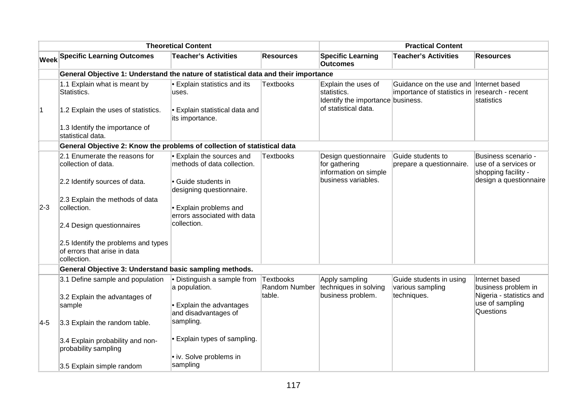|       |                                                                                                                      | <b>Theoretical Content</b>                                                               |                                      | <b>Practical Content</b>                                                                         |                                                                                         |                                                                    |  |
|-------|----------------------------------------------------------------------------------------------------------------------|------------------------------------------------------------------------------------------|--------------------------------------|--------------------------------------------------------------------------------------------------|-----------------------------------------------------------------------------------------|--------------------------------------------------------------------|--|
|       | <b>Week Specific Learning Outcomes</b>                                                                               | <b>Teacher's Activities</b>                                                              | <b>Resources</b>                     | <b>Specific Learning</b><br><b>Outcomes</b>                                                      | <b>Teacher's Activities</b>                                                             | <b>Resources</b>                                                   |  |
|       | General Objective 1: Understand the nature of statistical data and their importance                                  |                                                                                          |                                      |                                                                                                  |                                                                                         |                                                                    |  |
| 1     | 1.1 Explain what is meant by<br>Statistics.<br>1.2 Explain the uses of statistics.<br>1.3 Identify the importance of | Explain statistics and its<br>uses.<br>• Explain statistical data and<br>its importance. | <b>Textbooks</b>                     | Explain the uses of<br>statistics.<br>Identify the importance business.<br>lof statistical data. | Guidance on the use and Internet based<br>importance of statistics in research - recent | statistics                                                         |  |
|       | statistical data.                                                                                                    |                                                                                          |                                      |                                                                                                  |                                                                                         |                                                                    |  |
|       | General Objective 2: Know the problems of collection of statistical data                                             |                                                                                          |                                      |                                                                                                  |                                                                                         |                                                                    |  |
|       | 2.1 Enumerate the reasons for<br>collection of data.                                                                 | Explain the sources and<br>methods of data collection.                                   | <b>Textbooks</b>                     | Design questionnaire<br>for gathering<br>information on simple                                   | Guide students to<br>prepare a questionnaire.                                           | Business scenario -<br>use of a services or<br>shopping facility - |  |
|       | 2.2 Identify sources of data.                                                                                        | <b>Guide students in</b><br>designing questionnaire.                                     |                                      | business variables.                                                                              |                                                                                         | design a questionnaire                                             |  |
|       | 2.3 Explain the methods of data                                                                                      |                                                                                          |                                      |                                                                                                  |                                                                                         |                                                                    |  |
| $2-3$ | collection.<br>2.4 Design questionnaires                                                                             | • Explain problems and<br>errors associated with data<br>collection.                     |                                      |                                                                                                  |                                                                                         |                                                                    |  |
|       | 2.5 Identify the problems and types<br>of errors that arise in data<br>collection.                                   |                                                                                          |                                      |                                                                                                  |                                                                                         |                                                                    |  |
|       | General Objective 3: Understand basic sampling methods.                                                              |                                                                                          |                                      |                                                                                                  |                                                                                         |                                                                    |  |
|       | 3.1 Define sample and population                                                                                     | • Distinguish a sample from<br>a population.                                             | Textbooks<br>Random Number<br>table. | Apply sampling<br>techniques in solving<br>business problem.                                     | Guide students in using<br>various sampling<br>techniques.                              | Internet based<br>business problem in<br>Nigeria - statistics and  |  |
|       | 3.2 Explain the advantages of<br>sample                                                                              | • Explain the advantages<br>and disadvantages of                                         |                                      |                                                                                                  |                                                                                         | use of sampling<br>Questions                                       |  |
| $4-5$ | 3.3 Explain the random table.                                                                                        | sampling.                                                                                |                                      |                                                                                                  |                                                                                         |                                                                    |  |
|       | 3.4 Explain probability and non-<br>probability sampling                                                             | • Explain types of sampling.                                                             |                                      |                                                                                                  |                                                                                         |                                                                    |  |
|       | 3.5 Explain simple random                                                                                            | • iv. Solve problems in<br>sampling                                                      |                                      |                                                                                                  |                                                                                         |                                                                    |  |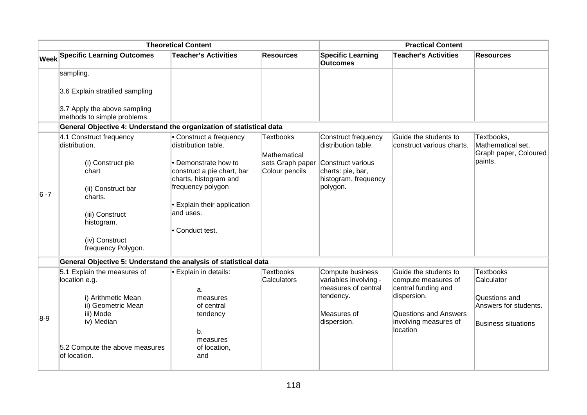|         |                                                                      | <b>Theoretical Content</b>                                                  |                                    | <b>Practical Content</b>                                         |                                                                     |                                                          |  |
|---------|----------------------------------------------------------------------|-----------------------------------------------------------------------------|------------------------------------|------------------------------------------------------------------|---------------------------------------------------------------------|----------------------------------------------------------|--|
|         | <b>Week Specific Learning Outcomes</b>                               | <b>Teacher's Activities</b>                                                 | <b>Resources</b>                   | <b>Specific Learning</b><br><b>Outcomes</b>                      | <b>Teacher's Activities</b>                                         | <b>Resources</b>                                         |  |
|         | sampling.                                                            |                                                                             |                                    |                                                                  |                                                                     |                                                          |  |
|         | 3.6 Explain stratified sampling                                      |                                                                             |                                    |                                                                  |                                                                     |                                                          |  |
|         | 3.7 Apply the above sampling<br>methods to simple problems.          |                                                                             |                                    |                                                                  |                                                                     |                                                          |  |
|         | General Objective 4: Understand the organization of statistical data |                                                                             |                                    |                                                                  |                                                                     |                                                          |  |
|         | 4.1 Construct frequency<br>distribution.                             | • Construct a frequency<br>distribution table.                              | Textbooks<br>Mathematical          | Construct frequency<br>distribution table.                       | Guide the students to<br>construct various charts.                  | Textbooks,<br>Mathematical set,<br>Graph paper, Coloured |  |
|         | (i) Construct pie<br>chart                                           | • Demonstrate how to<br>construct a pie chart, bar<br>charts, histogram and | sets Graph paper<br>Colour pencils | Construct various<br>charts: pie, bar,<br>histogram, frequency   |                                                                     | paints.                                                  |  |
| $6 - 7$ | (ii) Construct bar<br>charts.                                        | frequency polygon<br>• Explain their application                            |                                    | polygon.                                                         |                                                                     |                                                          |  |
|         | (iii) Construct<br>histogram.                                        | and uses.                                                                   |                                    |                                                                  |                                                                     |                                                          |  |
|         | (iv) Construct<br>frequency Polygon.                                 | • Conduct test.                                                             |                                    |                                                                  |                                                                     |                                                          |  |
|         | General Objective 5: Understand the analysis of statistical data     |                                                                             |                                    |                                                                  |                                                                     |                                                          |  |
|         | 5.1 Explain the measures of<br>location e.g.                         | · Explain in details:<br>a.                                                 | <b>Textbooks</b><br>Calculators    | Compute business<br>variables involving -<br>measures of central | Guide the students to<br>compute measures of<br>central funding and | <b>Textbooks</b><br>Calculator                           |  |
|         | i) Arithmetic Mean<br>ii) Geometric Mean                             | measures<br>of central                                                      |                                    | tendency.                                                        | dispersion.                                                         | Questions and<br>Answers for students.                   |  |
| $8-9$   | iii) Mode<br>iv) Median                                              | tendency<br>b.                                                              |                                    | Measures of<br>dispersion.                                       | Questions and Answers<br>involving measures of<br>location          | <b>Business situations</b>                               |  |
|         | 5.2 Compute the above measures<br>of location.                       | measures<br>of location,<br>and                                             |                                    |                                                                  |                                                                     |                                                          |  |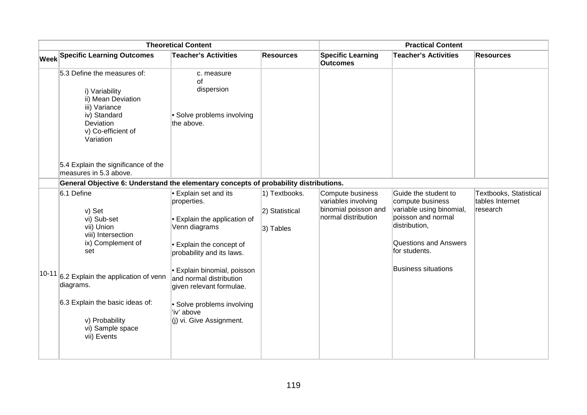| <b>Theoretical Content</b> |                                                                                                                                                                                                                                                           |                                                                                                                                                                                                                                                                                                              |                                                 | <b>Practical Content</b>                                                               |                                                                                                                                                                                     |                                                       |
|----------------------------|-----------------------------------------------------------------------------------------------------------------------------------------------------------------------------------------------------------------------------------------------------------|--------------------------------------------------------------------------------------------------------------------------------------------------------------------------------------------------------------------------------------------------------------------------------------------------------------|-------------------------------------------------|----------------------------------------------------------------------------------------|-------------------------------------------------------------------------------------------------------------------------------------------------------------------------------------|-------------------------------------------------------|
|                            | Week Specific Learning Outcomes                                                                                                                                                                                                                           | <b>Teacher's Activities</b>                                                                                                                                                                                                                                                                                  | <b>Resources</b>                                | <b>Specific Learning</b><br><b>Outcomes</b>                                            | <b>Teacher's Activities</b>                                                                                                                                                         | <b>Resources</b>                                      |
|                            | 5.3 Define the measures of:<br>i) Variability<br>ii) Mean Deviation<br>iii) Variance<br>iv) Standard<br>Deviation<br>v) Co-efficient of<br>Variation<br>5.4 Explain the significance of the<br>measures in 5.3 above.                                     | c. measure<br>of<br>dispersion<br>• Solve problems involving<br>the above.                                                                                                                                                                                                                                   |                                                 |                                                                                        |                                                                                                                                                                                     |                                                       |
|                            | General Objective 6: Understand the elementary concepts of probability distributions.                                                                                                                                                                     |                                                                                                                                                                                                                                                                                                              |                                                 |                                                                                        |                                                                                                                                                                                     |                                                       |
|                            | 6.1 Define<br>v) Set<br>vi) Sub-set<br>vii) Union<br>viii) Intersection<br>ix) Complement of<br>set<br>$ 10-11 $ 6.2 Explain the application of venn<br>diagrams.<br>6.3 Explain the basic ideas of:<br>v) Probability<br>vi) Sample space<br>vii) Events | • Explain set and its<br>properties.<br>• Explain the application of<br>Venn diagrams<br>• Explain the concept of<br>probability and its laws.<br>· Explain binomial, poisson<br>and normal distribution<br>given relevant formulae.<br>· Solve problems involving<br>'iv' above<br>(j) vi. Give Assignment. | 1) Textbooks.<br>2) Statistical<br>$ 3)$ Tables | Compute business<br>variables involving<br>binomial poisson and<br>normal distribution | Guide the student to<br>compute business<br>variable using binomial,<br>poisson and normal<br>distribution,<br>Questions and Answers<br>for students.<br><b>Business situations</b> | Textbooks, Statistical<br>tables Internet<br>research |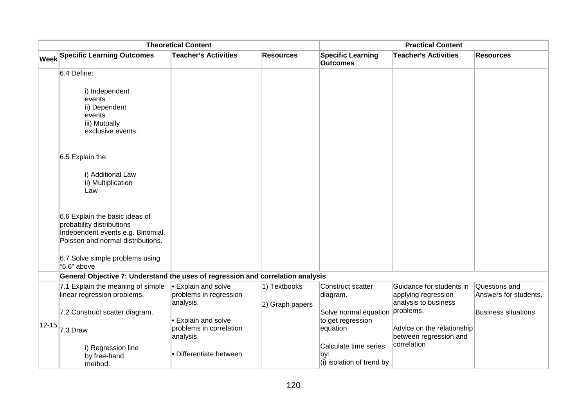| <b>Theoretical Content</b>                                                                                                            |                                                             |                                 | <b>Practical Content</b>                                  |                                                                         |                                        |  |
|---------------------------------------------------------------------------------------------------------------------------------------|-------------------------------------------------------------|---------------------------------|-----------------------------------------------------------|-------------------------------------------------------------------------|----------------------------------------|--|
| <b>Week Specific Learning Outcomes</b>                                                                                                | <b>Teacher's Activities</b>                                 | <b>Resources</b>                | <b>Specific Learning</b><br><b>Outcomes</b>               | <b>Teacher's Activities</b>                                             | <b>Resources</b>                       |  |
| 6.4 Define:                                                                                                                           |                                                             |                                 |                                                           |                                                                         |                                        |  |
| i) Independent<br>events<br>ii) Dependent<br>events<br>iii) Mutually<br>exclusive events.                                             |                                                             |                                 |                                                           |                                                                         |                                        |  |
| 6.5 Explain the:                                                                                                                      |                                                             |                                 |                                                           |                                                                         |                                        |  |
| i) Additional Law<br>ii) Multiplication<br>Law                                                                                        |                                                             |                                 |                                                           |                                                                         |                                        |  |
| 6.6 Explain the basic ideas of<br>probability distributions<br>Independent events e.g. Binomial,<br>Poisson and normal distributions. |                                                             |                                 |                                                           |                                                                         |                                        |  |
| 6.7 Solve simple problems using<br>"6.6" above                                                                                        |                                                             |                                 |                                                           |                                                                         |                                        |  |
| General Objective 7: Understand the uses of regression and correlation analysis                                                       |                                                             |                                 |                                                           |                                                                         |                                        |  |
| 7.1 Explain the meaning of simple<br>linear regression problems.                                                                      | • Explain and solve<br>problems in regression<br>analysis.  | 1) Textbooks<br>2) Graph papers | Construct scatter<br>diagram.                             | Guidance for students in<br>applying regression<br>analysis to business | Questions and<br>Answers for students. |  |
| 7.2 Construct scatter diagram.                                                                                                        |                                                             |                                 | Solve normal equation                                     | problems.                                                               | <b>Business situations</b>             |  |
| $ 12-15 $ 7.3 Draw                                                                                                                    | • Explain and solve<br>problems in correlation<br>analysis. |                                 | to get regression<br>equation.                            | Advice on the relationship<br>between regression and                    |                                        |  |
| i) Regression line<br>by free-hand<br>method.                                                                                         | · Differentiate between                                     |                                 | Calculate time series<br>by:<br>(i) isolation of trend by | correlation                                                             |                                        |  |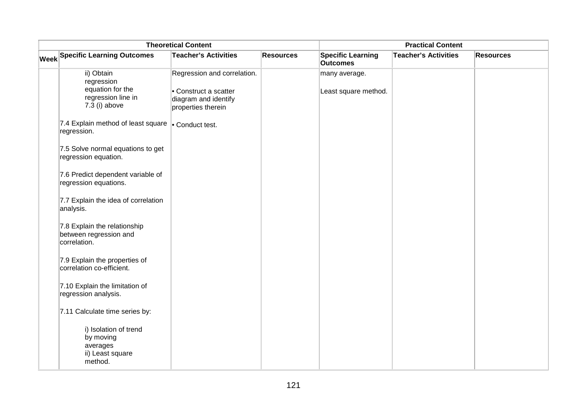| <b>Theoretical Content</b> |                                                                               |                                                                     |                  | <b>Practical Content</b>                    |                             |                  |  |
|----------------------------|-------------------------------------------------------------------------------|---------------------------------------------------------------------|------------------|---------------------------------------------|-----------------------------|------------------|--|
|                            | <b>Week Specific Learning Outcomes</b>                                        | <b>Teacher's Activities</b>                                         | <b>Resources</b> | <b>Specific Learning</b><br><b>Outcomes</b> | <b>Teacher's Activities</b> | <b>Resources</b> |  |
|                            | ii) Obtain<br>regression                                                      | Regression and correlation.                                         |                  | many average.                               |                             |                  |  |
|                            | equation for the<br>regression line in<br>7.3 (i) above                       | • Construct a scatter<br>diagram and identify<br>properties therein |                  | Least square method.                        |                             |                  |  |
|                            | 7.4 Explain method of least square<br>regression.                             | • Conduct test.                                                     |                  |                                             |                             |                  |  |
|                            | 7.5 Solve normal equations to get<br>regression equation.                     |                                                                     |                  |                                             |                             |                  |  |
|                            | 7.6 Predict dependent variable of<br>regression equations.                    |                                                                     |                  |                                             |                             |                  |  |
|                            | 7.7 Explain the idea of correlation<br>analysis.                              |                                                                     |                  |                                             |                             |                  |  |
|                            | 7.8 Explain the relationship<br>between regression and<br>correlation.        |                                                                     |                  |                                             |                             |                  |  |
|                            | 7.9 Explain the properties of<br>correlation co-efficient.                    |                                                                     |                  |                                             |                             |                  |  |
|                            | 7.10 Explain the limitation of<br>regression analysis.                        |                                                                     |                  |                                             |                             |                  |  |
|                            | 7.11 Calculate time series by:                                                |                                                                     |                  |                                             |                             |                  |  |
|                            | i) Isolation of trend<br>by moving<br>averages<br>ii) Least square<br>method. |                                                                     |                  |                                             |                             |                  |  |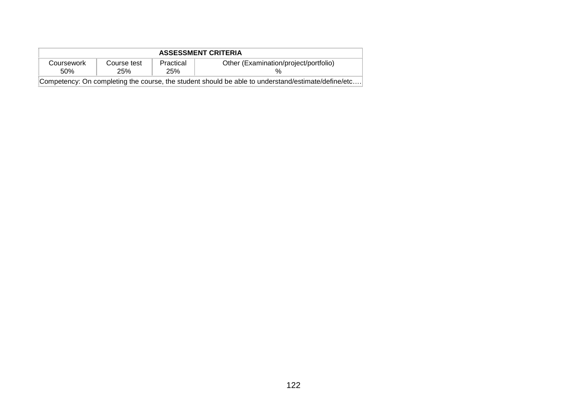| <b>ASSESSMENT CRITERIA</b>                                                                         |                           |                  |                                       |  |  |  |  |
|----------------------------------------------------------------------------------------------------|---------------------------|------------------|---------------------------------------|--|--|--|--|
| Coursework<br>.50%                                                                                 | Course test<br><b>25%</b> | Practical<br>25% | Other (Examination/project/portfolio) |  |  |  |  |
| Competency: On completing the course, the student should be able to understand/estimate/define/etc |                           |                  |                                       |  |  |  |  |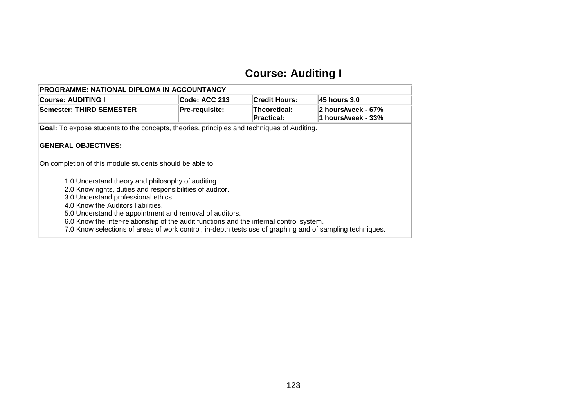### **Course: Auditing I**

| Course: AUDITING I                                                                                       | Code: ACC 213  | <b>Credit Hours:</b>              | 45 hours 3.0                             |
|----------------------------------------------------------------------------------------------------------|----------------|-----------------------------------|------------------------------------------|
| Semester: THIRD SEMESTER                                                                                 | Pre-requisite: | Theoretical:<br><b>Practical:</b> | 2 hours/week - 67%<br>1 hours/week - 33% |
| <b>Goal:</b> To expose students to the concepts, theories, principles and techniques of Auditing.        |                |                                   |                                          |
| <b>GENERAL OBJECTIVES:</b>                                                                               |                |                                   |                                          |
|                                                                                                          |                |                                   |                                          |
| On completion of this module students should be able to:                                                 |                |                                   |                                          |
| 1.0 Understand theory and philosophy of auditing.                                                        |                |                                   |                                          |
| 2.0 Know rights, duties and responsibilities of auditor.                                                 |                |                                   |                                          |
| 3.0 Understand professional ethics.                                                                      |                |                                   |                                          |
| 4.0 Know the Auditors liabilities.                                                                       |                |                                   |                                          |
| 5.0 Understand the appointment and removal of auditors.                                                  |                |                                   |                                          |
| 6.0 Know the inter-relationship of the audit functions and the internal control system.                  |                |                                   |                                          |
| 7.0 Know selections of areas of work control, in-depth tests use of graphing and of sampling techniques. |                |                                   |                                          |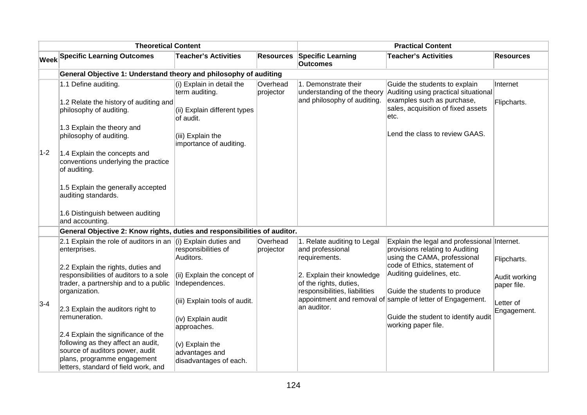| <b>Theoretical Content</b> |                                                                                                                                                                                                                                                                                                                                                               |                                                                                                                                          | <b>Practical Content</b> |                                                                                                |                                                                                                                                                                                     |                                         |  |  |  |  |  |
|----------------------------|---------------------------------------------------------------------------------------------------------------------------------------------------------------------------------------------------------------------------------------------------------------------------------------------------------------------------------------------------------------|------------------------------------------------------------------------------------------------------------------------------------------|--------------------------|------------------------------------------------------------------------------------------------|-------------------------------------------------------------------------------------------------------------------------------------------------------------------------------------|-----------------------------------------|--|--|--|--|--|
|                            | <b>Week Specific Learning Outcomes</b>                                                                                                                                                                                                                                                                                                                        | <b>Teacher's Activities</b>                                                                                                              | <b>Resources</b>         | <b>Specific Learning</b><br><b>Outcomes</b>                                                    | <b>Teacher's Activities</b>                                                                                                                                                         | <b>Resources</b>                        |  |  |  |  |  |
|                            | General Objective 1: Understand theory and philosophy of auditing                                                                                                                                                                                                                                                                                             |                                                                                                                                          |                          |                                                                                                |                                                                                                                                                                                     |                                         |  |  |  |  |  |
| $1-2$                      | 1.1 Define auditing.<br>1.2 Relate the history of auditing and<br>philosophy of auditing.<br>1.3 Explain the theory and<br>philosophy of auditing.<br>1.4 Explain the concepts and<br>conventions underlying the practice<br>of auditing.<br>1.5 Explain the generally accepted<br>auditing standards.<br>1.6 Distinguish between auditing<br>and accounting. | (i) Explain in detail the<br>term auditing.<br>(ii) Explain different types<br>of audit.<br>(iii) Explain the<br>importance of auditing. | Overhead<br>projector    | 1. Demonstrate their<br>understanding of the theory<br>and philosophy of auditing.             | Guide the students to explain<br>Auditing using practical situational<br>examples such as purchase,<br>sales, acquisition of fixed assets<br>etc.<br>Lend the class to review GAAS. | Internet<br>Flipcharts.                 |  |  |  |  |  |
|                            | General Objective 2: Know rights, duties and responsibilities of auditor.                                                                                                                                                                                                                                                                                     |                                                                                                                                          |                          |                                                                                                |                                                                                                                                                                                     |                                         |  |  |  |  |  |
|                            | 2.1 Explain the role of auditors in an $\vert$ (i) Explain duties and<br>enterprises.<br>2.2 Explain the rights, duties and<br>responsibilities of auditors to a sole                                                                                                                                                                                         | responsibilities of<br>Auditors.<br>(ii) Explain the concept of                                                                          | Overhead<br>projector    | 1. Relate auditing to Legal<br>and professional<br>requirements.<br>2. Explain their knowledge | Explain the legal and professional Internet.<br>provisions relating to Auditing<br>using the CAMA, professional<br>code of Ethics, statement of<br>Auditing guidelines, etc.        | Flipcharts.<br>Audit working            |  |  |  |  |  |
| $3-4$                      | trader, a partnership and to a public<br>organization.<br>2.3 Explain the auditors right to<br>remuneration.<br>2.4 Explain the significance of the<br>following as they affect an audit,<br>source of auditors power, audit                                                                                                                                  | Independences.<br>(iii) Explain tools of audit.<br>(iv) Explain audit<br>approaches.<br>(v) Explain the<br>advantages and                |                          | of the rights, duties,<br>responsibilities, liabilities<br>an auditor.                         | Guide the students to produce<br>appointment and removal of sample of letter of Engagement.<br>Guide the student to identify audit<br>working paper file.                           | paper file.<br>Letter of<br>Engagement. |  |  |  |  |  |
|                            | plans, programme engagement<br>letters, standard of field work, and                                                                                                                                                                                                                                                                                           | disadvantages of each.                                                                                                                   |                          |                                                                                                |                                                                                                                                                                                     |                                         |  |  |  |  |  |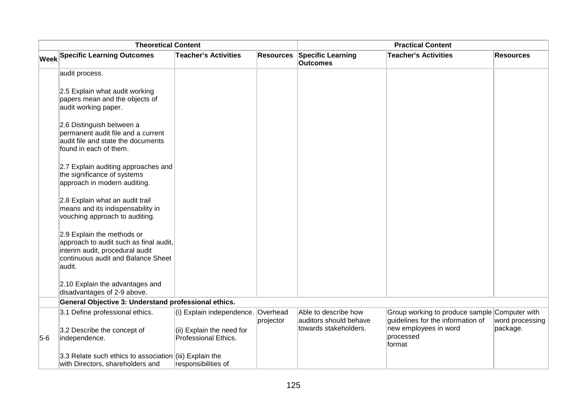| <b>Theoretical Content</b> |                                                                                                                                                         |                                                        | <b>Practical Content</b> |                                                                         |                                                                                                             |                             |
|----------------------------|---------------------------------------------------------------------------------------------------------------------------------------------------------|--------------------------------------------------------|--------------------------|-------------------------------------------------------------------------|-------------------------------------------------------------------------------------------------------------|-----------------------------|
|                            | Week Specific Learning Outcomes                                                                                                                         | <b>Teacher's Activities</b>                            |                          | <b>Resources Specific Learning</b><br><b>Outcomes</b>                   | <b>Teacher's Activities</b>                                                                                 | <b>Resources</b>            |
|                            | audit process.                                                                                                                                          |                                                        |                          |                                                                         |                                                                                                             |                             |
|                            | 2.5 Explain what audit working<br>papers mean and the objects of<br>audit working paper.                                                                |                                                        |                          |                                                                         |                                                                                                             |                             |
|                            | 2.6 Distinguish between a<br>permanent audit file and a current<br>audit file and state the documents<br>found in each of them.                         |                                                        |                          |                                                                         |                                                                                                             |                             |
|                            | 2.7 Explain auditing approaches and<br>the significance of systems<br>approach in modern auditing.                                                      |                                                        |                          |                                                                         |                                                                                                             |                             |
|                            | 2.8 Explain what an audit trail<br>means and its indispensability in<br>vouching approach to auditing.                                                  |                                                        |                          |                                                                         |                                                                                                             |                             |
|                            | 2.9 Explain the methods or<br>approach to audit such as final audit,<br>interim audit, procedural audit<br>continuous audit and Balance Sheet<br>audit. |                                                        |                          |                                                                         |                                                                                                             |                             |
|                            | 2.10 Explain the advantages and<br>disadvantages of 2-9 above.                                                                                          |                                                        |                          |                                                                         |                                                                                                             |                             |
|                            | General Objective 3: Understand professional ethics.                                                                                                    |                                                        |                          |                                                                         |                                                                                                             |                             |
|                            | 3.1 Define professional ethics.<br>3.2 Describe the concept of                                                                                          | (i) Explain independence.<br>(ii) Explain the need for | Overhead<br>projector    | Able to describe how<br>auditors should behave<br>towards stakeholders. | Group working to produce sample Computer with<br>guidelines for the information of<br>new employees in word | word processing<br>package. |
| $5-6$                      | independence.                                                                                                                                           | Professional Ethics.                                   |                          |                                                                         | processed<br>format                                                                                         |                             |
|                            | 3.3 Relate such ethics to association<br>with Directors, shareholders and                                                                               | $(iii)$ Explain the<br>responsibilities of             |                          |                                                                         |                                                                                                             |                             |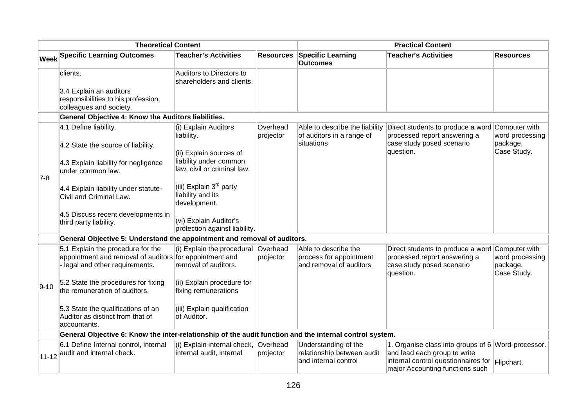| <b>Theoretical Content</b> |                                                                                                                               |                                                                   |                       | <b>Practical Content</b>                                                   |                                                                                                                                      |                                            |  |
|----------------------------|-------------------------------------------------------------------------------------------------------------------------------|-------------------------------------------------------------------|-----------------------|----------------------------------------------------------------------------|--------------------------------------------------------------------------------------------------------------------------------------|--------------------------------------------|--|
|                            | <b>Week Specific Learning Outcomes</b>                                                                                        | <b>Teacher's Activities</b>                                       | <b>Resources</b>      | <b>Specific Learning</b><br><b>Outcomes</b>                                | <b>Teacher's Activities</b>                                                                                                          | <b>Resources</b>                           |  |
|                            | clients.                                                                                                                      | Auditors to Directors to<br>shareholders and clients.             |                       |                                                                            |                                                                                                                                      |                                            |  |
|                            | 3.4 Explain an auditors<br>responsibilities to his profession,<br>colleagues and society.                                     |                                                                   |                       |                                                                            |                                                                                                                                      |                                            |  |
|                            | General Objective 4: Know the Auditors liabilities.                                                                           |                                                                   |                       |                                                                            |                                                                                                                                      |                                            |  |
|                            | 4.1 Define liability.                                                                                                         | (i) Explain Auditors<br>liability.                                | Overhead<br>projector | Able to describe the liability<br>of auditors in a range of<br>situations  | Direct students to produce a word Computer with<br>processed report answering a                                                      | word processing                            |  |
|                            | 4.2 State the source of liability.                                                                                            | (ii) Explain sources of                                           |                       |                                                                            | case study posed scenario<br>question.                                                                                               | package.<br>Case Study.                    |  |
| $ 7-8 $                    | 4.3 Explain liability for negligence<br>under common law.                                                                     | liability under common<br>law, civil or criminal law.             |                       |                                                                            |                                                                                                                                      |                                            |  |
|                            | 4.4 Explain liability under statute-<br>Civil and Criminal Law.                                                               | (iii) Explain $3^{rd}$ party<br>liability and its<br>development. |                       |                                                                            |                                                                                                                                      |                                            |  |
|                            | 4.5 Discuss recent developments in<br>third party liability.                                                                  | (vi) Explain Auditor's<br>protection against liability.           |                       |                                                                            |                                                                                                                                      |                                            |  |
|                            | General Objective 5: Understand the appointment and removal of auditors.                                                      |                                                                   |                       |                                                                            |                                                                                                                                      |                                            |  |
|                            | 5.1 Explain the procedure for the<br>appointment and removal of auditors for appointment and<br>legal and other requirements. | (i) Explain the procedural Overhead<br>removal of auditors.       | projector             | Able to describe the<br>process for appointment<br>and removal of auditors | Direct students to produce a word Computer with<br>processed report answering a<br>case study posed scenario<br>question.            | word processing<br>package.<br>Case Study. |  |
| $9 - 10$                   | 5.2 State the procedures for fixing<br>the remuneration of auditors.                                                          | (ii) Explain procedure for<br>fixing remunerations                |                       |                                                                            |                                                                                                                                      |                                            |  |
|                            | 5.3 State the qualifications of an<br>Auditor as distinct from that of<br>accountants.                                        | (iii) Explain qualification<br>of Auditor.                        |                       |                                                                            |                                                                                                                                      |                                            |  |
|                            | General Objective 6: Know the inter-relationship of the audit function and the internal control system.                       |                                                                   |                       |                                                                            |                                                                                                                                      |                                            |  |
|                            | 6.1 Define Internal control, internal<br>11-12 audit and internal check.                                                      | (i) Explain internal check, Overhead<br>internal audit, internal  | projector             | Understanding of the<br>relationship between audit<br>and internal control | 1. Organise class into groups of 6 Word-processor.<br>and lead each group to write<br>internal control questionnaires for Flipchart. |                                            |  |
|                            |                                                                                                                               |                                                                   |                       |                                                                            | major Accounting functions such                                                                                                      |                                            |  |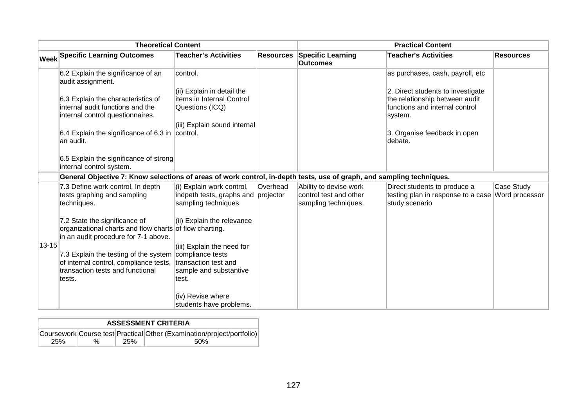| <b>Theoretical Content</b> |                                                                                                                                                |                                                                                          |                  | <b>Practical Content</b>                                                 |                                                                                                                  |                  |  |
|----------------------------|------------------------------------------------------------------------------------------------------------------------------------------------|------------------------------------------------------------------------------------------|------------------|--------------------------------------------------------------------------|------------------------------------------------------------------------------------------------------------------|------------------|--|
|                            | <b>Week Specific Learning Outcomes</b>                                                                                                         | <b>Teacher's Activities</b>                                                              | <b>Resources</b> | <b>Specific Learning</b><br><b>Outcomes</b>                              | <b>Teacher's Activities</b>                                                                                      | <b>Resources</b> |  |
|                            | 6.2 Explain the significance of an<br>audit assignment.                                                                                        | control.                                                                                 |                  |                                                                          | as purchases, cash, payroll, etc                                                                                 |                  |  |
|                            | 6.3 Explain the characteristics of<br>internal audit functions and the<br>internal control questionnaires.                                     | (ii) Explain in detail the<br>items in Internal Control<br>Questions (ICQ)               |                  |                                                                          | 2. Direct students to investigate<br>the relationship between audit<br>functions and internal control<br>system. |                  |  |
|                            | 6.4 Explain the significance of 6.3 in $ $ control.<br>lan audit.                                                                              | (iii) Explain sound internal                                                             |                  |                                                                          | 3. Organise feedback in open<br>debate.                                                                          |                  |  |
|                            | 6.5 Explain the significance of strong<br>internal control system.                                                                             |                                                                                          |                  |                                                                          |                                                                                                                  |                  |  |
|                            | General Objective 7: Know selections of areas of work control, in-depth tests, use of graph, and sampling techniques.                          |                                                                                          |                  |                                                                          |                                                                                                                  |                  |  |
|                            | 7.3 Define work control, In depth<br>tests graphing and sampling<br>techniques.                                                                | (i) Explain work control,<br>indpeth tests, graphs and projector<br>sampling techniques. | Overhead         | Ability to devise work<br>control test and other<br>sampling techniques. | Direct students to produce a<br>testing plan in response to a case Word processor<br>study scenario              | Case Study       |  |
|                            | 7.2 State the significance of<br>organizational charts and flow charts of flow charting.<br>in an audit procedure for 7-1 above.               | (ii) Explain the relevance                                                               |                  |                                                                          |                                                                                                                  |                  |  |
| $ 13 - 15 $                | 7.3 Explain the testing of the system compliance tests<br>of internal control, compliance tests,<br>transaction tests and functional<br>tests. | (iii) Explain the need for<br>transaction test and<br>sample and substantive<br>test.    |                  |                                                                          |                                                                                                                  |                  |  |
|                            |                                                                                                                                                | (iv) Revise where<br>students have problems.                                             |                  |                                                                          |                                                                                                                  |                  |  |

| <b>ASSESSMENT CRITERIA</b> |   |     |                                                                        |  |  |  |
|----------------------------|---|-----|------------------------------------------------------------------------|--|--|--|
|                            |   |     | Coursework Course test Practical Other (Examination/project/portfolio) |  |  |  |
| 25%                        | % | 25% | .50%                                                                   |  |  |  |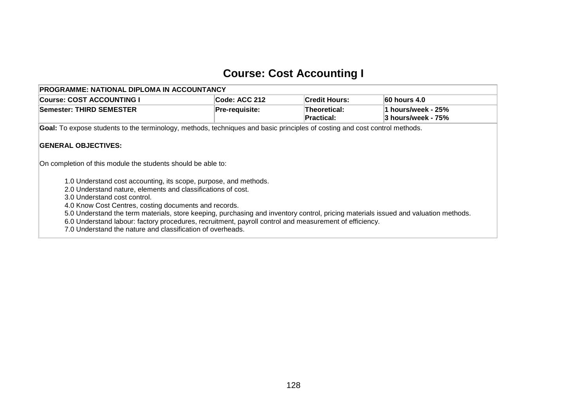## **Course: Cost Accounting I**

| PROGRAMME: NATIONAL DIPLOMA IN ACCOUNTANCY                                                                                                                                                                                                                                                   |                      |                                   |                                          |  |  |  |  |  |
|----------------------------------------------------------------------------------------------------------------------------------------------------------------------------------------------------------------------------------------------------------------------------------------------|----------------------|-----------------------------------|------------------------------------------|--|--|--|--|--|
| <b>Course: COST ACCOUNTING I</b>                                                                                                                                                                                                                                                             | <b>Code: ACC 212</b> | <b>Credit Hours:</b>              | 60 hours 4.0                             |  |  |  |  |  |
| Semester: THIRD SEMESTER                                                                                                                                                                                                                                                                     | Pre-requisite:       | <b>Theoretical:</b><br>Practical: | 1 hours/week - 25%<br>3 hours/week - 75% |  |  |  |  |  |
| Goal: To expose students to the terminology, methods, techniques and basic principles of costing and cost control methods.                                                                                                                                                                   |                      |                                   |                                          |  |  |  |  |  |
| <b>GENERAL OBJECTIVES:</b><br>On completion of this module the students should be able to:<br>1.0 Understand cost accounting, its scope, purpose, and methods.                                                                                                                               |                      |                                   |                                          |  |  |  |  |  |
| 2.0 Understand nature, elements and classifications of cost.<br>3.0 Understand cost control.<br>4.0 Know Cost Centres, costing documents and records.<br>5.0 Understand the term materials, store keeping, purchasing and inventory control, pricing materials issued and valuation methods. |                      |                                   |                                          |  |  |  |  |  |
| 6.0 Understand labour: factory procedures, recruitment, payroll control and measurement of efficiency.<br>7.0 Understand the nature and classification of overheads.                                                                                                                         |                      |                                   |                                          |  |  |  |  |  |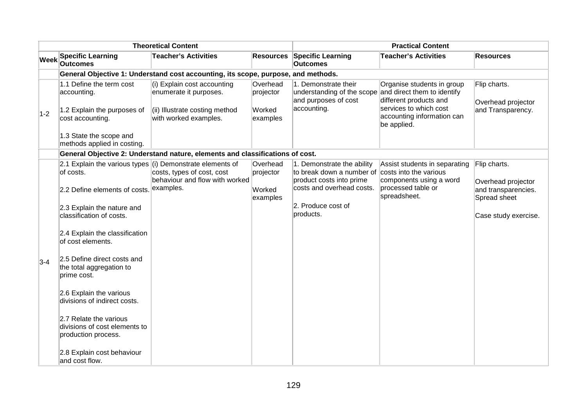|                                                                                   | <b>Theoretical Content</b>                                                                 |                                                                                                                  | <b>Practical Content</b>                    |                                                                                           |                                                                                                                                                            |                                                           |  |  |
|-----------------------------------------------------------------------------------|--------------------------------------------------------------------------------------------|------------------------------------------------------------------------------------------------------------------|---------------------------------------------|-------------------------------------------------------------------------------------------|------------------------------------------------------------------------------------------------------------------------------------------------------------|-----------------------------------------------------------|--|--|
| <b>Week</b>                                                                       | <b>Specific Learning</b><br><b>Outcomes</b>                                                | <b>Teacher's Activities</b>                                                                                      | <b>Resources</b>                            | <b>Specific Learning</b><br><b>Outcomes</b>                                               | <b>Teacher's Activities</b>                                                                                                                                | <b>Resources</b>                                          |  |  |
| General Objective 1: Understand cost accounting, its scope, purpose, and methods. |                                                                                            |                                                                                                                  |                                             |                                                                                           |                                                                                                                                                            |                                                           |  |  |
| $1-2$                                                                             | 1.1 Define the term cost<br>accounting.<br>1.2 Explain the purposes of<br>cost accounting. | (i) Explain cost accounting<br>enumerate it purposes.<br>(ii) Illustrate costing method<br>with worked examples. | Overhead<br>projector<br>Worked<br>examples | 1. Demonstrate their<br>understanding of the scope<br>and purposes of cost<br>accounting. | Organise students in group<br>and direct them to identify<br>different products and<br>services to which cost<br>accounting information can<br>be applied. | Flip charts.<br>Overhead projector<br>and Transparency.   |  |  |
|                                                                                   | 1.3 State the scope and<br>methods applied in costing.                                     |                                                                                                                  |                                             |                                                                                           |                                                                                                                                                            |                                                           |  |  |
|                                                                                   |                                                                                            | General Objective 2: Understand nature, elements and classifications of cost.                                    |                                             |                                                                                           |                                                                                                                                                            |                                                           |  |  |
|                                                                                   | 2.1 Explain the various types $(i)$ Demonstrate elements of<br>of costs.                   | costs, types of cost, cost<br>behaviour and flow with worked                                                     | Overhead<br>projector                       | 1. Demonstrate the ability<br>to break down a number of                                   | Assist students in separating<br>costs into the various                                                                                                    | Flip charts.                                              |  |  |
|                                                                                   | 2.2 Define elements of costs.                                                              | examples.                                                                                                        | Worked<br>examples                          | product costs into prime<br>costs and overhead costs.                                     | components using a word<br>processed table or<br>spreadsheet.                                                                                              | Overhead projector<br>and transparencies.<br>Spread sheet |  |  |
|                                                                                   | 2.3 Explain the nature and<br>classification of costs.                                     |                                                                                                                  |                                             | 2. Produce cost of<br>products.                                                           |                                                                                                                                                            | Case study exercise.                                      |  |  |
|                                                                                   | 2.4 Explain the classification<br>of cost elements.                                        |                                                                                                                  |                                             |                                                                                           |                                                                                                                                                            |                                                           |  |  |
| $3-4$                                                                             | 2.5 Define direct costs and<br>the total aggregation to<br>prime cost.                     |                                                                                                                  |                                             |                                                                                           |                                                                                                                                                            |                                                           |  |  |
|                                                                                   | 2.6 Explain the various<br>divisions of indirect costs.                                    |                                                                                                                  |                                             |                                                                                           |                                                                                                                                                            |                                                           |  |  |
|                                                                                   | 2.7 Relate the various<br>divisions of cost elements to<br>production process.             |                                                                                                                  |                                             |                                                                                           |                                                                                                                                                            |                                                           |  |  |
|                                                                                   | 2.8 Explain cost behaviour<br>and cost flow.                                               |                                                                                                                  |                                             |                                                                                           |                                                                                                                                                            |                                                           |  |  |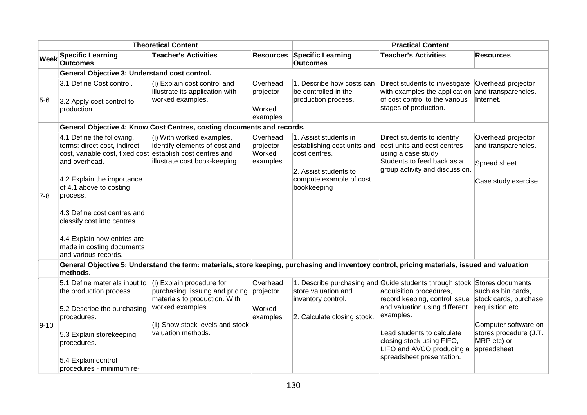|             |                                                                                                                                                                                                                                                                                                                                      | <b>Theoretical Content</b>                                                                                                                            |                                             | <b>Practical Content</b>                                                                                                                 |                                                                                                                                                                                    |                                                                                         |  |  |  |  |
|-------------|--------------------------------------------------------------------------------------------------------------------------------------------------------------------------------------------------------------------------------------------------------------------------------------------------------------------------------------|-------------------------------------------------------------------------------------------------------------------------------------------------------|---------------------------------------------|------------------------------------------------------------------------------------------------------------------------------------------|------------------------------------------------------------------------------------------------------------------------------------------------------------------------------------|-----------------------------------------------------------------------------------------|--|--|--|--|
| <b>Week</b> | <b>Specific Learning</b><br><b>Outcomes</b>                                                                                                                                                                                                                                                                                          | <b>Teacher's Activities</b>                                                                                                                           | <b>Resources</b>                            | <b>Specific Learning</b><br><b>Outcomes</b>                                                                                              | <b>Teacher's Activities</b>                                                                                                                                                        | <b>Resources</b>                                                                        |  |  |  |  |
|             | General Objective 3: Understand cost control.                                                                                                                                                                                                                                                                                        |                                                                                                                                                       |                                             |                                                                                                                                          |                                                                                                                                                                                    |                                                                                         |  |  |  |  |
| $5-6$       | 3.1 Define Cost control.<br>3.2 Apply cost control to<br>production.                                                                                                                                                                                                                                                                 | (i) Explain cost control and<br>illustrate its application with<br>worked examples.                                                                   | Overhead<br>projector<br>Worked<br>examples | 1. Describe how costs can<br>be controlled in the<br>production process.                                                                 | Direct students to investigate<br>with examples the application and transparencies.<br>of cost control to the various<br>stages of production.                                     | Overhead projector<br>Internet.                                                         |  |  |  |  |
|             |                                                                                                                                                                                                                                                                                                                                      | General Objective 4: Know Cost Centres, costing documents and records.                                                                                |                                             |                                                                                                                                          |                                                                                                                                                                                    |                                                                                         |  |  |  |  |
| 7-8         | 4.1 Define the following,<br>terms: direct cost, indirect<br>cost, variable cost, fixed cost<br>and overhead.<br>4.2 Explain the importance<br>of 4.1 above to costing<br>process.<br>4.3 Define cost centres and<br>classify cost into centres.<br>4.4 Explain how entries are<br>made in costing documents<br>and various records. | (i) With worked examples,<br>identify elements of cost and<br>establish cost centres and<br>illustrate cost book-keeping.                             | Overhead<br>projector<br>Worked<br>examples | 1. Assist students in<br>establishing cost units and<br>cost centres.<br>2. Assist students to<br>compute example of cost<br>bookkeeping | Direct students to identify<br>cost units and cost centres<br>using a case study.<br>Students to feed back as a<br>group activity and discussion.                                  | Overhead projector<br>and transparencies.<br>Spread sheet<br>Case study exercise.       |  |  |  |  |
|             | methods.                                                                                                                                                                                                                                                                                                                             | General Objective 5: Understand the term: materials, store keeping, purchasing and inventory control, pricing materials, issued and valuation         |                                             |                                                                                                                                          |                                                                                                                                                                                    |                                                                                         |  |  |  |  |
| $9 - 10$    | 5.1 Define materials input to<br>the production process.<br>5.2 Describe the purchasing<br>procedures.                                                                                                                                                                                                                               | (i) Explain procedure for<br>purchasing, issuing and pricing<br>materials to production. With<br>worked examples.<br>(ii) Show stock levels and stock | Overhead<br>projector<br>Worked<br>examples | store valuation and<br>inventory control.<br>2. Calculate closing stock.                                                                 | 1. Describe purchasing and Guide students through stock Stores documents<br>acquisition procedures,<br>record keeping, control issue<br>and valuation using different<br>examples. | such as bin cards.<br>stock cards, purchase<br>requisition etc.<br>Computer software on |  |  |  |  |
|             | 5.3 Explain storekeeping<br>procedures.<br>5.4 Explain control<br>procedures - minimum re-                                                                                                                                                                                                                                           | valuation methods.                                                                                                                                    |                                             |                                                                                                                                          | Lead students to calculate<br>closing stock using FIFO,<br>LIFO and AVCO producing a<br>spreadsheet presentation.                                                                  | stores procedure (J.T.<br>MRP etc) or<br>spreadsheet                                    |  |  |  |  |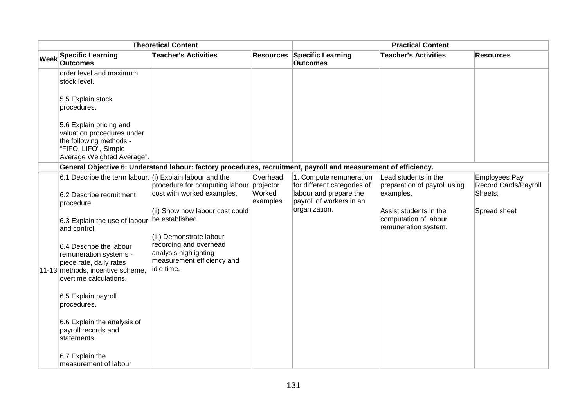| <b>Theoretical Content</b>                                                                                                                                                                                                                                                                                                              |                                                                                                                                                                                                                                               | <b>Practical Content</b>                    |                                                                                                                               |                                                                                                                                              |                                                                  |
|-----------------------------------------------------------------------------------------------------------------------------------------------------------------------------------------------------------------------------------------------------------------------------------------------------------------------------------------|-----------------------------------------------------------------------------------------------------------------------------------------------------------------------------------------------------------------------------------------------|---------------------------------------------|-------------------------------------------------------------------------------------------------------------------------------|----------------------------------------------------------------------------------------------------------------------------------------------|------------------------------------------------------------------|
| <b>Week Specific Learning</b><br><b>Outcomes</b>                                                                                                                                                                                                                                                                                        | <b>Teacher's Activities</b>                                                                                                                                                                                                                   | <b>Resources</b>                            | <b>Specific Learning</b><br><b>Outcomes</b>                                                                                   | <b>Teacher's Activities</b>                                                                                                                  | <b>Resources</b>                                                 |
| order level and maximum<br>stock level.                                                                                                                                                                                                                                                                                                 |                                                                                                                                                                                                                                               |                                             |                                                                                                                               |                                                                                                                                              |                                                                  |
| 5.5 Explain stock<br>procedures.                                                                                                                                                                                                                                                                                                        |                                                                                                                                                                                                                                               |                                             |                                                                                                                               |                                                                                                                                              |                                                                  |
| 5.6 Explain pricing and<br>valuation procedures under<br>the following methods -<br>"FIFO, LIFO", Simple<br>Average Weighted Average".                                                                                                                                                                                                  |                                                                                                                                                                                                                                               |                                             |                                                                                                                               |                                                                                                                                              |                                                                  |
|                                                                                                                                                                                                                                                                                                                                         | General Objective 6: Understand labour: factory procedures, recruitment, payroll and measurement of efficiency.                                                                                                                               |                                             |                                                                                                                               |                                                                                                                                              |                                                                  |
| 6.1 Describe the term labour. (i) Explain labour and the<br>6.2 Describe recruitment<br>procedure.<br>6.3 Explain the use of labour<br>and control.<br>6.4 Describe the labour<br>remuneration systems -<br>piece rate, daily rates<br>11-13 methods, incentive scheme,<br>overtime calculations.<br>6.5 Explain payroll<br>procedures. | procedure for computing labour<br>cost with worked examples.<br>(ii) Show how labour cost could<br>be established.<br>(iii) Demonstrate labour<br>recording and overhead<br>analysis highlighting<br>measurement efficiency and<br>idle time. | Overhead<br>projector<br>Worked<br>examples | 1. Compute remuneration<br>for different categories of<br>labour and prepare the<br>payroll of workers in an<br>organization. | Lead students in the<br>preparation of payroll using<br>examples.<br>Assist students in the<br>computation of labour<br>remuneration system. | Employees Pay<br>Record Cards/Payroll<br>Sheets.<br>Spread sheet |
| 6.6 Explain the analysis of<br>payroll records and<br>statements.<br>6.7 Explain the<br>measurement of labour                                                                                                                                                                                                                           |                                                                                                                                                                                                                                               |                                             |                                                                                                                               |                                                                                                                                              |                                                                  |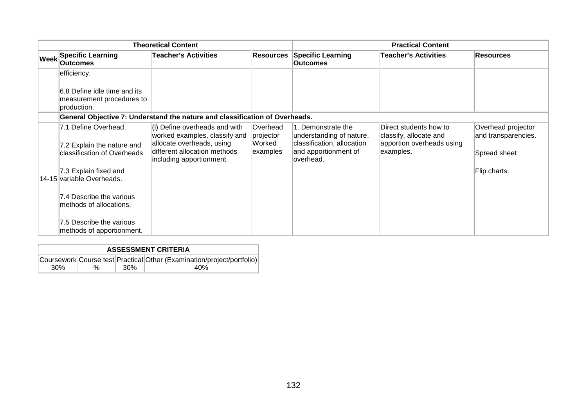|             |                                                                                    | <b>Theoretical Content</b>                                                                                                                              |                                             | <b>Practical Content</b>                                                                                          |                                                                                            |                                                           |
|-------------|------------------------------------------------------------------------------------|---------------------------------------------------------------------------------------------------------------------------------------------------------|---------------------------------------------|-------------------------------------------------------------------------------------------------------------------|--------------------------------------------------------------------------------------------|-----------------------------------------------------------|
| <b>Week</b> | <b>Specific Learning</b><br><b>Outcomes</b>                                        | <b>Teacher's Activities</b>                                                                                                                             | <b>Resources</b>                            | <b>Specific Learning</b><br><b>Outcomes</b>                                                                       | <b>Teacher's Activities</b>                                                                | <b>Resources</b>                                          |
|             | efficiency.                                                                        |                                                                                                                                                         |                                             |                                                                                                                   |                                                                                            |                                                           |
|             | $6.8$ Define idle time and its $\,$<br>measurement procedures to<br>production.    |                                                                                                                                                         |                                             |                                                                                                                   |                                                                                            |                                                           |
|             |                                                                                    | General Objective 7: Understand the nature and classification of Overheads.                                                                             |                                             |                                                                                                                   |                                                                                            |                                                           |
|             | 7.1 Define Overhead.<br>7.2 Explain the nature and<br>classification of Overheads. | (i) Define overheads and with<br>worked examples, classify and<br>allocate overheads, using<br>different allocation methods<br>including apportionment. | Overhead<br>projector<br>Worked<br>examples | 1. Demonstrate the<br>understanding of nature,<br>classification, allocation<br>and apportionment of<br>overhead. | Direct students how to<br>classify, allocate and<br>apportion overheads using<br>examples. | Overhead projector<br>and transparencies.<br>Spread sheet |
|             | 7.3 Explain fixed and<br>14-15 variable Overheads.                                 |                                                                                                                                                         |                                             |                                                                                                                   |                                                                                            | Flip charts.                                              |
|             | 7.4 Describe the various<br>lmethods of allocations.<br>7.5 Describe the various   |                                                                                                                                                         |                                             |                                                                                                                   |                                                                                            |                                                           |
|             | methods of apportionment.                                                          |                                                                                                                                                         |                                             |                                                                                                                   |                                                                                            |                                                           |

| <b>ASSESSMENT CRITERIA</b> |  |       |                                                                        |  |  |  |  |  |  |
|----------------------------|--|-------|------------------------------------------------------------------------|--|--|--|--|--|--|
|                            |  |       | Coursework Course test Practical Other (Examination/project/portfolio) |  |  |  |  |  |  |
| 30%                        |  | - 30% | 40%                                                                    |  |  |  |  |  |  |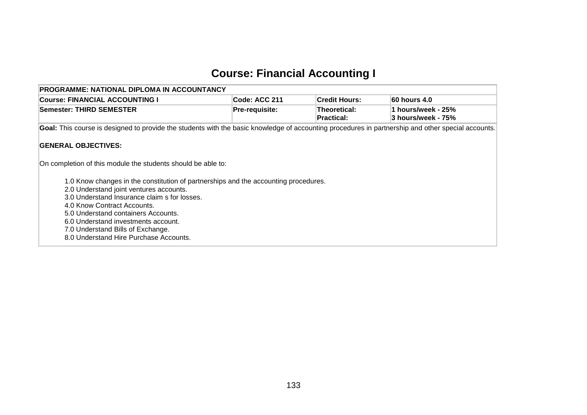# **Course: Financial Accounting I**

| PROGRAMME: NATIONAL DIPLOMA IN ACCOUNTANCY                                                                                                         |                |                                          |                                          |  |  |  |  |  |  |  |
|----------------------------------------------------------------------------------------------------------------------------------------------------|----------------|------------------------------------------|------------------------------------------|--|--|--|--|--|--|--|
| <b>Course: FINANCIAL ACCOUNTING I</b>                                                                                                              | Code: ACC 211  | <b>Credit Hours:</b>                     | 60 hours 4.0                             |  |  |  |  |  |  |  |
| <b>Semester: THIRD SEMESTER</b>                                                                                                                    | Pre-requisite: | <b>Theoretical:</b><br><b>Practical:</b> | 1 hours/week - 25%<br>3 hours/week - 75% |  |  |  |  |  |  |  |
| Goal: This course is designed to provide the students with the basic knowledge of accounting procedures in partnership and other special accounts. |                |                                          |                                          |  |  |  |  |  |  |  |
| <b>GENERAL OBJECTIVES:</b>                                                                                                                         |                |                                          |                                          |  |  |  |  |  |  |  |
| On completion of this module the students should be able to:                                                                                       |                |                                          |                                          |  |  |  |  |  |  |  |
| 1.0 Know changes in the constitution of partnerships and the accounting procedures.                                                                |                |                                          |                                          |  |  |  |  |  |  |  |
| 2.0 Understand joint ventures accounts.                                                                                                            |                |                                          |                                          |  |  |  |  |  |  |  |
| 3.0 Understand Insurance claim s for losses.<br>4.0 Know Contract Accounts.                                                                        |                |                                          |                                          |  |  |  |  |  |  |  |
| 5.0 Understand containers Accounts.                                                                                                                |                |                                          |                                          |  |  |  |  |  |  |  |
| 6.0 Understand investments account.                                                                                                                |                |                                          |                                          |  |  |  |  |  |  |  |
| 7.0 Understand Bills of Exchange.                                                                                                                  |                |                                          |                                          |  |  |  |  |  |  |  |
| 8.0 Understand Hire Purchase Accounts.                                                                                                             |                |                                          |                                          |  |  |  |  |  |  |  |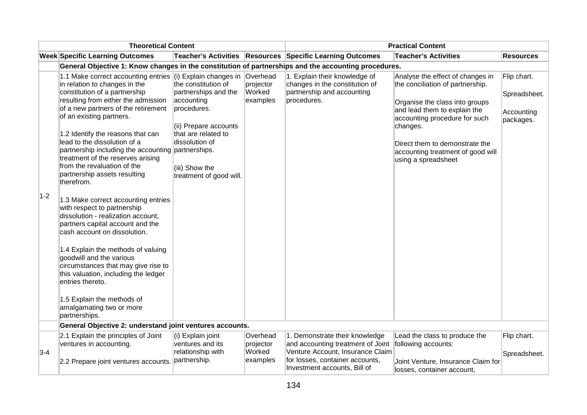|       | <b>Theoretical Content</b>                                                                                                                                                                                                                                                                                                                                                                                                                                                                                                                                                                                                                                                                                                                                                                                                                                                                                          |                                                                                                                                                                                         |                                             | <b>Practical Content</b>                                                                                                                   |                                                                                                                                                                                                                                                                                   |                                                        |  |
|-------|---------------------------------------------------------------------------------------------------------------------------------------------------------------------------------------------------------------------------------------------------------------------------------------------------------------------------------------------------------------------------------------------------------------------------------------------------------------------------------------------------------------------------------------------------------------------------------------------------------------------------------------------------------------------------------------------------------------------------------------------------------------------------------------------------------------------------------------------------------------------------------------------------------------------|-----------------------------------------------------------------------------------------------------------------------------------------------------------------------------------------|---------------------------------------------|--------------------------------------------------------------------------------------------------------------------------------------------|-----------------------------------------------------------------------------------------------------------------------------------------------------------------------------------------------------------------------------------------------------------------------------------|--------------------------------------------------------|--|
|       | <b>Week Specific Learning Outcomes</b>                                                                                                                                                                                                                                                                                                                                                                                                                                                                                                                                                                                                                                                                                                                                                                                                                                                                              | <b>Teacher's Activities</b>                                                                                                                                                             | <b>Resources</b>                            | <b>Specific Learning Outcomes</b>                                                                                                          | <b>Teacher's Activities</b>                                                                                                                                                                                                                                                       | <b>Resources</b>                                       |  |
|       |                                                                                                                                                                                                                                                                                                                                                                                                                                                                                                                                                                                                                                                                                                                                                                                                                                                                                                                     |                                                                                                                                                                                         |                                             | General Objective 1: Know changes in the constitution of partnerships and the accounting procedures.                                       |                                                                                                                                                                                                                                                                                   |                                                        |  |
| $1-2$ | 1.1 Make correct accounting entries (i) Explain changes in<br>in relation to changes in the<br>constitution of a partnership<br>resulting from either the admission<br>of a new partners of the retirement<br>of an existing partners.<br>1.2 Identify the reasons that can<br>lead to the dissolution of a<br>partnership including the accounting partnerships.<br>treatment of the reserves arising<br>from the revaluation of the<br>partnership assets resulting<br>therefrom.<br>1.3 Make correct accounting entries<br>with respect to partnership<br>dissolution - realization account,<br>partners capital account and the<br>cash account on dissolution.<br>1.4 Explain the methods of valuing<br>goodwill and the various<br>circumstances that may give rise to<br>this valuation, including the ledger<br>entries thereto.<br>1.5 Explain the methods of<br>amalgamating two or more<br>partnerships. | the constitution of<br>partnerships and the<br>accounting<br>procedures.<br>(ii) Prepare accounts<br>that are related to<br>dissolution of<br>(iii) Show the<br>treatment of good will. | Overhead<br>projector<br>Worked<br>examples | 1. Explain their knowledge of<br>changes in the constitution of<br>partnership and accounting<br>procedures.                               | Analyse the effect of changes in<br>the conciliation of partnership.<br>Organise the class into groups<br>and lead them to explain the<br>accounting procedure for such<br>changes.<br>Direct them to demonstrate the<br>accounting treatment of good will<br>using a spreadsheet | Flip chart.<br>Spreadsheet.<br>Accounting<br>packages. |  |
|       | General Objective 2: understand joint ventures accounts.                                                                                                                                                                                                                                                                                                                                                                                                                                                                                                                                                                                                                                                                                                                                                                                                                                                            |                                                                                                                                                                                         |                                             |                                                                                                                                            |                                                                                                                                                                                                                                                                                   |                                                        |  |
| $3-4$ | 2.1 Explain the principles of Joint<br>ventures in accounting.<br>2.2 Prepare joint ventures accounts.                                                                                                                                                                                                                                                                                                                                                                                                                                                                                                                                                                                                                                                                                                                                                                                                              | (i) Explain joint<br>ventures and its<br>relationship with<br>partnership.                                                                                                              | Overhead<br>projector<br>Worked<br>examples | 1. Demonstrate their knowledge<br>and accounting treatment of Joint<br>Venture Account, Insurance Claim<br>for losses, container accounts, | Lead the class to produce the<br>following accounts:<br>Joint Venture, Insurance Claim for                                                                                                                                                                                        | Flip chart.<br>Spreadsheet.                            |  |
|       |                                                                                                                                                                                                                                                                                                                                                                                                                                                                                                                                                                                                                                                                                                                                                                                                                                                                                                                     |                                                                                                                                                                                         |                                             | Investment accounts, Bill of                                                                                                               | losses, container account,                                                                                                                                                                                                                                                        |                                                        |  |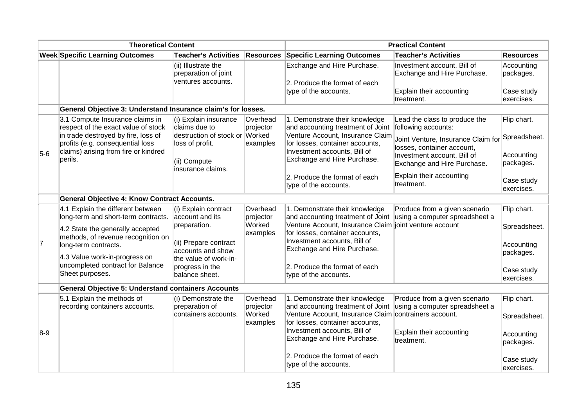| <b>Theoretical Content</b> |                                                                                                                 |                                                                   | <b>Practical Content</b> |                                                                                                     |                                                                                                 |                            |
|----------------------------|-----------------------------------------------------------------------------------------------------------------|-------------------------------------------------------------------|--------------------------|-----------------------------------------------------------------------------------------------------|-------------------------------------------------------------------------------------------------|----------------------------|
|                            | <b>Week Specific Learning Outcomes</b>                                                                          | <b>Teacher's Activities</b>                                       | <b>Resources</b>         | <b>Specific Learning Outcomes</b>                                                                   | <b>Teacher's Activities</b>                                                                     | <b>Resources</b>           |
|                            |                                                                                                                 | (ii) Illustrate the<br>preparation of joint<br>ventures accounts. |                          | Exchange and Hire Purchase.                                                                         | Investment account, Bill of<br>Exchange and Hire Purchase.                                      | Accounting<br>packages.    |
|                            |                                                                                                                 |                                                                   |                          | 2. Produce the format of each<br>type of the accounts.                                              | Explain their accounting<br>treatment.                                                          | Case study<br>exercises.   |
|                            | General Objective 3: Understand Insurance claim's for losses.                                                   |                                                                   |                          |                                                                                                     |                                                                                                 |                            |
|                            | 3.1 Compute Insurance claims in<br>respect of the exact value of stock                                          | (i) Explain insurance<br>claims due to                            | Overhead<br>projector    | 1. Demonstrate their knowledge<br>and accounting treatment of Joint   following accounts:           | Lead the class to produce the                                                                   | Flip chart.                |
| $5-6$                      | in trade destroyed by fire, loss of<br>profits (e.g. consequential loss<br>claims) arising from fire or kindred | destruction of stock or<br>loss of profit.                        | Worked<br>examples       | Venture Account, Insurance Claim<br>for losses, container accounts,<br>Investment accounts, Bill of | Joint Venture, Insurance Claim for<br>losses, container account,<br>Investment account, Bill of | Spreadsheet.<br>Accounting |
|                            | perils.                                                                                                         | (ii) Compute<br>insurance claims.                                 |                          | Exchange and Hire Purchase.                                                                         | Exchange and Hire Purchase.                                                                     | packages.                  |
|                            |                                                                                                                 |                                                                   |                          | 2. Produce the format of each<br>type of the accounts.                                              | Explain their accounting<br>treatment.                                                          | Case study<br>exercises.   |
|                            | <b>General Objective 4: Know Contract Accounts.</b>                                                             |                                                                   |                          |                                                                                                     |                                                                                                 |                            |
|                            | 4.1 Explain the different between<br>long-term and short-term contracts.                                        | (i) Explain contract<br>account and its                           | Overhead<br>projector    | 1. Demonstrate their knowledge<br>and accounting treatment of Joint using a computer spreadsheet a  | Produce from a given scenario                                                                   | Flip chart.                |
|                            | 4.2 State the generally accepted<br>methods, of revenue recognition on                                          | preparation.                                                      | Worked<br>examples       | Venture Account, Insurance Claim joint venture account<br>for losses, container accounts,           |                                                                                                 | Spreadsheet.               |
| $\vert 7 \vert$            | long-term contracts.<br>4.3 Value work-in-progress on                                                           | (ii) Prepare contract<br>accounts and show                        |                          | Investment accounts, Bill of<br>Exchange and Hire Purchase.                                         |                                                                                                 | Accounting<br>packages.    |
|                            | uncompleted contract for Balance<br>Sheet purposes.                                                             | the value of work-in-<br>progress in the<br>balance sheet.        |                          | 2. Produce the format of each<br>type of the accounts.                                              |                                                                                                 | Case study<br>exercises.   |
|                            | <b>General Objective 5: Understand containers Accounts</b>                                                      |                                                                   |                          |                                                                                                     |                                                                                                 |                            |
|                            | 5.1 Explain the methods of<br>recording containers accounts.                                                    | (i) Demonstrate the<br>preparation of                             | Overhead<br>projector    | 1. Demonstrate their knowledge<br>and accounting treatment of Joint                                 | Produce from a given scenario<br>using a computer spreadsheet a                                 | Flip chart.                |
|                            |                                                                                                                 | containers accounts.                                              | Worked<br>examples       | Venture Account, Insurance Claim contrainers account.<br>for losses, container accounts,            |                                                                                                 | Spreadsheet.               |
| $8-9$                      |                                                                                                                 |                                                                   |                          | Investment accounts, Bill of<br>Exchange and Hire Purchase.                                         | Explain their accounting<br>treatment.                                                          | Accounting<br>packages.    |
|                            |                                                                                                                 |                                                                   |                          | 2. Produce the format of each<br>type of the accounts.                                              |                                                                                                 | Case study<br>exercises.   |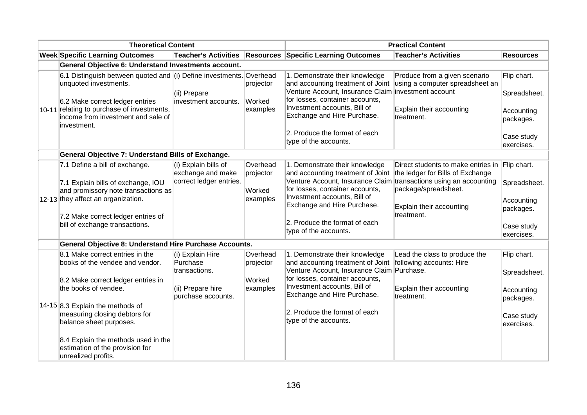| <b>Theoretical Content</b>                                                                          |                                           |                       | <b>Practical Content</b>                                                                                                                                   |                                                |                             |  |
|-----------------------------------------------------------------------------------------------------|-------------------------------------------|-----------------------|------------------------------------------------------------------------------------------------------------------------------------------------------------|------------------------------------------------|-----------------------------|--|
| <b>Week Specific Learning Outcomes</b>                                                              | <b>Teacher's Activities</b>               |                       | <b>Resources Specific Learning Outcomes</b>                                                                                                                | <b>Teacher's Activities</b>                    | <b>Resources</b>            |  |
| General Objective 6: Understand Investments account.                                                |                                           |                       |                                                                                                                                                            |                                                |                             |  |
| $ 6.1$ Distinguish between quoted and $ $ (i) Define investments. Overhead<br>unquoted investments. | (ii) Prepare                              | projector             | 1. Demonstrate their knowledge<br>and accounting treatment of Joint using a computer spreadsheet an<br>Venture Account, Insurance Claim investment account | Produce from a given scenario                  | Flip chart.<br>Spreadsheet. |  |
| 6.2 Make correct ledger entries                                                                     | investment accounts.                      | Worked                | for losses, container accounts,                                                                                                                            |                                                |                             |  |
| 10-11 relating to purchase of investments,<br>income from investment and sale of<br>investment.     |                                           | examples              | Investment accounts, Bill of<br>Exchange and Hire Purchase.                                                                                                | Explain their accounting<br>treatment.         | Accounting<br>packages.     |  |
|                                                                                                     |                                           |                       | 2. Produce the format of each<br>type of the accounts.                                                                                                     |                                                | Case study<br>exercises.    |  |
| General Objective 7: Understand Bills of Exchange.                                                  |                                           |                       |                                                                                                                                                            |                                                |                             |  |
| 7.1 Define a bill of exchange.                                                                      | (i) Explain bills of<br>exchange and make | Overhead<br>projector | 1. Demonstrate their knowledge<br>and accounting treatment of Joint the ledger for Bills of Exchange                                                       | Direct students to make entries in Flip chart. |                             |  |
| 7.1 Explain bills of exchange, IOU<br>and promissory note transactions as                           | correct ledger entries.                   | Worked                | Venture Account, Insurance Claim transactions using an accounting<br>for losses, container accounts,                                                       | package/spreadsheet.                           | Spreadsheet.                |  |
| 12-13 they affect an organization.                                                                  |                                           | examples              | Investment accounts, Bill of<br>Exchange and Hire Purchase.                                                                                                | Explain their accounting                       | Accounting<br>packages.     |  |
| 7.2 Make correct ledger entries of                                                                  |                                           |                       |                                                                                                                                                            | treatment.                                     |                             |  |
| bill of exchange transactions.                                                                      |                                           |                       | 2. Produce the format of each<br>type of the accounts.                                                                                                     |                                                | Case study<br>exercises.    |  |
| General Objective 8: Understand Hire Purchase Accounts.                                             |                                           |                       |                                                                                                                                                            |                                                |                             |  |
| 8.1 Make correct entries in the<br>books of the vendee and vendor.                                  | (i) Explain Hire<br>Purchase              | Overhead<br>projector | 1. Demonstrate their knowledge<br>and accounting treatment of Joint   following accounts: Hire                                                             | Lead the class to produce the                  | Flip chart.                 |  |
| 8.2 Make correct ledger entries in                                                                  | transactions.                             | Worked                | Venture Account, Insurance Claim Purchase.<br>for losses, container accounts,                                                                              |                                                | Spreadsheet.                |  |
| the books of vendee.                                                                                | (ii) Prepare hire<br>purchase accounts.   | examples              | Investment accounts, Bill of<br>Exchange and Hire Purchase.                                                                                                | Explain their accounting<br>treatment.         | Accounting<br>packages.     |  |
| 14-15 8.3 Explain the methods of<br>measuring closing debtors for<br>balance sheet purposes.        |                                           |                       | 2. Produce the format of each<br>type of the accounts.                                                                                                     |                                                | Case study<br>exercises.    |  |
| 8.4 Explain the methods used in the<br>estimation of the provision for<br>unrealized profits.       |                                           |                       |                                                                                                                                                            |                                                |                             |  |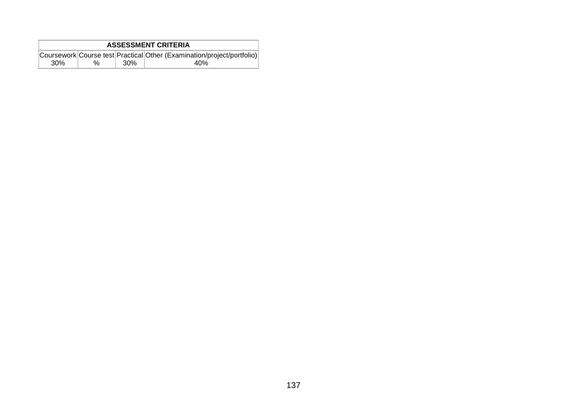| <b>ASSESSMENT CRITERIA</b> |                                                                        |                 |     |  |  |  |  |
|----------------------------|------------------------------------------------------------------------|-----------------|-----|--|--|--|--|
|                            | Coursework Course test Practical Other (Examination/project/portfolio) |                 |     |  |  |  |  |
| 30 <sup>%</sup>            | %                                                                      | 30 <sup>%</sup> | 40% |  |  |  |  |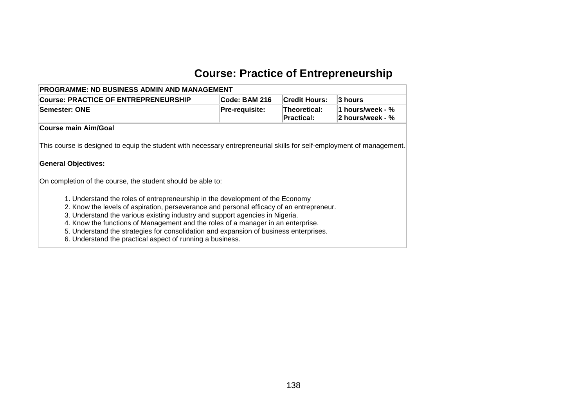# **Course: Practice of Entrepreneurship**

| <b>PROGRAMME: ND BUSINESS ADMIN AND MANAGEMENT</b>                                                                                                                                                                                                                                                                                                                                                                                                                                                  |                |                                   |                                      |  |  |  |  |  |
|-----------------------------------------------------------------------------------------------------------------------------------------------------------------------------------------------------------------------------------------------------------------------------------------------------------------------------------------------------------------------------------------------------------------------------------------------------------------------------------------------------|----------------|-----------------------------------|--------------------------------------|--|--|--|--|--|
| <b>Course: PRACTICE OF ENTREPRENEURSHIP</b>                                                                                                                                                                                                                                                                                                                                                                                                                                                         | Code: BAM 216  | <b>Credit Hours:</b>              | 3 hours                              |  |  |  |  |  |
| <b>Semester: ONE</b>                                                                                                                                                                                                                                                                                                                                                                                                                                                                                | Pre-requisite: | Theoretical:<br><b>Practical:</b> | 1 hours/week - %<br>2 hours/week - % |  |  |  |  |  |
| Course main Aim/Goal                                                                                                                                                                                                                                                                                                                                                                                                                                                                                |                |                                   |                                      |  |  |  |  |  |
| This course is designed to equip the student with necessary entrepreneurial skills for self-employment of management.<br><b>General Objectives:</b><br>On completion of the course, the student should be able to:                                                                                                                                                                                                                                                                                  |                |                                   |                                      |  |  |  |  |  |
| 1. Understand the roles of entrepreneurship in the development of the Economy<br>2. Know the levels of aspiration, perseverance and personal efficacy of an entrepreneur.<br>3. Understand the various existing industry and support agencies in Nigeria.<br>4. Know the functions of Management and the roles of a manager in an enterprise.<br>5. Understand the strategies for consolidation and expansion of business enterprises.<br>6. Understand the practical aspect of running a business. |                |                                   |                                      |  |  |  |  |  |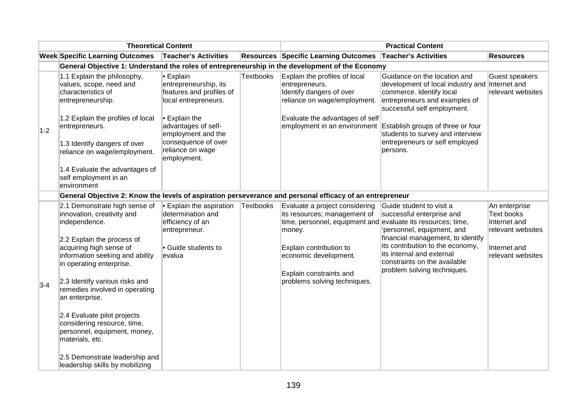|         | <b>Theoretical Content</b>                                                                                                                                                                                                                                                                                                                                                                                  |                                                                                                                                                                                                                            |                  | <b>Practical Content</b>                                                                                                                                                                                                  |                                                                                                                                                                                                                                                                                                   |                                                                                                              |  |
|---------|-------------------------------------------------------------------------------------------------------------------------------------------------------------------------------------------------------------------------------------------------------------------------------------------------------------------------------------------------------------------------------------------------------------|----------------------------------------------------------------------------------------------------------------------------------------------------------------------------------------------------------------------------|------------------|---------------------------------------------------------------------------------------------------------------------------------------------------------------------------------------------------------------------------|---------------------------------------------------------------------------------------------------------------------------------------------------------------------------------------------------------------------------------------------------------------------------------------------------|--------------------------------------------------------------------------------------------------------------|--|
|         | <b>Week Specific Learning Outcomes</b>                                                                                                                                                                                                                                                                                                                                                                      | <b>Teacher's Activities</b>                                                                                                                                                                                                |                  | <b>Resources Specific Learning Outcomes</b>                                                                                                                                                                               | <b>Teacher's Activities</b>                                                                                                                                                                                                                                                                       | <b>Resources</b>                                                                                             |  |
|         |                                                                                                                                                                                                                                                                                                                                                                                                             |                                                                                                                                                                                                                            |                  | General Objective 1: Understand the roles of entrepreneurship in the development of the Economy                                                                                                                           |                                                                                                                                                                                                                                                                                                   |                                                                                                              |  |
| $1-2$   | 1.1 Explain the philosophy,<br>values, scope, need and<br>characteristics of<br>entrepreneurship.<br>1.2 Explain the profiles of local<br>entrepreneurs.<br>1.3 Identify dangers of over<br>reliance on wage/employment.<br>1.4 Evaluate the advantages of                                                                                                                                                  | $\cdot$ Explain<br>entrepreneurship, its<br>features and profiles of<br>local entrepreneurs.<br>$\cdot$ Explain the<br>advantages of self-<br>employment and the<br>consequence of over<br>reliance on wage<br>employment. | <b>Textbooks</b> | Explain the profiles of local<br>entrepreneurs.<br>Identify dangers of over<br>reliance on wage/employment.<br>Evaluate the advantages of self<br>employment in an environment                                            | Guidance on the location and<br>development of local industry and Internet and<br>commerce. Identify local<br>entrepreneurs and examples of<br>successful self employment.<br>Establish groups of three or four<br>students to survey and interview<br>entrepreneurs or self employed<br>persons. | <b>Guest speakers</b><br>relevant websites                                                                   |  |
|         | self employment in an<br>environment                                                                                                                                                                                                                                                                                                                                                                        |                                                                                                                                                                                                                            |                  |                                                                                                                                                                                                                           |                                                                                                                                                                                                                                                                                                   |                                                                                                              |  |
|         |                                                                                                                                                                                                                                                                                                                                                                                                             |                                                                                                                                                                                                                            |                  | General Objective 2: Know the levels of aspiration perseverance and personal efficacy of an entrepreneur                                                                                                                  |                                                                                                                                                                                                                                                                                                   |                                                                                                              |  |
| $3 - 4$ | 2.1 Demonstrate high sense of<br>innovation, creativity and<br>independence.<br>2.2 Explain the process of<br>acquiring high sense of<br>information seeking and ability<br>in operating enterprise.<br>2.3 Identify various risks and<br>remedies involved in operating<br>an enterprise.<br>2.4 Evaluate pilot projects<br>considering resource, time,<br>personnel, equipment, money,<br>materials, etc. | $\cdot$ Explain the aspiration<br>determination and<br>efficiency of an<br>entrepreneur.<br>Guide students to<br>evalua                                                                                                    | Textbooks        | Evaluate a project considering<br>its resources; management of<br>time, personnel, equipment and<br>money.<br>Explain contribution to<br>economic development.<br>Explain constraints and<br>problems solving techniques. | Guide student to visit a<br>successful enterprise and<br>evaluate its resources; time,<br>personnel, equipment, and<br>financial management, to identify<br>its contribution to the economy,<br>its internal and external<br>constraints on the available<br>problem solving techniques.          | An enterprise<br><b>Text books</b><br>Internet and<br>relevant websites<br>Internet and<br>relevant websites |  |
|         | 2.5 Demonstrate leadership and<br>leadership skills by mobilizing                                                                                                                                                                                                                                                                                                                                           |                                                                                                                                                                                                                            |                  |                                                                                                                                                                                                                           |                                                                                                                                                                                                                                                                                                   |                                                                                                              |  |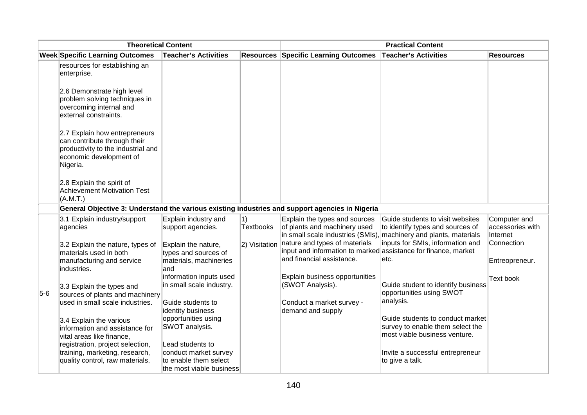| <b>Theoretical Content</b> |                                                                                                                                            |                                                                    |                        | <b>Practical Content</b>                                                                        |                                                                                                                                           |                                              |  |
|----------------------------|--------------------------------------------------------------------------------------------------------------------------------------------|--------------------------------------------------------------------|------------------------|-------------------------------------------------------------------------------------------------|-------------------------------------------------------------------------------------------------------------------------------------------|----------------------------------------------|--|
|                            | <b>Week Specific Learning Outcomes</b>                                                                                                     | <b>Teacher's Activities</b>                                        |                        | <b>Resources Specific Learning Outcomes</b>                                                     | <b>Teacher's Activities</b>                                                                                                               | <b>Resources</b>                             |  |
|                            | resources for establishing an<br>enterprise.                                                                                               |                                                                    |                        |                                                                                                 |                                                                                                                                           |                                              |  |
|                            | 2.6 Demonstrate high level<br>problem solving techniques in<br>overcoming internal and<br>external constraints.                            |                                                                    |                        |                                                                                                 |                                                                                                                                           |                                              |  |
|                            | 2.7 Explain how entrepreneurs<br>can contribute through their<br>productivity to the industrial and<br>economic development of<br>Nigeria. |                                                                    |                        |                                                                                                 |                                                                                                                                           |                                              |  |
|                            | 2.8 Explain the spirit of<br>Achievement Motivation Test<br>(A.M.T.)                                                                       |                                                                    |                        |                                                                                                 |                                                                                                                                           |                                              |  |
|                            | General Objective 3: Understand the various existing industries and support agencies in Nigeria                                            |                                                                    |                        |                                                                                                 |                                                                                                                                           |                                              |  |
|                            | 3.1 Explain industry/support<br>agencies                                                                                                   | Explain industry and<br>support agencies.                          | 1)<br><b>Textbooks</b> | Explain the types and sources<br>of plants and machinery used                                   | Guide students to visit websites<br>to identify types and sources of<br>in small scale industries (SMIs), machinery and plants, materials | Computer and<br>accessories with<br>Internet |  |
|                            | 3.2 Explain the nature, types of<br>materials used in both                                                                                 | Explain the nature,<br>types and sources of                        | 2) Visitation          | nature and types of materials<br>input and information to marked assistance for finance, market | inputs for SMIs, information and                                                                                                          | Connection                                   |  |
|                            | manufacturing and service<br>industries.                                                                                                   | materials, machineries<br>and                                      |                        | and financial assistance.                                                                       | etc.                                                                                                                                      | Entreopreneur.                               |  |
| $5-6$                      | 3.3 Explain the types and<br>sources of plants and machinery                                                                               | information inputs used<br>in small scale industry.                |                        | Explain business opportunities<br>(SWOT Analysis).                                              | Guide student to identify business<br>opportunities using SWOT<br>analysis.                                                               | Text book                                    |  |
|                            | used in small scale industries.                                                                                                            | Guide students to<br>identity business                             |                        | Conduct a market survey -<br>demand and supply                                                  |                                                                                                                                           |                                              |  |
|                            | 3.4 Explain the various<br>information and assistance for<br>vital areas like finance,                                                     | opportunities using<br>SWOT analysis.                              |                        |                                                                                                 | Guide students to conduct market<br>survey to enable them select the<br>most viable business venture.                                     |                                              |  |
|                            | registration, project selection,<br>training, marketing, research,<br>quality control, raw materials,                                      | Lead students to<br>conduct market survey<br>to enable them select |                        |                                                                                                 | Invite a successful entrepreneur<br>to give a talk.                                                                                       |                                              |  |
|                            |                                                                                                                                            | the most viable business                                           |                        |                                                                                                 |                                                                                                                                           |                                              |  |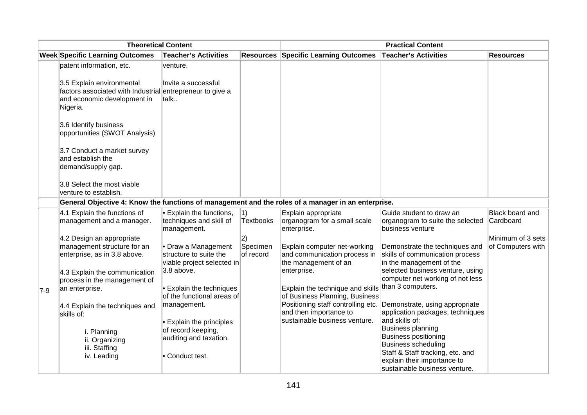| <b>Theoretical Content</b> |                                                                                                                                                                             |                                                                                                                       |                             | <b>Practical Content</b>                                                                                                                |                                                                                                                                                                                            |                                        |  |
|----------------------------|-----------------------------------------------------------------------------------------------------------------------------------------------------------------------------|-----------------------------------------------------------------------------------------------------------------------|-----------------------------|-----------------------------------------------------------------------------------------------------------------------------------------|--------------------------------------------------------------------------------------------------------------------------------------------------------------------------------------------|----------------------------------------|--|
|                            | <b>Week Specific Learning Outcomes</b>                                                                                                                                      | <b>Teacher's Activities</b>                                                                                           |                             | <b>Resources Specific Learning Outcomes</b>                                                                                             | <b>Teacher's Activities</b>                                                                                                                                                                | <b>Resources</b>                       |  |
|                            | patent information, etc.                                                                                                                                                    | venture.                                                                                                              |                             |                                                                                                                                         |                                                                                                                                                                                            |                                        |  |
|                            | 3.5 Explain environmental<br>factors associated with Industrial entrepreneur to give a<br>and economic development in<br>Nigeria.                                           | Invite a successful<br>talk                                                                                           |                             |                                                                                                                                         |                                                                                                                                                                                            |                                        |  |
|                            | 3.6 Identify business<br>opportunities (SWOT Analysis)                                                                                                                      |                                                                                                                       |                             |                                                                                                                                         |                                                                                                                                                                                            |                                        |  |
|                            | 3.7 Conduct a market survey<br>and establish the<br>demand/supply gap.                                                                                                      |                                                                                                                       |                             |                                                                                                                                         |                                                                                                                                                                                            |                                        |  |
|                            | 3.8 Select the most viable<br>venture to establish.                                                                                                                         |                                                                                                                       |                             |                                                                                                                                         |                                                                                                                                                                                            |                                        |  |
|                            | General Objective 4: Know the functions of management and the roles of a manager in an enterprise.                                                                          |                                                                                                                       |                             |                                                                                                                                         |                                                                                                                                                                                            |                                        |  |
|                            | 4.1 Explain the functions of<br>management and a manager.                                                                                                                   | <b>Explain the functions,</b><br>techniques and skill of<br>management.                                               | 1)<br>Textbooks             | Explain appropriate<br>organogram for a small scale<br>enterprise.                                                                      | Guide student to draw an<br>organogram to suite the selected<br>business venture                                                                                                           | Black board and<br>Cardboard           |  |
|                            | 4.2 Design an appropriate<br>management structure for an<br>enterprise, as in 3.8 above.<br>4.3 Explain the communication<br>process in the management of<br>an enterprise. | • Draw a Management<br>structure to suite the<br>viable project selected in<br>3.8 above.<br>• Explain the techniques | 2)<br>Specimen<br>of record | Explain computer net-working<br>and communication process in<br>the management of an<br>enterprise.<br>Explain the technique and skills | Demonstrate the techniques and<br>skills of communication process<br>in the management of the<br>selected business venture, using<br>computer net working of not less<br>than 3 computers. | Minimum of 3 sets<br>of Computers with |  |
| $7-9$                      | 4.4 Explain the techniques and<br>skills of:<br>i. Planning                                                                                                                 | of the functional areas of<br>management.<br>• Explain the principles<br>of record keeping,<br>auditing and taxation. |                             | of Business Planning, Business<br>Positioning staff controlling etc.<br>and then importance to<br>sustainable business venture.         | Demonstrate, using appropriate<br>application packages, techniques<br>and skills of:<br>Business planning<br><b>Business positioning</b>                                                   |                                        |  |
|                            | ii. Organizing<br>iii. Staffing<br>iv. Leading                                                                                                                              | • Conduct test.                                                                                                       |                             |                                                                                                                                         | <b>Business scheduling</b><br>Staff & Staff tracking, etc. and<br>explain their importance to<br>sustainable business venture.                                                             |                                        |  |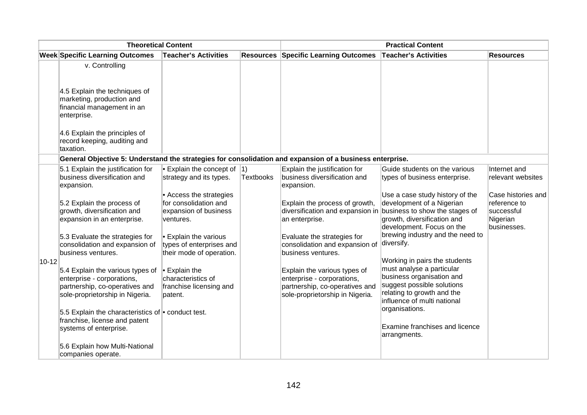| <b>Theoretical Content</b> |                                                                                                                                     |                                                                                        |           | <b>Practical Content</b>                                                                                                        |                                                                                                                                                   |                                                                             |  |  |
|----------------------------|-------------------------------------------------------------------------------------------------------------------------------------|----------------------------------------------------------------------------------------|-----------|---------------------------------------------------------------------------------------------------------------------------------|---------------------------------------------------------------------------------------------------------------------------------------------------|-----------------------------------------------------------------------------|--|--|
|                            | <b>Week Specific Learning Outcomes</b>                                                                                              | <b>Teacher's Activities</b>                                                            |           | <b>Resources Specific Learning Outcomes</b>                                                                                     | <b>Teacher's Activities</b>                                                                                                                       | <b>Resources</b>                                                            |  |  |
|                            | v. Controlling                                                                                                                      |                                                                                        |           |                                                                                                                                 |                                                                                                                                                   |                                                                             |  |  |
|                            | 4.5 Explain the techniques of<br>marketing, production and<br>financial management in an<br>enterprise.                             |                                                                                        |           |                                                                                                                                 |                                                                                                                                                   |                                                                             |  |  |
|                            | 4.6 Explain the principles of<br>record keeping, auditing and<br>taxation.                                                          |                                                                                        |           |                                                                                                                                 |                                                                                                                                                   |                                                                             |  |  |
|                            | General Objective 5: Understand the strategies for consolidation and expansion of a business enterprise.                            |                                                                                        |           |                                                                                                                                 |                                                                                                                                                   |                                                                             |  |  |
|                            | 5.1 Explain the justification for                                                                                                   | • Explain the concept of $ 1\rangle$                                                   |           | Explain the justification for                                                                                                   | Guide students on the various                                                                                                                     | Internet and                                                                |  |  |
|                            | business diversification and<br>expansion.                                                                                          | strategy and its types.                                                                | Textbooks | business diversification and<br>expansion.                                                                                      | types of business enterprise.                                                                                                                     | relevant websites                                                           |  |  |
|                            | 5.2 Explain the process of<br>growth, diversification and<br>expansion in an enterprise.                                            | • Access the strategies<br>for consolidation and<br>expansion of business<br>ventures. |           | Explain the process of growth,<br>diversification and expansion in business to show the stages of<br>an enterprise.             | Use a case study history of the<br>development of a Nigerian<br>growth, diversification and<br>development. Focus on the                          | Case histories and<br>reference to<br>successful<br>Nigerian<br>businesses. |  |  |
|                            | 5.3 Evaluate the strategies for<br>consolidation and expansion of<br>business ventures.                                             | $\cdot$ Explain the various<br>types of enterprises and<br>their mode of operation.    |           | Evaluate the strategies for<br>consolidation and expansion of<br>business ventures.                                             | brewing industry and the need to<br>diversify.<br>Working in pairs the students                                                                   |                                                                             |  |  |
| $10 - 12$                  | 5.4 Explain the various types of<br>enterprise - corporations,<br>partnership, co-operatives and<br>sole-proprietorship in Nigeria. | $\cdot$ Explain the<br>characteristics of<br>franchise licensing and<br>patent.        |           | Explain the various types of<br>enterprise - corporations,<br>partnership, co-operatives and<br>sole-proprietorship in Nigeria. | must analyse a particular<br>business organisation and<br>suggest possible solutions<br>relating to growth and the<br>influence of multi national |                                                                             |  |  |
|                            | 5.5 Explain the characteristics of • conduct test.<br>franchise, license and patent<br>systems of enterprise.                       |                                                                                        |           |                                                                                                                                 | organisations.<br><b>Examine franchises and licence</b><br>arrangments.                                                                           |                                                                             |  |  |
|                            | 5.6 Explain how Multi-National<br>companies operate.                                                                                |                                                                                        |           |                                                                                                                                 |                                                                                                                                                   |                                                                             |  |  |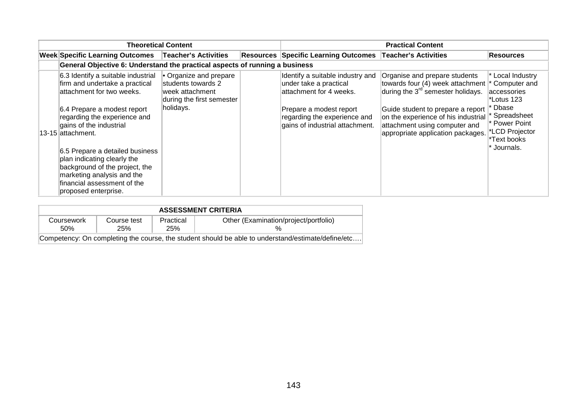| <b>Theoretical Content</b> |                                                                                                                                                                                       |                                                                                                      |  | <b>Practical Content</b>                                                                   |                                                                                                                                                |                                                                               |  |
|----------------------------|---------------------------------------------------------------------------------------------------------------------------------------------------------------------------------------|------------------------------------------------------------------------------------------------------|--|--------------------------------------------------------------------------------------------|------------------------------------------------------------------------------------------------------------------------------------------------|-------------------------------------------------------------------------------|--|
|                            | <b>Week Specific Learning Outcomes</b>                                                                                                                                                | <b>Teacher's Activities</b>                                                                          |  | <b>Resources Specific Learning Outcomes</b>                                                | <b>Teacher's Activities</b>                                                                                                                    | Resources                                                                     |  |
|                            | General Objective 6: Understand the practical aspects of running a business                                                                                                           |                                                                                                      |  |                                                                                            |                                                                                                                                                |                                                                               |  |
|                            | 6.3 Identify a suitable industrial<br>firm and undertake a practical<br>attachment for two weeks.                                                                                     | $\bullet$ Organize and prepare<br>students towards 2<br>week attachment<br>during the first semester |  | Identify a suitable industry and<br>under take a practical<br>lattachment for 4 weeks.     | Organise and prepare students<br>towards four (4) week attachment * Computer and<br>during the $3^{\text{rd}}$ semester holidays.              | * Local Industry<br>accessories<br>*Lotus 123                                 |  |
|                            | 6.4 Prepare a modest report<br>regarding the experience and<br>gains of the industrial<br>13-15 attachment.                                                                           | holidays.                                                                                            |  | Prepare a modest report<br>regarding the experience and<br>gains of industrial attachment. | Guide student to prepare a report<br>on the experience of his industrial<br>attachment using computer and<br>appropriate application packages. | Dbase<br><b>Spreadsheet</b><br>* Power Point<br>*LCD Projector<br>*Text books |  |
|                            | 6.5 Prepare a detailed business<br>plan indicating clearly the<br>background of the project, the<br>marketing analysis and the<br>financial assessment of the<br>proposed enterprise. |                                                                                                      |  |                                                                                            |                                                                                                                                                | Journals.                                                                     |  |

| <b>ASSESSMENT CRITERIA</b> |                                                                                                    |                  |                                       |  |  |  |  |  |  |
|----------------------------|----------------------------------------------------------------------------------------------------|------------------|---------------------------------------|--|--|--|--|--|--|
| Coursework<br>.50%         | Course test<br>25%                                                                                 | Practical<br>25% | Other (Examination/project/portfolio) |  |  |  |  |  |  |
|                            | Competency: On completing the course, the student should be able to understand/estimate/define/etc |                  |                                       |  |  |  |  |  |  |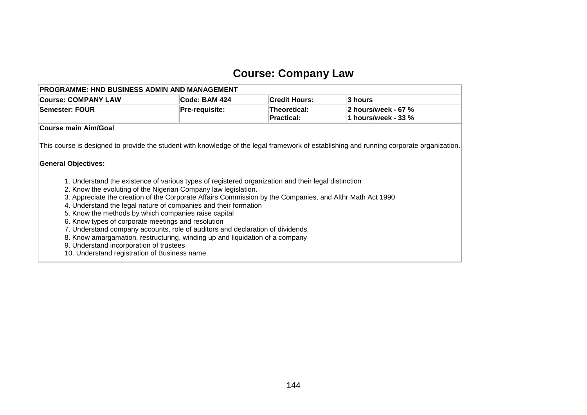## **Course: Company Law**

| PROGRAMME: HND BUSINESS ADMIN AND MANAGEMENT                                                                                                                                                                                                                                                                                                                                                                                                                                                                                                                                                                                                                                                                                                                                                                                                                                                               |                |                                   |                                            |  |  |  |  |  |  |
|------------------------------------------------------------------------------------------------------------------------------------------------------------------------------------------------------------------------------------------------------------------------------------------------------------------------------------------------------------------------------------------------------------------------------------------------------------------------------------------------------------------------------------------------------------------------------------------------------------------------------------------------------------------------------------------------------------------------------------------------------------------------------------------------------------------------------------------------------------------------------------------------------------|----------------|-----------------------------------|--------------------------------------------|--|--|--|--|--|--|
| <b>Course: COMPANY LAW</b>                                                                                                                                                                                                                                                                                                                                                                                                                                                                                                                                                                                                                                                                                                                                                                                                                                                                                 | Code: BAM 424  | <b>Credit Hours:</b>              | 3 hours                                    |  |  |  |  |  |  |
| Semester: FOUR                                                                                                                                                                                                                                                                                                                                                                                                                                                                                                                                                                                                                                                                                                                                                                                                                                                                                             | Pre-requisite: | Theoretical:<br><b>Practical:</b> | 2 hours/week - 67 %<br>1 hours/week - 33 % |  |  |  |  |  |  |
| Course main Aim/Goal                                                                                                                                                                                                                                                                                                                                                                                                                                                                                                                                                                                                                                                                                                                                                                                                                                                                                       |                |                                   |                                            |  |  |  |  |  |  |
| This course is designed to provide the student with knowledge of the legal framework of establishing and running corporate organization.<br><b>General Objectives:</b><br>1. Understand the existence of various types of registered organization and their legal distinction<br>2. Know the evoluting of the Nigerian Company law legislation.<br>3. Appreciate the creation of the Corporate Affairs Commission by the Companies, and Althr Math Act 1990<br>4. Understand the legal nature of companies and their formation<br>5. Know the methods by which companies raise capital<br>6. Know types of corporate meetings and resolution<br>7. Understand company accounts, role of auditors and declaration of dividends.<br>8. Know amargamation, restructuring, winding up and liquidation of a company<br>9. Understand incorporation of trustees<br>10. Understand registration of Business name. |                |                                   |                                            |  |  |  |  |  |  |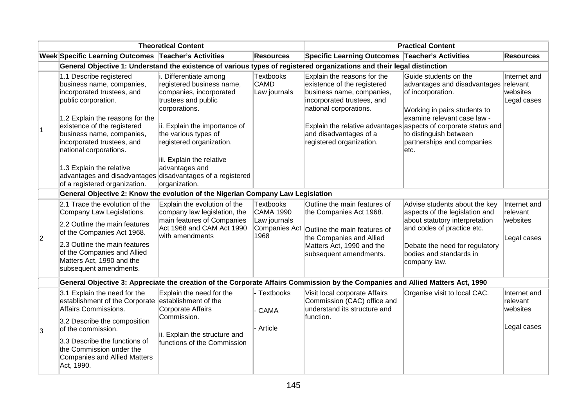| <b>Theoretical Content</b> |                                                                                                                                                                                                                                                                                                                              |                                                                                                                                                                                                                                                                                             |                                                                        | <b>Practical Content</b>                                                                                                                                                                              |                                                                                                                                                                                                                                                                              |                                                     |  |
|----------------------------|------------------------------------------------------------------------------------------------------------------------------------------------------------------------------------------------------------------------------------------------------------------------------------------------------------------------------|---------------------------------------------------------------------------------------------------------------------------------------------------------------------------------------------------------------------------------------------------------------------------------------------|------------------------------------------------------------------------|-------------------------------------------------------------------------------------------------------------------------------------------------------------------------------------------------------|------------------------------------------------------------------------------------------------------------------------------------------------------------------------------------------------------------------------------------------------------------------------------|-----------------------------------------------------|--|
|                            | Week Specific Learning Outcomes Teacher's Activities                                                                                                                                                                                                                                                                         |                                                                                                                                                                                                                                                                                             | <b>Resources</b>                                                       | Specific Learning Outcomes Teacher's Activities                                                                                                                                                       |                                                                                                                                                                                                                                                                              | <b>Resources</b>                                    |  |
|                            |                                                                                                                                                                                                                                                                                                                              |                                                                                                                                                                                                                                                                                             |                                                                        | General Objective 1: Understand the existence of various types of registered organizations and their legal distinction                                                                                |                                                                                                                                                                                                                                                                              |                                                     |  |
| $\overline{1}$             | 1.1 Describe registered<br>business name, companies,<br>incorporated trustees, and<br>public corporation.<br>1.2 Explain the reasons for the<br>existence of the registered<br>business name, companies,<br>incorporated trustees, and<br>national corporations.<br>1.3 Explain the relative<br>advantages and disadvantages | i. Differentiate among<br>registered business name,<br>companies, incorporated<br>trustees and public<br>corporations.<br>ii. Explain the importance of<br>the various types of<br>registered organization.<br>iii. Explain the relative<br>advantages and<br>disadvantages of a registered | Textbooks<br><b>CAMD</b><br>Law journals                               | Explain the reasons for the<br>existence of the registered<br>business name, companies,<br>incorporated trustees, and<br>national corporations.<br>and disadvantages of a<br>registered organization. | Guide students on the<br>advantages and disadvantages<br>of incorporation.<br>Working in pairs students to<br>examine relevant case law -<br>Explain the relative advantages aspects of corporate status and<br>to distinguish between<br>partnerships and companies<br>etc. | Internet and<br>relevant<br>websites<br>Legal cases |  |
|                            | of a registered organization.<br>General Objective 2: Know the evolution of the Nigerian Company Law Legislation                                                                                                                                                                                                             | organization.                                                                                                                                                                                                                                                                               |                                                                        |                                                                                                                                                                                                       |                                                                                                                                                                                                                                                                              |                                                     |  |
| $ 2\rangle$                | 2.1 Trace the evolution of the<br>Company Law Legislations.<br>2.2 Outline the main features<br>of the Companies Act 1968.<br>2.3 Outline the main features<br>of the Companies and Allied<br>Matters Act, 1990 and the<br>subsequent amendments.                                                                            | Explain the evolution of the<br>company law legislation, the<br>main features of Companies<br>Act 1968 and CAM Act 1990<br>with amendments                                                                                                                                                  | Textbooks<br><b>CAMA 1990</b><br>Law journals<br>Companies Act<br>1968 | Outline the main features of<br>the Companies Act 1968.<br>Outline the main features of<br>the Companies and Allied<br>Matters Act, 1990 and the<br>subsequent amendments.                            | Advise students about the key<br>aspects of the legislation and<br>about statutory interpretation<br>and codes of practice etc.<br>Debate the need for regulatory<br>bodies and standards in<br>company law.                                                                 | Internet and<br>relevant<br>websites<br>Legal cases |  |
|                            |                                                                                                                                                                                                                                                                                                                              |                                                                                                                                                                                                                                                                                             |                                                                        | General Objective 3: Appreciate the creation of the Corporate Affairs Commission by the Companies and Allied Matters Act, 1990                                                                        |                                                                                                                                                                                                                                                                              |                                                     |  |
| Ι3                         | 3.1 Explain the need for the<br>establishment of the Corporate establishment of the<br>Affairs Commissions.<br>3.2 Describe the composition<br>of the commission.<br>3.3 Describe the functions of<br>the Commission under the<br><b>Companies and Allied Matters</b><br>Act, 1990.                                          | Explain the need for the<br>Corporate Affairs<br>Commission.<br>ii. Explain the structure and<br>functions of the Commission                                                                                                                                                                | - Textbooks<br>CAMA<br>- Article                                       | Visit local corporate Affairs<br>Commission (CAC) office and<br>understand its structure and<br>function.                                                                                             | Organise visit to local CAC.                                                                                                                                                                                                                                                 | Internet and<br>relevant<br>websites<br>Legal cases |  |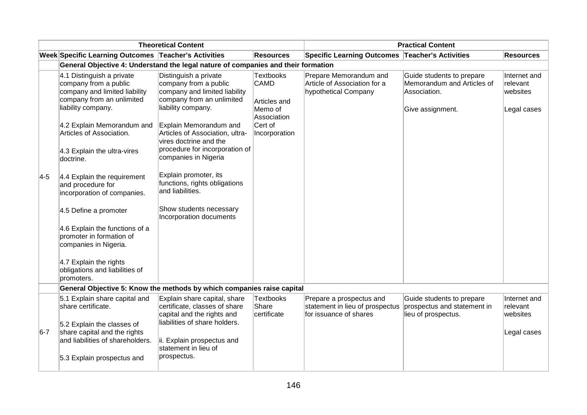| <b>Theoretical Content</b> |                                                                                                                                                                                                                                                                                                                                                                                                                                                                                                                |                                                                                                                                                                                                                                                                                                                                                                                                                         | <b>Practical Content</b>                                                                              |                                                                                       |                                                                                             |                                                     |  |  |  |
|----------------------------|----------------------------------------------------------------------------------------------------------------------------------------------------------------------------------------------------------------------------------------------------------------------------------------------------------------------------------------------------------------------------------------------------------------------------------------------------------------------------------------------------------------|-------------------------------------------------------------------------------------------------------------------------------------------------------------------------------------------------------------------------------------------------------------------------------------------------------------------------------------------------------------------------------------------------------------------------|-------------------------------------------------------------------------------------------------------|---------------------------------------------------------------------------------------|---------------------------------------------------------------------------------------------|-----------------------------------------------------|--|--|--|
|                            | Week Specific Learning Outcomes Teacher's Activities                                                                                                                                                                                                                                                                                                                                                                                                                                                           |                                                                                                                                                                                                                                                                                                                                                                                                                         | <b>Resources</b>                                                                                      | Specific Learning Outcomes Teacher's Activities                                       |                                                                                             | <b>Resources</b>                                    |  |  |  |
|                            | General Objective 4: Understand the legal nature of companies and their formation                                                                                                                                                                                                                                                                                                                                                                                                                              |                                                                                                                                                                                                                                                                                                                                                                                                                         |                                                                                                       |                                                                                       |                                                                                             |                                                     |  |  |  |
| $ 4-5 $                    | 4.1 Distinguish a private<br>company from a public<br>company and limited liability<br>company from an unlimited<br>liability company.<br>4.2 Explain Memorandum and<br>Articles of Association.<br>4.3 Explain the ultra-vires<br>doctrine.<br>4.4 Explain the requirement<br>and procedure for<br>incorporation of companies.<br>4.5 Define a promoter<br>4.6 Explain the functions of a<br>promoter in formation of<br>companies in Nigeria.<br>$ 4.7$ Explain the rights<br>obligations and liabilities of | Distinguish a private<br>company from a public<br>company and limited liability<br>company from an unlimited<br>liability company.<br>Explain Memorandum and<br>Articles of Association, ultra-<br>vires doctrine and the<br>procedure for incorporation of<br>companies in Nigeria<br>Explain promoter, its<br>functions, rights obligations<br>and liabilities.<br>Show students necessary<br>Incorporation documents | <b>Textbooks</b><br><b>CAMD</b><br>Articles and<br>Memo of<br>Association<br>Cert of<br>Incorporation | Prepare Memorandum and<br>Article of Association for a<br>hypothetical Company        | Guide students to prepare<br>Memorandum and Articles of<br>Association.<br>Give assignment. | Internet and<br>relevant<br>websites<br>Legal cases |  |  |  |
|                            | promoters.                                                                                                                                                                                                                                                                                                                                                                                                                                                                                                     |                                                                                                                                                                                                                                                                                                                                                                                                                         |                                                                                                       |                                                                                       |                                                                                             |                                                     |  |  |  |
|                            | General Objective 5: Know the methods by which companies raise capital                                                                                                                                                                                                                                                                                                                                                                                                                                         |                                                                                                                                                                                                                                                                                                                                                                                                                         |                                                                                                       |                                                                                       |                                                                                             |                                                     |  |  |  |
| $6-7$                      | 5.1 Explain share capital and<br>share certificate.<br>5.2 Explain the classes of<br>share capital and the rights                                                                                                                                                                                                                                                                                                                                                                                              | Explain share capital, share<br>certificate, classes of share<br>capital and the rights and<br>liabilities of share holders.                                                                                                                                                                                                                                                                                            | Textbooks<br>Share<br>certificate                                                                     | Prepare a prospectus and<br>statement in lieu of prospectus<br>for issuance of shares | Guide students to prepare<br>prospectus and statement in<br>lieu of prospectus.             | Internet and<br>relevant<br>websites<br>Legal cases |  |  |  |
|                            | and liabilities of shareholders.<br>5.3 Explain prospectus and                                                                                                                                                                                                                                                                                                                                                                                                                                                 | ii. Explain prospectus and<br>statement in lieu of<br>prospectus.                                                                                                                                                                                                                                                                                                                                                       |                                                                                                       |                                                                                       |                                                                                             |                                                     |  |  |  |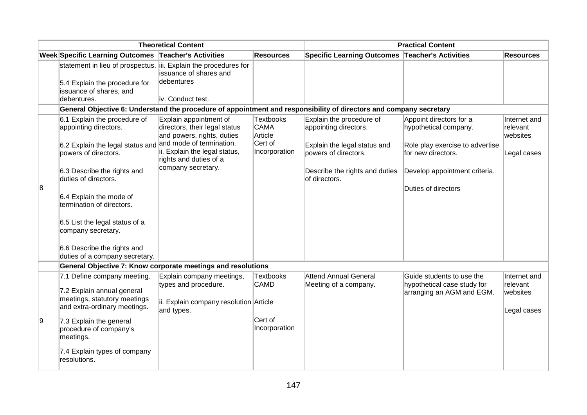| <b>Theoretical Content</b> |                                                                                                                                             |                                                                                                           |                                                | <b>Practical Content</b>                                                                                           |                                                                                       |                                                     |  |
|----------------------------|---------------------------------------------------------------------------------------------------------------------------------------------|-----------------------------------------------------------------------------------------------------------|------------------------------------------------|--------------------------------------------------------------------------------------------------------------------|---------------------------------------------------------------------------------------|-----------------------------------------------------|--|
|                            | Week Specific Learning Outcomes Teacher's Activities                                                                                        |                                                                                                           | <b>Resources</b>                               | Specific Learning Outcomes Teacher's Activities                                                                    |                                                                                       | <b>Resources</b>                                    |  |
|                            | statement in lieu of prospectus. iii. Explain the procedures for<br>5.4 Explain the procedure for<br>issuance of shares, and<br>debentures. | issuance of shares and<br>debentures<br>iv. Conduct test.                                                 |                                                |                                                                                                                    |                                                                                       |                                                     |  |
|                            |                                                                                                                                             |                                                                                                           |                                                | General Objective 6: Understand the procedure of appointment and responsibility of directors and company secretary |                                                                                       |                                                     |  |
|                            | 6.1 Explain the procedure of<br>appointing directors.                                                                                       | Explain appointment of<br>directors, their legal status<br>and powers, rights, duties                     | <b>Textbooks</b><br>CAMA<br>Article<br>Cert of | Explain the procedure of<br>appointing directors.                                                                  | Appoint directors for a<br>hypothetical company.                                      | Internet and<br>relevant<br>websites                |  |
|                            | 6.2 Explain the legal status and and mode of termination.<br>powers of directors.                                                           | ii. Explain the legal status,<br>rights and duties of a                                                   | Incorporation                                  | Explain the legal status and<br>powers of directors.                                                               | Role play exercise to advertise<br>for new directors.                                 | Legal cases                                         |  |
|                            | 6.3 Describe the rights and<br>duties of directors.                                                                                         | company secretary.                                                                                        |                                                | Describe the rights and duties<br>of directors.                                                                    | Develop appointment criteria.                                                         |                                                     |  |
| 8                          | 6.4 Explain the mode of<br>termination of directors.                                                                                        |                                                                                                           |                                                |                                                                                                                    | Duties of directors                                                                   |                                                     |  |
|                            | 6.5 List the legal status of a<br>company secretary.                                                                                        |                                                                                                           |                                                |                                                                                                                    |                                                                                       |                                                     |  |
|                            | 6.6 Describe the rights and<br>duties of a company secretary.                                                                               |                                                                                                           |                                                |                                                                                                                    |                                                                                       |                                                     |  |
|                            | General Objective 7: Know corporate meetings and resolutions                                                                                |                                                                                                           |                                                |                                                                                                                    |                                                                                       |                                                     |  |
|                            | 7.1 Define company meeting.<br>7.2 Explain annual general<br>meetings, statutory meetings<br>and extra-ordinary meetings.                   | Explain company meetings,<br>types and procedure.<br>ii. Explain company resolution Article<br>and types. | <b>Textbooks</b><br>CAMD                       | <b>Attend Annual General</b><br>Meeting of a company.                                                              | Guide students to use the<br>hypothetical case study for<br>arranging an AGM and EGM. | Internet and<br>relevant<br>websites<br>Legal cases |  |
| 9                          | 7.3 Explain the general<br>procedure of company's<br>meetings.                                                                              |                                                                                                           | Cert of<br>Incorporation                       |                                                                                                                    |                                                                                       |                                                     |  |
|                            | 7.4 Explain types of company<br>resolutions.                                                                                                |                                                                                                           |                                                |                                                                                                                    |                                                                                       |                                                     |  |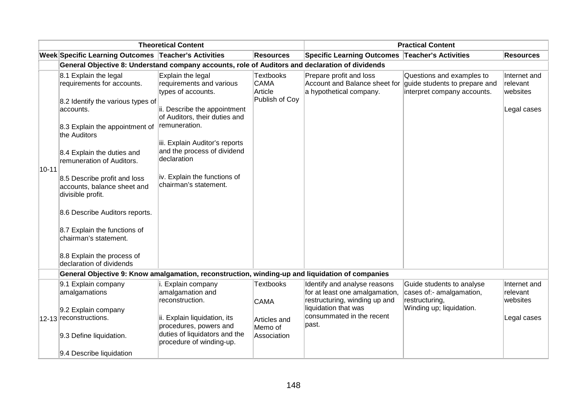| <b>Theoretical Content</b> |                                                                                                 |                                                                              | <b>Practical Content</b>                   |                                                                                                 |                                                                                           |                                      |
|----------------------------|-------------------------------------------------------------------------------------------------|------------------------------------------------------------------------------|--------------------------------------------|-------------------------------------------------------------------------------------------------|-------------------------------------------------------------------------------------------|--------------------------------------|
|                            | Week Specific Learning Outcomes Teacher's Activities                                            |                                                                              | <b>Resources</b>                           | Specific Learning Outcomes Teacher's Activities                                                 |                                                                                           | <b>Resources</b>                     |
|                            | General Objective 8: Understand company accounts, role of Auditors and declaration of dividends |                                                                              |                                            |                                                                                                 |                                                                                           |                                      |
|                            | 8.1 Explain the legal<br>requirements for accounts.                                             | Explain the legal<br>requirements and various<br>types of accounts.          | <b>Textbooks</b><br><b>CAMA</b><br>Article | Prepare profit and loss<br>Account and Balance sheet for<br>a hypothetical company.             | Questions and examples to<br>guide students to prepare and<br>interpret company accounts. | Internet and<br>relevant<br>websites |
|                            | 8.2 Identify the various types of                                                               |                                                                              | Publish of Coy                             |                                                                                                 |                                                                                           |                                      |
| $10 - 11$                  | accounts.                                                                                       | ii. Describe the appointment<br>of Auditors, their duties and                |                                            |                                                                                                 |                                                                                           | Legal cases                          |
|                            | 8.3 Explain the appointment of<br>the Auditors                                                  | remuneration.                                                                |                                            |                                                                                                 |                                                                                           |                                      |
|                            | 8.4 Explain the duties and<br>remuneration of Auditors.                                         | iii. Explain Auditor's reports<br>and the process of dividend<br>declaration |                                            |                                                                                                 |                                                                                           |                                      |
|                            | 8.5 Describe profit and loss<br>accounts, balance sheet and<br>divisible profit.                | iv. Explain the functions of<br>chairman's statement.                        |                                            |                                                                                                 |                                                                                           |                                      |
|                            | 8.6 Describe Auditors reports.                                                                  |                                                                              |                                            |                                                                                                 |                                                                                           |                                      |
|                            | 8.7 Explain the functions of<br>chairman's statement.                                           |                                                                              |                                            |                                                                                                 |                                                                                           |                                      |
|                            | 8.8 Explain the process of<br>declaration of dividends                                          |                                                                              |                                            |                                                                                                 |                                                                                           |                                      |
|                            | General Objective 9: Know amalgamation, reconstruction, winding-up and liquidation of companies |                                                                              |                                            |                                                                                                 |                                                                                           |                                      |
|                            | 9.1 Explain company<br>amalgamations                                                            | i. Explain company<br>amalgamation and<br>reconstruction.                    | <b>Textbooks</b><br><b>CAMA</b>            | Identify and analyse reasons<br>for at least one amalgamation,<br>restructuring, winding up and | Guide students to analyse<br>cases of:- amalgamation,<br>restructuring,                   | Internet and<br>relevant<br>websites |
|                            | 9.2 Explain company                                                                             |                                                                              |                                            | liquidation that was                                                                            | Winding up; liquidation.                                                                  |                                      |
|                            | 12-13 reconstructions.                                                                          | ii. Explain liquidation, its<br>procedures, powers and                       | Articles and                               | consummated in the recent<br>past.                                                              |                                                                                           | Legal cases                          |
|                            | 9.3 Define liquidation.                                                                         | duties of liquidators and the<br>procedure of winding-up.                    | Memo of<br>Association                     |                                                                                                 |                                                                                           |                                      |
|                            | 9.4 Describe liquidation                                                                        |                                                                              |                                            |                                                                                                 |                                                                                           |                                      |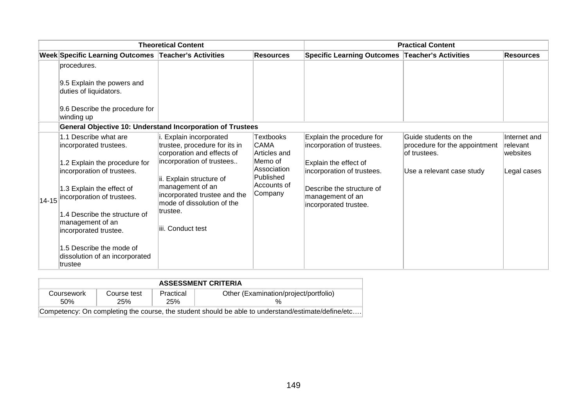|           | <b>Theoretical Content</b>                                                                                                                                                                                                                              |                                                                                                                                                                                                                                                                 |                                                                                                                  | <b>Practical Content</b>                                                                                                                                                                 |                                                                                                     |                                                     |
|-----------|---------------------------------------------------------------------------------------------------------------------------------------------------------------------------------------------------------------------------------------------------------|-----------------------------------------------------------------------------------------------------------------------------------------------------------------------------------------------------------------------------------------------------------------|------------------------------------------------------------------------------------------------------------------|------------------------------------------------------------------------------------------------------------------------------------------------------------------------------------------|-----------------------------------------------------------------------------------------------------|-----------------------------------------------------|
|           | Week Specific Learning Outcomes Teacher's Activities                                                                                                                                                                                                    |                                                                                                                                                                                                                                                                 | <b>Resources</b>                                                                                                 | Specific Learning Outcomes Teacher's Activities                                                                                                                                          |                                                                                                     | <b>Resources</b>                                    |
|           | procedures.<br>9.5 Explain the powers and<br>duties of liquidators.<br>9.6 Describe the procedure for<br>winding up                                                                                                                                     |                                                                                                                                                                                                                                                                 |                                                                                                                  |                                                                                                                                                                                          |                                                                                                     |                                                     |
|           | General Objective 10: Understand Incorporation of Trustees                                                                                                                                                                                              |                                                                                                                                                                                                                                                                 |                                                                                                                  |                                                                                                                                                                                          |                                                                                                     |                                                     |
| $14 - 15$ | 1.1 Describe what are<br>incorporated trustees.<br>1.2 Explain the procedure for<br>incorporation of trustees.<br>1.3 Explain the effect of<br>incorporation of trustees.<br>1.4 Describe the structure of<br>management of an<br>incorporated trustee. | Explain incorporated<br>trustee, procedure for its in<br>corporation and effects of<br>incorporation of trustees<br>ii. Explain structure of<br>management of an<br>incorporated trustee and the<br>mode of dissolution of the<br>trustee.<br>iii. Conduct test | <b>Textbooks</b><br><b>CAMA</b><br>Articles and<br>Memo of<br>Association<br>Published<br>Accounts of<br>Company | Explain the procedure for<br>incorporation of trustees.<br>Explain the effect of<br>incorporation of trustees.<br>Describe the structure of<br>management of an<br>incorporated trustee. | Guide students on the<br>procedure for the appointment<br>of trustees.<br>Use a relevant case study | Internet and<br>relevant<br>websites<br>Legal cases |
|           | 1.5 Describe the mode of<br>dissolution of an incorporated<br>Itrustee                                                                                                                                                                                  |                                                                                                                                                                                                                                                                 |                                                                                                                  |                                                                                                                                                                                          |                                                                                                     |                                                     |

| <b>ASSESSMENT CRITERIA</b> |             |           |                                                                                                    |  |  |  |  |  |
|----------------------------|-------------|-----------|----------------------------------------------------------------------------------------------------|--|--|--|--|--|
| Coursework                 | Course test | Practical | Other (Examination/project/portfolio)                                                              |  |  |  |  |  |
| 50%                        | 25%         | 25%       |                                                                                                    |  |  |  |  |  |
|                            |             |           | Competency: On completing the course, the student should be able to understand/estimate/define/etc |  |  |  |  |  |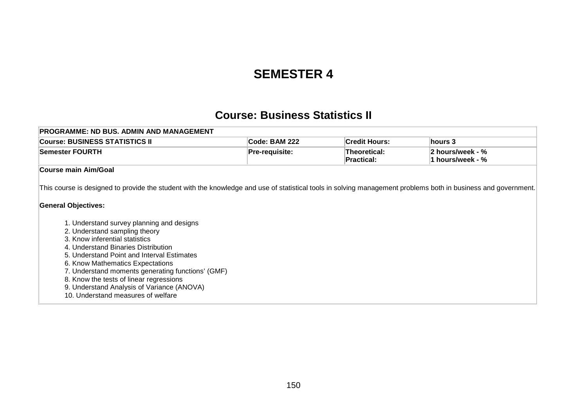### **SEMESTER 4**

#### **Course: Business Statistics II**

| PROGRAMME: ND BUS. ADMIN AND MANAGEMENT                                                                                                                                                                                                                                                                                                                                                                                                                                                                                                                                                                                   |                       |                            |                                      |  |  |  |  |  |  |
|---------------------------------------------------------------------------------------------------------------------------------------------------------------------------------------------------------------------------------------------------------------------------------------------------------------------------------------------------------------------------------------------------------------------------------------------------------------------------------------------------------------------------------------------------------------------------------------------------------------------------|-----------------------|----------------------------|--------------------------------------|--|--|--|--|--|--|
| <b>Course: BUSINESS STATISTICS II</b>                                                                                                                                                                                                                                                                                                                                                                                                                                                                                                                                                                                     | Code: BAM 222         | <b>Credit Hours:</b>       | hours 3                              |  |  |  |  |  |  |
| <b>Semester FOURTH</b>                                                                                                                                                                                                                                                                                                                                                                                                                                                                                                                                                                                                    | <b>Pre-requisite:</b> | Theoretical:<br>Practical: | 2 hours/week - %<br>1 hours/week - % |  |  |  |  |  |  |
| Course main Aim/Goal                                                                                                                                                                                                                                                                                                                                                                                                                                                                                                                                                                                                      |                       |                            |                                      |  |  |  |  |  |  |
| This course is designed to provide the student with the knowledge and use of statistical tools in solving management problems both in business and government.<br><b>General Objectives:</b><br>1. Understand survey planning and designs<br>2. Understand sampling theory<br>3. Know inferential statistics<br>4. Understand Binaries Distribution<br>5. Understand Point and Interval Estimates<br>6. Know Mathematics Expectations<br>7. Understand moments generating functions' (GMF)<br>8. Know the tests of linear regressions<br>9. Understand Analysis of Variance (ANOVA)<br>10. Understand measures of welfare |                       |                            |                                      |  |  |  |  |  |  |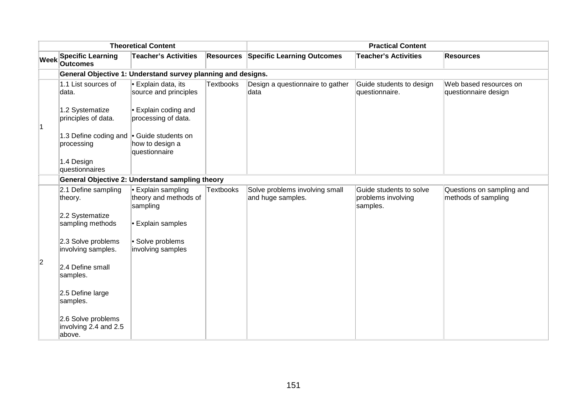| <b>Theoretical Content</b> |                                                         |                                                              | <b>Practical Content</b> |                                                     |                                                           |                                                  |
|----------------------------|---------------------------------------------------------|--------------------------------------------------------------|--------------------------|-----------------------------------------------------|-----------------------------------------------------------|--------------------------------------------------|
| <b>Week</b>                | <b>Specific Learning</b><br><b>Outcomes</b>             | <b>Teacher's Activities</b>                                  | <b>Resources</b>         | <b>Specific Learning Outcomes</b>                   | <b>Teacher's Activities</b>                               | <b>Resources</b>                                 |
|                            |                                                         | General Objective 1: Understand survey planning and designs. |                          |                                                     |                                                           |                                                  |
|                            | 1.1 List sources of<br>data.                            | $\bullet$ Explain data, its<br>source and principles         | <b>Textbooks</b>         | Design a questionnaire to gather<br>data            | Guide students to design<br>questionnaire.                | Web based resources on<br>questionnaire design   |
| 1                          | 1.2 Systematize<br>principles of data.                  | • Explain coding and<br>processing of data.                  |                          |                                                     |                                                           |                                                  |
|                            | 1.3 Define coding and   Guide students on<br>processing | how to design a<br>questionnaire                             |                          |                                                     |                                                           |                                                  |
|                            | 1.4 Design<br>questionnaires                            |                                                              |                          |                                                     |                                                           |                                                  |
|                            |                                                         | General Objective 2: Understand sampling theory              |                          |                                                     |                                                           |                                                  |
|                            | 2.1 Define sampling<br>theory.                          | • Explain sampling<br>theory and methods of<br>sampling      | <b>Textbooks</b>         | Solve problems involving small<br>and huge samples. | Guide students to solve<br>problems involving<br>samples. | Questions on sampling and<br>methods of sampling |
|                            | 2.2 Systematize<br>sampling methods                     | <b>Explain samples</b>                                       |                          |                                                     |                                                           |                                                  |
|                            | 2.3 Solve problems<br>involving samples.                | · Solve problems<br>involving samples                        |                          |                                                     |                                                           |                                                  |
| $\overline{2}$             | 2.4 Define small<br>samples.                            |                                                              |                          |                                                     |                                                           |                                                  |
|                            | 2.5 Define large<br>samples.                            |                                                              |                          |                                                     |                                                           |                                                  |
|                            | 2.6 Solve problems<br>involving 2.4 and 2.5<br>above.   |                                                              |                          |                                                     |                                                           |                                                  |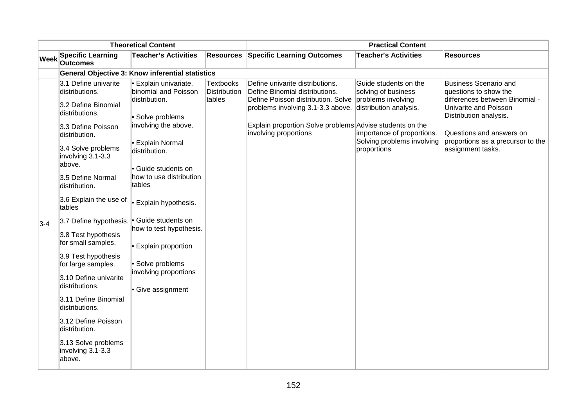| <b>Theoretical Content</b> |                                                                                 |                                                                                         |                                            | <b>Practical Content</b>                                                                                                                     |                                                                                              |                                                                                                                                     |  |  |  |  |
|----------------------------|---------------------------------------------------------------------------------|-----------------------------------------------------------------------------------------|--------------------------------------------|----------------------------------------------------------------------------------------------------------------------------------------------|----------------------------------------------------------------------------------------------|-------------------------------------------------------------------------------------------------------------------------------------|--|--|--|--|
| Week                       | <b>Specific Learning</b><br><b>Outcomes</b>                                     | <b>Teacher's Activities</b>                                                             | <b>Resources</b>                           | <b>Specific Learning Outcomes</b>                                                                                                            | <b>Teacher's Activities</b>                                                                  | <b>Resources</b>                                                                                                                    |  |  |  |  |
|                            | <b>General Objective 3: Know inferential statistics</b>                         |                                                                                         |                                            |                                                                                                                                              |                                                                                              |                                                                                                                                     |  |  |  |  |
|                            | 3.1 Define univarite<br>distributions.<br>3.2 Define Binomial<br>distributions. | <b>Explain univariate,</b><br>binomial and Poisson<br>distribution.<br>· Solve problems | <b>Textbooks</b><br>Distribution<br>tables | Define univarite distributions.<br>Define Binomial distributions.<br>Define Poisson distribution. Solve<br>problems involving 3.1-3.3 above. | Guide students on the<br>solving of business<br>problems involving<br>distribution analysis. | Business Scenario and<br>questions to show the<br>differences between Binomial -<br>Univarite and Poisson<br>Distribution analysis. |  |  |  |  |
|                            | 3.3 Define Poisson<br>distribution.                                             | involving the above.<br><b>Explain Normal</b>                                           |                                            | Explain proportion Solve problems Advise students on the<br>involving proportions                                                            | importance of proportions.<br>Solving problems involving                                     | Questions and answers on<br>proportions as a precursor to the                                                                       |  |  |  |  |
|                            | 3.4 Solve problems<br>involving 3.1-3.3<br>above.                               | distribution.<br>· Guide students on                                                    |                                            |                                                                                                                                              | proportions                                                                                  | assignment tasks.                                                                                                                   |  |  |  |  |
|                            | 3.5 Define Normal<br>distribution.                                              | how to use distribution<br>tables                                                       |                                            |                                                                                                                                              |                                                                                              |                                                                                                                                     |  |  |  |  |
|                            | 3.6 Explain the use of $\vert \bullet \vert$ Explain hypothesis.<br>tables      |                                                                                         |                                            |                                                                                                                                              |                                                                                              |                                                                                                                                     |  |  |  |  |
| $3-4$                      | 3.7 Define hypothesis.<br>3.8 Test hypothesis                                   | Guide students on<br>how to test hypothesis.                                            |                                            |                                                                                                                                              |                                                                                              |                                                                                                                                     |  |  |  |  |
|                            | for small samples.<br>3.9 Test hypothesis                                       | <b>Explain proportion</b>                                                               |                                            |                                                                                                                                              |                                                                                              |                                                                                                                                     |  |  |  |  |
|                            | for large samples.                                                              | · Solve problems<br>involving proportions                                               |                                            |                                                                                                                                              |                                                                                              |                                                                                                                                     |  |  |  |  |
|                            | 3.10 Define univarite<br>distributions.                                         | • Give assignment                                                                       |                                            |                                                                                                                                              |                                                                                              |                                                                                                                                     |  |  |  |  |
|                            | 3.11 Define Binomial<br>distributions.                                          |                                                                                         |                                            |                                                                                                                                              |                                                                                              |                                                                                                                                     |  |  |  |  |
|                            | 3.12 Define Poisson<br>distribution.                                            |                                                                                         |                                            |                                                                                                                                              |                                                                                              |                                                                                                                                     |  |  |  |  |
|                            | 3.13 Solve problems<br>involving 3.1-3.3<br>above.                              |                                                                                         |                                            |                                                                                                                                              |                                                                                              |                                                                                                                                     |  |  |  |  |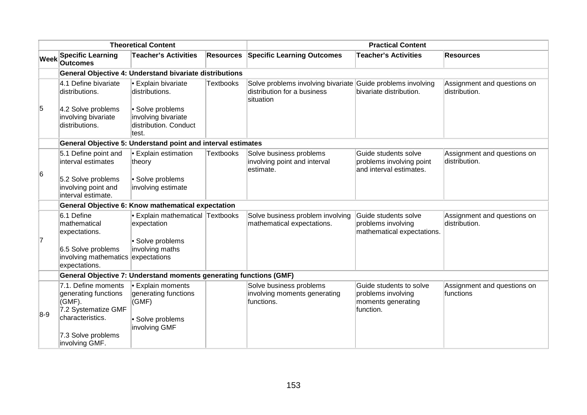|             |                                                                                                     | <b>Theoretical Content</b>                                                  |                  | <b>Practical Content</b>                                                                                |                                                                                  |                                              |  |
|-------------|-----------------------------------------------------------------------------------------------------|-----------------------------------------------------------------------------|------------------|---------------------------------------------------------------------------------------------------------|----------------------------------------------------------------------------------|----------------------------------------------|--|
| <b>Week</b> | <b>Specific Learning</b><br><b>Outcomes</b>                                                         | <b>Teacher's Activities</b>                                                 | <b>Resources</b> | <b>Specific Learning Outcomes</b>                                                                       | <b>Teacher's Activities</b>                                                      | <b>Resources</b>                             |  |
|             |                                                                                                     | General Objective 4: Understand bivariate distributions                     |                  |                                                                                                         |                                                                                  |                                              |  |
|             | 4.1 Define bivariate<br>distributions.                                                              | <b>Explain bivariate</b><br>distributions.                                  | <b>Textbooks</b> | Solve problems involving bivariate Guide problems involving<br>distribution for a business<br>situation | bivariate distribution.                                                          | Assignment and questions on<br>distribution. |  |
| 5           | 4.2 Solve problems<br>involving bivariate<br>distributions.                                         | · Solve problems<br>involving bivariate<br>distribution. Conduct<br>test.   |                  |                                                                                                         |                                                                                  |                                              |  |
|             |                                                                                                     | General Objective 5: Understand point and interval estimates                |                  |                                                                                                         |                                                                                  |                                              |  |
|             | 5.1 Define point and<br>interval estimates                                                          | <b>Explain estimation</b><br>theory                                         | <b>Textbooks</b> | Solve business problems<br>involving point and interval<br>estimate.                                    | Guide students solve<br>problems involving point<br>and interval estimates.      | Assignment and questions on<br>distribution. |  |
| 6           | 5.2 Solve problems<br>involving point and<br>interval estimate.                                     | · Solve problems<br>involving estimate                                      |                  |                                                                                                         |                                                                                  |                                              |  |
|             |                                                                                                     | General Objective 6: Know mathematical expectation                          |                  |                                                                                                         |                                                                                  |                                              |  |
|             | 6.1 Define<br>mathematical<br>expectations.                                                         | • Explain mathematical Textbooks<br>expectation                             |                  | Solve business problem involving<br>mathematical expectations.                                          | Guide students solve<br>problems involving<br>mathematical expectations.         | Assignment and questions on<br>distribution. |  |
| 17          | 6.5 Solve problems<br>involving mathematics expectations<br>expectations.                           | · Solve problems<br>involving maths                                         |                  |                                                                                                         |                                                                                  |                                              |  |
|             |                                                                                                     | General Objective 7: Understand moments generating functions (GMF)          |                  |                                                                                                         |                                                                                  |                                              |  |
| $8-9$       | 7.1. Define moments<br>generating functions<br>$(GMF)$ .<br>7.2 Systematize GMF<br>characteristics. | <b>Explain moments</b><br>generating functions<br>(GMF)<br>· Solve problems |                  | Solve business problems<br>involving moments generating<br>functions.                                   | Guide students to solve<br>problems involving<br>moments generating<br>function. | Assignment and questions on<br>functions     |  |
|             | 7.3 Solve problems<br>involving GMF.                                                                | involving GMF                                                               |                  |                                                                                                         |                                                                                  |                                              |  |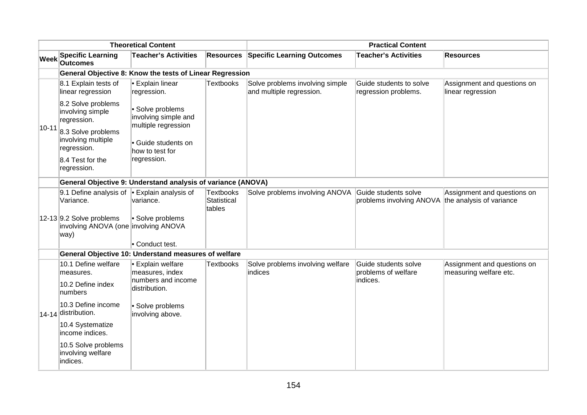|       | <b>Theoretical Content</b>                                                 |                                                                 |                                                  | <b>Practical Content</b>                                    |                                                  |                                                         |
|-------|----------------------------------------------------------------------------|-----------------------------------------------------------------|--------------------------------------------------|-------------------------------------------------------------|--------------------------------------------------|---------------------------------------------------------|
| Week  | <b>Specific Learning</b><br><b>Outcomes</b>                                | <b>Teacher's Activities</b>                                     | <b>Resources</b>                                 | <b>Specific Learning Outcomes</b>                           | <b>Teacher's Activities</b>                      | <b>Resources</b>                                        |
|       |                                                                            | General Objective 8: Know the tests of Linear Regression        |                                                  |                                                             |                                                  |                                                         |
|       | 8.1 Explain tests of<br>linear regression                                  | <b>Explain linear</b><br>regression.                            | <b>Textbooks</b>                                 | Solve problems involving simple<br>and multiple regression. | Guide students to solve<br>regression problems.  | Assignment and questions on<br>linear regression        |
|       | 8.2 Solve problems<br>involving simple<br>regression.                      | · Solve problems<br>involving simple and<br>multiple regression |                                                  |                                                             |                                                  |                                                         |
| 10-11 | 8.3 Solve problems<br>involving multiple<br>regression.                    | · Guide students on<br>how to test for                          |                                                  |                                                             |                                                  |                                                         |
|       | 8.4 Test for the<br>regression.                                            | regression.                                                     |                                                  |                                                             |                                                  |                                                         |
|       |                                                                            | General Objective 9: Understand analysis of variance (ANOVA)    |                                                  |                                                             |                                                  |                                                         |
|       | 9.1 Define analysis of $\bullet$ Explain analysis of<br>Variance.          | variance.                                                       | <b>Textbooks</b><br><b>Statistical</b><br>tables | Solve problems involving ANOVA                              | Guide students solve<br>problems involving ANOVA | Assignment and questions on<br>the analysis of variance |
|       | $12-13$ 9.2 Solve problems<br>involving ANOVA (one involving ANOVA<br>way) | · Solve problems                                                |                                                  |                                                             |                                                  |                                                         |
|       |                                                                            | • Conduct test.                                                 |                                                  |                                                             |                                                  |                                                         |
|       |                                                                            | General Objective 10: Understand measures of welfare            |                                                  |                                                             |                                                  |                                                         |
|       | 10.1 Define welfare<br>measures.                                           | <b>Explain welfare</b><br>measures, index                       | Textbooks                                        | Solve problems involving welfare<br>indices                 | Guide students solve<br>problems of welfare      | Assignment and questions on<br>measuring welfare etc.   |
|       | 10.2 Define index<br>numbers                                               | numbers and income<br>distribution.                             |                                                  |                                                             | indices.                                         |                                                         |
|       | 10.3 Define income<br>14-14 distribution.                                  | · Solve problems<br>involving above.                            |                                                  |                                                             |                                                  |                                                         |
|       | 10.4 Systematize<br>income indices.                                        |                                                                 |                                                  |                                                             |                                                  |                                                         |
|       | 10.5 Solve problems<br>involving welfare<br>indices.                       |                                                                 |                                                  |                                                             |                                                  |                                                         |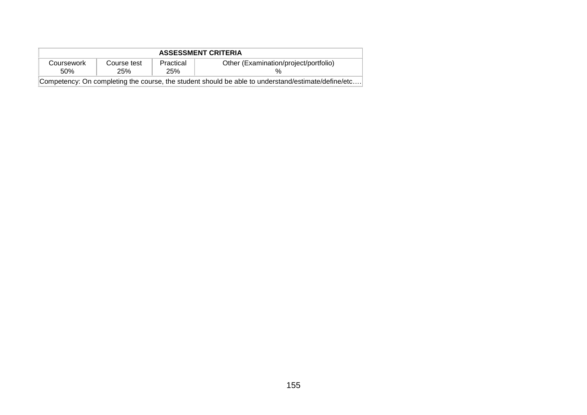| <b>ASSESSMENT CRITERIA</b>                                                                         |                    |                  |                                       |  |  |  |  |
|----------------------------------------------------------------------------------------------------|--------------------|------------------|---------------------------------------|--|--|--|--|
| Coursework<br>.50%                                                                                 | Course test<br>25% | Practical<br>25% | Other (Examination/project/portfolio) |  |  |  |  |
| Competency: On completing the course, the student should be able to understand/estimate/define/etc |                    |                  |                                       |  |  |  |  |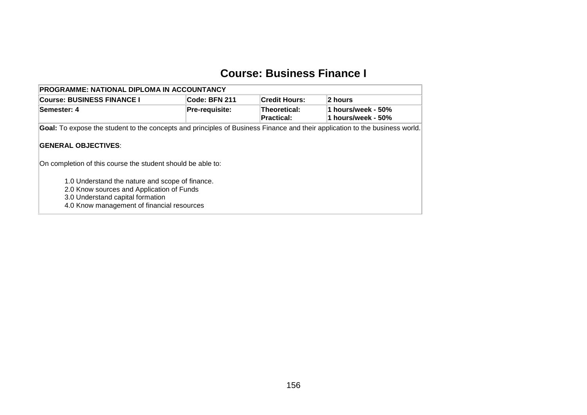### **Course: Business Finance I**

| PROGRAMME: NATIONAL DIPLOMA IN ACCOUNTANCY                                                                                                                                     |                      |                                   |                                          |  |  |  |  |  |  |
|--------------------------------------------------------------------------------------------------------------------------------------------------------------------------------|----------------------|-----------------------------------|------------------------------------------|--|--|--|--|--|--|
| <b>Course: BUSINESS FINANCE I</b>                                                                                                                                              | <b>Code: BFN 211</b> | <b>Credit Hours:</b>              | 2 hours                                  |  |  |  |  |  |  |
| Semester: 4                                                                                                                                                                    | Pre-requisite:       | Theoretical:<br><b>Practical:</b> | 1 hours/week - 50%<br>1 hours/week - 50% |  |  |  |  |  |  |
| Goal: To expose the student to the concepts and principles of Business Finance and their application to the business world.                                                    |                      |                                   |                                          |  |  |  |  |  |  |
| <b>GENERAL OBJECTIVES:</b>                                                                                                                                                     |                      |                                   |                                          |  |  |  |  |  |  |
| On completion of this course the student should be able to:                                                                                                                    |                      |                                   |                                          |  |  |  |  |  |  |
| 1.0 Understand the nature and scope of finance.<br>2.0 Know sources and Application of Funds<br>3.0 Understand capital formation<br>4.0 Know management of financial resources |                      |                                   |                                          |  |  |  |  |  |  |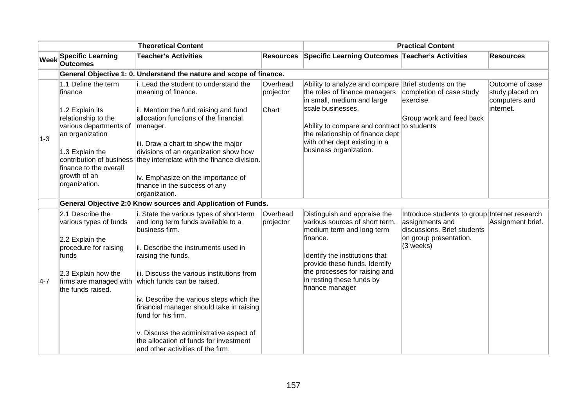|             |                                                                                                                                                                                                     | <b>Theoretical Content</b>                                                                                                                                                                                                                                                                                                                                                                                 |                                |                                                                                                                                                                                                                                                                                        | <b>Practical Content</b>                                                                                                               |                                                                   |
|-------------|-----------------------------------------------------------------------------------------------------------------------------------------------------------------------------------------------------|------------------------------------------------------------------------------------------------------------------------------------------------------------------------------------------------------------------------------------------------------------------------------------------------------------------------------------------------------------------------------------------------------------|--------------------------------|----------------------------------------------------------------------------------------------------------------------------------------------------------------------------------------------------------------------------------------------------------------------------------------|----------------------------------------------------------------------------------------------------------------------------------------|-------------------------------------------------------------------|
| <b>Week</b> | <b>Specific Learning</b><br><b>Outcomes</b>                                                                                                                                                         | <b>Teacher's Activities</b>                                                                                                                                                                                                                                                                                                                                                                                | <b>Resources</b>               | Specific Learning Outcomes Teacher's Activities                                                                                                                                                                                                                                        |                                                                                                                                        | <b>Resources</b>                                                  |
|             |                                                                                                                                                                                                     | General Objective 1: 0. Understand the nature and scope of finance.                                                                                                                                                                                                                                                                                                                                        |                                |                                                                                                                                                                                                                                                                                        |                                                                                                                                        |                                                                   |
| $ 1-3 $     | 1.1 Define the term<br>finance<br>1.2 Explain its<br>relationship to the<br>various departments of<br>an organization<br>1.3 Explain the<br>finance to the overall<br>growth of an<br>organization. | i. Lead the student to understand the<br>meaning of finance.<br>ii. Mention the fund raising and fund<br>allocation functions of the financial<br>manager.<br>iii. Draw a chart to show the major<br>divisions of an organization show how<br>contribution of business they interrelate with the finance division.<br>iv. Emphasize on the importance of<br>finance in the success of any<br>organization. | Overhead<br>projector<br>Chart | Ability to analyze and compare Brief students on the<br>the roles of finance managers<br>in small, medium and large<br>scale businesses.<br>Ability to compare and contract to students<br>the relationship of finance dept<br>with other dept existing in a<br>business organization. | completion of case study<br>exercise.<br>Group work and feed back                                                                      | Outcome of case<br>study placed on<br>computers and<br>linternet. |
|             |                                                                                                                                                                                                     | General Objective 2:0 Know sources and Application of Funds.                                                                                                                                                                                                                                                                                                                                               |                                |                                                                                                                                                                                                                                                                                        |                                                                                                                                        |                                                                   |
|             | 2.1 Describe the<br>various types of funds<br>2.2 Explain the<br>procedure for raising<br>funds<br>2.3 Explain how the                                                                              | i. State the various types of short-term<br>and long term funds available to a<br>business firm.<br>ii. Describe the instruments used in<br>raising the funds.<br>iii. Discuss the various institutions from                                                                                                                                                                                               | Overhead<br>projector          | Distinguish and appraise the<br>various sources of short term,<br>medium term and long term<br>finance.<br>Identify the institutions that<br>provide these funds. Identify<br>the processes for raising and                                                                            | Introduce students to group Internet research<br>assignments and<br>discussions. Brief students<br>on group presentation.<br>(3 weeks) | Assignment brief.                                                 |
| $4-7$       | firms are managed with<br>the funds raised.                                                                                                                                                         | which funds can be raised.<br>iv. Describe the various steps which the<br>financial manager should take in raising<br>fund for his firm.<br>v. Discuss the administrative aspect of<br>the allocation of funds for investment<br>and other activities of the firm.                                                                                                                                         |                                | in resting these funds by<br>finance manager                                                                                                                                                                                                                                           |                                                                                                                                        |                                                                   |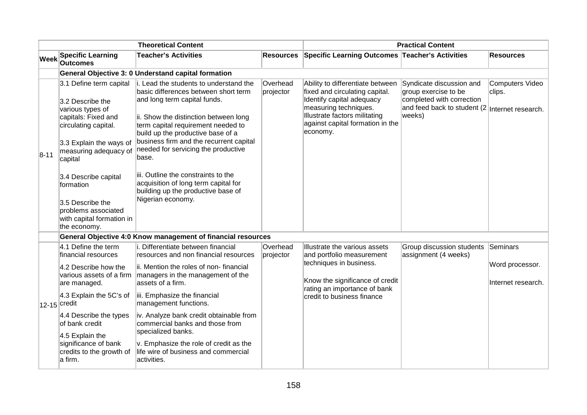|             |                                                                                                                                                                               | <b>Theoretical Content</b>                                                                                                                                                                                                                                                                                                                                           |                       |                                                                                                                                                                                                           | <b>Practical Content</b>                                                                                                |                                                 |
|-------------|-------------------------------------------------------------------------------------------------------------------------------------------------------------------------------|----------------------------------------------------------------------------------------------------------------------------------------------------------------------------------------------------------------------------------------------------------------------------------------------------------------------------------------------------------------------|-----------------------|-----------------------------------------------------------------------------------------------------------------------------------------------------------------------------------------------------------|-------------------------------------------------------------------------------------------------------------------------|-------------------------------------------------|
| <b>Week</b> | <b>Specific Learning</b><br><b>Outcomes</b>                                                                                                                                   | <b>Teacher's Activities</b>                                                                                                                                                                                                                                                                                                                                          | <b>Resources</b>      | Specific Learning Outcomes Teacher's Activities                                                                                                                                                           |                                                                                                                         | <b>Resources</b>                                |
|             |                                                                                                                                                                               | General Objective 3: 0 Understand capital formation                                                                                                                                                                                                                                                                                                                  |                       |                                                                                                                                                                                                           |                                                                                                                         |                                                 |
| $ 8 - 11 $  | 3.1 Define term capital<br>3.2 Describe the<br>various types of<br>capitals: Fixed and<br>circulating capital.<br>3.3 Explain the ways of<br>measuring adequacy of<br>capital | i. Lead the students to understand the<br>basic differences between short term<br>and long term capital funds.<br>ii. Show the distinction between long<br>term capital requirement needed to<br>build up the productive base of a<br>business firm and the recurrent capital<br>needed for servicing the productive<br>base.<br>iii. Outline the constraints to the | Overhead<br>projector | Ability to differentiate between<br>fixed and circulating capital.<br>Identify capital adequacy<br>measuring techniques.<br>Illustrate factors militating<br>against capital formation in the<br>economy. | Syndicate discussion and<br>group exercise to be<br>completed with correction<br>and feed back to student (2)<br>weeks) | Computers Video<br>clips.<br>Internet research. |
|             | 3.4 Describe capital<br>formation<br>3.5 Describe the<br>problems associated<br>with capital formation in<br>the economy.                                                     | acquisition of long term capital for<br>building up the productive base of<br>Nigerian economy.                                                                                                                                                                                                                                                                      |                       |                                                                                                                                                                                                           |                                                                                                                         |                                                 |
|             |                                                                                                                                                                               | General Objective 4:0 Know management of financial resources                                                                                                                                                                                                                                                                                                         |                       |                                                                                                                                                                                                           |                                                                                                                         |                                                 |
|             | 4.1 Define the term<br>financial resources                                                                                                                                    | i. Differentiate between financial<br>resources and non financial resources                                                                                                                                                                                                                                                                                          | Overhead<br>projector | Illustrate the various assets<br>and portfolio measurement                                                                                                                                                | Group discussion students Seminars<br>assignment (4 weeks)                                                              |                                                 |
|             | 4.2 Describe how the<br>various assets of a firm<br>are managed.                                                                                                              | ii. Mention the roles of non-financial<br>managers in the management of the<br>assets of a firm.                                                                                                                                                                                                                                                                     |                       | techniques in business.<br>Know the significance of credit<br>rating an importance of bank                                                                                                                |                                                                                                                         | Word processor.<br>Internet research.           |
|             | 4.3 Explain the 5C's of<br>$ 12-15 $ credit                                                                                                                                   | iii. Emphasize the financial<br>management functions.                                                                                                                                                                                                                                                                                                                |                       | credit to business finance                                                                                                                                                                                |                                                                                                                         |                                                 |
|             | 4.4 Describe the types<br>of bank credit                                                                                                                                      | iv. Analyze bank credit obtainable from<br>commercial banks and those from                                                                                                                                                                                                                                                                                           |                       |                                                                                                                                                                                                           |                                                                                                                         |                                                 |
|             | 4.5 Explain the<br>significance of bank<br>credits to the growth of<br>∣a firm.                                                                                               | specialized banks.<br>v. Emphasize the role of credit as the<br>life wire of business and commercial<br>activities.                                                                                                                                                                                                                                                  |                       |                                                                                                                                                                                                           |                                                                                                                         |                                                 |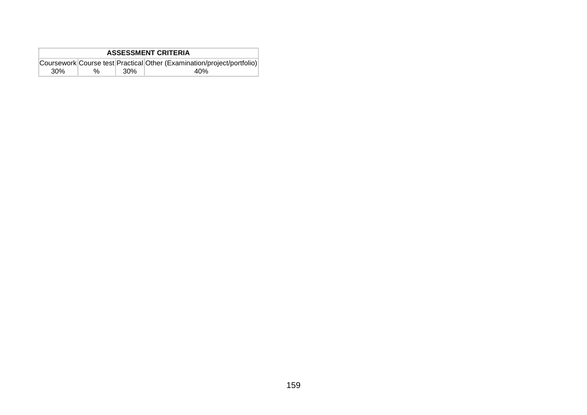| <b>ASSESSMENT CRITERIA</b> |   |     |                                                                        |  |  |  |  |  |
|----------------------------|---|-----|------------------------------------------------------------------------|--|--|--|--|--|
|                            |   |     | Coursework Course test Practical Other (Examination/project/portfolio) |  |  |  |  |  |
| 30%                        | ℅ | 30% | 40%                                                                    |  |  |  |  |  |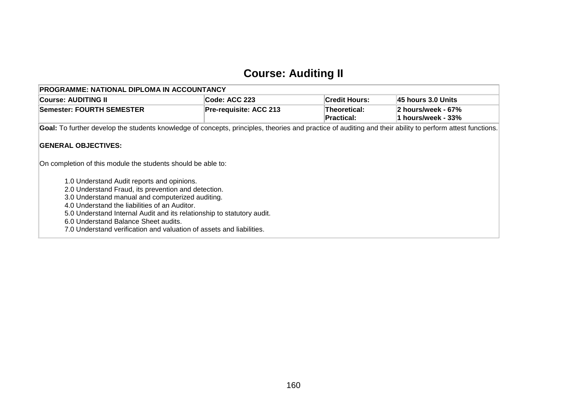# **Course: Auditing II**

| PROGRAMME: NATIONAL DIPLOMA IN ACCOUNTANCY                                                                                                                                                                                                                                                                                                                                                                                                                                                     |                        |                            |                                          |
|------------------------------------------------------------------------------------------------------------------------------------------------------------------------------------------------------------------------------------------------------------------------------------------------------------------------------------------------------------------------------------------------------------------------------------------------------------------------------------------------|------------------------|----------------------------|------------------------------------------|
| ∣Course: AUDITING II                                                                                                                                                                                                                                                                                                                                                                                                                                                                           | Code: ACC 223          | ∣Credit Hours:             | 45 hours 3.0 Units                       |
| Semester: FOURTH SEMESTER                                                                                                                                                                                                                                                                                                                                                                                                                                                                      | Pre-requisite: ACC 213 | Theoretical:<br>Practical: | 2 hours/week - 67%<br>1 hours/week - 33% |
| Goal: To further develop the students knowledge of concepts, principles, theories and practice of auditing and their ability to perform attest functions.                                                                                                                                                                                                                                                                                                                                      |                        |                            |                                          |
| <b>GENERAL OBJECTIVES:</b><br>On completion of this module the students should be able to:<br>1.0 Understand Audit reports and opinions.<br>2.0 Understand Fraud, its prevention and detection.<br>3.0 Understand manual and computerized auditing.<br>4.0 Understand the liabilities of an Auditor.<br>5.0 Understand Internal Audit and its relationship to statutory audit.<br>6.0 Understand Balance Sheet audits.<br>7.0 Understand verification and valuation of assets and liabilities. |                        |                            |                                          |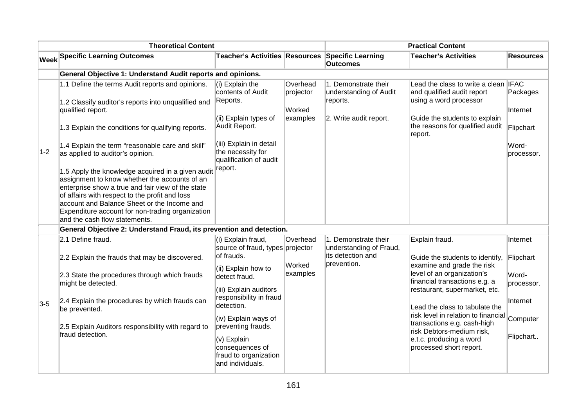|       | <b>Theoretical Content</b>                                                                                                                                                                                                                                                                                                                    |                                                                               |                       |                                                                      | <b>Practical Content</b>                                                                     |                        |
|-------|-----------------------------------------------------------------------------------------------------------------------------------------------------------------------------------------------------------------------------------------------------------------------------------------------------------------------------------------------|-------------------------------------------------------------------------------|-----------------------|----------------------------------------------------------------------|----------------------------------------------------------------------------------------------|------------------------|
|       | <b>Week Specific Learning Outcomes</b>                                                                                                                                                                                                                                                                                                        | Teacher's Activities Resources Specific Learning                              |                       | <b>Outcomes</b>                                                      | <b>Teacher's Activities</b>                                                                  | <b>Resources</b>       |
|       | General Objective 1: Understand Audit reports and opinions.                                                                                                                                                                                                                                                                                   |                                                                               |                       |                                                                      |                                                                                              |                        |
|       | 1.1 Define the terms Audit reports and opinions.<br>1.2 Classify auditor's reports into unqualified and                                                                                                                                                                                                                                       | $(i)$ Explain the<br>contents of Audit<br>Reports.                            | Overhead<br>projector | 1. Demonstrate their<br>understanding of Audit<br>reports.           | Lead the class to write a clean IFAC<br>and qualified audit report<br>using a word processor | Packages               |
|       | qualified report.                                                                                                                                                                                                                                                                                                                             | (ii) Explain types of                                                         | Worked<br>examples    | 2. Write audit report.                                               | Guide the students to explain                                                                | Internet               |
|       | 1.3 Explain the conditions for qualifying reports.                                                                                                                                                                                                                                                                                            | Audit Report.                                                                 |                       |                                                                      | the reasons for qualified audit<br>report.                                                   | Flipchart              |
| $1-2$ | 1.4 Explain the term "reasonable care and skill"<br>as applied to auditor's opinion.                                                                                                                                                                                                                                                          | (iii) Explain in detail<br>the necessity for<br>qualification of audit        |                       |                                                                      |                                                                                              | Word-<br>processor.    |
|       | 1.5 Apply the knowledge acquired in a given audit<br>assignment to know whether the accounts of an<br>enterprise show a true and fair view of the state<br>of affairs with respect to the profit and loss<br>account and Balance Sheet or the Income and<br>Expenditure account for non-trading organization<br>and the cash flow statements. | report.                                                                       |                       |                                                                      |                                                                                              |                        |
|       | General Objective 2: Understand Fraud, its prevention and detection.                                                                                                                                                                                                                                                                          |                                                                               |                       |                                                                      |                                                                                              |                        |
|       | 2.1 Define fraud.                                                                                                                                                                                                                                                                                                                             | (i) Explain fraud,<br>source of fraud, types projector<br>of frauds.          | Overhead              | 1. Demonstrate their<br>understanding of Fraud,<br>its detection and | Explain fraud.                                                                               | Internet               |
|       | 2.2 Explain the frauds that may be discovered.<br>2.3 State the procedures through which frauds                                                                                                                                                                                                                                               | (ii) Explain how to<br>detect fraud.                                          | Worked<br>examples    | prevention.                                                          | Guide the students to identify,<br>examine and grade the risk<br>level of an organization's  | Flipchart<br>Word-     |
|       | might be detected.<br>2.4 Explain the procedures by which frauds can                                                                                                                                                                                                                                                                          | (iii) Explain auditors<br>responsibility in fraud                             |                       |                                                                      | financial transactions e.g. a<br>restaurant, supermarket, etc.                               | processor.<br>Internet |
| $3-5$ | be prevented.                                                                                                                                                                                                                                                                                                                                 | detection.                                                                    |                       |                                                                      | Lead the class to tabulate the<br>risk level in relation to financial                        |                        |
|       | 2.5 Explain Auditors responsibility with regard to<br>fraud detection.                                                                                                                                                                                                                                                                        | (iv) Explain ways of<br>preventing frauds.                                    |                       |                                                                      | transactions e.g. cash-high<br>risk Debtors-medium risk,                                     | Computer<br>Flipchart  |
|       |                                                                                                                                                                                                                                                                                                                                               | $(v)$ Explain<br>consequences of<br>fraud to organization<br>and individuals. |                       |                                                                      | e.t.c. producing a word<br>processed short report.                                           |                        |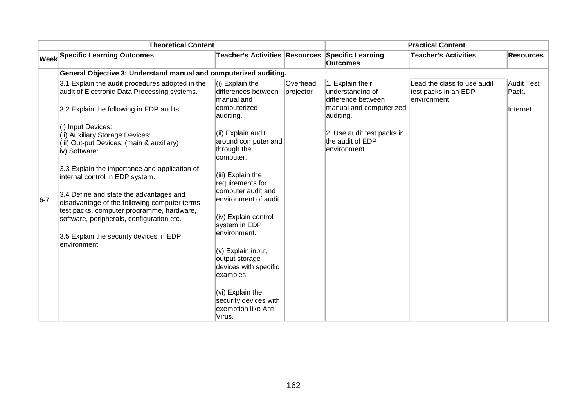|       | <b>Theoretical Content</b>                                                                                                                                                                                                                                                                                                                                                                                                                                                                            |                                                                                                                                                                                                                                                                                                                                                       |                       |                                                                                                        | <b>Practical Content</b>                                            |                            |
|-------|-------------------------------------------------------------------------------------------------------------------------------------------------------------------------------------------------------------------------------------------------------------------------------------------------------------------------------------------------------------------------------------------------------------------------------------------------------------------------------------------------------|-------------------------------------------------------------------------------------------------------------------------------------------------------------------------------------------------------------------------------------------------------------------------------------------------------------------------------------------------------|-----------------------|--------------------------------------------------------------------------------------------------------|---------------------------------------------------------------------|----------------------------|
|       | <b>Week Specific Learning Outcomes</b>                                                                                                                                                                                                                                                                                                                                                                                                                                                                | <b>Teacher's Activities Resources</b>                                                                                                                                                                                                                                                                                                                 |                       | <b>Specific Learning</b><br><b>Outcomes</b>                                                            | <b>Teacher's Activities</b>                                         | <b>Resources</b>           |
|       | General Objective 3: Understand manual and computerized auditing.                                                                                                                                                                                                                                                                                                                                                                                                                                     |                                                                                                                                                                                                                                                                                                                                                       |                       |                                                                                                        |                                                                     |                            |
|       | 3.1 Explain the audit procedures adopted in the<br>audit of Electronic Data Processing systems.                                                                                                                                                                                                                                                                                                                                                                                                       | (i) Explain the<br>differences between<br>manual and                                                                                                                                                                                                                                                                                                  | Overhead<br>projector | 1. Explain their<br>understanding of<br>difference between                                             | Lead the class to use audit<br>test packs in an EDP<br>environment. | <b>Audit Test</b><br>Pack. |
| $6-7$ | 3.2 Explain the following in EDP audits.<br>(i) Input Devices:<br>(ii) Auxiliary Storage Devices:<br>(iii) Out-put Devices: (main & auxiliary)<br>iv) Software:<br>3.3 Explain the importance and application of<br>internal control in EDP system.<br>3.4 Define and state the advantages and<br>disadvantage of the following computer terms -<br>test packs, computer programme, hardware,<br>software, peripherals, configuration etc.<br>3.5 Explain the security devices in EDP<br>environment. | computerized<br>auditing.<br>(ii) Explain audit<br>around computer and<br>through the<br>computer.<br>(iii) Explain the<br>requirements for<br>computer audit and<br>environment of audit.<br>(iv) Explain control<br>system in EDP<br>environment.<br>(v) Explain input,<br>output storage<br>devices with specific<br>examples.<br>(vi) Explain the |                       | manual and computerized<br>auditing.<br>2. Use audit test packs in<br>the audit of EDP<br>environment. |                                                                     | Internet.                  |
|       |                                                                                                                                                                                                                                                                                                                                                                                                                                                                                                       | security devices with<br>exemption like Anti<br>Virus.                                                                                                                                                                                                                                                                                                |                       |                                                                                                        |                                                                     |                            |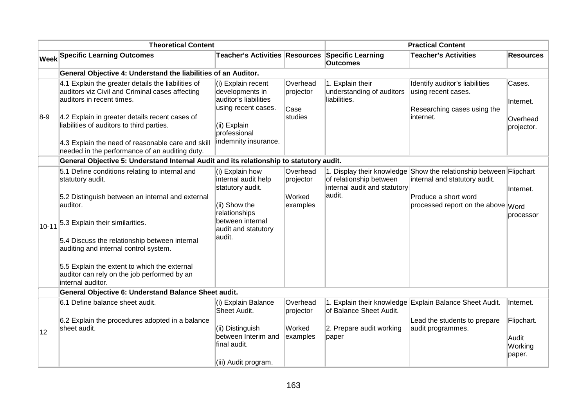|       | <b>Theoretical Content</b>                                                                                                                                                                                                                                                                                                               |                                                                                                                                                   |                                             |                                                                                                 | <b>Practical Content</b>                                                                                                               |                                                       |
|-------|------------------------------------------------------------------------------------------------------------------------------------------------------------------------------------------------------------------------------------------------------------------------------------------------------------------------------------------|---------------------------------------------------------------------------------------------------------------------------------------------------|---------------------------------------------|-------------------------------------------------------------------------------------------------|----------------------------------------------------------------------------------------------------------------------------------------|-------------------------------------------------------|
|       | <b>Week Specific Learning Outcomes</b>                                                                                                                                                                                                                                                                                                   | Teacher's Activities Resources Specific Learning                                                                                                  |                                             | <b>Outcomes</b>                                                                                 | <b>Teacher's Activities</b>                                                                                                            | <b>Resources</b>                                      |
|       | General Objective 4: Understand the liabilities of an Auditor.                                                                                                                                                                                                                                                                           |                                                                                                                                                   |                                             |                                                                                                 |                                                                                                                                        |                                                       |
| $8-9$ | 4.1 Explain the greater details the liabilities of<br>auditors viz Civil and Criminal cases affecting<br>auditors in recent times.<br>4.2 Explain in greater details recent cases of<br>liabilities of auditors to third parties.<br>4.3 Explain the need of reasonable care and skill<br>needed in the performance of an auditing duty. | (i) Explain recent<br>developments in<br>auditor's liabilities<br>using recent cases.<br>(ii) Explain<br>professional<br>indemnity insurance.     | Overhead<br>projector<br>Case<br>studies    | 1. Explain their<br>understanding of auditors<br>liabilities.                                   | Identify auditor's liabilities<br>using recent cases.<br>Researching cases using the<br>internet.                                      | Cases.<br>Internet.<br>Overhead<br>projector.         |
|       | General Objective 5: Understand Internal Audit and its relationship to statutory audit.                                                                                                                                                                                                                                                  |                                                                                                                                                   |                                             |                                                                                                 |                                                                                                                                        |                                                       |
|       | 5.1 Define conditions relating to internal and<br>statutory audit.<br>5.2 Distinguish between an internal and external<br>auditor.<br>$10-11$ <sup>5.3</sup> Explain their similarities.<br>5.4 Discuss the relationship between internal                                                                                                | (i) Explain how<br>internal audit help<br>statutory audit.<br>(ii) Show the<br>relationships<br>between internal<br>audit and statutory<br>audit. | Overhead<br>projector<br>Worked<br>examples | 1. Display their knowledge<br>of relationship between<br>internal audit and statutory<br>audit. | Show the relationship between Flipchart<br>internal and statutory audit.<br>Produce a short word<br>processed report on the above Word | Internet.<br>processor                                |
|       | auditing and internal control system.<br>5.5 Explain the extent to which the external<br>auditor can rely on the job performed by an<br>internal auditor.                                                                                                                                                                                |                                                                                                                                                   |                                             |                                                                                                 |                                                                                                                                        |                                                       |
|       | General Objective 6: Understand Balance Sheet audit.                                                                                                                                                                                                                                                                                     |                                                                                                                                                   |                                             |                                                                                                 |                                                                                                                                        |                                                       |
| 12    | 6.1 Define balance sheet audit.<br>6.2 Explain the procedures adopted in a balance<br>sheet audit.                                                                                                                                                                                                                                       | (i) Explain Balance<br>Sheet Audit.<br>(ii) Distinguish<br>between Interim and<br>final audit.<br>(iii) Audit program.                            | Overhead<br>projector<br>Worked<br>examples | of Balance Sheet Audit.<br>2. Prepare audit working<br>paper                                    | 1. Explain their knowledge Explain Balance Sheet Audit.<br>Lead the students to prepare<br>audit programmes.                           | Internet.<br>Flipchart.<br>Audit<br>Working<br>paper. |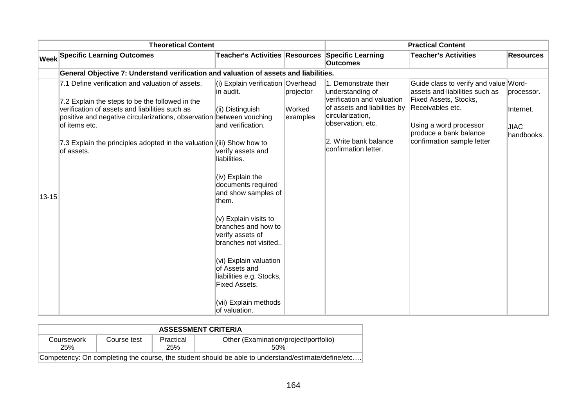|           | <b>Theoretical Content</b>                                                                                                                                                                                                                                                                                                            |                                                                                                                                                                                                                                                                                                                                                                                                                                        |                                 |                                                                                                                                                                                                  | <b>Practical Content</b>                                                                                                                                                                               |                                                      |
|-----------|---------------------------------------------------------------------------------------------------------------------------------------------------------------------------------------------------------------------------------------------------------------------------------------------------------------------------------------|----------------------------------------------------------------------------------------------------------------------------------------------------------------------------------------------------------------------------------------------------------------------------------------------------------------------------------------------------------------------------------------------------------------------------------------|---------------------------------|--------------------------------------------------------------------------------------------------------------------------------------------------------------------------------------------------|--------------------------------------------------------------------------------------------------------------------------------------------------------------------------------------------------------|------------------------------------------------------|
|           | <b>Week Specific Learning Outcomes</b>                                                                                                                                                                                                                                                                                                | Teacher's Activities Resources Specific Learning                                                                                                                                                                                                                                                                                                                                                                                       |                                 | <b>Outcomes</b>                                                                                                                                                                                  | <b>Teacher's Activities</b>                                                                                                                                                                            | <b>Resources</b>                                     |
|           | General Objective 7: Understand verification and valuation of assets and liabilities.                                                                                                                                                                                                                                                 |                                                                                                                                                                                                                                                                                                                                                                                                                                        |                                 |                                                                                                                                                                                                  |                                                                                                                                                                                                        |                                                      |
| $13 - 15$ | 7.1 Define verification and valuation of assets.<br>7.2 Explain the steps to be the followed in the<br>verification of assets and liabilities such as<br>positive and negative circularizations, observation between vouching<br>of items etc.<br>7.3 Explain the principles adopted in the valuation (iii) Show how to<br>of assets. | (i) Explain verification Overhead<br>lin audit.<br>(ii) Distinguish<br>land verification.<br>verify assets and<br>liabilities.<br>(iv) Explain the<br>documents required<br>and show samples of<br>them.<br>(v) Explain visits to<br>branches and how to<br>verify assets of<br>branches not visited<br>(vi) Explain valuation<br>of Assets and<br>liabilities e.g. Stocks,<br>Fixed Assets.<br>(vii) Explain methods<br>of valuation. | projector<br>Worked<br>examples | 1. Demonstrate their<br>understanding of<br>verification and valuation<br>of assets and liabilities by<br>circularization,<br>observation, etc.<br>2. Write bank balance<br>confirmation letter. | Guide class to verify and value Word-<br>assets and liabilities such as<br>Fixed Assets, Stocks,<br>Receivables etc.<br>Using a word processor<br>produce a bank balance<br>confirmation sample letter | processor.<br>Internet.<br><b>JIAC</b><br>handbooks. |

| <b>ASSESSMENT CRITERIA</b>                                                                         |             |                  |                                               |  |  |  |
|----------------------------------------------------------------------------------------------------|-------------|------------------|-----------------------------------------------|--|--|--|
| Coursework<br>25%                                                                                  | Course test | Practical<br>25% | Other (Examination/project/portfolio)<br>.50% |  |  |  |
| Competency: On completing the course, the student should be able to understand/estimate/define/etc |             |                  |                                               |  |  |  |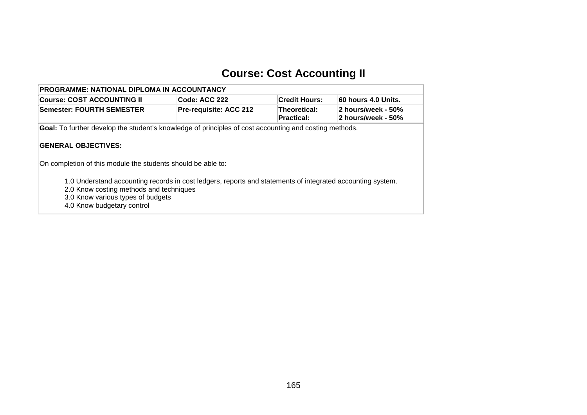# **Course: Cost Accounting II**

| PROGRAMME: NATIONAL DIPLOMA IN ACCOUNTANCY                                                                                                                                                                               |                        |                                   |                                          |  |  |  |  |
|--------------------------------------------------------------------------------------------------------------------------------------------------------------------------------------------------------------------------|------------------------|-----------------------------------|------------------------------------------|--|--|--|--|
| <b>Credit Hours:</b><br>Code: ACC 222<br>60 hours 4.0 Units.<br><b>Course: COST ACCOUNTING II</b>                                                                                                                        |                        |                                   |                                          |  |  |  |  |
| <b>Semester: FOURTH SEMESTER</b>                                                                                                                                                                                         | Pre-requisite: ACC 212 | Theoretical:<br><b>Practical:</b> | 2 hours/week - 50%<br>2 hours/week - 50% |  |  |  |  |
| Goal: To further develop the student's knowledge of principles of cost accounting and costing methods.                                                                                                                   |                        |                                   |                                          |  |  |  |  |
| <b>GENERAL OBJECTIVES:</b><br>On completion of this module the students should be able to:                                                                                                                               |                        |                                   |                                          |  |  |  |  |
| 1.0 Understand accounting records in cost ledgers, reports and statements of integrated accounting system.<br>2.0 Know costing methods and techniques<br>3.0 Know various types of budgets<br>4.0 Know budgetary control |                        |                                   |                                          |  |  |  |  |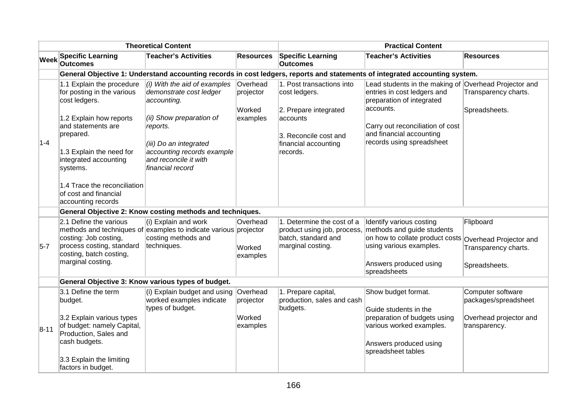| <b>Theoretical Content</b> |                                                                                                                                                                                                                                                                                        |                                                                                                                                                                                                                     | <b>Practical Content</b>                    |                                                                                                                                              |                                                                                                                                                                                                      |                                                                                      |
|----------------------------|----------------------------------------------------------------------------------------------------------------------------------------------------------------------------------------------------------------------------------------------------------------------------------------|---------------------------------------------------------------------------------------------------------------------------------------------------------------------------------------------------------------------|---------------------------------------------|----------------------------------------------------------------------------------------------------------------------------------------------|------------------------------------------------------------------------------------------------------------------------------------------------------------------------------------------------------|--------------------------------------------------------------------------------------|
| Week                       | <b>Specific Learning</b><br><b>Outcomes</b>                                                                                                                                                                                                                                            | <b>Teacher's Activities</b>                                                                                                                                                                                         | <b>Resources</b>                            | Specific Learning<br>Outcomes                                                                                                                | <b>Teacher's Activities</b>                                                                                                                                                                          | <b>Resources</b>                                                                     |
|                            |                                                                                                                                                                                                                                                                                        |                                                                                                                                                                                                                     |                                             |                                                                                                                                              | General Objective 1: Understand accounting records in cost ledgers, reports and statements of integrated accounting system.                                                                          |                                                                                      |
| $1 - 4$                    | 1.1 Explain the procedure<br>for posting in the various<br>cost ledgers.<br>1.2 Explain how reports<br>and statements are<br>prepared.<br>1.3 Explain the need for<br>integrated accounting<br>systems.<br>1.4 Trace the reconciliation<br>of cost and financial<br>accounting records | (i) With the aid of examples<br>demonstrate cost ledger<br>accounting.<br>(ii) Show preparation of<br>reports.<br>(iii) Do an integrated<br>accounting records example<br>and reconcile it with<br>financial record | Overhead<br>projector<br>Worked<br>examples | 1. Post transactions into<br>cost ledgers.<br>2. Prepare integrated<br>accounts<br>3. Reconcile cost and<br>financial accounting<br>records. | Lead students in the making of<br>entries in cost ledgers and<br>preparation of integrated<br>accounts.<br>Carry out reconciliation of cost<br>and financial accounting<br>records using spreadsheet | Overhead Projector and<br>Transparency charts.<br>Spreadsheets.                      |
|                            |                                                                                                                                                                                                                                                                                        | General Objective 2: Know costing methods and techniques.                                                                                                                                                           |                                             |                                                                                                                                              |                                                                                                                                                                                                      |                                                                                      |
| $5-7$                      | 2.1 Define the various<br>costing: Job costing,<br>process costing, standard<br>costing, batch costing,<br>marginal costing.                                                                                                                                                           | (i) Explain and work<br>methods and techniques of examples to indicate various projector<br>costing methods and<br>techniques.                                                                                      | Overhead<br>Worked<br>examples              | 1. Determine the cost of a<br>batch, standard and<br>marginal costing.                                                                       | Identify various costing<br>product using job, process, methods and guide students<br>on how to collate product costs<br>using various examples.<br>Answers produced using<br>spreadsheets           | Flipboard<br>Overhead Projector and<br>Transparency charts.<br>Spreadsheets.         |
|                            |                                                                                                                                                                                                                                                                                        | General Objective 3: Know various types of budget.                                                                                                                                                                  |                                             |                                                                                                                                              |                                                                                                                                                                                                      |                                                                                      |
| $8 - 11$                   | 3.1 Define the term<br>budget.<br>3.2 Explain various types<br>of budget: namely Capital,<br>Production, Sales and<br>cash budgets.<br>3.3 Explain the limiting<br>factors in budget.                                                                                                  | (i) Explain budget and using<br>worked examples indicate<br>types of budget.                                                                                                                                        | Overhead<br>projector<br>Worked<br>examples | 1. Prepare capital,<br>production, sales and cash<br>budgets.                                                                                | Show budget format.<br>Guide students in the<br>preparation of budgets using<br>various worked examples.<br>Answers produced using<br>spreadsheet tables                                             | Computer software<br>packages/spreadsheet<br>Overhead projector and<br>transparency. |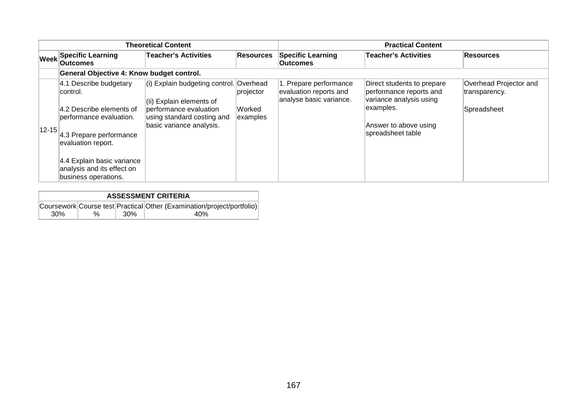| <b>Theoretical Content</b> |                                                                                                                                                                                                                                |                                                                                                                                                         | <b>Practical Content</b>        |                                                                             |                                                                                                                                             |                                                        |
|----------------------------|--------------------------------------------------------------------------------------------------------------------------------------------------------------------------------------------------------------------------------|---------------------------------------------------------------------------------------------------------------------------------------------------------|---------------------------------|-----------------------------------------------------------------------------|---------------------------------------------------------------------------------------------------------------------------------------------|--------------------------------------------------------|
|                            | <b>Week Specific Learning</b><br><b>Outcomes</b>                                                                                                                                                                               | <b>Teacher's Activities</b>                                                                                                                             | <b>Resources</b>                | <b>Specific Learning</b><br><b>Outcomes</b>                                 | <b>Teacher's Activities</b>                                                                                                                 | <b>Resources</b>                                       |
|                            | General Objective 4: Know budget control.                                                                                                                                                                                      |                                                                                                                                                         |                                 |                                                                             |                                                                                                                                             |                                                        |
| $ 12 - 15 $                | 4.1 Describe budgetary<br>control.<br>4.2 Describe elements of<br>performance evaluation.<br>4.3 Prepare performance<br>evaluation report.<br>4.4 Explain basic variance<br>analysis and its effect on<br>business operations. | (i) Explain budgeting control. Overhead<br>(ii) Explain elements of<br>performance evaluation<br>using standard costing and<br>basic variance analysis. | projector<br>Worked<br>examples | 1. Prepare performance<br>evaluation reports and<br>analyse basic variance. | Direct students to prepare<br>performance reports and<br>variance analysis using<br>examples.<br>Answer to above using<br>spreadsheet table | Overhead Projector and<br>transparency.<br>Spreadsheet |

| <b>ASSESSMENT CRITERIA</b> |   |     |                                                                        |  |  |  |
|----------------------------|---|-----|------------------------------------------------------------------------|--|--|--|
|                            |   |     | Coursework Course test Practical Other (Examination/project/portfolio) |  |  |  |
| <b>30%</b>                 | % | 30% | 40%                                                                    |  |  |  |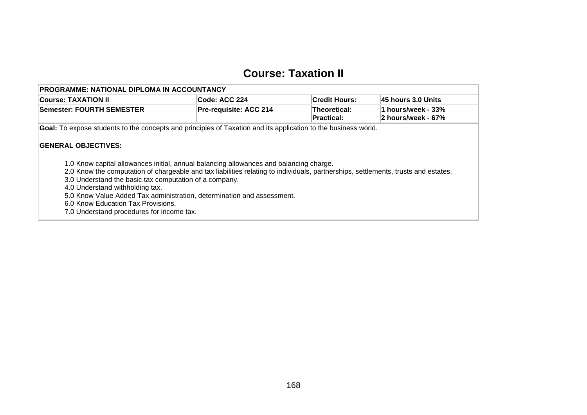### **Course: Taxation II**

| PROGRAMME: NATIONAL DIPLOMA IN ACCOUNTANCY                                                                                                                                                                                                                                                                                                                                                                                                                                                                           |                               |                                          |                                          |  |  |  |  |
|----------------------------------------------------------------------------------------------------------------------------------------------------------------------------------------------------------------------------------------------------------------------------------------------------------------------------------------------------------------------------------------------------------------------------------------------------------------------------------------------------------------------|-------------------------------|------------------------------------------|------------------------------------------|--|--|--|--|
| <b>Course: TAXATION II</b>                                                                                                                                                                                                                                                                                                                                                                                                                                                                                           | Code: ACC 224                 | <b>Credit Hours:</b>                     | 45 hours 3.0 Units                       |  |  |  |  |
| Semester: FOURTH SEMESTER                                                                                                                                                                                                                                                                                                                                                                                                                                                                                            | <b>Pre-requisite: ACC 214</b> | <b>Theoretical:</b><br><b>Practical:</b> | 1 hours/week - 33%<br>2 hours/week - 67% |  |  |  |  |
| Goal: To expose students to the concepts and principles of Taxation and its application to the business world.                                                                                                                                                                                                                                                                                                                                                                                                       |                               |                                          |                                          |  |  |  |  |
| <b>GENERAL OBJECTIVES:</b><br>1.0 Know capital allowances initial, annual balancing allowances and balancing charge.<br>2.0 Know the computation of chargeable and tax liabilities relating to individuals, partnerships, settlements, trusts and estates.<br>3.0 Understand the basic tax computation of a company.<br>4.0 Understand withholding tax.<br>5.0 Know Value Added Tax administration, determination and assessment.<br>6.0 Know Education Tax Provisions.<br>7.0 Understand procedures for income tax. |                               |                                          |                                          |  |  |  |  |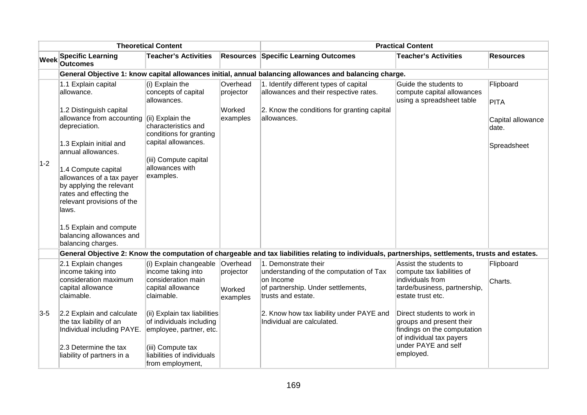| <b>Theoretical Content</b> |                                                                                                                                                                                                                                                                                                                                                                                            | <b>Practical Content</b>                                                                                                                                                                                                 |                                             |                                                                                                                                                     |                                                                                                                                                       |                                                                       |
|----------------------------|--------------------------------------------------------------------------------------------------------------------------------------------------------------------------------------------------------------------------------------------------------------------------------------------------------------------------------------------------------------------------------------------|--------------------------------------------------------------------------------------------------------------------------------------------------------------------------------------------------------------------------|---------------------------------------------|-----------------------------------------------------------------------------------------------------------------------------------------------------|-------------------------------------------------------------------------------------------------------------------------------------------------------|-----------------------------------------------------------------------|
| <b>Week</b>                | <b>Specific Learning</b><br><b>Outcomes</b>                                                                                                                                                                                                                                                                                                                                                | <b>Teacher's Activities</b>                                                                                                                                                                                              |                                             | <b>Resources Specific Learning Outcomes</b>                                                                                                         | <b>Teacher's Activities</b>                                                                                                                           | <b>Resources</b>                                                      |
|                            |                                                                                                                                                                                                                                                                                                                                                                                            |                                                                                                                                                                                                                          |                                             | General Objective 1: know capital allowances initial, annual balancing allowances and balancing charge.                                             |                                                                                                                                                       |                                                                       |
| $1-2$                      | 1.1 Explain capital<br>allowance.<br>1.2 Distinguish capital<br>allowance from accounting<br>depreciation.<br>1.3 Explain initial and<br>annual allowances.<br>1.4 Compute capital<br>allowances of a tax payer<br>by applying the relevant<br>rates and effecting the<br>relevant provisions of the<br>laws.<br>1.5 Explain and compute<br>balancing allowances and<br>balancing charges. | (i) Explain the<br>concepts of capital<br>allowances.<br>$\left\vert$ (ii) Explain the<br>characteristics and<br>conditions for granting<br>capital allowances.<br>(iii) Compute capital<br>allowances with<br>examples. | Overhead<br>projector<br>Worked<br>examples | 1. Identify different types of capital<br>allowances and their respective rates.<br>2. Know the conditions for granting capital<br>allowances.      | Guide the students to<br>compute capital allowances<br>using a spreadsheet table                                                                      | Flipboard<br><b>PITA</b><br>Capital allowance<br>date.<br>Spreadsheet |
|                            |                                                                                                                                                                                                                                                                                                                                                                                            |                                                                                                                                                                                                                          |                                             | General Objective 2: Know the computation of chargeable and tax liabilities relating to individuals, partnerships, settlements, trusts and estates. |                                                                                                                                                       |                                                                       |
|                            | 2.1 Explain changes<br>income taking into<br>consideration maximum<br>capital allowance<br>claimable.                                                                                                                                                                                                                                                                                      | (i) Explain changeable<br>income taking into<br>consideration main<br>capital allowance<br>claimable.                                                                                                                    | Overhead<br>projector<br>Worked<br>examples | 1. Demonstrate their<br>understanding of the computation of Tax<br>on Income<br>of partnership. Under settlements,<br>trusts and estate.            | Assist the students to<br>compute tax liabilities of<br>individuals from<br>tarde/business, partnership,<br>estate trust etc.                         | Flipboard<br>Charts.                                                  |
| $3-5$                      | 2.2 Explain and calculate<br>the tax liability of an<br>Individual including PAYE.<br>2.3 Determine the tax<br>liability of partners in a                                                                                                                                                                                                                                                  | (ii) Explain tax liabilities<br>of individuals including<br>employee, partner, etc.<br>(iii) Compute tax<br>liabilities of individuals<br>from employment,                                                               |                                             | 2. Know how tax liability under PAYE and<br>Individual are calculated.                                                                              | Direct students to work in<br>groups and present their<br>findings on the computation<br>of individual tax payers<br>under PAYE and self<br>employed. |                                                                       |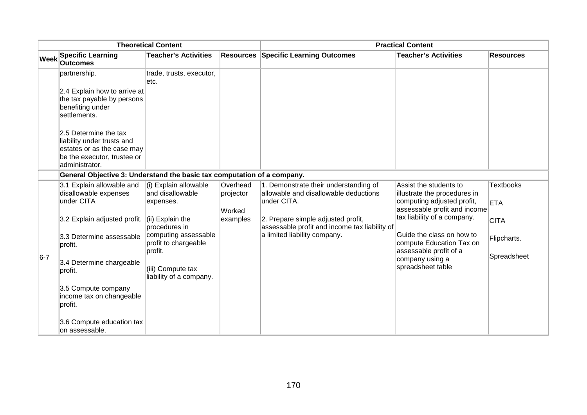| <b>Theoretical Content</b> |                                                                                                                                                                                                                                                      |                                                                                                                                                                                                                         |                                             | <b>Practical Content</b>                                                                                                                                                                                             |                                                                                                                                                                                                                                                                                |                                                                             |  |
|----------------------------|------------------------------------------------------------------------------------------------------------------------------------------------------------------------------------------------------------------------------------------------------|-------------------------------------------------------------------------------------------------------------------------------------------------------------------------------------------------------------------------|---------------------------------------------|----------------------------------------------------------------------------------------------------------------------------------------------------------------------------------------------------------------------|--------------------------------------------------------------------------------------------------------------------------------------------------------------------------------------------------------------------------------------------------------------------------------|-----------------------------------------------------------------------------|--|
| Week                       | <b>Specific Learning</b><br><b>Outcomes</b>                                                                                                                                                                                                          | <b>Teacher's Activities</b>                                                                                                                                                                                             | <b>Resources</b>                            | <b>Specific Learning Outcomes</b>                                                                                                                                                                                    | <b>Teacher's Activities</b>                                                                                                                                                                                                                                                    | <b>Resources</b>                                                            |  |
|                            | partnership.<br>2.4 Explain how to arrive at<br>the tax payable by persons<br>benefiting under<br>settlements.<br>2.5 Determine the tax<br>liability under trusts and<br>estates or as the case may<br>be the executor, trustee or<br>administrator. | trade, trusts, executor,<br>letc.                                                                                                                                                                                       |                                             |                                                                                                                                                                                                                      |                                                                                                                                                                                                                                                                                |                                                                             |  |
|                            | General Objective 3: Understand the basic tax computation of a company.                                                                                                                                                                              |                                                                                                                                                                                                                         |                                             |                                                                                                                                                                                                                      |                                                                                                                                                                                                                                                                                |                                                                             |  |
| $6-7$                      | 3.1 Explain allowable and<br>disallowable expenses<br>under CITA<br>3.2 Explain adjusted profit.<br>3.3 Determine assessable<br>profit.<br>3.4 Determine chargeable<br>profit.<br>3.5 Compute company<br>income tax on changeable<br>profit.         | (i) Explain allowable<br>and disallowable<br>expenses.<br>$\left  \right $ (ii) Explain the<br>procedures in<br>computing assessable<br>profit to chargeable<br>profit.<br>(iii) Compute tax<br>liability of a company. | Overhead<br>projector<br>Worked<br>examples | 1. Demonstrate their understanding of<br>allowable and disallowable deductions<br>under CITA.<br>2. Prepare simple adjusted profit,<br>assessable profit and income tax liability of<br>a limited liability company. | Assist the students to<br>illustrate the procedures in<br>computing adjusted profit,<br>assessable profit and income<br>tax liability of a company.<br>Guide the class on how to<br>compute Education Tax on<br>assessable profit of a<br>company using a<br>spreadsheet table | <b>Textbooks</b><br><b>ETA</b><br><b>CITA</b><br>Flipcharts.<br>Spreadsheet |  |
|                            | 3.6 Compute education tax<br>lon assessable.                                                                                                                                                                                                         |                                                                                                                                                                                                                         |                                             |                                                                                                                                                                                                                      |                                                                                                                                                                                                                                                                                |                                                                             |  |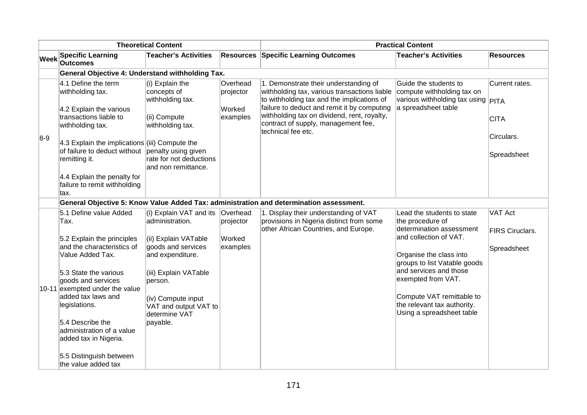| <b>Theoretical Content</b> |                                                                                                                                                                                                                          | <b>Practical Content</b>                                                                                                                                        |                                             |                                                                                                                                                                                                                                                                                                |                                                                                                                         |                                                            |
|----------------------------|--------------------------------------------------------------------------------------------------------------------------------------------------------------------------------------------------------------------------|-----------------------------------------------------------------------------------------------------------------------------------------------------------------|---------------------------------------------|------------------------------------------------------------------------------------------------------------------------------------------------------------------------------------------------------------------------------------------------------------------------------------------------|-------------------------------------------------------------------------------------------------------------------------|------------------------------------------------------------|
| <b>Week</b>                | <b>Specific Learning</b><br><b>Outcomes</b>                                                                                                                                                                              | <b>Teacher's Activities</b>                                                                                                                                     |                                             | <b>Resources Specific Learning Outcomes</b>                                                                                                                                                                                                                                                    | <b>Teacher's Activities</b>                                                                                             | <b>Resources</b>                                           |
|                            | General Objective 4: Understand withholding Tax.                                                                                                                                                                         |                                                                                                                                                                 |                                             |                                                                                                                                                                                                                                                                                                |                                                                                                                         |                                                            |
| $8-9$                      | $4.1$ Define the term<br>withholding tax.<br>4.2 Explain the various<br>transactions liable to<br>withholding tax.<br>$ 4.3$ Explain the implications (iii) Compute the<br>of failure to deduct without<br>remitting it. | (i) Explain the<br>concepts of<br>withholding tax.<br>(ii) Compute<br>withholding tax.<br>penalty using given<br>rate for not deductions<br>and non remittance. | Overhead<br>projector<br>Worked<br>examples | 1. Demonstrate their understanding of<br>withholding tax, various transactions liable<br>to withholding tax and the implications of<br>failure to deduct and remit it by computing<br>withholding tax on dividend, rent, royalty,<br>contract of supply, management fee,<br>technical fee etc. | Guide the students to<br>compute withholding tax on<br>various withholding tax using <b>PITA</b><br>a spreadsheet table | Current rates.<br><b>CITA</b><br>Circulars.<br>Spreadsheet |
|                            | 4.4 Explain the penalty for<br>failure to remit withholding<br>tax.                                                                                                                                                      |                                                                                                                                                                 |                                             |                                                                                                                                                                                                                                                                                                |                                                                                                                         |                                                            |
|                            |                                                                                                                                                                                                                          |                                                                                                                                                                 |                                             | General Objective 5: Know Value Added Tax: administration and determination assessment.                                                                                                                                                                                                        |                                                                                                                         |                                                            |
|                            | 5.1 Define value Added<br>Tax.                                                                                                                                                                                           | (i) Explain VAT and its<br>administration.                                                                                                                      | Overhead<br>projector                       | 1. Display their understanding of VAT<br>provisions in Nigeria distinct from some<br>other African Countries, and Europe.                                                                                                                                                                      | Lead the students to state<br>the procedure of<br>determination assessment                                              | <b>VAT Act</b><br><b>FIRS Ciruclars.</b>                   |
|                            | 5.2 Explain the principles<br>and the characteristics of<br>Value Added Tax.                                                                                                                                             | (ii) Explain VATable<br>goods and services<br>and expenditure.                                                                                                  | Worked<br>examples                          |                                                                                                                                                                                                                                                                                                | and collection of VAT.<br>Organise the class into<br>groups to list Vatable goods                                       | Spreadsheet                                                |
|                            | 5.3 State the various<br>goods and services<br>10-11 exempted under the value                                                                                                                                            | (iii) Explain VATable<br>person.                                                                                                                                |                                             |                                                                                                                                                                                                                                                                                                | and services and those<br>exempted from VAT.                                                                            |                                                            |
|                            | added tax laws and<br>legislations.                                                                                                                                                                                      | (iv) Compute input<br>VAT and output VAT to<br>determine VAT                                                                                                    |                                             |                                                                                                                                                                                                                                                                                                | Compute VAT remittable to<br>the relevant tax authority.<br>Using a spreadsheet table                                   |                                                            |
|                            | 5.4 Describe the<br>administration of a value<br>added tax in Nigeria.                                                                                                                                                   | payable.                                                                                                                                                        |                                             |                                                                                                                                                                                                                                                                                                |                                                                                                                         |                                                            |
|                            | 5.5 Distinguish between<br>the value added tax                                                                                                                                                                           |                                                                                                                                                                 |                                             |                                                                                                                                                                                                                                                                                                |                                                                                                                         |                                                            |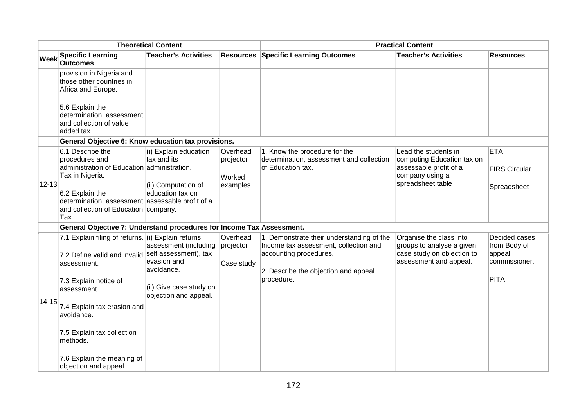| <b>Theoretical Content</b> |                                                                                                                                                                                                                             | <b>Practical Content</b>                                                        |                                             |                                                                                                                                                      |                                                                                                                      |                                                          |
|----------------------------|-----------------------------------------------------------------------------------------------------------------------------------------------------------------------------------------------------------------------------|---------------------------------------------------------------------------------|---------------------------------------------|------------------------------------------------------------------------------------------------------------------------------------------------------|----------------------------------------------------------------------------------------------------------------------|----------------------------------------------------------|
| Week                       | <b>Specific Learning</b><br><b>Outcomes</b>                                                                                                                                                                                 | <b>Teacher's Activities</b>                                                     |                                             | <b>Resources Specific Learning Outcomes</b>                                                                                                          | <b>Teacher's Activities</b>                                                                                          | <b>Resources</b>                                         |
|                            | provision in Nigeria and<br>those other countries in<br>Africa and Europe.                                                                                                                                                  |                                                                                 |                                             |                                                                                                                                                      |                                                                                                                      |                                                          |
|                            | 5.6 Explain the<br>determination, assessment<br>and collection of value<br>added tax.                                                                                                                                       |                                                                                 |                                             |                                                                                                                                                      |                                                                                                                      |                                                          |
|                            | General Objective 6: Know education tax provisions.                                                                                                                                                                         |                                                                                 |                                             |                                                                                                                                                      |                                                                                                                      |                                                          |
| $12 - 13$                  | 6.1 Describe the<br>procedures and<br>administration of Education administration.<br>Tax in Nigeria.<br>6.2 Explain the<br>determination, assessment assessable profit of a<br>and collection of Education company.<br>Tax. | (i) Explain education<br>tax and its<br>(ii) Computation of<br>education tax on | Overhead<br>projector<br>Worked<br>examples | 1. Know the procedure for the<br>determination, assessment and collection<br>of Education tax.                                                       | Lead the students in<br>computing Education tax on<br>assessable profit of a<br>company using a<br>spreadsheet table | <b>ETA</b><br>FIRS Circular.<br>Spreadsheet              |
|                            | General Objective 7: Understand procedures for Income Tax Assessment.                                                                                                                                                       |                                                                                 |                                             |                                                                                                                                                      |                                                                                                                      |                                                          |
|                            | 7.1 Explain filing of returns. (i) Explain returns,<br>7.2 Define valid and invalid<br>assessment.                                                                                                                          | assessment (including<br>self assessment), tax<br>evasion and<br>avoidance.     | Overhead<br>projector<br>Case study         | 1. Demonstrate their understanding of the<br>Income tax assessment, collection and<br>accounting procedures.<br>2. Describe the objection and appeal | Organise the class into<br>groups to analyse a given<br>case study on objection to<br>assessment and appeal.         | Decided cases<br>from Body of<br>appeal<br>commissioner, |
| $ 14 - 15 $                | 7.3 Explain notice of<br>assessment.<br>7.4 Explain tax erasion and                                                                                                                                                         | (ii) Give case study on<br>objection and appeal.                                |                                             | procedure.                                                                                                                                           |                                                                                                                      | PITA                                                     |
|                            | avoidance.                                                                                                                                                                                                                  |                                                                                 |                                             |                                                                                                                                                      |                                                                                                                      |                                                          |
|                            | 7.5 Explain tax collection<br>methods.                                                                                                                                                                                      |                                                                                 |                                             |                                                                                                                                                      |                                                                                                                      |                                                          |
|                            | 7.6 Explain the meaning of<br>objection and appeal.                                                                                                                                                                         |                                                                                 |                                             |                                                                                                                                                      |                                                                                                                      |                                                          |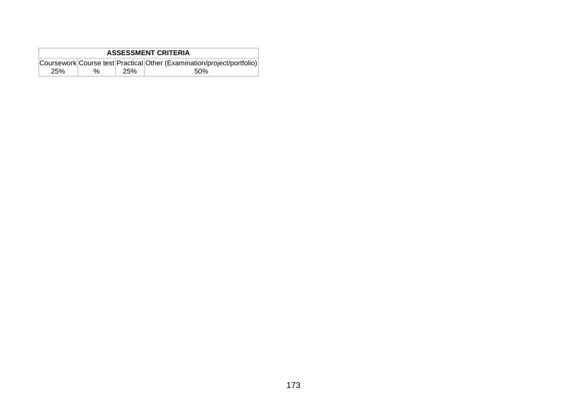| <b>ASSESSMENT CRITERIA</b> |   |     |                                                                        |  |  |  |
|----------------------------|---|-----|------------------------------------------------------------------------|--|--|--|
|                            |   |     | Coursework Course test Practical Other (Examination/project/portfolio) |  |  |  |
| 25%                        | ℅ | 25% | .50%                                                                   |  |  |  |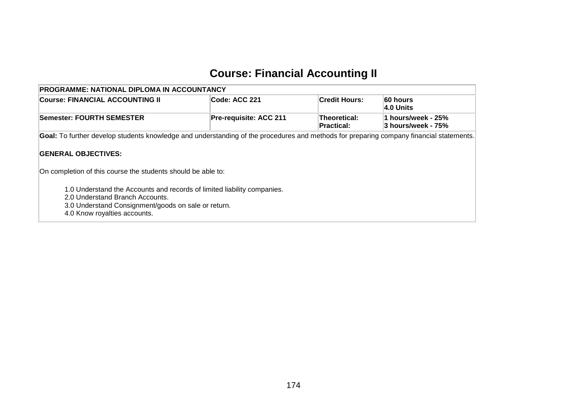# **Course: Financial Accounting II**

| PROGRAMME: NATIONAL DIPLOMA IN ACCOUNTANCY                                                                                                                                                        |                        |                                   |                                          |  |  |  |  |
|---------------------------------------------------------------------------------------------------------------------------------------------------------------------------------------------------|------------------------|-----------------------------------|------------------------------------------|--|--|--|--|
| Course: FINANCIAL ACCOUNTING II                                                                                                                                                                   | Code: ACC 221          | <b>Credit Hours:</b>              | 60 hours<br>4.0 Units                    |  |  |  |  |
| Semester: FOURTH SEMESTER                                                                                                                                                                         | Pre-requisite: ACC 211 | Theoretical:<br><b>Practical:</b> | 1 hours/week - 25%<br>3 hours/week - 75% |  |  |  |  |
| Goal: To further develop students knowledge and understanding of the procedures and methods for preparing company financial statements.                                                           |                        |                                   |                                          |  |  |  |  |
| <b>GENERAL OBJECTIVES:</b>                                                                                                                                                                        |                        |                                   |                                          |  |  |  |  |
| On completion of this course the students should be able to:                                                                                                                                      |                        |                                   |                                          |  |  |  |  |
| 1.0 Understand the Accounts and records of limited liability companies.<br>2.0 Understand Branch Accounts.<br>3.0 Understand Consignment/goods on sale or return.<br>4.0 Know royalties accounts. |                        |                                   |                                          |  |  |  |  |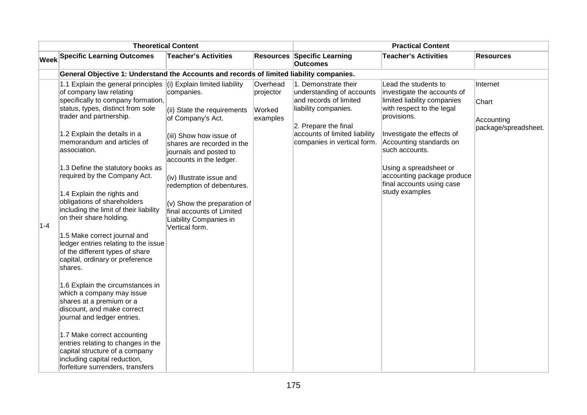|         | <b>Theoretical Content</b>                                                                                                                                                                                                                                                                                                                                                                                                                                                                                                                                                                                                                                                                                                                                                                                                                                                                                                                                                                   |                                                                                                                                                                                                                                                                                                                                                |                                             | <b>Practical Content</b>                                                                                                                                                                    |                                                                                                                                                                                                                                                                                                                  |                                                         |  |
|---------|----------------------------------------------------------------------------------------------------------------------------------------------------------------------------------------------------------------------------------------------------------------------------------------------------------------------------------------------------------------------------------------------------------------------------------------------------------------------------------------------------------------------------------------------------------------------------------------------------------------------------------------------------------------------------------------------------------------------------------------------------------------------------------------------------------------------------------------------------------------------------------------------------------------------------------------------------------------------------------------------|------------------------------------------------------------------------------------------------------------------------------------------------------------------------------------------------------------------------------------------------------------------------------------------------------------------------------------------------|---------------------------------------------|---------------------------------------------------------------------------------------------------------------------------------------------------------------------------------------------|------------------------------------------------------------------------------------------------------------------------------------------------------------------------------------------------------------------------------------------------------------------------------------------------------------------|---------------------------------------------------------|--|
|         | <b>Week Specific Learning Outcomes</b>                                                                                                                                                                                                                                                                                                                                                                                                                                                                                                                                                                                                                                                                                                                                                                                                                                                                                                                                                       | <b>Teacher's Activities</b>                                                                                                                                                                                                                                                                                                                    |                                             | <b>Resources Specific Learning</b><br><b>Outcomes</b>                                                                                                                                       | <b>Teacher's Activities</b>                                                                                                                                                                                                                                                                                      | <b>Resources</b>                                        |  |
|         | General Objective 1: Understand the Accounts and records of limited liability companies.                                                                                                                                                                                                                                                                                                                                                                                                                                                                                                                                                                                                                                                                                                                                                                                                                                                                                                     |                                                                                                                                                                                                                                                                                                                                                |                                             |                                                                                                                                                                                             |                                                                                                                                                                                                                                                                                                                  |                                                         |  |
| $1 - 4$ | 1.1 Explain the general principles $\vert$ (i) Explain limited liability<br>of company law relating<br>specifically to company formation,<br>status, types, distinct from sole<br>trader and partnership.<br>1.2 Explain the details in a<br>memorandum and articles of<br>association.<br>1.3 Define the statutory books as<br>required by the Company Act.<br>1.4 Explain the rights and<br>obligations of shareholders<br>including the limit of their liability<br>on their share holding.<br>1.5 Make correct journal and<br>ledger entries relating to the issue<br>of the different types of share<br>capital, ordinary or preference<br>shares.<br>1.6 Explain the circumstances in<br>which a company may issue<br>shares at a premium or a<br>discount, and make correct<br>journal and ledger entries.<br>1.7 Make correct accounting<br>entries relating to changes in the<br>capital structure of a company<br>including capital reduction,<br>forfeiture surrenders, transfers | companies.<br>(ii) State the requirements<br>of Company's Act.<br>(iii) Show how issue of<br>shares are recorded in the<br>journals and posted to<br>accounts in the ledger.<br>(iv) Illustrate issue and<br>redemption of debentures.<br>(v) Show the preparation of<br>final accounts of Limited<br>Liability Companies in<br>Vertical form. | Overhead<br>projector<br>Worked<br>examples | 1. Demonstrate their<br>understanding of accounts<br>and records of limited<br>liability companies.<br>2. Prepare the final<br>accounts of limited liability<br>companies in vertical form. | Lead the students to<br>investigate the accounts of<br>limited liability companies<br>with respect to the legal<br>provisions.<br>Investigate the effects of<br>Accounting standards on<br>such accounts.<br>Using a spreadsheet or<br>accounting package produce<br>final accounts using case<br>study examples | Internet<br>Chart<br>Accounting<br>package/spreadsheet. |  |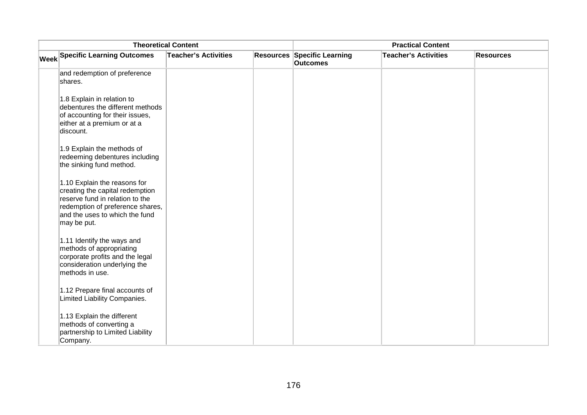| <b>Theoretical Content</b> |                                                                                                                                                                                         |                             |  | <b>Practical Content</b>                       |                             |                  |
|----------------------------|-----------------------------------------------------------------------------------------------------------------------------------------------------------------------------------------|-----------------------------|--|------------------------------------------------|-----------------------------|------------------|
|                            | Week Specific Learning Outcomes                                                                                                                                                         | <b>Teacher's Activities</b> |  | Resources Specific Learning<br><b>Outcomes</b> | <b>Teacher's Activities</b> | <b>Resources</b> |
|                            | and redemption of preference<br>shares.                                                                                                                                                 |                             |  |                                                |                             |                  |
|                            | 1.8 Explain in relation to<br>debentures the different methods<br>of accounting for their issues,<br>either at a premium or at a<br>discount.                                           |                             |  |                                                |                             |                  |
|                            | 1.9 Explain the methods of<br>redeeming debentures including<br>the sinking fund method.                                                                                                |                             |  |                                                |                             |                  |
|                            | 1.10 Explain the reasons for<br>creating the capital redemption<br>reserve fund in relation to the<br>redemption of preference shares,<br>and the uses to which the fund<br>may be put. |                             |  |                                                |                             |                  |
|                            | 1.11 Identify the ways and<br>methods of appropriating<br>corporate profits and the legal<br>consideration underlying the<br>methods in use.                                            |                             |  |                                                |                             |                  |
|                            | 1.12 Prepare final accounts of<br>Limited Liability Companies.                                                                                                                          |                             |  |                                                |                             |                  |
|                            | 1.13 Explain the different<br>methods of converting a<br>partnership to Limited Liability<br>Company.                                                                                   |                             |  |                                                |                             |                  |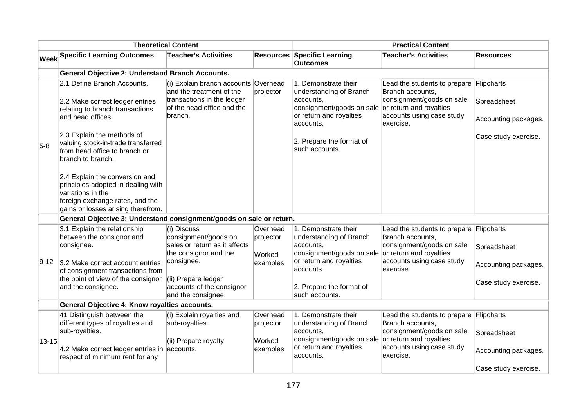|             |                                                                                                                                                                                                                                                                                                                                                                                  | <b>Theoretical Content</b>                                                                                                              |                                 | <b>Practical Content</b>                                                                                                                                                        |                                                                                                                                                    |                                                                           |  |
|-------------|----------------------------------------------------------------------------------------------------------------------------------------------------------------------------------------------------------------------------------------------------------------------------------------------------------------------------------------------------------------------------------|-----------------------------------------------------------------------------------------------------------------------------------------|---------------------------------|---------------------------------------------------------------------------------------------------------------------------------------------------------------------------------|----------------------------------------------------------------------------------------------------------------------------------------------------|---------------------------------------------------------------------------|--|
|             | <b>Week Specific Learning Outcomes</b>                                                                                                                                                                                                                                                                                                                                           | <b>Teacher's Activities</b>                                                                                                             |                                 | Resources Specific Learning<br><b>Outcomes</b>                                                                                                                                  | <b>Teacher's Activities</b>                                                                                                                        | <b>Resources</b>                                                          |  |
|             | <b>General Objective 2: Understand Branch Accounts.</b>                                                                                                                                                                                                                                                                                                                          |                                                                                                                                         |                                 |                                                                                                                                                                                 |                                                                                                                                                    |                                                                           |  |
| $5-8$       | 2.1 Define Branch Accounts.<br>2.2 Make correct ledger entries<br>relating to branch transactions<br>and head offices.<br>2.3 Explain the methods of<br>valuing stock-in-trade transferred<br>from head office to branch or<br>branch to branch.<br>2.4 Explain the conversion and<br>principles adopted in dealing with<br>variations in the<br>foreign exchange rates, and the | (i) Explain branch accounts Overhead<br>and the treatment of the<br>transactions in the ledger<br>of the head office and the<br>branch. | projector                       | 1. Demonstrate their<br>understanding of Branch<br>accounts,<br>consignment/goods on sale<br>or return and royalties<br>accounts.<br>2. Prepare the format of<br>such accounts. | Lead the students to prepare<br>Branch accounts,<br>consignment/goods on sale<br>or return and royalties<br>accounts using case study<br>exercise. | Flipcharts<br>Spreadsheet<br>Accounting packages.<br>Case study exercise. |  |
|             | gains or losses arising therefrom.                                                                                                                                                                                                                                                                                                                                               |                                                                                                                                         |                                 |                                                                                                                                                                                 |                                                                                                                                                    |                                                                           |  |
|             | General Objective 3: Understand consignment/goods on sale or return.                                                                                                                                                                                                                                                                                                             |                                                                                                                                         |                                 |                                                                                                                                                                                 |                                                                                                                                                    |                                                                           |  |
|             | 3.1 Explain the relationship<br>between the consignor and<br>consignee.                                                                                                                                                                                                                                                                                                          | (i) Discuss<br>consignment/goods on<br>sales or return as it affects<br>the consignor and the                                           | Overhead<br>projector<br>Worked | 1. Demonstrate their<br>understanding of Branch<br>accounts,<br>consignment/goods on sale                                                                                       | Lead the students to prepare Flipcharts<br>Branch accounts,<br>consignment/goods on sale<br>or return and royalties                                | Spreadsheet                                                               |  |
|             | $ 9-12 $ 3.2 Make correct account entries<br>of consignment transactions from                                                                                                                                                                                                                                                                                                    | consignee.                                                                                                                              | examples                        | or return and royalties<br>accounts.                                                                                                                                            | accounts using case study<br>exercise.                                                                                                             | Accounting packages.                                                      |  |
|             | the point of view of the consignor<br>and the consignee.                                                                                                                                                                                                                                                                                                                         | (ii) Prepare ledger<br>accounts of the consignor<br>and the consignee.                                                                  |                                 | 2. Prepare the format of<br>such accounts.                                                                                                                                      |                                                                                                                                                    | Case study exercise.                                                      |  |
|             | General Objective 4: Know royalties accounts.                                                                                                                                                                                                                                                                                                                                    |                                                                                                                                         |                                 |                                                                                                                                                                                 |                                                                                                                                                    |                                                                           |  |
| $ 13 - 15 $ | 41 Distinguish between the<br>different types of royalties and<br>sub-royalties.                                                                                                                                                                                                                                                                                                 | $(i)$ Explain royalties and<br>sub-royalties.<br>(ii) Prepare royalty                                                                   | Overhead<br>projector<br>Worked | 1. Demonstrate their<br>understanding of Branch<br>accounts,<br>consignment/goods on sale                                                                                       | Lead the students to prepare<br>Branch accounts,<br>consignment/goods on sale<br>or return and royalties                                           | Flipcharts<br>Spreadsheet                                                 |  |
|             | 4.2 Make correct ledger entries in accounts.<br>respect of minimum rent for any                                                                                                                                                                                                                                                                                                  |                                                                                                                                         | examples                        | or return and royalties<br>accounts.                                                                                                                                            | accounts using case study<br>exercise.                                                                                                             | Accounting packages.                                                      |  |
|             |                                                                                                                                                                                                                                                                                                                                                                                  |                                                                                                                                         |                                 |                                                                                                                                                                                 |                                                                                                                                                    | Case study exercise.                                                      |  |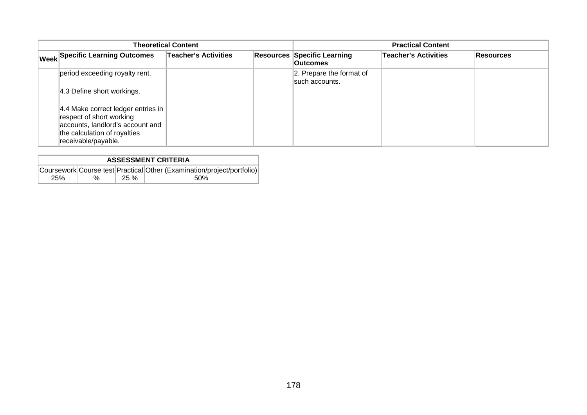| <b>Theoretical Content</b> |                                                                                                                                                           |                      | <b>Practical Content</b> |                                                       |                             |                  |
|----------------------------|-----------------------------------------------------------------------------------------------------------------------------------------------------------|----------------------|--------------------------|-------------------------------------------------------|-----------------------------|------------------|
|                            | <b>Week Specific Learning Outcomes</b>                                                                                                                    | Teacher's Activities |                          | <b>Resources Specific Learning</b><br><b>Outcomes</b> | <b>Teacher's Activities</b> | <b>Resources</b> |
|                            | period exceeding royalty rent.                                                                                                                            |                      |                          | 2. Prepare the format of<br>such accounts.            |                             |                  |
|                            | 4.3 Define short workings.                                                                                                                                |                      |                          |                                                       |                             |                  |
|                            | 4.4 Make correct ledger entries in<br>respect of short working<br>accounts, landlord's account and<br>the calculation of royalties<br>receivable/payable. |                      |                          |                                                       |                             |                  |

| <b>ASSESSMENT CRITERIA</b> |   |  |      |                                                                        |  |  |
|----------------------------|---|--|------|------------------------------------------------------------------------|--|--|
|                            |   |  |      | Coursework Course test Practical Other (Examination/project/portfolio) |  |  |
| <b>25%</b>                 | % |  | 25 % | .50%                                                                   |  |  |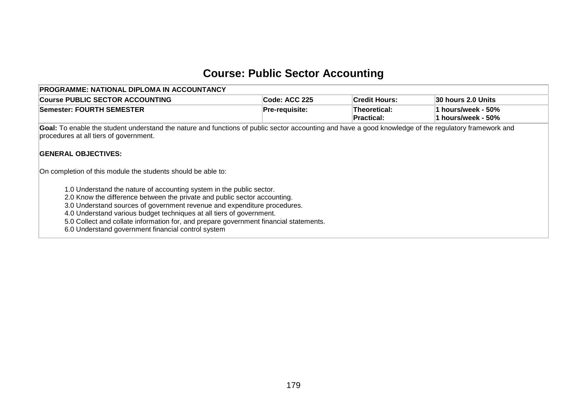## **Course: Public Sector Accounting**

| <b>PROGRAMME: NATIONAL DIPLOMA IN ACCOUNTANCY</b>                                                                                                                                                                                                                                                                                                                                                                                                    |                |                                   |                                        |  |  |  |  |
|------------------------------------------------------------------------------------------------------------------------------------------------------------------------------------------------------------------------------------------------------------------------------------------------------------------------------------------------------------------------------------------------------------------------------------------------------|----------------|-----------------------------------|----------------------------------------|--|--|--|--|
| <b>Course PUBLIC SECTOR ACCOUNTING</b>                                                                                                                                                                                                                                                                                                                                                                                                               | Code: ACC 225  | <b>Credit Hours:</b>              | <b>30 hours 2.0 Units</b>              |  |  |  |  |
| <b>Semester: FOURTH SEMESTER</b>                                                                                                                                                                                                                                                                                                                                                                                                                     | Pre-requisite: | Theoretical:<br><b>Practical:</b> | hours/week - 50%<br>l hours/week - 50% |  |  |  |  |
| Goal: To enable the student understand the nature and functions of public sector accounting and have a good knowledge of the regulatory framework and<br>procedures at all tiers of government.                                                                                                                                                                                                                                                      |                |                                   |                                        |  |  |  |  |
| <b>GENERAL OBJECTIVES:</b>                                                                                                                                                                                                                                                                                                                                                                                                                           |                |                                   |                                        |  |  |  |  |
| On completion of this module the students should be able to:                                                                                                                                                                                                                                                                                                                                                                                         |                |                                   |                                        |  |  |  |  |
| 1.0 Understand the nature of accounting system in the public sector.<br>2.0 Know the difference between the private and public sector accounting.<br>3.0 Understand sources of government revenue and expenditure procedures.<br>4.0 Understand various budget techniques at all tiers of government.<br>5.0 Collect and collate information for, and prepare government financial statements.<br>6.0 Understand government financial control system |                |                                   |                                        |  |  |  |  |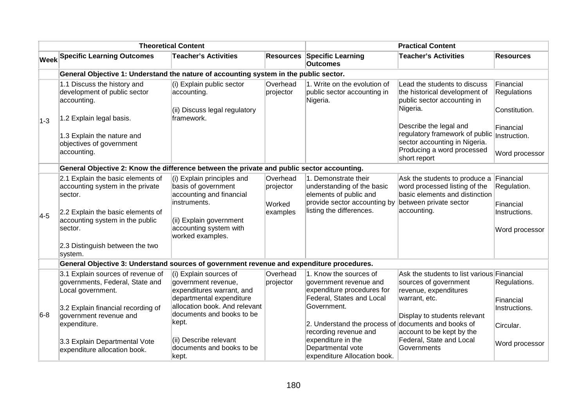| <b>Theoretical Content</b> |                                                                                            |                                                                                                        | <b>Practical Content</b>        |                                                                                                              |                                                                                                                                      |                                           |
|----------------------------|--------------------------------------------------------------------------------------------|--------------------------------------------------------------------------------------------------------|---------------------------------|--------------------------------------------------------------------------------------------------------------|--------------------------------------------------------------------------------------------------------------------------------------|-------------------------------------------|
|                            | <b>Week Specific Learning Outcomes</b>                                                     | <b>Teacher's Activities</b>                                                                            | <b>Resources</b>                | <b>Specific Learning</b><br><b>Outcomes</b>                                                                  | <b>Teacher's Activities</b>                                                                                                          | <b>Resources</b>                          |
|                            | General Objective 1: Understand the nature of accounting system in the public sector.      |                                                                                                        |                                 |                                                                                                              |                                                                                                                                      |                                           |
|                            | 1.1 Discuss the history and<br>development of public sector<br>accounting.                 | (i) Explain public sector<br>accounting.<br>(ii) Discuss legal regulatory                              | Overhead<br>projector           | 1. Write on the evolution of<br>public sector accounting in<br>Nigeria.                                      | Lead the students to discuss<br>the historical development of<br>public sector accounting in<br>Nigeria.                             | Financial<br>Regulations<br>Constitution. |
| $ 1-3 $                    | 1.2 Explain legal basis.                                                                   | framework.                                                                                             |                                 |                                                                                                              |                                                                                                                                      |                                           |
|                            | 1.3 Explain the nature and<br>objectives of government<br>accounting.                      |                                                                                                        |                                 |                                                                                                              | Describe the legal and<br>regulatory framework of public<br>sector accounting in Nigeria.<br>Producing a word processed              | Financial<br>Instruction.                 |
|                            |                                                                                            |                                                                                                        |                                 |                                                                                                              | short report                                                                                                                         | Word processor                            |
|                            | General Objective 2: Know the difference between the private and public sector accounting. |                                                                                                        |                                 |                                                                                                              |                                                                                                                                      |                                           |
|                            | 2.1 Explain the basic elements of<br>accounting system in the private<br>sector.           | (i) Explain principles and<br>basis of government<br>accounting and financial<br>instruments.          | Overhead<br>projector<br>Worked | 1. Demonstrate their<br>understanding of the basic<br>elements of public and<br>provide sector accounting by | Ask the students to produce a Financial<br>word processed listing of the<br>basic elements and distinction<br>between private sector | Regulation.<br>Financial                  |
| $4-5$                      | 2.2 Explain the basic elements of<br>accounting system in the public<br>sector.            | (ii) Explain government<br>accounting system with<br>worked examples.                                  | examples                        | listing the differences.                                                                                     | accounting.                                                                                                                          | Instructions.<br>Word processor           |
|                            | 2.3 Distinguish between the two<br>system.                                                 |                                                                                                        |                                 |                                                                                                              |                                                                                                                                      |                                           |
|                            | General Objective 3: Understand sources of government revenue and expenditure procedures.  |                                                                                                        |                                 |                                                                                                              |                                                                                                                                      |                                           |
|                            | 3.1 Explain sources of revenue of<br>governments, Federal, State and<br>Local government.  | (i) Explain sources of<br>government revenue,<br>expenditures warrant, and<br>departmental expenditure | Overhead<br>projector           | 1. Know the sources of<br>government revenue and<br>expenditure procedures for<br>Federal, States and Local  | Ask the students to list various Financial<br>sources of government<br>revenue, expenditures<br>warrant, etc.                        | Regulations.                              |
| $6-8$                      | 3.2 Explain financial recording of<br>government revenue and                               | allocation book. And relevant<br>documents and books to be                                             |                                 | Government.                                                                                                  | Display to students relevant                                                                                                         | Financial<br>Instructions.                |
|                            | expenditure.                                                                               | kept.                                                                                                  |                                 | 2. Understand the process of<br>recording revenue and                                                        | documents and books of<br>account to be kept by the                                                                                  | Circular.                                 |
|                            | 3.3 Explain Departmental Vote<br>expenditure allocation book.                              | (ii) Describe relevant<br>documents and books to be<br>kept.                                           |                                 | expenditure in the<br>Departmental vote<br>expenditure Allocation book.                                      | Federal, State and Local<br>Governments                                                                                              | Word processor                            |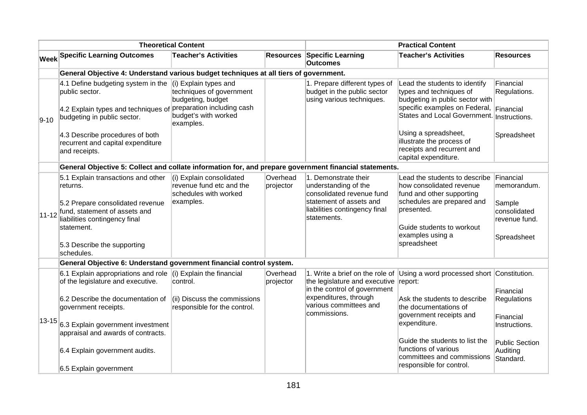| <b>Theoretical Content</b> |                                                                                                                            | <b>Practical Content</b>                                                                                                                    |                       |                                                                                                  |                                                                                                                                                                                       |                                         |  |  |
|----------------------------|----------------------------------------------------------------------------------------------------------------------------|---------------------------------------------------------------------------------------------------------------------------------------------|-----------------------|--------------------------------------------------------------------------------------------------|---------------------------------------------------------------------------------------------------------------------------------------------------------------------------------------|-----------------------------------------|--|--|
|                            | <b>Week Specific Learning Outcomes</b>                                                                                     | <b>Teacher's Activities</b>                                                                                                                 | <b>Resources</b>      | <b>Specific Learning</b><br><b>Outcomes</b>                                                      | <b>Teacher's Activities</b>                                                                                                                                                           | <b>Resources</b>                        |  |  |
|                            | General Objective 4: Understand various budget techniques at all tiers of government.                                      |                                                                                                                                             |                       |                                                                                                  |                                                                                                                                                                                       |                                         |  |  |
| $9 - 10$                   | 4.1 Define budgeting system in the<br>public sector.<br>4.2 Explain types and techniques of<br>budgeting in public sector. | $(i)$ Explain types and<br>techniques of government<br>budgeting, budget<br>preparation including cash<br>budget's with worked<br>examples. |                       | 1. Prepare different types of<br>budget in the public sector<br>using various techniques.        | Lead the students to identify<br>types and techniques of<br>budgeting in public sector with<br>specific examples on Federal, Financial<br>States and Local Government.  Instructions. | Financial<br>Regulations.               |  |  |
|                            | 4.3 Describe procedures of both<br>recurrent and capital expenditure<br>and receipts.                                      |                                                                                                                                             |                       |                                                                                                  | Using a spreadsheet,<br>illustrate the process of<br>receipts and recurrent and<br>capital expenditure.                                                                               | Spreadsheet                             |  |  |
|                            | General Objective 5: Collect and collate information for, and prepare government financial statements.                     |                                                                                                                                             |                       |                                                                                                  |                                                                                                                                                                                       |                                         |  |  |
|                            | 5.1 Explain transactions and other<br>returns.                                                                             | (i) Explain consolidated<br>revenue fund etc and the<br>schedules with worked                                                               | Overhead<br>projector | 1. Demonstrate their<br>understanding of the<br>consolidated revenue fund                        | Lead the students to describe<br>how consolidated revenue<br>fund and other supporting                                                                                                | Financial<br>memorandum.                |  |  |
|                            | 5.2 Prepare consolidated revenue<br>11-12 fund, statement of assets and<br>liabilities contingency final<br>statement.     | examples.                                                                                                                                   |                       | statement of assets and<br>liabilities contingency final<br>statements.                          | schedules are prepared and<br>presented.<br>Guide students to workout                                                                                                                 | Sample<br>consolidated<br>revenue fund. |  |  |
|                            | 5.3 Describe the supporting<br>schedules.                                                                                  |                                                                                                                                             |                       |                                                                                                  | examples using a<br>spreadsheet                                                                                                                                                       | Spreadsheet                             |  |  |
|                            | General Objective 6: Understand government financial control system.                                                       |                                                                                                                                             |                       |                                                                                                  |                                                                                                                                                                                       |                                         |  |  |
|                            | 6.1 Explain appropriations and role<br>of the legislature and executive.                                                   | $(i)$ Explain the financial<br>control.                                                                                                     | Overhead<br>projector | 1. Write a brief on the role of<br>the legislature and executive<br>in the control of government | Using a word processed short Constitution.<br>report:                                                                                                                                 | Financial                               |  |  |
|                            | 6.2 Describe the documentation of<br>government receipts.                                                                  | (ii) Discuss the commissions<br>responsible for the control.                                                                                |                       | expenditures, through<br>various committees and<br>commissions.                                  | Ask the students to describe<br>the documentations of                                                                                                                                 | Regulations                             |  |  |
| $ 13 - 15 $                | 6.3 Explain government investment<br>appraisal and awards of contracts.                                                    |                                                                                                                                             |                       |                                                                                                  | government receipts and<br>expenditure.                                                                                                                                               | Financial<br>Instructions.              |  |  |
|                            | 6.4 Explain government audits.                                                                                             |                                                                                                                                             |                       |                                                                                                  | Guide the students to list the<br>functions of various<br>committees and commissions                                                                                                  | Public Section<br>Auditing<br>Standard. |  |  |
|                            | 6.5 Explain government                                                                                                     |                                                                                                                                             |                       |                                                                                                  | responsible for control.                                                                                                                                                              |                                         |  |  |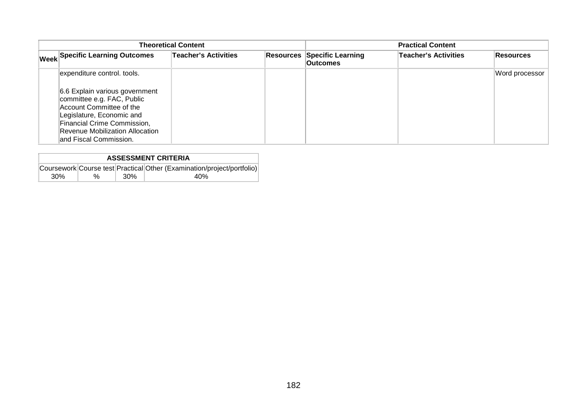| <b>Theoretical Content</b> |                                                                                                                                                                                                                                 |                             |  | <b>Practical Content</b>                              |                             |                |
|----------------------------|---------------------------------------------------------------------------------------------------------------------------------------------------------------------------------------------------------------------------------|-----------------------------|--|-------------------------------------------------------|-----------------------------|----------------|
|                            | Week Specific Learning Outcomes                                                                                                                                                                                                 | <b>Teacher's Activities</b> |  | <b>Resources Specific Learning</b><br><b>Outcomes</b> | <b>Teacher's Activities</b> | Resources      |
|                            | expenditure control. tools.                                                                                                                                                                                                     |                             |  |                                                       |                             | Word processor |
|                            | 6.6 Explain various government<br>committee e.g. FAC, Public<br>Account Committee of the<br>Legislature, Economic and<br><b>Financial Crime Commission,</b><br><b>Revenue Mobilization Allocation</b><br>and Fiscal Commission. |                             |  |                                                       |                             |                |

| <b>ASSESSMENT CRITERIA</b> |      |                 |                                                                        |  |  |  |
|----------------------------|------|-----------------|------------------------------------------------------------------------|--|--|--|
|                            |      |                 | Coursework Course test Practical Other (Examination/project/portfolio) |  |  |  |
| $30\%$                     | $\%$ | 30 <sup>%</sup> | 40%                                                                    |  |  |  |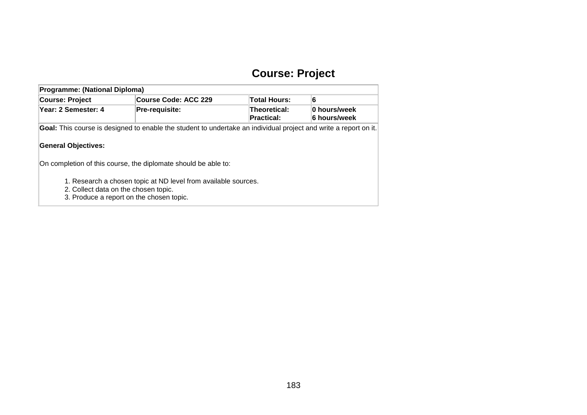## **Course: Project**

| <b>Programme: (National Diploma)</b> |                                                                                                                  |                                   |                               |  |  |  |  |
|--------------------------------------|------------------------------------------------------------------------------------------------------------------|-----------------------------------|-------------------------------|--|--|--|--|
| <b>Course: Project</b>               | <b>Course Code: ACC 229</b>                                                                                      | <b>Total Hours:</b>               | 6                             |  |  |  |  |
| Year: 2 Semester: 4                  | <b>Pre-requisite:</b>                                                                                            | <b>Theoretical:</b><br>Practical: | 0 hours/week<br>∣6 hours/week |  |  |  |  |
|                                      | Goal: This course is designed to enable the student to undertake an individual project and write a report on it. |                                   |                               |  |  |  |  |
| General Objectives:                  |                                                                                                                  |                                   |                               |  |  |  |  |
|                                      | On completion of this course, the diplomate should be able to:                                                   |                                   |                               |  |  |  |  |
| 2. Collect data on the chosen topic. | 1. Research a chosen topic at ND level from available sources.<br>3. Produce a report on the chosen topic.       |                                   |                               |  |  |  |  |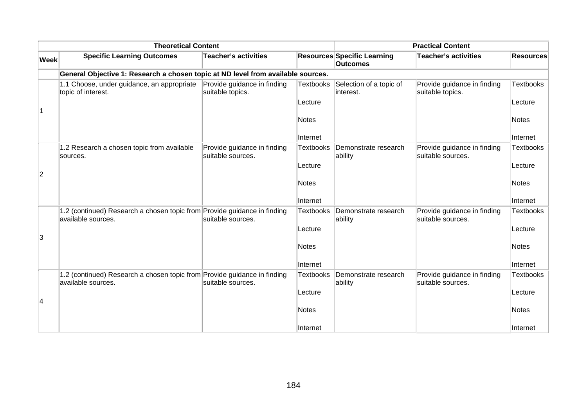| <b>Theoretical Content</b> |                                                                                                |                                                  | <b>Practical Content</b> |                                                       |                                                  |                  |
|----------------------------|------------------------------------------------------------------------------------------------|--------------------------------------------------|--------------------------|-------------------------------------------------------|--------------------------------------------------|------------------|
| <b>Week</b>                | <b>Specific Learning Outcomes</b>                                                              | <b>Teacher's activities</b>                      |                          | <b>Resources Specific Learning</b><br><b>Outcomes</b> | <b>Teacher's activities</b>                      | <b>Resources</b> |
|                            | General Objective 1: Research a chosen topic at ND level from available sources.               |                                                  |                          |                                                       |                                                  |                  |
|                            | 1.1 Choose, under guidance, an appropriate<br>topic of interest.                               | Provide guidance in finding<br>suitable topics.  | Textbooks                | Selection of a topic of<br>interest.                  | Provide guidance in finding<br>suitable topics.  | <b>Textbooks</b> |
|                            |                                                                                                |                                                  | Lecture                  |                                                       |                                                  | Lecture          |
|                            |                                                                                                |                                                  | <b>Notes</b>             |                                                       |                                                  | <b>Notes</b>     |
|                            |                                                                                                |                                                  | Internet                 |                                                       |                                                  | Internet         |
|                            | 1.2 Research a chosen topic from available<br>sources.                                         | Provide guidance in finding<br>suitable sources. | <b>Textbooks</b>         | Demonstrate research<br>ability                       | Provide guidance in finding<br>suitable sources. | <b>Textbooks</b> |
| $\overline{2}$             |                                                                                                |                                                  | Lecture                  |                                                       |                                                  | Lecture          |
|                            |                                                                                                |                                                  | <b>Notes</b>             |                                                       |                                                  | <b>Notes</b>     |
|                            |                                                                                                |                                                  | Internet                 |                                                       |                                                  | Internet         |
|                            | 1.2 (continued) Research a chosen topic from Provide guidance in finding<br>available sources. | suitable sources.                                | <b>Textbooks</b>         | Demonstrate research<br>ability                       | Provide guidance in finding<br>suitable sources. | <b>Textbooks</b> |
| 3                          |                                                                                                |                                                  | Lecture                  |                                                       |                                                  | Lecture          |
|                            |                                                                                                |                                                  | Notes                    |                                                       |                                                  | <b>Notes</b>     |
|                            |                                                                                                |                                                  | Internet                 |                                                       |                                                  | Internet         |
|                            | 1.2 (continued) Research a chosen topic from Provide guidance in finding<br>available sources. | suitable sources.                                | <b>Textbooks</b>         | Demonstrate research<br>ability                       | Provide guidance in finding<br>suitable sources. | <b>Textbooks</b> |
| 4                          |                                                                                                |                                                  | Lecture                  |                                                       |                                                  | Lecture          |
|                            |                                                                                                |                                                  | Notes                    |                                                       |                                                  | <b>Notes</b>     |
|                            |                                                                                                |                                                  | Internet                 |                                                       |                                                  | Internet         |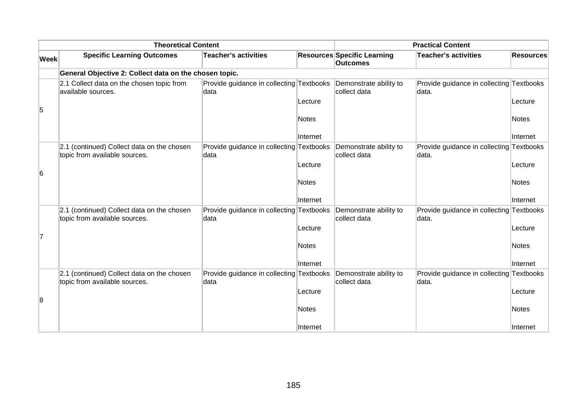| <b>Theoretical Content</b> |                                                                             |                                                   |           | <b>Practical Content</b>                              |                                                   |                  |
|----------------------------|-----------------------------------------------------------------------------|---------------------------------------------------|-----------|-------------------------------------------------------|---------------------------------------------------|------------------|
| <b>Week</b>                | <b>Specific Learning Outcomes</b>                                           | Teacher's activities                              |           | <b>Resources Specific Learning</b><br><b>Outcomes</b> | <b>Teacher's activities</b>                       | <b>Resources</b> |
|                            | General Objective 2: Collect data on the chosen topic.                      |                                                   |           |                                                       |                                                   |                  |
|                            | 2.1 Collect data on the chosen topic from<br>available sources.             | Provide guidance in collecting Textbooks<br>ldata |           | Demonstrate ability to<br>collect data                | Provide guidance in collecting Textbooks<br>data. |                  |
|                            |                                                                             |                                                   | Lecture   |                                                       |                                                   | Lecture          |
| 5                          |                                                                             |                                                   | Notes     |                                                       |                                                   | Notes            |
|                            |                                                                             |                                                   | ⊪Internet |                                                       |                                                   | Internet         |
|                            | 2.1 (continued) Collect data on the chosen<br>topic from available sources. | Provide guidance in collecting Textbooks<br>ldata |           | Demonstrate ability to<br>collect data                | Provide guidance in collecting Textbooks<br>data. |                  |
|                            |                                                                             |                                                   | Lecture   |                                                       |                                                   | Lecture          |
| 6                          |                                                                             |                                                   | Notes     |                                                       |                                                   | Notes            |
|                            |                                                                             |                                                   | ⊪Internet |                                                       |                                                   | Internet         |
|                            | 2.1 (continued) Collect data on the chosen<br>topic from available sources. | Provide guidance in collecting Textbooks<br>ldata |           | Demonstrate ability to<br>collect data                | Provide guidance in collecting Textbooks<br>data. |                  |
| 7                          |                                                                             |                                                   | Lecture   |                                                       |                                                   | Lecture          |
|                            |                                                                             |                                                   | Notes     |                                                       |                                                   | Notes            |
|                            |                                                                             |                                                   | Internet  |                                                       |                                                   | Internet         |
|                            | 2.1 (continued) Collect data on the chosen<br>topic from available sources. | Provide guidance in collecting Textbooks<br>∣data |           | Demonstrate ability to<br>collect data                | Provide guidance in collecting Textbooks<br>data. |                  |
|                            |                                                                             |                                                   | Lecture   |                                                       |                                                   | Lecture          |
| 8                          |                                                                             |                                                   | Notes     |                                                       |                                                   | Notes            |
|                            |                                                                             |                                                   | Internet  |                                                       |                                                   | Internet         |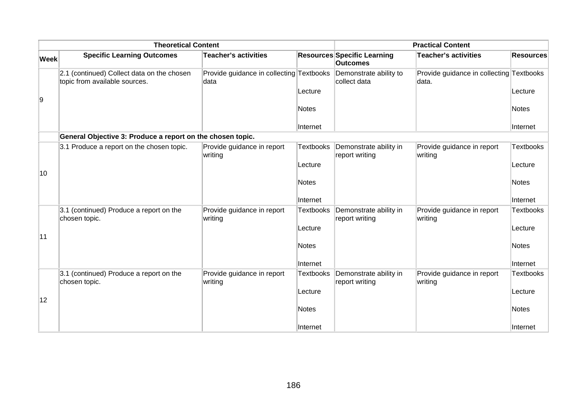| <b>Theoretical Content</b> |                                                                             |                                                   | <b>Practical Content</b> |                                                       |                                                   |                  |
|----------------------------|-----------------------------------------------------------------------------|---------------------------------------------------|--------------------------|-------------------------------------------------------|---------------------------------------------------|------------------|
| <b>Week</b>                | <b>Specific Learning Outcomes</b>                                           | Teacher's activities                              |                          | <b>Resources Specific Learning</b><br><b>Outcomes</b> | <b>Teacher's activities</b>                       | <b>Resources</b> |
|                            | 2.1 (continued) Collect data on the chosen<br>topic from available sources. | Provide guidance in collecting Textbooks<br>ldata |                          | Demonstrate ability to<br>collect data                | Provide guidance in collecting Textbooks<br>data. |                  |
| 9                          |                                                                             |                                                   | Lecture                  |                                                       |                                                   | Lecture          |
|                            |                                                                             |                                                   | Notes                    |                                                       |                                                   | <b>Notes</b>     |
|                            |                                                                             |                                                   | Internet                 |                                                       |                                                   | Internet         |
|                            | General Objective 3: Produce a report on the chosen topic.                  |                                                   |                          |                                                       |                                                   |                  |
|                            | 3.1 Produce a report on the chosen topic.                                   | Provide guidance in report<br>writing             | Textbooks                | Demonstrate ability in<br>report writing              | Provide guidance in report<br>writing             | <b>Textbooks</b> |
| 10                         |                                                                             |                                                   | Lecture                  |                                                       |                                                   | Lecture          |
|                            |                                                                             |                                                   | Notes                    |                                                       |                                                   | Notes            |
|                            |                                                                             |                                                   | ⊪Internet                |                                                       |                                                   | Internet         |
|                            | 3.1 (continued) Produce a report on the<br>chosen topic.                    | Provide guidance in report<br>writing             | <b>Textbooks</b>         | Demonstrate ability in<br>report writing              | Provide guidance in report<br>writing             | <b>Textbooks</b> |
| 11                         |                                                                             |                                                   | Lecture                  |                                                       |                                                   | Lecture          |
|                            |                                                                             |                                                   | Notes                    |                                                       |                                                   | Notes            |
|                            |                                                                             |                                                   | Internet                 |                                                       |                                                   | Internet         |
|                            | 3.1 (continued) Produce a report on the<br>chosen topic.                    | Provide guidance in report<br>writing             | <b>Textbooks</b>         | Demonstrate ability in<br>report writing              | Provide guidance in report<br>writing             | <b>Textbooks</b> |
| 12                         |                                                                             |                                                   | Lecture                  |                                                       |                                                   | Lecture          |
|                            |                                                                             |                                                   | Notes                    |                                                       |                                                   | Notes            |
|                            |                                                                             |                                                   | Internet                 |                                                       |                                                   | <b>Internet</b>  |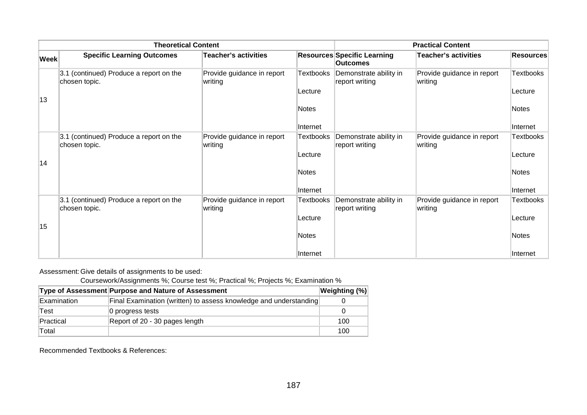| <b>Theoretical Content</b> |                                                          |                                       |           | <b>Practical Content</b>                              |                                       |                  |
|----------------------------|----------------------------------------------------------|---------------------------------------|-----------|-------------------------------------------------------|---------------------------------------|------------------|
| <b>Week</b>                | <b>Specific Learning Outcomes</b>                        | Teacher's activities                  |           | <b>Resources Specific Learning</b><br><b>Outcomes</b> | <b>Teacher's activities</b>           | <b>Resources</b> |
|                            | 3.1 (continued) Produce a report on the<br>chosen topic. | Provide guidance in report<br>writing | Textbooks | Demonstrate ability in<br>report writing              | Provide guidance in report<br>writing | Textbooks        |
|                            |                                                          |                                       | Lecture   |                                                       |                                       | Lecture          |
| 13                         |                                                          |                                       | Notes     |                                                       |                                       | Notes            |
|                            |                                                          |                                       | Internet  |                                                       |                                       | ∣Internet        |
|                            | 3.1 (continued) Produce a report on the<br>chosen topic. | Provide guidance in report<br>writing | Textbooks | Demonstrate ability in<br>report writing              | Provide guidance in report<br>writing | <b>Textbooks</b> |
|                            |                                                          |                                       | Lecture   |                                                       |                                       | Lecture          |
| 14                         |                                                          |                                       | Notes     |                                                       |                                       | Notes            |
|                            |                                                          |                                       | ⊪Internet |                                                       |                                       | <b>Internet</b>  |
|                            | 3.1 (continued) Produce a report on the<br>chosen topic. | Provide guidance in report<br>writing | Textbooks | Demonstrate ability in<br>report writing              | Provide guidance in report<br>writing | Textbooks        |
|                            |                                                          |                                       | Lecture   |                                                       |                                       | Lecture          |
| 15                         |                                                          |                                       | Notes     |                                                       |                                       | Notes            |
|                            |                                                          |                                       | ∥nternet  |                                                       |                                       | ∣Internet        |

Assessment: Give details of assignments to be used:

Coursework/Assignments %; Course test %; Practical %; Projects %; Examination %

|             | Type of Assessment Purpose and Nature of Assessment               | Weighting (%) |
|-------------|-------------------------------------------------------------------|---------------|
| Examination | Final Examination (written) to assess knowledge and understanding |               |
| Test        | 0 progress tests                                                  |               |
| Practical   | Report of 20 - 30 pages length                                    | 100           |
| Total       |                                                                   | 100           |

Recommended Textbooks & References: